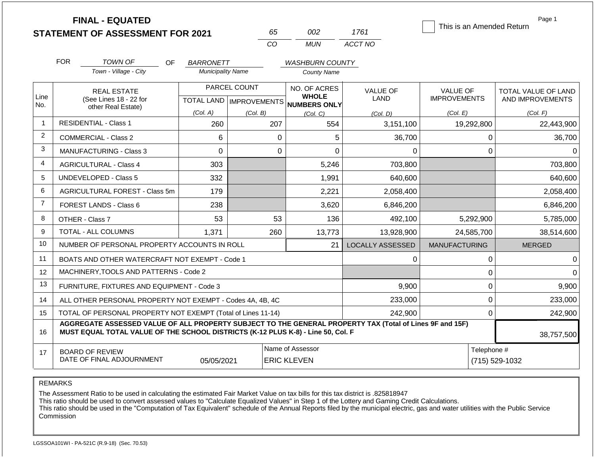| <b>FINAL - EQUATED</b>                  |    |     |
|-----------------------------------------|----|-----|
| <b>STATEMENT OF ASSESSMENT FOR 2021</b> | 65 | 002 |

Page 1 This is an Amended Return

|    | nn2   | 1761    |
|----|-------|---------|
| Γn | MI IN | ACCT NO |

| FOR | TOWN OF<br>Town - Village - City | ΟF | <b>BARRONETT</b><br><b>Municipality Name</b> | <b>WASHBURN COUNTY</b><br>County Name |    |
|-----|----------------------------------|----|----------------------------------------------|---------------------------------------|----|
|     | REAL ESTATE                      |    | <b>PARCEL COUNT</b>                          | NO. OF ACRES<br>MUMOIF                | V/ |

| Line           | <b>REAL ESTATE</b>                                                                                                                                                                                         |                                                    | <b>I AINVLL VUUITI</b> | <b>NU. UF AURES</b><br><b>WHOLE</b>  | <b>VALUE OF</b>         | <b>VALUE OF</b>      | TOTAL VALUE OF LAND |  |
|----------------|------------------------------------------------------------------------------------------------------------------------------------------------------------------------------------------------------------|----------------------------------------------------|------------------------|--------------------------------------|-------------------------|----------------------|---------------------|--|
| No.            | (See Lines 18 - 22 for                                                                                                                                                                                     |                                                    |                        | TOTAL LAND IMPROVEMENTS NUMBERS ONLY | <b>LAND</b>             | <b>IMPROVEMENTS</b>  | AND IMPROVEMENTS    |  |
|                | other Real Estate)                                                                                                                                                                                         | (Col. A)                                           | (Col. B)               | (Col, C)                             | (Col, D)                | (Col. E)             | (Col. F)            |  |
|                | <b>RESIDENTIAL - Class 1</b>                                                                                                                                                                               | 260                                                | 207                    | 554                                  | 3,151,100               | 19,292,800           | 22,443,900          |  |
| $\overline{2}$ | <b>COMMERCIAL - Class 2</b>                                                                                                                                                                                | 6                                                  | 0                      | 5                                    | 36,700                  |                      | 36,700<br>0         |  |
| 3              | <b>MANUFACTURING - Class 3</b>                                                                                                                                                                             | $\Omega$                                           | 0                      | $\Omega$                             | 0                       |                      | 0<br>0              |  |
| $\overline{4}$ | <b>AGRICULTURAL - Class 4</b>                                                                                                                                                                              | 303                                                |                        | 5,246                                | 703,800                 |                      | 703,800             |  |
| 5              | <b>UNDEVELOPED - Class 5</b>                                                                                                                                                                               | 332                                                |                        | 1,991                                | 640,600                 |                      | 640,600             |  |
| 6              | AGRICULTURAL FOREST - Class 5m                                                                                                                                                                             | 179                                                |                        | 2,221                                | 2,058,400               |                      | 2,058,400           |  |
| $\overline{7}$ | <b>FOREST LANDS - Class 6</b>                                                                                                                                                                              | 238                                                |                        | 3,620                                | 6,846,200               |                      | 6,846,200           |  |
| 8              | OTHER - Class 7                                                                                                                                                                                            | 53                                                 | 53                     | 136                                  | 492,100                 | 5,292,900            | 5,785,000           |  |
| 9              | <b>TOTAL - ALL COLUMNS</b>                                                                                                                                                                                 | 1,371                                              | 260                    | 13,773                               | 13,928,900              | 24,585,700           | 38,514,600          |  |
| 10             | NUMBER OF PERSONAL PROPERTY ACCOUNTS IN ROLL                                                                                                                                                               |                                                    |                        | 21                                   | <b>LOCALLY ASSESSED</b> | <b>MANUFACTURING</b> | <b>MERGED</b>       |  |
| 11             | BOATS AND OTHER WATERCRAFT NOT EXEMPT - Code 1                                                                                                                                                             |                                                    |                        |                                      | 0                       |                      | 0<br>0              |  |
| 12             | MACHINERY, TOOLS AND PATTERNS - Code 2                                                                                                                                                                     |                                                    |                        |                                      |                         |                      | 0<br>$\Omega$       |  |
| 13             | FURNITURE, FIXTURES AND EQUIPMENT - Code 3                                                                                                                                                                 |                                                    |                        |                                      | 9,900                   |                      | 0<br>9,900          |  |
| 14             | ALL OTHER PERSONAL PROPERTY NOT EXEMPT - Codes 4A, 4B, 4C                                                                                                                                                  |                                                    |                        |                                      | 233,000                 |                      | 233,000<br>0        |  |
| 15             | TOTAL OF PERSONAL PROPERTY NOT EXEMPT (Total of Lines 11-14)                                                                                                                                               |                                                    |                        |                                      | 242,900                 |                      | 242,900<br>0        |  |
| 16             | AGGREGATE ASSESSED VALUE OF ALL PROPERTY SUBJECT TO THE GENERAL PROPERTY TAX (Total of Lines 9F and 15F)<br>MUST EQUAL TOTAL VALUE OF THE SCHOOL DISTRICTS (K-12 PLUS K-8) - Line 50, Col. F<br>38,757,500 |                                                    |                        |                                      |                         |                      |                     |  |
| 17             | <b>BOARD OF REVIEW</b>                                                                                                                                                                                     |                                                    |                        | Name of Assessor                     |                         |                      | Telephone #         |  |
|                | DATE OF FINAL ADJOURNMENT                                                                                                                                                                                  | 05/05/2021<br>(715) 529-1032<br><b>ERIC KLEVEN</b> |                        |                                      |                         |                      |                     |  |

REMARKS

The Assessment Ratio to be used in calculating the estimated Fair Market Value on tax bills for this tax district is .825818947

This ratio should be used to convert assessed values to "Calculate Equalized Values" in Step 1 of the Lottery and Gaming Credit Calculations.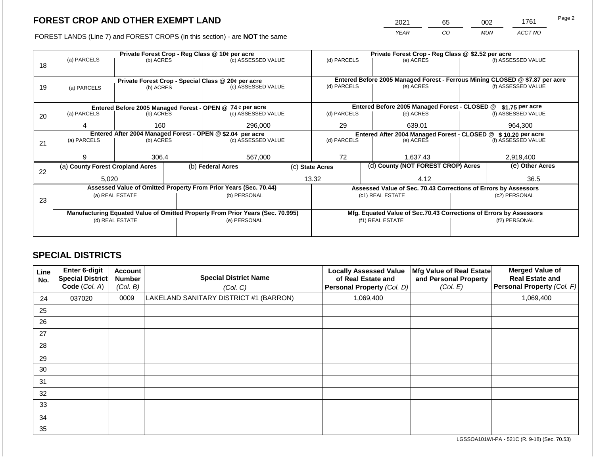2021 65 002 1761

FOREST LANDS (Line 7) and FOREST CROPS (in this section) - are **NOT** the same *YEAR CO MUN ACCT NO*

|    |                                                            |                                                    |  | Private Forest Crop - Reg Class @ 10¢ per acre                                 |                                                               | Private Forest Crop - Reg Class @ \$2.52 per acre |                                    |                                                                              |               |                    |
|----|------------------------------------------------------------|----------------------------------------------------|--|--------------------------------------------------------------------------------|---------------------------------------------------------------|---------------------------------------------------|------------------------------------|------------------------------------------------------------------------------|---------------|--------------------|
|    | (a) PARCELS                                                | (b) ACRES                                          |  | (c) ASSESSED VALUE                                                             |                                                               | (d) PARCELS                                       |                                    | (e) ACRES                                                                    |               | (f) ASSESSED VALUE |
| 18 |                                                            |                                                    |  |                                                                                |                                                               |                                                   |                                    |                                                                              |               |                    |
|    |                                                            |                                                    |  |                                                                                |                                                               |                                                   |                                    |                                                                              |               |                    |
|    |                                                            | Private Forest Crop - Special Class @ 20¢ per acre |  |                                                                                |                                                               |                                                   |                                    | Entered Before 2005 Managed Forest - Ferrous Mining CLOSED @ \$7.87 per acre |               |                    |
| 19 | (a) PARCELS                                                | (b) ACRES                                          |  | (c) ASSESSED VALUE                                                             |                                                               | (d) PARCELS                                       |                                    | (e) ACRES                                                                    |               | (f) ASSESSED VALUE |
|    |                                                            |                                                    |  |                                                                                |                                                               |                                                   |                                    |                                                                              |               |                    |
|    |                                                            |                                                    |  | Entered Before 2005 Managed Forest - OPEN @ 74 ¢ per acre                      |                                                               |                                                   |                                    | Entered Before 2005 Managed Forest - CLOSED @                                |               | \$1.75 per acre    |
| 20 | (a) PARCELS                                                | (b) ACRES                                          |  | (c) ASSESSED VALUE                                                             |                                                               | (d) PARCELS                                       |                                    | (e) ACRES                                                                    |               | (f) ASSESSED VALUE |
|    |                                                            |                                                    |  |                                                                                |                                                               |                                                   |                                    |                                                                              |               |                    |
|    | 4                                                          | 160                                                |  | 296,000                                                                        |                                                               | 29                                                |                                    | 639.01                                                                       |               | 964,300            |
|    | Entered After 2004 Managed Forest - OPEN @ \$2.04 per acre |                                                    |  |                                                                                | Entered After 2004 Managed Forest - CLOSED @ \$10.20 per acre |                                                   |                                    |                                                                              |               |                    |
| 21 | (a) PARCELS                                                | (b) ACRES                                          |  | (c) ASSESSED VALUE                                                             | (d) PARCELS                                                   |                                                   |                                    | (e) ACRES                                                                    |               | (f) ASSESSED VALUE |
|    |                                                            |                                                    |  |                                                                                |                                                               |                                                   |                                    |                                                                              |               |                    |
|    | g                                                          | 306.4                                              |  | 567,000                                                                        |                                                               | 72                                                |                                    | 1,637.43                                                                     |               | 2,919,400          |
|    | (a) County Forest Cropland Acres                           |                                                    |  | (b) Federal Acres                                                              |                                                               | (c) State Acres                                   | (d) County (NOT FOREST CROP) Acres |                                                                              |               | (e) Other Acres    |
| 22 |                                                            |                                                    |  |                                                                                |                                                               |                                                   |                                    |                                                                              |               |                    |
|    | 5,020                                                      |                                                    |  |                                                                                |                                                               | 13.32                                             |                                    | 4.12                                                                         |               | 36.5               |
|    |                                                            |                                                    |  | Assessed Value of Omitted Property From Prior Years (Sec. 70.44)               |                                                               |                                                   |                                    | Assessed Value of Sec. 70.43 Corrections of Errors by Assessors              |               |                    |
|    |                                                            | (a) REAL ESTATE                                    |  | (b) PERSONAL                                                                   |                                                               |                                                   |                                    | (c1) REAL ESTATE                                                             |               | (c2) PERSONAL      |
| 23 |                                                            |                                                    |  |                                                                                |                                                               |                                                   |                                    |                                                                              |               |                    |
|    |                                                            |                                                    |  | Manufacturing Equated Value of Omitted Property From Prior Years (Sec. 70.995) |                                                               |                                                   |                                    | Mfg. Equated Value of Sec.70.43 Corrections of Errors by Assessors           |               |                    |
|    | (d) REAL ESTATE                                            |                                                    |  | (e) PERSONAL                                                                   |                                                               |                                                   |                                    | (f1) REAL ESTATE                                                             | (f2) PERSONAL |                    |
|    |                                                            |                                                    |  |                                                                                |                                                               |                                                   |                                    |                                                                              |               |                    |
|    |                                                            |                                                    |  |                                                                                |                                                               |                                                   |                                    |                                                                              |               |                    |

## **SPECIAL DISTRICTS**

| Line<br>No. | <b>Enter 6-digit</b><br><b>Special District</b><br>Code (Col. A) | Account<br><b>Number</b><br>(Col. B) | <b>Special District Name</b><br>(Col. C) | <b>Locally Assessed Value</b><br>of Real Estate and<br>Personal Property (Col. D) | Mfg Value of Real Estate<br>and Personal Property<br>(Col. E) | <b>Merged Value of</b><br><b>Real Estate and</b><br>Personal Property (Col. F) |
|-------------|------------------------------------------------------------------|--------------------------------------|------------------------------------------|-----------------------------------------------------------------------------------|---------------------------------------------------------------|--------------------------------------------------------------------------------|
| 24          | 037020                                                           | 0009                                 | LAKELAND SANITARY DISTRICT #1 (BARRON)   | 1,069,400                                                                         |                                                               | 1,069,400                                                                      |
| 25          |                                                                  |                                      |                                          |                                                                                   |                                                               |                                                                                |
| 26          |                                                                  |                                      |                                          |                                                                                   |                                                               |                                                                                |
| 27          |                                                                  |                                      |                                          |                                                                                   |                                                               |                                                                                |
| 28          |                                                                  |                                      |                                          |                                                                                   |                                                               |                                                                                |
| 29          |                                                                  |                                      |                                          |                                                                                   |                                                               |                                                                                |
| 30          |                                                                  |                                      |                                          |                                                                                   |                                                               |                                                                                |
| 31          |                                                                  |                                      |                                          |                                                                                   |                                                               |                                                                                |
| 32          |                                                                  |                                      |                                          |                                                                                   |                                                               |                                                                                |
| 33          |                                                                  |                                      |                                          |                                                                                   |                                                               |                                                                                |
| 34          |                                                                  |                                      |                                          |                                                                                   |                                                               |                                                                                |
| 35          |                                                                  |                                      |                                          |                                                                                   |                                                               |                                                                                |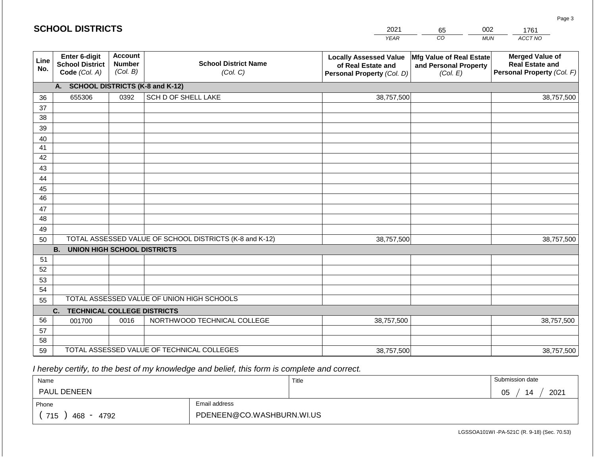|                 | <b>SCHOOL DISTRICTS</b>                                  |                                             | 2021                                                    | 65                                                                                | 002                                                           | 1761       |                                                                                |
|-----------------|----------------------------------------------------------|---------------------------------------------|---------------------------------------------------------|-----------------------------------------------------------------------------------|---------------------------------------------------------------|------------|--------------------------------------------------------------------------------|
|                 |                                                          |                                             |                                                         | <b>YEAR</b>                                                                       | CO                                                            | <b>MUN</b> | ACCT NO                                                                        |
| Line<br>No.     | Enter 6-digit<br><b>School District</b><br>Code (Col. A) | <b>Account</b><br><b>Number</b><br>(Col. B) | <b>School District Name</b><br>(Col. C)                 | <b>Locally Assessed Value</b><br>of Real Estate and<br>Personal Property (Col. D) | Mfg Value of Real Estate<br>and Personal Property<br>(Col. E) |            | <b>Merged Value of</b><br><b>Real Estate and</b><br>Personal Property (Col. F) |
|                 | A. SCHOOL DISTRICTS (K-8 and K-12)                       |                                             |                                                         |                                                                                   |                                                               |            |                                                                                |
| 36              | 655306                                                   | 0392                                        | <b>SCH D OF SHELL LAKE</b>                              | 38,757,500                                                                        |                                                               |            | 38,757,500                                                                     |
| 37              |                                                          |                                             |                                                         |                                                                                   |                                                               |            |                                                                                |
| 38              |                                                          |                                             |                                                         |                                                                                   |                                                               |            |                                                                                |
| 39              |                                                          |                                             |                                                         |                                                                                   |                                                               |            |                                                                                |
| 40              |                                                          |                                             |                                                         |                                                                                   |                                                               |            |                                                                                |
| 41              |                                                          |                                             |                                                         |                                                                                   |                                                               |            |                                                                                |
| 42              |                                                          |                                             |                                                         |                                                                                   |                                                               |            |                                                                                |
| 43              |                                                          |                                             |                                                         |                                                                                   |                                                               |            |                                                                                |
| 44<br>45        |                                                          |                                             |                                                         |                                                                                   |                                                               |            |                                                                                |
| $\overline{46}$ |                                                          |                                             |                                                         |                                                                                   |                                                               |            |                                                                                |
| 47              |                                                          |                                             |                                                         |                                                                                   |                                                               |            |                                                                                |
| 48              |                                                          |                                             |                                                         |                                                                                   |                                                               |            |                                                                                |
| 49              |                                                          |                                             |                                                         |                                                                                   |                                                               |            |                                                                                |
| 50              |                                                          |                                             | TOTAL ASSESSED VALUE OF SCHOOL DISTRICTS (K-8 and K-12) | 38,757,500                                                                        |                                                               |            | 38,757,500                                                                     |
|                 | <b>B.</b><br><b>UNION HIGH SCHOOL DISTRICTS</b>          |                                             |                                                         |                                                                                   |                                                               |            |                                                                                |
| 51              |                                                          |                                             |                                                         |                                                                                   |                                                               |            |                                                                                |
| 52              |                                                          |                                             |                                                         |                                                                                   |                                                               |            |                                                                                |
| 53              |                                                          |                                             |                                                         |                                                                                   |                                                               |            |                                                                                |
| 54              |                                                          |                                             |                                                         |                                                                                   |                                                               |            |                                                                                |
| 55              |                                                          |                                             | TOTAL ASSESSED VALUE OF UNION HIGH SCHOOLS              |                                                                                   |                                                               |            |                                                                                |
|                 | <b>TECHNICAL COLLEGE DISTRICTS</b><br>C.                 |                                             |                                                         |                                                                                   |                                                               |            |                                                                                |
| 56              | 001700                                                   | 0016                                        | NORTHWOOD TECHNICAL COLLEGE                             | 38,757,500                                                                        |                                                               |            | 38,757,500                                                                     |
| 57              |                                                          |                                             |                                                         |                                                                                   |                                                               |            |                                                                                |
| 58              |                                                          |                                             | TOTAL ASSESSED VALUE OF TECHNICAL COLLEGES              |                                                                                   |                                                               |            |                                                                                |
| 59              |                                                          |                                             |                                                         | 38,757,500                                                                        |                                                               |            | 38,757,500                                                                     |

 *I hereby certify, to the best of my knowledge and belief, this form is complete and correct.*

**SCHOOL DISTRICTS**

| Name                 |                           | Title | Submission date        |
|----------------------|---------------------------|-------|------------------------|
| PAUL DENEEN          |                           |       | 2021<br>14<br>∩ҕ<br>◡◡ |
| Phone                | Email address             |       |                        |
| 715<br>4792<br>468 - | PDENEEN@CO.WASHBURN.WI.US |       |                        |

LGSSOA101WI -PA-521C (R. 9-18) (Sec. 70.53)

Page 3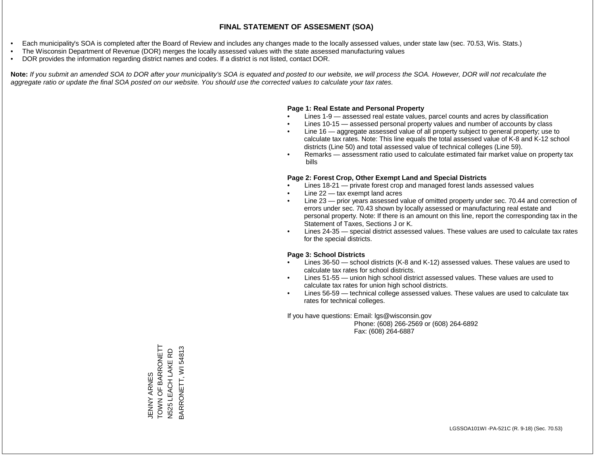- Each municipality's SOA is completed after the Board of Review and includes any changes made to the locally assessed values, under state law (sec. 70.53, Wis. Stats.)
- The Wisconsin Department of Revenue (DOR) merges the locally assessed values with the state assessed manufacturing values
- DOR provides the information regarding district names and codes. If a district is not listed, contact DOR.

Note: If you submit an amended SOA to DOR after your municipality's SOA is equated and posted to our website, we will process the SOA. However, DOR will not recalculate the *aggregate ratio or update the final SOA posted on our website. You should use the corrected values to calculate your tax rates.*

## **Page 1: Real Estate and Personal Property**

- Lines 1-9 assessed real estate values, parcel counts and acres by classification
- Lines 10-15 assessed personal property values and number of accounts by class
- Line 16 aggregate assessed value of all property subject to general property; use to calculate tax rates. Note: This line equals the total assessed value of K-8 and K-12 school districts (Line 50) and total assessed value of technical colleges (Line 59).
- Remarks assessment ratio used to calculate estimated fair market value on property tax bills

## **Page 2: Forest Crop, Other Exempt Land and Special Districts**

- Lines 18-21 private forest crop and managed forest lands assessed values
- Line  $22 -$  tax exempt land acres
- Line 23 prior years assessed value of omitted property under sec. 70.44 and correction of errors under sec. 70.43 shown by locally assessed or manufacturing real estate and personal property. Note: If there is an amount on this line, report the corresponding tax in the Statement of Taxes, Sections J or K.
- Lines 24-35 special district assessed values. These values are used to calculate tax rates for the special districts.

## **Page 3: School Districts**

- Lines 36-50 school districts (K-8 and K-12) assessed values. These values are used to calculate tax rates for school districts.
- Lines 51-55 union high school district assessed values. These values are used to calculate tax rates for union high school districts.
- Lines 56-59 technical college assessed values. These values are used to calculate tax rates for technical colleges.

If you have questions: Email: lgs@wisconsin.gov

 Phone: (608) 266-2569 or (608) 264-6892 Fax: (608) 264-6887

JENNY ARNES<br>TOWN OF BARRONETT<br>N525 LEACH LAKE RD TOWN OF BARRONETT BARRONETT, WI54813 BARRONETT, WI 54813N525 LEACH LAKE RD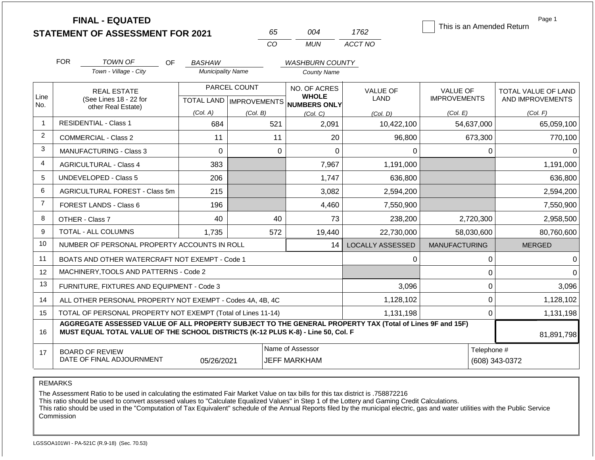|                |                                                              | <b>FINAL - EQUATED</b><br><b>STATEMENT OF ASSESSMENT FOR 2021</b>                                                                                                                            |                          | 65                        | 004                                 | 1762                    | This is an Amended Return | Page 1              |
|----------------|--------------------------------------------------------------|----------------------------------------------------------------------------------------------------------------------------------------------------------------------------------------------|--------------------------|---------------------------|-------------------------------------|-------------------------|---------------------------|---------------------|
|                |                                                              |                                                                                                                                                                                              |                          | CO                        | <b>MUN</b>                          | ACCT NO                 |                           |                     |
|                | <b>FOR</b>                                                   | <b>TOWN OF</b><br>OF                                                                                                                                                                         | <b>BASHAW</b>            |                           | <b>WASHBURN COUNTY</b>              |                         |                           |                     |
|                |                                                              | Town - Village - City                                                                                                                                                                        | <b>Municipality Name</b> |                           | <b>County Name</b>                  |                         |                           |                     |
|                | <b>REAL ESTATE</b>                                           |                                                                                                                                                                                              |                          | PARCEL COUNT              | NO. OF ACRES                        | <b>VALUE OF</b>         | <b>VALUE OF</b>           | TOTAL VALUE OF LAND |
| Line           |                                                              | (See Lines 18 - 22 for                                                                                                                                                                       |                          | TOTAL LAND   IMPROVEMENTS | <b>WHOLE</b><br><b>NUMBERS ONLY</b> | LAND                    | <b>IMPROVEMENTS</b>       | AND IMPROVEMENTS    |
| No.            |                                                              | other Real Estate)                                                                                                                                                                           | (Col. A)                 | (Col. B)                  | (Col. C)                            | (Col, D)                | (Col. E)                  | (Col. F)            |
| 1              |                                                              | <b>RESIDENTIAL - Class 1</b>                                                                                                                                                                 | 684                      | 521                       | 2,091                               | 10,422,100              | 54,637,000                | 65,059,100          |
| 2              |                                                              | <b>COMMERCIAL - Class 2</b>                                                                                                                                                                  | 11                       | 11                        | 20                                  | 96,800                  | 673,300                   | 770,100             |
| 3              |                                                              | MANUFACTURING - Class 3                                                                                                                                                                      | $\Omega$                 | $\overline{0}$            | $\Omega$                            | 0                       | 0                         | $\Omega$            |
| 4              |                                                              | <b>AGRICULTURAL - Class 4</b>                                                                                                                                                                | 383                      |                           | 7,967                               | 1,191,000               |                           | 1,191,000           |
| 5              |                                                              | UNDEVELOPED - Class 5                                                                                                                                                                        | 206                      |                           | 1,747                               | 636,800                 |                           | 636,800             |
| 6              |                                                              | AGRICULTURAL FOREST - Class 5m                                                                                                                                                               | 215                      |                           | 3,082                               | 2,594,200               |                           | 2,594,200           |
| $\overline{7}$ |                                                              | FOREST LANDS - Class 6                                                                                                                                                                       | 196                      |                           | 4,460                               | 7,550,900               |                           | 7,550,900           |
| 8              |                                                              | OTHER - Class 7                                                                                                                                                                              | 40                       | 40                        | 73                                  | 238,200                 | 2,720,300                 | 2,958,500           |
| 9              |                                                              | TOTAL - ALL COLUMNS                                                                                                                                                                          | 1,735                    | 572                       | 19,440                              | 22,730,000              | 58,030,600                | 80,760,600          |
| 10             |                                                              | NUMBER OF PERSONAL PROPERTY ACCOUNTS IN ROLL                                                                                                                                                 |                          |                           | 14                                  | <b>LOCALLY ASSESSED</b> | <b>MANUFACTURING</b>      | <b>MERGED</b>       |
| 11             |                                                              | BOATS AND OTHER WATERCRAFT NOT EXEMPT - Code 1                                                                                                                                               |                          |                           |                                     | 0                       | 0                         | $\Omega$            |
| 12             |                                                              | MACHINERY, TOOLS AND PATTERNS - Code 2                                                                                                                                                       |                          |                           |                                     |                         | 0                         | $\Omega$            |
| 13             |                                                              | FURNITURE, FIXTURES AND EQUIPMENT - Code 3                                                                                                                                                   |                          |                           |                                     | 3,096                   | 0                         | 3,096               |
| 14             |                                                              | ALL OTHER PERSONAL PROPERTY NOT EXEMPT - Codes 4A, 4B, 4C                                                                                                                                    |                          |                           |                                     | 1,128,102               | 0                         | 1,128,102           |
| 15             | TOTAL OF PERSONAL PROPERTY NOT EXEMPT (Total of Lines 11-14) |                                                                                                                                                                                              |                          |                           | 1,131,198                           |                         | $\mathbf 0$               | 1,131,198           |
| 16             |                                                              | AGGREGATE ASSESSED VALUE OF ALL PROPERTY SUBJECT TO THE GENERAL PROPERTY TAX (Total of Lines 9F and 15F)<br>MUST EQUAL TOTAL VALUE OF THE SCHOOL DISTRICTS (K-12 PLUS K-8) - Line 50, Col. F |                          |                           |                                     |                         |                           | 81,891,798          |
| 17             | <b>BOARD OF REVIEW</b>                                       |                                                                                                                                                                                              |                          |                           | Name of Assessor                    | Telephone #             |                           |                     |

REMARKS

The Assessment Ratio to be used in calculating the estimated Fair Market Value on tax bills for this tax district is .758872216

This ratio should be used to convert assessed values to "Calculate Equalized Values" in Step 1 of the Lottery and Gaming Credit Calculations.

 This ratio should be used in the "Computation of Tax Equivalent" schedule of the Annual Reports filed by the municipal electric, gas and water utilities with the Public Service Commission

05/26/2021 JEFF MARKHAM (608) 343-0372

DATE OF FINAL ADJOURNMENT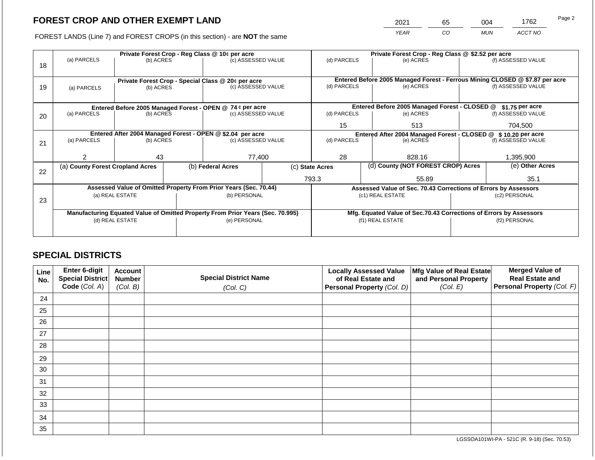2021 65 004 1762

FOREST LANDS (Line 7) and FOREST CROPS (in this section) - are **NOT** the same *YEAR CO MUN ACCT NO*

|    |                                                                                  | Private Forest Crop - Reg Class @ 10¢ per acre |  | Private Forest Crop - Reg Class @ \$2.52 per acre                              |                 |                                                                |  |                                                                              |               |                    |
|----|----------------------------------------------------------------------------------|------------------------------------------------|--|--------------------------------------------------------------------------------|-----------------|----------------------------------------------------------------|--|------------------------------------------------------------------------------|---------------|--------------------|
|    | (a) PARCELS                                                                      | (b) ACRES                                      |  | (c) ASSESSED VALUE                                                             |                 | (d) PARCELS                                                    |  | (e) ACRES                                                                    |               | (f) ASSESSED VALUE |
| 18 |                                                                                  |                                                |  |                                                                                |                 |                                                                |  |                                                                              |               |                    |
|    |                                                                                  |                                                |  |                                                                                |                 |                                                                |  |                                                                              |               |                    |
|    |                                                                                  |                                                |  | Private Forest Crop - Special Class @ 20¢ per acre                             |                 |                                                                |  | Entered Before 2005 Managed Forest - Ferrous Mining CLOSED @ \$7.87 per acre |               |                    |
| 19 | (a) PARCELS                                                                      | (b) ACRES                                      |  | (c) ASSESSED VALUE                                                             |                 | (d) PARCELS                                                    |  | (e) ACRES                                                                    |               | (f) ASSESSED VALUE |
|    |                                                                                  |                                                |  |                                                                                |                 |                                                                |  |                                                                              |               |                    |
|    |                                                                                  |                                                |  | Entered Before 2005 Managed Forest - OPEN @ 74 ¢ per acre                      |                 |                                                                |  | Entered Before 2005 Managed Forest - CLOSED @                                |               | $$1.75$ per acre   |
| 20 | (a) PARCELS                                                                      | (b) ACRES                                      |  | (c) ASSESSED VALUE                                                             |                 | (d) PARCELS                                                    |  | (e) ACRES                                                                    |               | (f) ASSESSED VALUE |
|    |                                                                                  |                                                |  |                                                                                |                 | 15                                                             |  | 513                                                                          |               | 704,500            |
|    |                                                                                  |                                                |  |                                                                                |                 |                                                                |  |                                                                              |               |                    |
|    | Entered After 2004 Managed Forest - OPEN @ \$2.04 per acre<br>(c) ASSESSED VALUE |                                                |  | (d) PARCELS                                                                    |                 | Entered After 2004 Managed Forest - CLOSED @ \$ 10.20 per acre |  | (f) ASSESSED VALUE                                                           |               |                    |
| 21 | (a) PARCELS                                                                      | (b) ACRES                                      |  |                                                                                |                 |                                                                |  | (e) ACRES                                                                    |               |                    |
|    |                                                                                  |                                                |  |                                                                                |                 |                                                                |  |                                                                              |               |                    |
|    | 2                                                                                | 43                                             |  | 77,400                                                                         |                 | 28                                                             |  | 828.16                                                                       |               | 1,395,900          |
|    | (a) County Forest Cropland Acres                                                 |                                                |  | (b) Federal Acres                                                              | (c) State Acres |                                                                |  | (d) County (NOT FOREST CROP) Acres                                           |               | (e) Other Acres    |
| 22 |                                                                                  |                                                |  |                                                                                |                 |                                                                |  |                                                                              |               |                    |
|    |                                                                                  |                                                |  |                                                                                |                 | 793.3                                                          |  | 55.89                                                                        |               | 35.1               |
|    |                                                                                  |                                                |  | Assessed Value of Omitted Property From Prior Years (Sec. 70.44)               |                 |                                                                |  | Assessed Value of Sec. 70.43 Corrections of Errors by Assessors              |               |                    |
|    |                                                                                  | (a) REAL ESTATE                                |  | (b) PERSONAL                                                                   |                 |                                                                |  | (c1) REAL ESTATE                                                             |               | (c2) PERSONAL      |
| 23 |                                                                                  |                                                |  |                                                                                |                 |                                                                |  |                                                                              |               |                    |
|    |                                                                                  |                                                |  | Manufacturing Equated Value of Omitted Property From Prior Years (Sec. 70.995) |                 |                                                                |  | Mfg. Equated Value of Sec.70.43 Corrections of Errors by Assessors           |               |                    |
|    |                                                                                  | (d) REAL ESTATE                                |  | (e) PERSONAL                                                                   |                 |                                                                |  | (f1) REAL ESTATE                                                             | (f2) PERSONAL |                    |
|    |                                                                                  |                                                |  |                                                                                |                 |                                                                |  |                                                                              |               |                    |
|    |                                                                                  |                                                |  |                                                                                |                 |                                                                |  |                                                                              |               |                    |

## **SPECIAL DISTRICTS**

| Line<br>No. | Enter 6-digit<br>Special District<br>Code (Col. A) | <b>Account</b><br><b>Number</b><br>(Col. B) | <b>Special District Name</b><br>(Col. C) | <b>Locally Assessed Value</b><br>of Real Estate and<br><b>Personal Property (Col. D)</b> | Mfg Value of Real Estate<br>and Personal Property<br>(Col. E) | <b>Merged Value of</b><br><b>Real Estate and</b><br>Personal Property (Col. F) |
|-------------|----------------------------------------------------|---------------------------------------------|------------------------------------------|------------------------------------------------------------------------------------------|---------------------------------------------------------------|--------------------------------------------------------------------------------|
| 24          |                                                    |                                             |                                          |                                                                                          |                                                               |                                                                                |
| 25          |                                                    |                                             |                                          |                                                                                          |                                                               |                                                                                |
| 26          |                                                    |                                             |                                          |                                                                                          |                                                               |                                                                                |
| 27          |                                                    |                                             |                                          |                                                                                          |                                                               |                                                                                |
| 28          |                                                    |                                             |                                          |                                                                                          |                                                               |                                                                                |
| 29          |                                                    |                                             |                                          |                                                                                          |                                                               |                                                                                |
| 30          |                                                    |                                             |                                          |                                                                                          |                                                               |                                                                                |
| 31          |                                                    |                                             |                                          |                                                                                          |                                                               |                                                                                |
| 32          |                                                    |                                             |                                          |                                                                                          |                                                               |                                                                                |
| 33          |                                                    |                                             |                                          |                                                                                          |                                                               |                                                                                |
| 34          |                                                    |                                             |                                          |                                                                                          |                                                               |                                                                                |
| 35          |                                                    |                                             |                                          |                                                                                          |                                                               |                                                                                |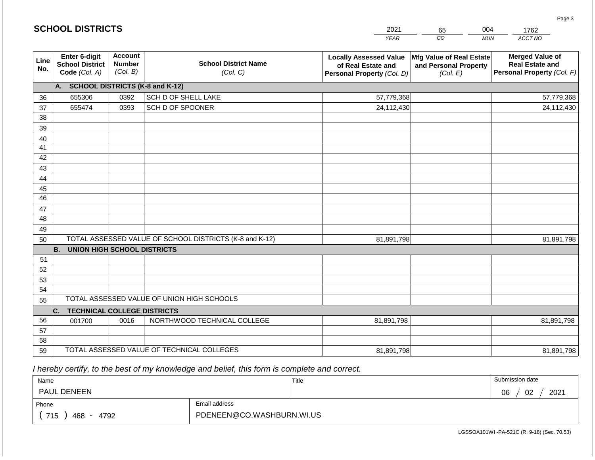|                       |                                                          |                                             |                                                         | <b>YEAR</b>                                                                       | $\overline{co}$<br><b>MUN</b>                                 | ACCT NO                                                                        |
|-----------------------|----------------------------------------------------------|---------------------------------------------|---------------------------------------------------------|-----------------------------------------------------------------------------------|---------------------------------------------------------------|--------------------------------------------------------------------------------|
| Line<br>No.           | Enter 6-digit<br><b>School District</b><br>Code (Col. A) | <b>Account</b><br><b>Number</b><br>(Col. B) | <b>School District Name</b><br>(Col. C)                 | <b>Locally Assessed Value</b><br>of Real Estate and<br>Personal Property (Col. D) | Mfg Value of Real Estate<br>and Personal Property<br>(Col. E) | <b>Merged Value of</b><br><b>Real Estate and</b><br>Personal Property (Col. F) |
|                       | A. SCHOOL DISTRICTS (K-8 and K-12)                       |                                             |                                                         |                                                                                   |                                                               |                                                                                |
| 36                    | 655306                                                   | 0392                                        | SCH D OF SHELL LAKE                                     | 57,779,368                                                                        |                                                               | 57,779,368                                                                     |
| 37                    | 655474                                                   | 0393                                        | SCH D OF SPOONER                                        | 24,112,430                                                                        |                                                               | 24,112,430                                                                     |
| 38                    |                                                          |                                             |                                                         |                                                                                   |                                                               |                                                                                |
| 39                    |                                                          |                                             |                                                         |                                                                                   |                                                               |                                                                                |
| 40                    |                                                          |                                             |                                                         |                                                                                   |                                                               |                                                                                |
| 41                    |                                                          |                                             |                                                         |                                                                                   |                                                               |                                                                                |
| 42                    |                                                          |                                             |                                                         |                                                                                   |                                                               |                                                                                |
| 43                    |                                                          |                                             |                                                         |                                                                                   |                                                               |                                                                                |
| 44                    |                                                          |                                             |                                                         |                                                                                   |                                                               |                                                                                |
| 45<br>$\overline{46}$ |                                                          |                                             |                                                         |                                                                                   |                                                               |                                                                                |
|                       |                                                          |                                             |                                                         |                                                                                   |                                                               |                                                                                |
| 47<br>48              |                                                          |                                             |                                                         |                                                                                   |                                                               |                                                                                |
| 49                    |                                                          |                                             |                                                         |                                                                                   |                                                               |                                                                                |
| 50                    |                                                          |                                             | TOTAL ASSESSED VALUE OF SCHOOL DISTRICTS (K-8 and K-12) | 81,891,798                                                                        |                                                               | 81,891,798                                                                     |
|                       | <b>B.</b><br><b>UNION HIGH SCHOOL DISTRICTS</b>          |                                             |                                                         |                                                                                   |                                                               |                                                                                |
| 51                    |                                                          |                                             |                                                         |                                                                                   |                                                               |                                                                                |
| 52                    |                                                          |                                             |                                                         |                                                                                   |                                                               |                                                                                |
| 53                    |                                                          |                                             |                                                         |                                                                                   |                                                               |                                                                                |
| 54                    |                                                          |                                             |                                                         |                                                                                   |                                                               |                                                                                |
| 55                    |                                                          |                                             | TOTAL ASSESSED VALUE OF UNION HIGH SCHOOLS              |                                                                                   |                                                               |                                                                                |
|                       | C.<br><b>TECHNICAL COLLEGE DISTRICTS</b>                 |                                             |                                                         |                                                                                   |                                                               |                                                                                |
| 56                    | 001700                                                   | 0016                                        | NORTHWOOD TECHNICAL COLLEGE                             | 81,891,798                                                                        |                                                               | 81,891,798                                                                     |
| 57                    |                                                          |                                             |                                                         |                                                                                   |                                                               |                                                                                |
| 58                    |                                                          |                                             |                                                         |                                                                                   |                                                               |                                                                                |
| 59                    |                                                          |                                             | TOTAL ASSESSED VALUE OF TECHNICAL COLLEGES              | 81,891,798                                                                        |                                                               | 81,891,798                                                                     |

2021

65

004

 *I hereby certify, to the best of my knowledge and belief, this form is complete and correct.*

**SCHOOL DISTRICTS**

| Name                 |                           | Title | Submission date  |  |  |
|----------------------|---------------------------|-------|------------------|--|--|
| <b>PAUL DENEEN</b>   |                           |       | 2021<br>02<br>06 |  |  |
| Phone                | Email address             |       |                  |  |  |
| 715<br>468 -<br>4792 | PDENEEN@CO.WASHBURN.WI.US |       |                  |  |  |

Page 3

1762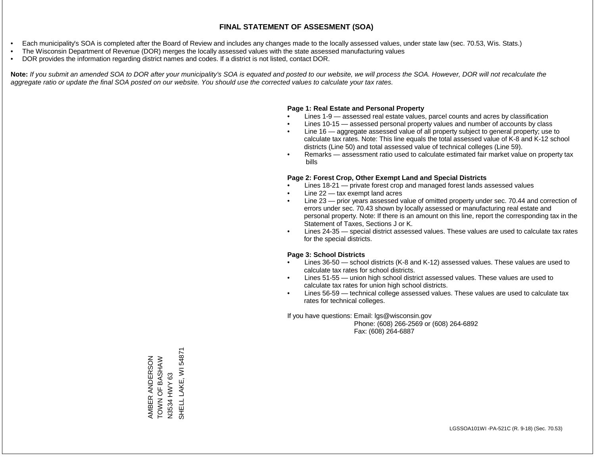- Each municipality's SOA is completed after the Board of Review and includes any changes made to the locally assessed values, under state law (sec. 70.53, Wis. Stats.)
- The Wisconsin Department of Revenue (DOR) merges the locally assessed values with the state assessed manufacturing values
- DOR provides the information regarding district names and codes. If a district is not listed, contact DOR.

Note: If you submit an amended SOA to DOR after your municipality's SOA is equated and posted to our website, we will process the SOA. However, DOR will not recalculate the *aggregate ratio or update the final SOA posted on our website. You should use the corrected values to calculate your tax rates.*

## **Page 1: Real Estate and Personal Property**

- Lines 1-9 assessed real estate values, parcel counts and acres by classification
- Lines 10-15 assessed personal property values and number of accounts by class
- Line 16 aggregate assessed value of all property subject to general property; use to calculate tax rates. Note: This line equals the total assessed value of K-8 and K-12 school districts (Line 50) and total assessed value of technical colleges (Line 59).
- Remarks assessment ratio used to calculate estimated fair market value on property tax bills

## **Page 2: Forest Crop, Other Exempt Land and Special Districts**

- Lines 18-21 private forest crop and managed forest lands assessed values
- Line  $22 -$  tax exempt land acres
- Line 23 prior years assessed value of omitted property under sec. 70.44 and correction of errors under sec. 70.43 shown by locally assessed or manufacturing real estate and personal property. Note: If there is an amount on this line, report the corresponding tax in the Statement of Taxes, Sections J or K.
- Lines 24-35 special district assessed values. These values are used to calculate tax rates for the special districts.

## **Page 3: School Districts**

- Lines 36-50 school districts (K-8 and K-12) assessed values. These values are used to calculate tax rates for school districts.
- Lines 51-55 union high school district assessed values. These values are used to calculate tax rates for union high school districts.
- Lines 56-59 technical college assessed values. These values are used to calculate tax rates for technical colleges.

If you have questions: Email: lgs@wisconsin.gov

 Phone: (608) 266-2569 or (608) 264-6892 Fax: (608) 264-6887

SHELL LAKE, WI 54871 SHELL LAKE, WI 54871NATSAS LO NOOL AMBER ANDERSON<br>TOWN OF BASHAW AMBER ANDERSON HWY 63 N3534 HWY 63 N3534 H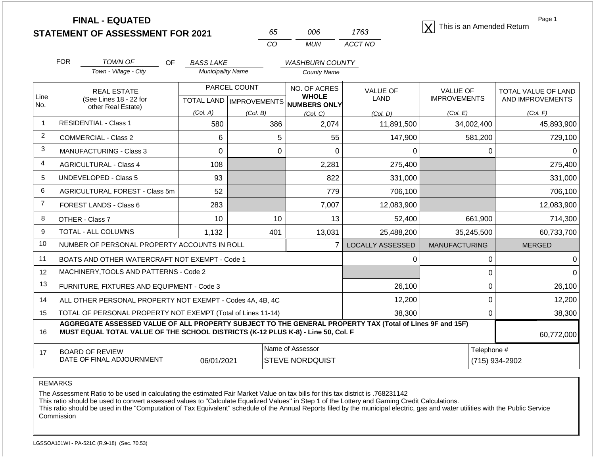**STATEMENT OF ASSESSMENT FOR 2021** 65 006 1763 **X** This is an Amended Return<br> **STATEMENT OF ASSESSMENT FOR 2021** 65 006 1763

| 65 | ററഞ   | 1763    |
|----|-------|---------|
| ററ | MI IN | ACCT NO |

Page 1

|                | <b>FOR</b>                                                             | <b>TOWN OF</b><br><b>OF</b>                                                                                                                                                                  | <b>BASS LAKE</b>                     |                                          | <b>WASHBURN COUNTY</b>       |                         |                      |                     |
|----------------|------------------------------------------------------------------------|----------------------------------------------------------------------------------------------------------------------------------------------------------------------------------------------|--------------------------------------|------------------------------------------|------------------------------|-------------------------|----------------------|---------------------|
|                |                                                                        | Town - Village - City                                                                                                                                                                        | <b>Municipality Name</b>             |                                          | County Name                  |                         |                      |                     |
| Line           |                                                                        | <b>REAL ESTATE</b>                                                                                                                                                                           |                                      | PARCEL COUNT                             | NO. OF ACRES<br><b>WHOLE</b> | <b>VALUE OF</b>         | <b>VALUE OF</b>      | TOTAL VALUE OF LAND |
| No.            | (See Lines 18 - 22 for<br>other Real Estate)                           |                                                                                                                                                                                              |                                      | TOTAL LAND   IMPROVEMENTS   NUMBERS ONLY |                              | LAND                    | <b>IMPROVEMENTS</b>  | AND IMPROVEMENTS    |
|                |                                                                        |                                                                                                                                                                                              | (Col. A)                             | (Col. B)                                 | (Col. C)                     | (Col. D)                | (Col. E)             | (Col. F)            |
| $\mathbf 1$    |                                                                        | <b>RESIDENTIAL - Class 1</b>                                                                                                                                                                 | 580                                  | 386                                      | 2,074                        | 11,891,500              | 34,002,400           | 45,893,900          |
| $\overline{2}$ |                                                                        | <b>COMMERCIAL - Class 2</b>                                                                                                                                                                  | 6                                    | 5                                        | 55                           | 147,900                 | 581,200              | 729,100             |
| 3              |                                                                        | <b>MANUFACTURING - Class 3</b>                                                                                                                                                               | $\Omega$                             | 0                                        | $\Omega$                     | $\Omega$                | $\Omega$             |                     |
| 4              |                                                                        | <b>AGRICULTURAL - Class 4</b>                                                                                                                                                                | 108                                  |                                          | 2,281                        | 275,400                 |                      | 275,400             |
| 5              |                                                                        | <b>UNDEVELOPED - Class 5</b>                                                                                                                                                                 | 93                                   |                                          | 822                          | 331,000                 |                      | 331,000             |
| 6              |                                                                        | AGRICULTURAL FOREST - Class 5m                                                                                                                                                               | 52                                   |                                          | 779                          | 706,100                 |                      | 706,100             |
| $\overline{7}$ |                                                                        | <b>FOREST LANDS - Class 6</b>                                                                                                                                                                | 283                                  |                                          | 7,007                        | 12,083,900              |                      | 12,083,900          |
| 8              |                                                                        | OTHER - Class 7                                                                                                                                                                              | 10                                   | 10                                       | 13                           | 52,400                  | 661,900              | 714,300             |
| 9              |                                                                        | <b>TOTAL - ALL COLUMNS</b>                                                                                                                                                                   | 1,132                                | 401                                      | 13,031                       | 25,488,200              | 35,245,500           | 60,733,700          |
| 10             |                                                                        | NUMBER OF PERSONAL PROPERTY ACCOUNTS IN ROLL                                                                                                                                                 |                                      |                                          | $\overline{7}$               | <b>LOCALLY ASSESSED</b> | <b>MANUFACTURING</b> | <b>MERGED</b>       |
| 11             |                                                                        | BOATS AND OTHER WATERCRAFT NOT EXEMPT - Code 1                                                                                                                                               |                                      |                                          |                              | 0                       | $\Omega$             |                     |
| 12             |                                                                        | MACHINERY, TOOLS AND PATTERNS - Code 2                                                                                                                                                       |                                      |                                          |                              |                         | $\Omega$             | U                   |
| 13             |                                                                        | FURNITURE, FIXTURES AND EQUIPMENT - Code 3                                                                                                                                                   |                                      |                                          |                              | 26,100                  | 0                    | 26,100              |
| 14             |                                                                        | ALL OTHER PERSONAL PROPERTY NOT EXEMPT - Codes 4A, 4B, 4C                                                                                                                                    |                                      |                                          |                              | 12,200                  | $\Omega$             | 12,200              |
| 15             | TOTAL OF PERSONAL PROPERTY NOT EXEMPT (Total of Lines 11-14)<br>38,300 |                                                                                                                                                                                              |                                      |                                          |                              |                         | $\Omega$             | 38,300              |
| 16             |                                                                        | AGGREGATE ASSESSED VALUE OF ALL PROPERTY SUBJECT TO THE GENERAL PROPERTY TAX (Total of Lines 9F and 15F)<br>MUST EQUAL TOTAL VALUE OF THE SCHOOL DISTRICTS (K-12 PLUS K-8) - Line 50, Col. F |                                      |                                          |                              |                         |                      | 60,772,000          |
| 17             |                                                                        | <b>BOARD OF REVIEW</b>                                                                                                                                                                       |                                      |                                          | Name of Assessor             |                         | Telephone #          |                     |
|                |                                                                        | DATE OF FINAL ADJOURNMENT                                                                                                                                                                    | 06/01/2021<br><b>STEVE NORDQUIST</b> |                                          |                              | (715) 934-2902          |                      |                     |

REMARKS

The Assessment Ratio to be used in calculating the estimated Fair Market Value on tax bills for this tax district is .768231142

This ratio should be used to convert assessed values to "Calculate Equalized Values" in Step 1 of the Lottery and Gaming Credit Calculations.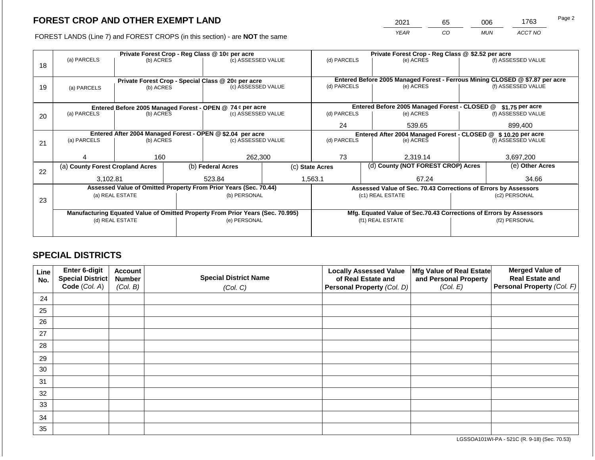2021 65 006 1763

FOREST LANDS (Line 7) and FOREST CROPS (in this section) - are **NOT** the same *YEAR CO MUN ACCT NO*

|    |                                                            |                 | Private Forest Crop - Reg Class @ \$2.52 per acre |                                                                                |                                                               |                                    |                    |                                                                                           |                 |                    |
|----|------------------------------------------------------------|-----------------|---------------------------------------------------|--------------------------------------------------------------------------------|---------------------------------------------------------------|------------------------------------|--------------------|-------------------------------------------------------------------------------------------|-----------------|--------------------|
|    | (a) PARCELS                                                | (b) ACRES       |                                                   | Private Forest Crop - Reg Class @ 10¢ per acre<br>(c) ASSESSED VALUE           |                                                               | (d) PARCELS                        |                    | (e) ACRES                                                                                 |                 | (f) ASSESSED VALUE |
| 18 |                                                            |                 |                                                   |                                                                                |                                                               |                                    |                    |                                                                                           |                 |                    |
|    |                                                            |                 |                                                   |                                                                                |                                                               |                                    |                    |                                                                                           |                 |                    |
|    |                                                            |                 |                                                   | Private Forest Crop - Special Class @ 20¢ per acre                             |                                                               | (d) PARCELS                        |                    | Entered Before 2005 Managed Forest - Ferrous Mining CLOSED @ \$7.87 per acre<br>(e) ACRES |                 | (f) ASSESSED VALUE |
| 19 | (b) ACRES<br>(a) PARCELS                                   |                 | (c) ASSESSED VALUE                                |                                                                                |                                                               |                                    |                    |                                                                                           |                 |                    |
|    |                                                            |                 |                                                   |                                                                                |                                                               |                                    |                    |                                                                                           |                 |                    |
|    | Entered Before 2005 Managed Forest - OPEN @ 74 ¢ per acre  |                 |                                                   |                                                                                | Entered Before 2005 Managed Forest - CLOSED @                 |                                    | \$1.75 per acre    |                                                                                           |                 |                    |
| 20 | (a) PARCELS<br>(b) ACRES<br>(c) ASSESSED VALUE             |                 | (d) PARCELS                                       |                                                                                | (e) ACRES                                                     |                                    | (f) ASSESSED VALUE |                                                                                           |                 |                    |
|    |                                                            |                 |                                                   |                                                                                |                                                               |                                    |                    |                                                                                           |                 |                    |
|    |                                                            |                 |                                                   |                                                                                | 24<br>539.65                                                  |                                    |                    | 899,400                                                                                   |                 |                    |
|    | Entered After 2004 Managed Forest - OPEN @ \$2.04 per acre |                 |                                                   |                                                                                | Entered After 2004 Managed Forest - CLOSED @ \$10.20 per acre |                                    |                    |                                                                                           |                 |                    |
| 21 | (a) PARCELS                                                | (b) ACRES       |                                                   | (c) ASSESSED VALUE                                                             |                                                               | (d) PARCELS                        |                    | (e) ACRES                                                                                 |                 | (f) ASSESSED VALUE |
|    |                                                            |                 |                                                   |                                                                                |                                                               |                                    |                    |                                                                                           |                 |                    |
|    |                                                            | 160             |                                                   | 262,300                                                                        |                                                               | 73                                 |                    | 2,319.14                                                                                  |                 | 3,697,200          |
|    | (a) County Forest Cropland Acres                           |                 |                                                   | (b) Federal Acres<br>(c) State Acres                                           |                                                               | (d) County (NOT FOREST CROP) Acres |                    |                                                                                           | (e) Other Acres |                    |
| 22 |                                                            |                 |                                                   |                                                                                |                                                               |                                    |                    |                                                                                           |                 |                    |
|    | 3,102.81                                                   |                 |                                                   | 523.84                                                                         |                                                               | 1,563.1                            |                    | 67.24                                                                                     |                 | 34.66              |
|    |                                                            |                 |                                                   | Assessed Value of Omitted Property From Prior Years (Sec. 70.44)               |                                                               |                                    |                    | Assessed Value of Sec. 70.43 Corrections of Errors by Assessors                           |                 |                    |
|    |                                                            | (a) REAL ESTATE |                                                   | (b) PERSONAL                                                                   |                                                               |                                    |                    | (c1) REAL ESTATE                                                                          |                 | (c2) PERSONAL      |
| 23 |                                                            |                 |                                                   |                                                                                |                                                               |                                    |                    |                                                                                           |                 |                    |
|    |                                                            |                 |                                                   | Manufacturing Equated Value of Omitted Property From Prior Years (Sec. 70.995) |                                                               |                                    |                    | Mfg. Equated Value of Sec.70.43 Corrections of Errors by Assessors                        |                 |                    |
|    |                                                            | (d) REAL ESTATE |                                                   | (e) PERSONAL                                                                   |                                                               | (f1) REAL ESTATE                   |                    |                                                                                           | (f2) PERSONAL   |                    |
|    |                                                            |                 |                                                   |                                                                                |                                                               |                                    |                    |                                                                                           |                 |                    |
|    |                                                            |                 |                                                   |                                                                                |                                                               |                                    |                    |                                                                                           |                 |                    |

## **SPECIAL DISTRICTS**

| Line<br>No. | Enter 6-digit<br>Special District<br>Code (Col. A) | <b>Account</b><br><b>Number</b><br>(Col. B) | <b>Special District Name</b><br>(Col. C) | <b>Locally Assessed Value</b><br>of Real Estate and<br><b>Personal Property (Col. D)</b> | Mfg Value of Real Estate<br>and Personal Property<br>(Col. E) | <b>Merged Value of</b><br><b>Real Estate and</b><br>Personal Property (Col. F) |
|-------------|----------------------------------------------------|---------------------------------------------|------------------------------------------|------------------------------------------------------------------------------------------|---------------------------------------------------------------|--------------------------------------------------------------------------------|
| 24          |                                                    |                                             |                                          |                                                                                          |                                                               |                                                                                |
| 25          |                                                    |                                             |                                          |                                                                                          |                                                               |                                                                                |
| 26          |                                                    |                                             |                                          |                                                                                          |                                                               |                                                                                |
| 27          |                                                    |                                             |                                          |                                                                                          |                                                               |                                                                                |
| 28          |                                                    |                                             |                                          |                                                                                          |                                                               |                                                                                |
| 29          |                                                    |                                             |                                          |                                                                                          |                                                               |                                                                                |
| 30          |                                                    |                                             |                                          |                                                                                          |                                                               |                                                                                |
| 31          |                                                    |                                             |                                          |                                                                                          |                                                               |                                                                                |
| 32          |                                                    |                                             |                                          |                                                                                          |                                                               |                                                                                |
| 33          |                                                    |                                             |                                          |                                                                                          |                                                               |                                                                                |
| 34          |                                                    |                                             |                                          |                                                                                          |                                                               |                                                                                |
| 35          |                                                    |                                             |                                          |                                                                                          |                                                               |                                                                                |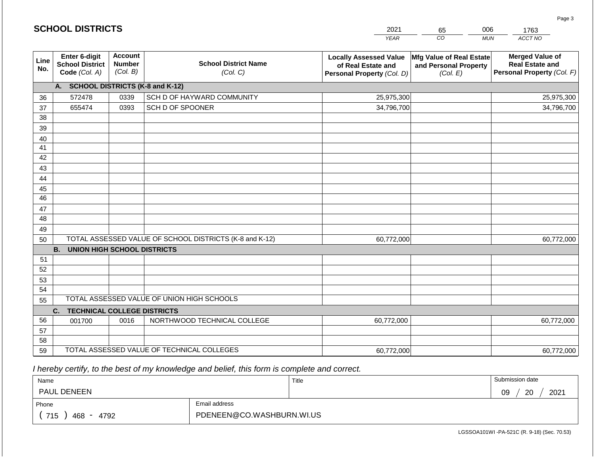|                       | <b>SCHOOL DISTRICTS</b>                                  |                                             |                                                         | 2021                                                                              | 006<br>65<br>1763                                             |                                                                                |  |
|-----------------------|----------------------------------------------------------|---------------------------------------------|---------------------------------------------------------|-----------------------------------------------------------------------------------|---------------------------------------------------------------|--------------------------------------------------------------------------------|--|
|                       |                                                          |                                             |                                                         | <b>YEAR</b>                                                                       | CO                                                            | ACCT NO<br><b>MUN</b>                                                          |  |
| Line<br>No.           | Enter 6-digit<br><b>School District</b><br>Code (Col. A) | <b>Account</b><br><b>Number</b><br>(Col. B) | <b>School District Name</b><br>(Col. C)                 | <b>Locally Assessed Value</b><br>of Real Estate and<br>Personal Property (Col. D) | Mfg Value of Real Estate<br>and Personal Property<br>(Col. E) | <b>Merged Value of</b><br><b>Real Estate and</b><br>Personal Property (Col. F) |  |
|                       | A. SCHOOL DISTRICTS (K-8 and K-12)                       |                                             |                                                         |                                                                                   |                                                               |                                                                                |  |
| 36                    | 572478                                                   | 0339                                        | SCH D OF HAYWARD COMMUNITY                              | 25,975,300                                                                        |                                                               | 25,975,300                                                                     |  |
| 37                    | 655474                                                   | 0393                                        | SCH D OF SPOONER                                        | 34,796,700                                                                        |                                                               | 34,796,700                                                                     |  |
| 38                    |                                                          |                                             |                                                         |                                                                                   |                                                               |                                                                                |  |
| 39                    |                                                          |                                             |                                                         |                                                                                   |                                                               |                                                                                |  |
| 40                    |                                                          |                                             |                                                         |                                                                                   |                                                               |                                                                                |  |
| 41                    |                                                          |                                             |                                                         |                                                                                   |                                                               |                                                                                |  |
| 42                    |                                                          |                                             |                                                         |                                                                                   |                                                               |                                                                                |  |
| 43                    |                                                          |                                             |                                                         |                                                                                   |                                                               |                                                                                |  |
| 44                    |                                                          |                                             |                                                         |                                                                                   |                                                               |                                                                                |  |
| 45<br>$\overline{46}$ |                                                          |                                             |                                                         |                                                                                   |                                                               |                                                                                |  |
| 47                    |                                                          |                                             |                                                         |                                                                                   |                                                               |                                                                                |  |
| 48                    |                                                          |                                             |                                                         |                                                                                   |                                                               |                                                                                |  |
| 49                    |                                                          |                                             |                                                         |                                                                                   |                                                               |                                                                                |  |
| 50                    |                                                          |                                             | TOTAL ASSESSED VALUE OF SCHOOL DISTRICTS (K-8 and K-12) | 60,772,000                                                                        |                                                               | 60,772,000                                                                     |  |
|                       | <b>B. UNION HIGH SCHOOL DISTRICTS</b>                    |                                             |                                                         |                                                                                   |                                                               |                                                                                |  |
| 51                    |                                                          |                                             |                                                         |                                                                                   |                                                               |                                                                                |  |
| 52                    |                                                          |                                             |                                                         |                                                                                   |                                                               |                                                                                |  |
| 53                    |                                                          |                                             |                                                         |                                                                                   |                                                               |                                                                                |  |
| 54                    |                                                          |                                             |                                                         |                                                                                   |                                                               |                                                                                |  |
| 55                    |                                                          |                                             | TOTAL ASSESSED VALUE OF UNION HIGH SCHOOLS              |                                                                                   |                                                               |                                                                                |  |
|                       | C.<br><b>TECHNICAL COLLEGE DISTRICTS</b>                 |                                             |                                                         |                                                                                   |                                                               |                                                                                |  |
| 56                    | 001700                                                   | 0016                                        | NORTHWOOD TECHNICAL COLLEGE                             | 60,772,000                                                                        |                                                               | 60,772,000                                                                     |  |
| 57                    |                                                          |                                             |                                                         |                                                                                   |                                                               |                                                                                |  |
| 58                    |                                                          |                                             |                                                         |                                                                                   |                                                               |                                                                                |  |
| 59                    |                                                          |                                             | TOTAL ASSESSED VALUE OF TECHNICAL COLLEGES              | 60,772,000                                                                        |                                                               | 60,772,000                                                                     |  |

 *I hereby certify, to the best of my knowledge and belief, this form is complete and correct.*

**SCHOOL DISTRICTS**

| Name                                           |                           | Title | Submission date        |  |  |
|------------------------------------------------|---------------------------|-------|------------------------|--|--|
| <b>PAUL DENEEN</b>                             |                           |       | 2021<br>ാറ<br>09<br>∠∪ |  |  |
| Phone                                          | Email address             |       |                        |  |  |
| 715<br>4792<br>468<br>$\overline{\phantom{a}}$ | PDENEEN@CO.WASHBURN.WI.US |       |                        |  |  |

LGSSOA101WI -PA-521C (R. 9-18) (Sec. 70.53)

Page 3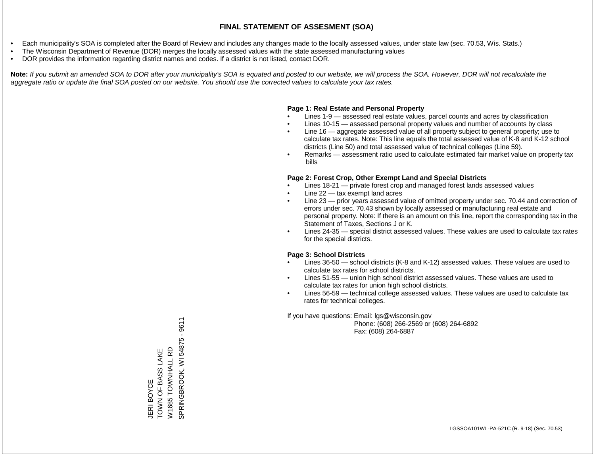- Each municipality's SOA is completed after the Board of Review and includes any changes made to the locally assessed values, under state law (sec. 70.53, Wis. Stats.)
- The Wisconsin Department of Revenue (DOR) merges the locally assessed values with the state assessed manufacturing values
- DOR provides the information regarding district names and codes. If a district is not listed, contact DOR.

Note: If you submit an amended SOA to DOR after your municipality's SOA is equated and posted to our website, we will process the SOA. However, DOR will not recalculate the *aggregate ratio or update the final SOA posted on our website. You should use the corrected values to calculate your tax rates.*

## **Page 1: Real Estate and Personal Property**

- Lines 1-9 assessed real estate values, parcel counts and acres by classification
- Lines 10-15 assessed personal property values and number of accounts by class
- Line 16 aggregate assessed value of all property subject to general property; use to calculate tax rates. Note: This line equals the total assessed value of K-8 and K-12 school districts (Line 50) and total assessed value of technical colleges (Line 59).
- Remarks assessment ratio used to calculate estimated fair market value on property tax bills

## **Page 2: Forest Crop, Other Exempt Land and Special Districts**

- Lines 18-21 private forest crop and managed forest lands assessed values
- Line  $22 -$  tax exempt land acres
- Line 23 prior years assessed value of omitted property under sec. 70.44 and correction of errors under sec. 70.43 shown by locally assessed or manufacturing real estate and personal property. Note: If there is an amount on this line, report the corresponding tax in the Statement of Taxes, Sections J or K.
- Lines 24-35 special district assessed values. These values are used to calculate tax rates for the special districts.

## **Page 3: School Districts**

- Lines 36-50 school districts (K-8 and K-12) assessed values. These values are used to calculate tax rates for school districts.
- Lines 51-55 union high school district assessed values. These values are used to calculate tax rates for union high school districts.
- Lines 56-59 technical college assessed values. These values are used to calculate tax rates for technical colleges.

If you have questions: Email: lgs@wisconsin.gov

 Phone: (608) 266-2569 or (608) 264-6892 Fax: (608) 264-6887

SPRINGBROOK, WI 54875 - 9611 SPRINGBROOK, WI 54875 - 9611TOWN OF BASS LAKE W1685 TOWNHALL RD W1685 TOWNHALL RD JERI BOYCE<br>TOWN OF BASS LAKE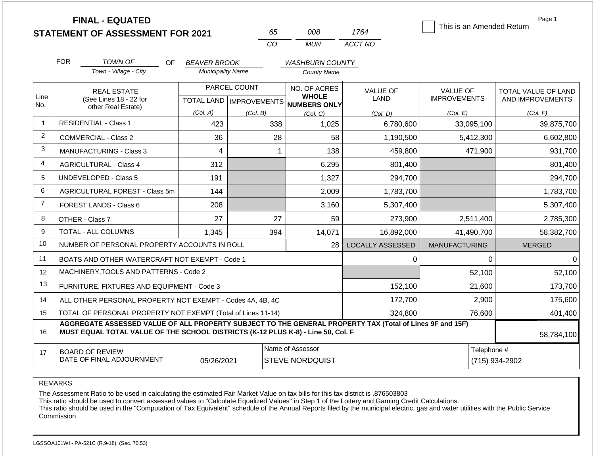|                |                                                              | <b>FINAL - EQUATED</b><br><b>STATEMENT OF ASSESSMENT FOR 2021</b>                                                                                                                            |                          |              | 65  | 008                                                 | 1764                    | This is an Amended Return | Page 1                     |  |  |
|----------------|--------------------------------------------------------------|----------------------------------------------------------------------------------------------------------------------------------------------------------------------------------------------|--------------------------|--------------|-----|-----------------------------------------------------|-------------------------|---------------------------|----------------------------|--|--|
|                |                                                              |                                                                                                                                                                                              |                          |              | CO  | <b>MUN</b>                                          | ACCT NO                 |                           |                            |  |  |
|                | <b>FOR</b>                                                   | <b>TOWN OF</b><br>OF.                                                                                                                                                                        | <b>BEAVER BROOK</b>      |              |     | <b>WASHBURN COUNTY</b>                              |                         |                           |                            |  |  |
|                |                                                              | Town - Village - City                                                                                                                                                                        | <b>Municipality Name</b> |              |     | <b>County Name</b>                                  |                         |                           |                            |  |  |
|                |                                                              | <b>REAL ESTATE</b>                                                                                                                                                                           |                          | PARCEL COUNT |     | NO. OF ACRES                                        | <b>VALUE OF</b>         | <b>VALUE OF</b>           | <b>TOTAL VALUE OF LAND</b> |  |  |
| Line<br>No.    |                                                              | (See Lines 18 - 22 for<br>other Real Estate)                                                                                                                                                 |                          |              |     | <b>WHOLE</b><br>TOTAL LAND MPROVEMENTS NUMBERS ONLY | <b>LAND</b>             | <b>IMPROVEMENTS</b>       | AND IMPROVEMENTS           |  |  |
|                |                                                              |                                                                                                                                                                                              | (Col. A)                 | (Col. B)     |     | (Col. C)                                            | (Col, D)                | (Col. E)                  | (Col. F)                   |  |  |
| 1              |                                                              | <b>RESIDENTIAL - Class 1</b>                                                                                                                                                                 | 423                      |              | 338 | 1,025                                               | 6,780,600               | 33,095,100                | 39,875,700                 |  |  |
| 2              |                                                              | <b>COMMERCIAL - Class 2</b>                                                                                                                                                                  | 36                       |              | 28  | 58                                                  | 1,190,500               | 5,412,300                 | 6,602,800                  |  |  |
| 3              | <b>MANUFACTURING - Class 3</b><br>4                          |                                                                                                                                                                                              |                          | -1           | 138 | 459,800                                             | 471,900                 | 931,700                   |                            |  |  |
| 4              |                                                              | <b>AGRICULTURAL - Class 4</b>                                                                                                                                                                | 312                      |              |     | 6,295                                               | 801,400                 |                           | 801,400                    |  |  |
| 5              |                                                              | <b>UNDEVELOPED - Class 5</b>                                                                                                                                                                 | 191                      |              |     | 1,327                                               | 294,700                 |                           | 294,700                    |  |  |
| 6              |                                                              | AGRICULTURAL FOREST - Class 5m                                                                                                                                                               | 144                      |              |     | 2,009                                               | 1,783,700               |                           | 1,783,700                  |  |  |
| $\overline{7}$ |                                                              | FOREST LANDS - Class 6                                                                                                                                                                       | 208                      |              |     | 3,160                                               | 5,307,400               |                           | 5,307,400                  |  |  |
| 8              |                                                              | OTHER - Class 7                                                                                                                                                                              | 27                       |              | 27  | 59                                                  | 273,900                 | 2,511,400                 | 2,785,300                  |  |  |
| 9              |                                                              | TOTAL - ALL COLUMNS                                                                                                                                                                          | 1,345                    |              | 394 | 14,071                                              | 16,892,000              | 41,490,700                | 58,382,700                 |  |  |
| 10             |                                                              | NUMBER OF PERSONAL PROPERTY ACCOUNTS IN ROLL                                                                                                                                                 |                          |              |     | 28                                                  | <b>LOCALLY ASSESSED</b> | <b>MANUFACTURING</b>      | <b>MERGED</b>              |  |  |
| 11             |                                                              | BOATS AND OTHER WATERCRAFT NOT EXEMPT - Code 1                                                                                                                                               |                          |              |     |                                                     | 0                       | 0                         | $\Omega$                   |  |  |
| 12             |                                                              | MACHINERY, TOOLS AND PATTERNS - Code 2                                                                                                                                                       |                          |              |     |                                                     |                         | 52,100                    | 52,100                     |  |  |
| 13             |                                                              | FURNITURE, FIXTURES AND EQUIPMENT - Code 3                                                                                                                                                   |                          |              |     |                                                     | 152,100                 | 21,600                    | 173,700                    |  |  |
| 14             |                                                              | ALL OTHER PERSONAL PROPERTY NOT EXEMPT - Codes 4A, 4B, 4C                                                                                                                                    |                          |              |     |                                                     | 172,700                 | 2,900                     | 175,600                    |  |  |
| 15             | TOTAL OF PERSONAL PROPERTY NOT EXEMPT (Total of Lines 11-14) |                                                                                                                                                                                              |                          |              |     |                                                     | 324,800                 | 76,600                    | 401,400                    |  |  |
| 16             |                                                              | AGGREGATE ASSESSED VALUE OF ALL PROPERTY SUBJECT TO THE GENERAL PROPERTY TAX (Total of Lines 9F and 15F)<br>MUST EQUAL TOTAL VALUE OF THE SCHOOL DISTRICTS (K-12 PLUS K-8) - Line 50, Col. F |                          |              |     |                                                     |                         |                           | 58,784,100                 |  |  |
| 17             |                                                              | <b>BOARD OF REVIEW</b>                                                                                                                                                                       |                          |              |     | Name of Assessor                                    |                         | Telephone #               |                            |  |  |
|                |                                                              | DATE OF FINAL ADJOURNMENT                                                                                                                                                                    | 05/26/2021               |              |     | <b>STEVE NORDQUIST</b>                              |                         |                           | (715) 934-2902             |  |  |

REMARKS

The Assessment Ratio to be used in calculating the estimated Fair Market Value on tax bills for this tax district is .876503803

This ratio should be used to convert assessed values to "Calculate Equalized Values" in Step 1 of the Lottery and Gaming Credit Calculations.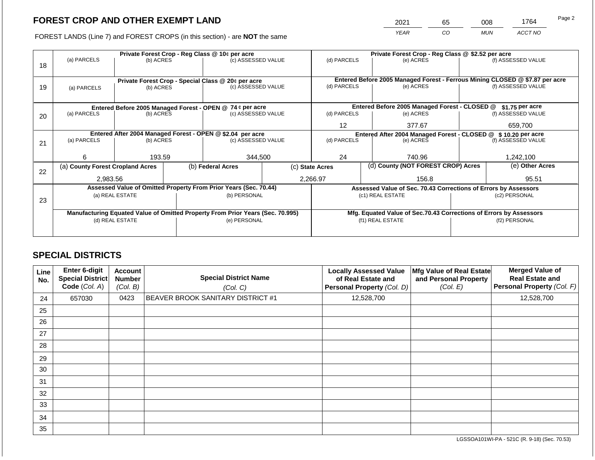2021 65 008 1764 Page 2

FOREST LANDS (Line 7) and FOREST CROPS (in this section) - are **NOT** the same *YEAR CO MUN ACCT NO*

|    |                                                                                  |                    |  | Private Forest Crop - Reg Class @ 10¢ per acre                                 |                                               | Private Forest Crop - Reg Class @ \$2.52 per acre |                 |                                                                    |               |                                                                              |
|----|----------------------------------------------------------------------------------|--------------------|--|--------------------------------------------------------------------------------|-----------------------------------------------|---------------------------------------------------|-----------------|--------------------------------------------------------------------|---------------|------------------------------------------------------------------------------|
|    | (a) PARCELS                                                                      | (b) ACRES          |  | (c) ASSESSED VALUE                                                             |                                               | (d) PARCELS                                       |                 | (e) ACRES                                                          |               | (f) ASSESSED VALUE                                                           |
| 18 |                                                                                  |                    |  |                                                                                |                                               |                                                   |                 |                                                                    |               |                                                                              |
|    |                                                                                  |                    |  |                                                                                |                                               |                                                   |                 |                                                                    |               | Entered Before 2005 Managed Forest - Ferrous Mining CLOSED @ \$7.87 per acre |
| 19 |                                                                                  | (b) ACRES          |  | Private Forest Crop - Special Class @ 20¢ per acre                             |                                               | (d) PARCELS                                       |                 | (e) ACRES                                                          |               | (f) ASSESSED VALUE                                                           |
|    | (a) PARCELS                                                                      | (c) ASSESSED VALUE |  |                                                                                |                                               |                                                   |                 |                                                                    |               |                                                                              |
|    |                                                                                  |                    |  |                                                                                |                                               |                                                   |                 |                                                                    |               |                                                                              |
|    | Entered Before 2005 Managed Forest - OPEN @ 74 ¢ per acre                        |                    |  |                                                                                | Entered Before 2005 Managed Forest - CLOSED @ |                                                   | \$1.75 per acre |                                                                    |               |                                                                              |
| 20 | (a) PARCELS                                                                      | (b) ACRES          |  | (c) ASSESSED VALUE                                                             |                                               | (d) PARCELS                                       |                 | (e) ACRES                                                          |               | (f) ASSESSED VALUE                                                           |
|    |                                                                                  |                    |  |                                                                                |                                               | 12                                                |                 | 377.67                                                             |               | 659,700                                                                      |
|    |                                                                                  |                    |  |                                                                                |                                               |                                                   |                 |                                                                    |               |                                                                              |
|    | Entered After 2004 Managed Forest - OPEN @ \$2.04 per acre<br>(c) ASSESSED VALUE |                    |  |                                                                                |                                               |                                                   |                 | Entered After 2004 Managed Forest - CLOSED @ \$10.20 per acre      |               |                                                                              |
| 21 | (a) PARCELS                                                                      | (b) ACRES          |  |                                                                                |                                               | (d) PARCELS                                       |                 | (e) ACRES                                                          |               | (f) ASSESSED VALUE                                                           |
|    |                                                                                  |                    |  |                                                                                |                                               |                                                   |                 |                                                                    |               |                                                                              |
|    | 6                                                                                | 193.59             |  | 344,500                                                                        |                                               | 24                                                |                 | 740.96                                                             |               | 1,242,100                                                                    |
|    | (a) County Forest Cropland Acres                                                 |                    |  | (b) Federal Acres                                                              | (c) State Acres                               |                                                   |                 | (d) County (NOT FOREST CROP) Acres                                 |               | (e) Other Acres                                                              |
| 22 |                                                                                  |                    |  |                                                                                |                                               |                                                   |                 |                                                                    |               |                                                                              |
|    | 2,983.56                                                                         |                    |  |                                                                                |                                               | 2,266.97                                          |                 | 156.8                                                              |               | 95.51                                                                        |
|    |                                                                                  |                    |  | Assessed Value of Omitted Property From Prior Years (Sec. 70.44)               |                                               |                                                   |                 | Assessed Value of Sec. 70.43 Corrections of Errors by Assessors    |               |                                                                              |
|    |                                                                                  | (a) REAL ESTATE    |  | (b) PERSONAL                                                                   |                                               |                                                   |                 | (c1) REAL ESTATE                                                   |               | (c2) PERSONAL                                                                |
| 23 |                                                                                  |                    |  |                                                                                |                                               |                                                   |                 |                                                                    |               |                                                                              |
|    |                                                                                  |                    |  | Manufacturing Equated Value of Omitted Property From Prior Years (Sec. 70.995) |                                               |                                                   |                 | Mfg. Equated Value of Sec.70.43 Corrections of Errors by Assessors |               |                                                                              |
|    |                                                                                  | (d) REAL ESTATE    |  | (e) PERSONAL                                                                   |                                               |                                                   |                 | (f1) REAL ESTATE                                                   | (f2) PERSONAL |                                                                              |
|    |                                                                                  |                    |  |                                                                                |                                               |                                                   |                 |                                                                    |               |                                                                              |
|    |                                                                                  |                    |  |                                                                                |                                               |                                                   |                 |                                                                    |               |                                                                              |

## **SPECIAL DISTRICTS**

| Line<br>No. | Enter 6-digit<br><b>Special District</b><br>Code (Col. A) | <b>Account</b><br><b>Number</b><br>(Col. B) | <b>Special District Name</b><br>(Col. C) | <b>Locally Assessed Value</b><br>of Real Estate and<br>Personal Property (Col. D) | Mfg Value of Real Estate<br>and Personal Property<br>(Col. E) | <b>Merged Value of</b><br><b>Real Estate and</b><br><b>Personal Property (Col. F)</b> |
|-------------|-----------------------------------------------------------|---------------------------------------------|------------------------------------------|-----------------------------------------------------------------------------------|---------------------------------------------------------------|---------------------------------------------------------------------------------------|
| 24          | 657030                                                    | 0423                                        | <b>BEAVER BROOK SANITARY DISTRICT #1</b> | 12,528,700                                                                        |                                                               | 12,528,700                                                                            |
| 25          |                                                           |                                             |                                          |                                                                                   |                                                               |                                                                                       |
| 26          |                                                           |                                             |                                          |                                                                                   |                                                               |                                                                                       |
| 27          |                                                           |                                             |                                          |                                                                                   |                                                               |                                                                                       |
| 28          |                                                           |                                             |                                          |                                                                                   |                                                               |                                                                                       |
| 29          |                                                           |                                             |                                          |                                                                                   |                                                               |                                                                                       |
| 30          |                                                           |                                             |                                          |                                                                                   |                                                               |                                                                                       |
| 31          |                                                           |                                             |                                          |                                                                                   |                                                               |                                                                                       |
| 32          |                                                           |                                             |                                          |                                                                                   |                                                               |                                                                                       |
| 33          |                                                           |                                             |                                          |                                                                                   |                                                               |                                                                                       |
| 34          |                                                           |                                             |                                          |                                                                                   |                                                               |                                                                                       |
| 35          |                                                           |                                             |                                          |                                                                                   |                                                               |                                                                                       |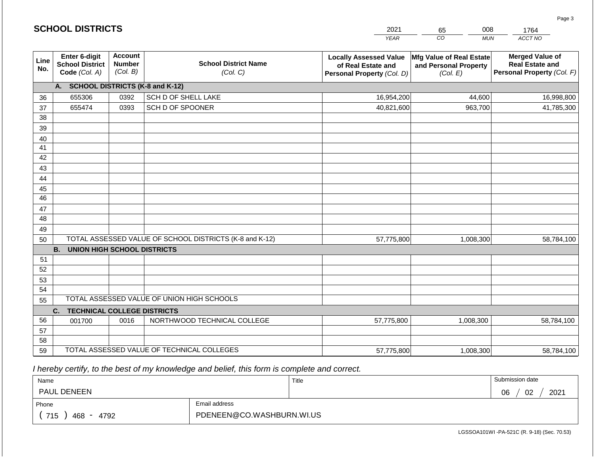|                       | <b>SCHOOL DISTRICTS</b>                                  |                                                                                        |                                                         | 2021                                                                              | 008<br>65<br>1764                                             |                                                                                |  |
|-----------------------|----------------------------------------------------------|----------------------------------------------------------------------------------------|---------------------------------------------------------|-----------------------------------------------------------------------------------|---------------------------------------------------------------|--------------------------------------------------------------------------------|--|
|                       |                                                          |                                                                                        |                                                         | <b>YEAR</b>                                                                       | CO<br><b>MUN</b>                                              | ACCT NO                                                                        |  |
| Line<br>No.           | Enter 6-digit<br><b>School District</b><br>Code (Col. A) | <b>Account</b><br><b>School District Name</b><br><b>Number</b><br>(Col. B)<br>(Col. C) |                                                         | <b>Locally Assessed Value</b><br>of Real Estate and<br>Personal Property (Col. D) | Mfg Value of Real Estate<br>and Personal Property<br>(Col. E) | <b>Merged Value of</b><br><b>Real Estate and</b><br>Personal Property (Col. F) |  |
|                       | A. SCHOOL DISTRICTS (K-8 and K-12)                       |                                                                                        |                                                         |                                                                                   |                                                               |                                                                                |  |
| 36                    | 655306                                                   | 0392                                                                                   | SCH D OF SHELL LAKE                                     | 16,954,200                                                                        | 44,600                                                        | 16,998,800                                                                     |  |
| 37                    | 655474                                                   | 0393                                                                                   | SCH D OF SPOONER                                        | 40,821,600                                                                        | 963,700                                                       | 41,785,300                                                                     |  |
| 38                    |                                                          |                                                                                        |                                                         |                                                                                   |                                                               |                                                                                |  |
| 39                    |                                                          |                                                                                        |                                                         |                                                                                   |                                                               |                                                                                |  |
| 40                    |                                                          |                                                                                        |                                                         |                                                                                   |                                                               |                                                                                |  |
| 41                    |                                                          |                                                                                        |                                                         |                                                                                   |                                                               |                                                                                |  |
| 42                    |                                                          |                                                                                        |                                                         |                                                                                   |                                                               |                                                                                |  |
| 43                    |                                                          |                                                                                        |                                                         |                                                                                   |                                                               |                                                                                |  |
| 44                    |                                                          |                                                                                        |                                                         |                                                                                   |                                                               |                                                                                |  |
| 45<br>$\overline{46}$ |                                                          |                                                                                        |                                                         |                                                                                   |                                                               |                                                                                |  |
|                       |                                                          |                                                                                        |                                                         |                                                                                   |                                                               |                                                                                |  |
| 47<br>48              |                                                          |                                                                                        |                                                         |                                                                                   |                                                               |                                                                                |  |
| 49                    |                                                          |                                                                                        |                                                         |                                                                                   |                                                               |                                                                                |  |
| 50                    |                                                          |                                                                                        | TOTAL ASSESSED VALUE OF SCHOOL DISTRICTS (K-8 and K-12) | 57,775,800                                                                        | 1,008,300                                                     | 58,784,100                                                                     |  |
|                       | <b>B.</b><br><b>UNION HIGH SCHOOL DISTRICTS</b>          |                                                                                        |                                                         |                                                                                   |                                                               |                                                                                |  |
| 51                    |                                                          |                                                                                        |                                                         |                                                                                   |                                                               |                                                                                |  |
| 52                    |                                                          |                                                                                        |                                                         |                                                                                   |                                                               |                                                                                |  |
| 53                    |                                                          |                                                                                        |                                                         |                                                                                   |                                                               |                                                                                |  |
| 54                    |                                                          |                                                                                        |                                                         |                                                                                   |                                                               |                                                                                |  |
| 55                    |                                                          |                                                                                        | TOTAL ASSESSED VALUE OF UNION HIGH SCHOOLS              |                                                                                   |                                                               |                                                                                |  |
|                       | <b>TECHNICAL COLLEGE DISTRICTS</b><br>C.                 |                                                                                        |                                                         |                                                                                   |                                                               |                                                                                |  |
| 56                    | 001700                                                   | 0016                                                                                   | NORTHWOOD TECHNICAL COLLEGE                             | 57,775,800                                                                        | 1,008,300                                                     | 58,784,100                                                                     |  |
| 57                    |                                                          |                                                                                        |                                                         |                                                                                   |                                                               |                                                                                |  |
| 58                    |                                                          |                                                                                        |                                                         |                                                                                   |                                                               |                                                                                |  |
| 59                    |                                                          |                                                                                        | TOTAL ASSESSED VALUE OF TECHNICAL COLLEGES              | 57,775,800                                                                        | 1,008,300                                                     | 58,784,100                                                                     |  |

 *I hereby certify, to the best of my knowledge and belief, this form is complete and correct.*

**SCHOOL DISTRICTS**

| Name                                           |                           | Title | Submission date        |  |  |
|------------------------------------------------|---------------------------|-------|------------------------|--|--|
| <b>PAUL DENEEN</b>                             |                           |       | 2021<br>02<br>∩ഭ<br>υυ |  |  |
| Phone                                          | Email address             |       |                        |  |  |
| 715<br>468<br>4792<br>$\overline{\phantom{0}}$ | PDENEEN@CO.WASHBURN.WI.US |       |                        |  |  |

Page 3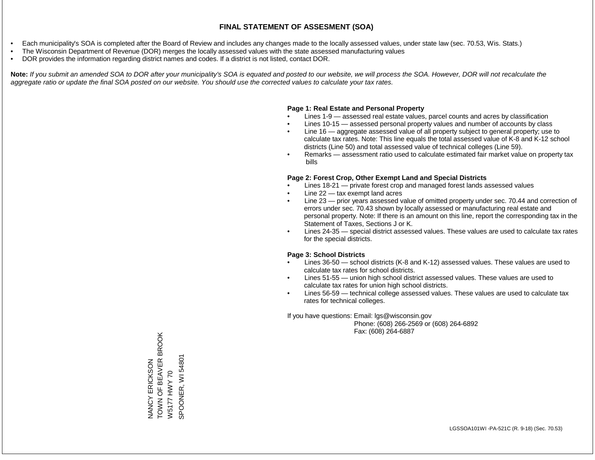- Each municipality's SOA is completed after the Board of Review and includes any changes made to the locally assessed values, under state law (sec. 70.53, Wis. Stats.)
- The Wisconsin Department of Revenue (DOR) merges the locally assessed values with the state assessed manufacturing values
- DOR provides the information regarding district names and codes. If a district is not listed, contact DOR.

Note: If you submit an amended SOA to DOR after your municipality's SOA is equated and posted to our website, we will process the SOA. However, DOR will not recalculate the *aggregate ratio or update the final SOA posted on our website. You should use the corrected values to calculate your tax rates.*

#### **Page 1: Real Estate and Personal Property**

- Lines 1-9 assessed real estate values, parcel counts and acres by classification
- Lines 10-15 assessed personal property values and number of accounts by class
- Line 16 aggregate assessed value of all property subject to general property; use to calculate tax rates. Note: This line equals the total assessed value of K-8 and K-12 school districts (Line 50) and total assessed value of technical colleges (Line 59).
- Remarks assessment ratio used to calculate estimated fair market value on property tax bills

#### **Page 2: Forest Crop, Other Exempt Land and Special Districts**

- Lines 18-21 private forest crop and managed forest lands assessed values
- Line  $22 -$  tax exempt land acres
- Line 23 prior years assessed value of omitted property under sec. 70.44 and correction of errors under sec. 70.43 shown by locally assessed or manufacturing real estate and personal property. Note: If there is an amount on this line, report the corresponding tax in the Statement of Taxes, Sections J or K.
- Lines 24-35 special district assessed values. These values are used to calculate tax rates for the special districts.

#### **Page 3: School Districts**

- Lines 36-50 school districts (K-8 and K-12) assessed values. These values are used to calculate tax rates for school districts.
- Lines 51-55 union high school district assessed values. These values are used to calculate tax rates for union high school districts.
- Lines 56-59 technical college assessed values. These values are used to calculate tax rates for technical colleges.

If you have questions: Email: lgs@wisconsin.gov

 Phone: (608) 266-2569 or (608) 264-6892 Fax: (608) 264-6887

NANCY ERICKSON<br>TOWN OF BEAVER BROOK<br>W5177 HWY 70 TOWN OF BEAVER BROOK SPOONER, WI 54801 SPOONER, WI 54801NANCY ERICKSON W5177 HWY 70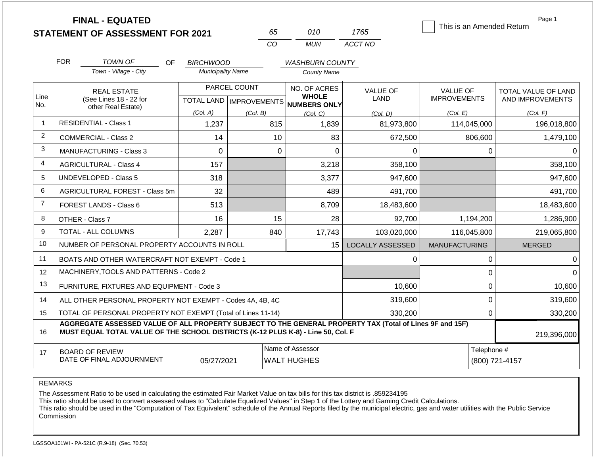|                | <b>FINAL - EQUATED</b><br><b>STATEMENT OF ASSESSMENT FOR 2021</b>                                                                                                                            |                          | 65                               | 010                                    | 1765                    | This is an Amended Return | Page 1              |
|----------------|----------------------------------------------------------------------------------------------------------------------------------------------------------------------------------------------|--------------------------|----------------------------------|----------------------------------------|-------------------------|---------------------------|---------------------|
|                |                                                                                                                                                                                              |                          | CO                               | <b>MUN</b>                             | ACCT NO                 |                           |                     |
|                | <b>FOR</b><br>TOWN OF<br>OF                                                                                                                                                                  | <b>BIRCHWOOD</b>         |                                  | <b>WASHBURN COUNTY</b>                 |                         |                           |                     |
|                | Town - Village - City                                                                                                                                                                        | <b>Municipality Name</b> |                                  | <b>County Name</b>                     |                         |                           |                     |
|                | <b>REAL ESTATE</b>                                                                                                                                                                           |                          | PARCEL COUNT                     | NO. OF ACRES                           | <b>VALUE OF</b>         | <b>VALUE OF</b>           | TOTAL VALUE OF LAND |
| Line<br>No.    | (See Lines 18 - 22 for<br>other Real Estate)                                                                                                                                                 |                          | <b>TOTAL LAND   IMPROVEMENTS</b> | <b>WHOLE</b><br><b>NUMBERS ONLY</b>    | LAND                    | <b>IMPROVEMENTS</b>       | AND IMPROVEMENTS    |
|                |                                                                                                                                                                                              | (Col. A)                 | (Col. B)                         | (Col. C)                               | (Col. D)                | (Col. E)                  | (Col. F)            |
| $\overline{1}$ | <b>RESIDENTIAL - Class 1</b>                                                                                                                                                                 | 1,237                    | 815                              | 1,839                                  | 81,973,800              | 114,045,000               | 196,018,800         |
| $\overline{2}$ | COMMERCIAL - Class 2                                                                                                                                                                         | 14                       | 10                               | 83                                     | 672,500                 | 806,600                   | 1,479,100           |
| 3              | <b>MANUFACTURING - Class 3</b>                                                                                                                                                               | $\Omega$                 | $\Omega$                         | $\Omega$                               | 0                       | 0                         | 0                   |
| $\overline{4}$ | <b>AGRICULTURAL - Class 4</b>                                                                                                                                                                | 157                      |                                  | 3,218                                  | 358,100                 |                           | 358,100             |
| 5              | <b>UNDEVELOPED - Class 5</b>                                                                                                                                                                 | 318                      |                                  | 3,377                                  | 947,600                 |                           | 947,600             |
| 6              | AGRICULTURAL FOREST - Class 5m                                                                                                                                                               | 32                       |                                  | 489                                    | 491,700                 |                           | 491,700             |
| $\overline{7}$ | FOREST LANDS - Class 6                                                                                                                                                                       | 513                      |                                  | 8,709                                  | 18,483,600              |                           | 18,483,600          |
| 8              | OTHER - Class 7                                                                                                                                                                              | 16                       | 15                               | 28                                     | 92,700                  | 1,194,200                 | 1,286,900           |
| 9              | TOTAL - ALL COLUMNS                                                                                                                                                                          | 2,287                    | 840                              | 17,743                                 | 103,020,000             | 116,045,800               | 219,065,800         |
| 10             | NUMBER OF PERSONAL PROPERTY ACCOUNTS IN ROLL                                                                                                                                                 |                          |                                  | 15                                     | <b>LOCALLY ASSESSED</b> | <b>MANUFACTURING</b>      | <b>MERGED</b>       |
| 11             | BOATS AND OTHER WATERCRAFT NOT EXEMPT - Code 1                                                                                                                                               |                          |                                  |                                        | 0                       | 0                         | 0                   |
| 12             | MACHINERY, TOOLS AND PATTERNS - Code 2                                                                                                                                                       |                          |                                  |                                        |                         | 0                         | $\Omega$            |
| 13             | FURNITURE, FIXTURES AND EQUIPMENT - Code 3                                                                                                                                                   |                          |                                  |                                        | 10,600                  | 0                         | 10,600              |
| 14             | ALL OTHER PERSONAL PROPERTY NOT EXEMPT - Codes 4A, 4B, 4C                                                                                                                                    |                          |                                  |                                        | 319,600                 | 0                         | 319,600             |
| 15             | TOTAL OF PERSONAL PROPERTY NOT EXEMPT (Total of Lines 11-14)                                                                                                                                 |                          |                                  |                                        | 330,200                 | 0                         | 330,200             |
| 16             | AGGREGATE ASSESSED VALUE OF ALL PROPERTY SUBJECT TO THE GENERAL PROPERTY TAX (Total of Lines 9F and 15F)<br>MUST EQUAL TOTAL VALUE OF THE SCHOOL DISTRICTS (K-12 PLUS K-8) - Line 50, Col. F |                          |                                  |                                        |                         |                           | 219,396,000         |
| 17             | <b>BOARD OF REVIEW</b><br>DATE OF FINAL ADJOURNMENT                                                                                                                                          | 05/27/2021               |                                  | Name of Assessor<br><b>WALT HUGHES</b> |                         | Telephone #               | (800) 721-4157      |

REMARKS

The Assessment Ratio to be used in calculating the estimated Fair Market Value on tax bills for this tax district is .859234195

This ratio should be used to convert assessed values to "Calculate Equalized Values" in Step 1 of the Lottery and Gaming Credit Calculations.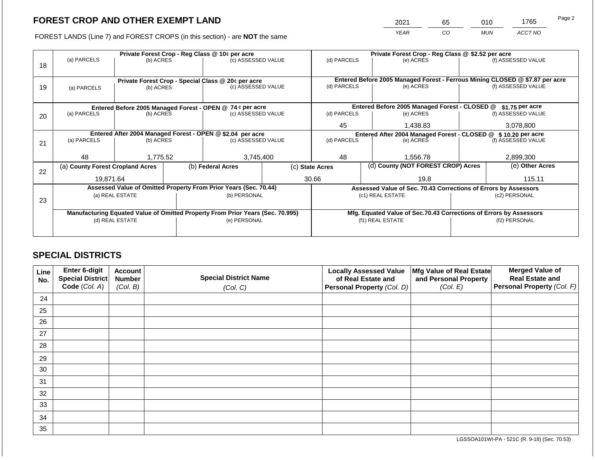2021 65 010 1765

FOREST LANDS (Line 7) and FOREST CROPS (in this section) - are **NOT** the same *YEAR CO MUN ACCT NO*

|    | Private Forest Crop - Reg Class @ 10¢ per acre                                 |                 |  |                                                                  |  | Private Forest Crop - Reg Class @ \$2.52 per acre                            |                                                                    |                                                                 |               |                    |
|----|--------------------------------------------------------------------------------|-----------------|--|------------------------------------------------------------------|--|------------------------------------------------------------------------------|--------------------------------------------------------------------|-----------------------------------------------------------------|---------------|--------------------|
| 18 | (a) PARCELS                                                                    | (b) ACRES       |  | (c) ASSESSED VALUE                                               |  | (d) PARCELS                                                                  |                                                                    | (e) ACRES                                                       |               | (f) ASSESSED VALUE |
|    |                                                                                |                 |  |                                                                  |  |                                                                              |                                                                    |                                                                 |               |                    |
|    |                                                                                |                 |  | Private Forest Crop - Special Class @ 20¢ per acre               |  | Entered Before 2005 Managed Forest - Ferrous Mining CLOSED @ \$7.87 per acre |                                                                    |                                                                 |               |                    |
| 19 | (a) PARCELS                                                                    | (b) ACRES       |  | (c) ASSESSED VALUE                                               |  | (d) PARCELS                                                                  |                                                                    | (e) ACRES                                                       |               | (f) ASSESSED VALUE |
|    |                                                                                |                 |  |                                                                  |  |                                                                              |                                                                    |                                                                 |               |                    |
|    |                                                                                |                 |  | Entered Before 2005 Managed Forest - OPEN @ 74 ¢ per acre        |  | Entered Before 2005 Managed Forest - CLOSED @<br>\$1.75 per acre             |                                                                    |                                                                 |               |                    |
| 20 | (a) PARCELS                                                                    | (b) ACRES       |  | (c) ASSESSED VALUE                                               |  | (d) PARCELS                                                                  |                                                                    | (e) ACRES                                                       |               | (f) ASSESSED VALUE |
|    |                                                                                |                 |  |                                                                  |  | 45                                                                           |                                                                    | 1.438.83                                                        |               | 3,078,800          |
|    |                                                                                |                 |  | Entered After 2004 Managed Forest - OPEN @ \$2.04 per acre       |  | Entered After 2004 Managed Forest - CLOSED @ \$ 10.20 per acre               |                                                                    |                                                                 |               |                    |
| 21 | (a) PARCELS                                                                    | (b) ACRES       |  | (c) ASSESSED VALUE                                               |  | (d) PARCELS                                                                  |                                                                    | (e) ACRES                                                       |               | (f) ASSESSED VALUE |
|    |                                                                                |                 |  |                                                                  |  |                                                                              |                                                                    |                                                                 |               |                    |
|    | 48                                                                             | 1,775.52        |  | 3,745,400                                                        |  | 48                                                                           |                                                                    | 1,556.78                                                        |               | 2,899,300          |
|    | (a) County Forest Cropland Acres                                               |                 |  | (b) Federal Acres                                                |  | (c) State Acres                                                              |                                                                    | (d) County (NOT FOREST CROP) Acres                              |               | (e) Other Acres    |
| 22 |                                                                                |                 |  |                                                                  |  |                                                                              |                                                                    |                                                                 |               |                    |
|    | 19,871.64                                                                      |                 |  |                                                                  |  | 30.66                                                                        |                                                                    | 19.8                                                            |               | 115.11             |
|    |                                                                                |                 |  | Assessed Value of Omitted Property From Prior Years (Sec. 70.44) |  |                                                                              |                                                                    | Assessed Value of Sec. 70.43 Corrections of Errors by Assessors |               |                    |
| 23 |                                                                                | (a) REAL ESTATE |  | (b) PERSONAL                                                     |  |                                                                              |                                                                    | (c1) REAL ESTATE                                                |               | (c2) PERSONAL      |
|    |                                                                                |                 |  |                                                                  |  |                                                                              |                                                                    |                                                                 |               |                    |
|    | Manufacturing Equated Value of Omitted Property From Prior Years (Sec. 70.995) |                 |  |                                                                  |  |                                                                              | Mfg. Equated Value of Sec.70.43 Corrections of Errors by Assessors |                                                                 |               |                    |
|    |                                                                                | (d) REAL ESTATE |  | (e) PERSONAL                                                     |  |                                                                              |                                                                    | (f1) REAL ESTATE                                                | (f2) PERSONAL |                    |
|    |                                                                                |                 |  |                                                                  |  |                                                                              |                                                                    |                                                                 |               |                    |
|    |                                                                                |                 |  |                                                                  |  |                                                                              |                                                                    |                                                                 |               |                    |

## **SPECIAL DISTRICTS**

| Line<br>No. | Enter 6-digit<br>Special District | <b>Account</b><br><b>Number</b> | <b>Special District Name</b> | <b>Locally Assessed Value</b><br>of Real Estate and | Mfg Value of Real Estate<br>and Personal Property | <b>Merged Value of</b><br><b>Real Estate and</b> |
|-------------|-----------------------------------|---------------------------------|------------------------------|-----------------------------------------------------|---------------------------------------------------|--------------------------------------------------|
|             | Code (Col. A)                     | (Col. B)                        | (Col. C)                     | Personal Property (Col. D)                          | (Col. E)                                          | Personal Property (Col. F)                       |
| 24          |                                   |                                 |                              |                                                     |                                                   |                                                  |
| 25          |                                   |                                 |                              |                                                     |                                                   |                                                  |
| 26          |                                   |                                 |                              |                                                     |                                                   |                                                  |
| 27          |                                   |                                 |                              |                                                     |                                                   |                                                  |
| 28          |                                   |                                 |                              |                                                     |                                                   |                                                  |
| 29          |                                   |                                 |                              |                                                     |                                                   |                                                  |
| 30          |                                   |                                 |                              |                                                     |                                                   |                                                  |
| 31          |                                   |                                 |                              |                                                     |                                                   |                                                  |
| 32          |                                   |                                 |                              |                                                     |                                                   |                                                  |
| 33          |                                   |                                 |                              |                                                     |                                                   |                                                  |
| 34          |                                   |                                 |                              |                                                     |                                                   |                                                  |
| 35          |                                   |                                 |                              |                                                     |                                                   |                                                  |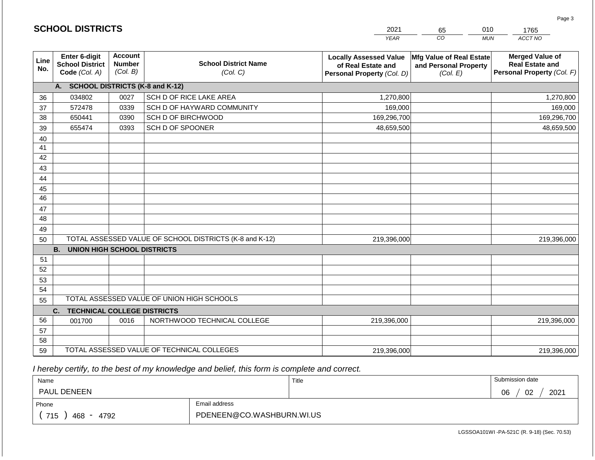|                 |                                                          |                                             |                                                         | <b>YEAR</b>                                                                       | $\overline{co}$<br><b>MUN</b>                                 | ACCT NO                                                                        |
|-----------------|----------------------------------------------------------|---------------------------------------------|---------------------------------------------------------|-----------------------------------------------------------------------------------|---------------------------------------------------------------|--------------------------------------------------------------------------------|
| Line<br>No.     | Enter 6-digit<br><b>School District</b><br>Code (Col. A) | <b>Account</b><br><b>Number</b><br>(Col. B) | <b>School District Name</b><br>(Col. C)                 | <b>Locally Assessed Value</b><br>of Real Estate and<br>Personal Property (Col. D) | Mfg Value of Real Estate<br>and Personal Property<br>(Col. E) | <b>Merged Value of</b><br><b>Real Estate and</b><br>Personal Property (Col. F) |
|                 | <b>A.</b>                                                |                                             | <b>SCHOOL DISTRICTS (K-8 and K-12)</b>                  |                                                                                   |                                                               |                                                                                |
| 36              | 034802                                                   | 0027                                        | SCH D OF RICE LAKE AREA                                 | 1,270,800                                                                         |                                                               | 1,270,800                                                                      |
| 37              | 572478                                                   | 0339                                        | SCH D OF HAYWARD COMMUNITY                              | 169,000                                                                           |                                                               | 169,000                                                                        |
| 38              | 650441                                                   | 0390                                        | SCH D OF BIRCHWOOD                                      | 169,296,700                                                                       |                                                               | 169,296,700                                                                    |
| 39              | 655474                                                   | 0393                                        | SCH D OF SPOONER                                        | 48,659,500                                                                        |                                                               | 48,659,500                                                                     |
| 40              |                                                          |                                             |                                                         |                                                                                   |                                                               |                                                                                |
| 41              |                                                          |                                             |                                                         |                                                                                   |                                                               |                                                                                |
| 42              |                                                          |                                             |                                                         |                                                                                   |                                                               |                                                                                |
| 43              |                                                          |                                             |                                                         |                                                                                   |                                                               |                                                                                |
| 44              |                                                          |                                             |                                                         |                                                                                   |                                                               |                                                                                |
| 45              |                                                          |                                             |                                                         |                                                                                   |                                                               |                                                                                |
| $\overline{46}$ |                                                          |                                             |                                                         |                                                                                   |                                                               |                                                                                |
| 47              |                                                          |                                             |                                                         |                                                                                   |                                                               |                                                                                |
| 48              |                                                          |                                             |                                                         |                                                                                   |                                                               |                                                                                |
| 49              |                                                          |                                             |                                                         |                                                                                   |                                                               |                                                                                |
| 50              |                                                          |                                             | TOTAL ASSESSED VALUE OF SCHOOL DISTRICTS (K-8 and K-12) | 219,396,000                                                                       |                                                               | 219,396,000                                                                    |
|                 | <b>B.</b><br>UNION HIGH SCHOOL DISTRICTS                 |                                             |                                                         |                                                                                   |                                                               |                                                                                |
| 51              |                                                          |                                             |                                                         |                                                                                   |                                                               |                                                                                |
| 52              |                                                          |                                             |                                                         |                                                                                   |                                                               |                                                                                |
| 53<br>54        |                                                          |                                             |                                                         |                                                                                   |                                                               |                                                                                |
| 55              |                                                          |                                             | TOTAL ASSESSED VALUE OF UNION HIGH SCHOOLS              |                                                                                   |                                                               |                                                                                |
|                 | C.<br><b>TECHNICAL COLLEGE DISTRICTS</b>                 |                                             |                                                         |                                                                                   |                                                               |                                                                                |
| 56              | 001700                                                   | 0016                                        | NORTHWOOD TECHNICAL COLLEGE                             | 219,396,000                                                                       |                                                               | 219,396,000                                                                    |
| 57              |                                                          |                                             |                                                         |                                                                                   |                                                               |                                                                                |
| 58              |                                                          |                                             |                                                         |                                                                                   |                                                               |                                                                                |
| 59              |                                                          |                                             | TOTAL ASSESSED VALUE OF TECHNICAL COLLEGES              | 219,396,000                                                                       |                                                               | 219,396,000                                                                    |

2021

65

010

 *I hereby certify, to the best of my knowledge and belief, this form is complete and correct.*

**SCHOOL DISTRICTS**

| Name               |                           | Title | Submission date  |
|--------------------|---------------------------|-------|------------------|
| <b>PAUL DENEEN</b> |                           |       | 2021<br>02<br>06 |
| Phone              | Email address             |       |                  |
| 715<br>468<br>4792 | PDENEEN@CO.WASHBURN.WI.US |       |                  |

1765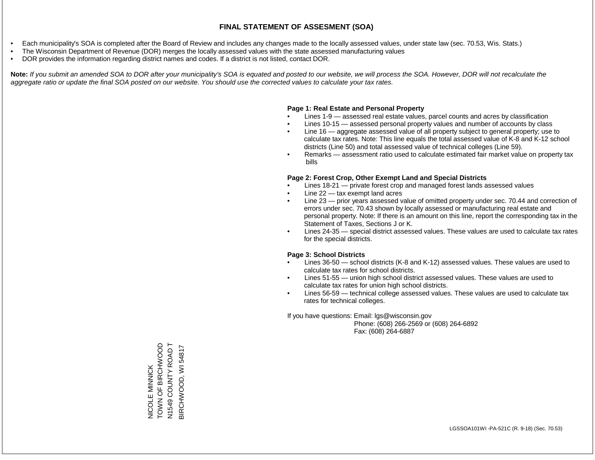- Each municipality's SOA is completed after the Board of Review and includes any changes made to the locally assessed values, under state law (sec. 70.53, Wis. Stats.)
- The Wisconsin Department of Revenue (DOR) merges the locally assessed values with the state assessed manufacturing values
- DOR provides the information regarding district names and codes. If a district is not listed, contact DOR.

Note: If you submit an amended SOA to DOR after your municipality's SOA is equated and posted to our website, we will process the SOA. However, DOR will not recalculate the *aggregate ratio or update the final SOA posted on our website. You should use the corrected values to calculate your tax rates.*

## **Page 1: Real Estate and Personal Property**

- Lines 1-9 assessed real estate values, parcel counts and acres by classification
- Lines 10-15 assessed personal property values and number of accounts by class
- Line 16 aggregate assessed value of all property subject to general property; use to calculate tax rates. Note: This line equals the total assessed value of K-8 and K-12 school districts (Line 50) and total assessed value of technical colleges (Line 59).
- Remarks assessment ratio used to calculate estimated fair market value on property tax bills

## **Page 2: Forest Crop, Other Exempt Land and Special Districts**

- Lines 18-21 private forest crop and managed forest lands assessed values
- Line  $22 -$  tax exempt land acres
- Line 23 prior years assessed value of omitted property under sec. 70.44 and correction of errors under sec. 70.43 shown by locally assessed or manufacturing real estate and personal property. Note: If there is an amount on this line, report the corresponding tax in the Statement of Taxes, Sections J or K.
- Lines 24-35 special district assessed values. These values are used to calculate tax rates for the special districts.

## **Page 3: School Districts**

- Lines 36-50 school districts (K-8 and K-12) assessed values. These values are used to calculate tax rates for school districts.
- Lines 51-55 union high school district assessed values. These values are used to calculate tax rates for union high school districts.
- Lines 56-59 technical college assessed values. These values are used to calculate tax rates for technical colleges.

If you have questions: Email: lgs@wisconsin.gov

 Phone: (608) 266-2569 or (608) 264-6892 Fax: (608) 264-6887

DOONT OF BIRCH NICOLE MINNICK<br>TOWN OF BIRCHWOOD N1549 COUNTY ROAD T N1549 COUNTY ROAD T 3IRCHWOOD, WI 54817 BIRCHWOOD, WI 54817NICOLE MINNICK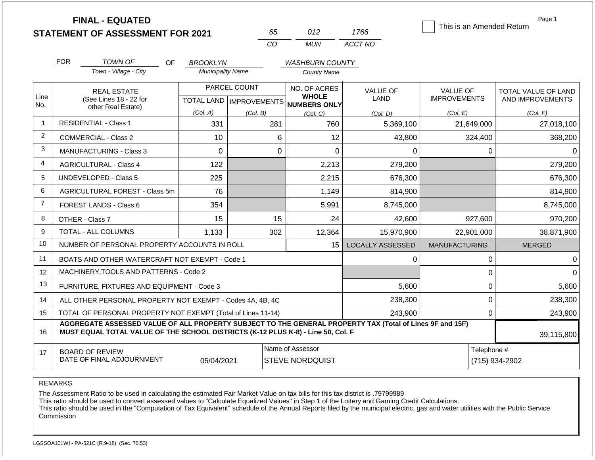|                | <b>FINAL - EQUATED</b>                                                                                                                                                                       |                          |                           |                                     |                         |                           | Page 1              |  |
|----------------|----------------------------------------------------------------------------------------------------------------------------------------------------------------------------------------------|--------------------------|---------------------------|-------------------------------------|-------------------------|---------------------------|---------------------|--|
|                | <b>STATEMENT OF ASSESSMENT FOR 2021</b>                                                                                                                                                      |                          | 65                        | 012                                 | 1766                    | This is an Amended Return |                     |  |
|                |                                                                                                                                                                                              |                          | CO                        | <b>MUN</b>                          | ACCT NO                 |                           |                     |  |
|                | <b>FOR</b><br><b>TOWN OF</b><br>OF                                                                                                                                                           | <b>BROOKLYN</b>          |                           | <b>WASHBURN COUNTY</b>              |                         |                           |                     |  |
|                | Town - Village - City                                                                                                                                                                        | <b>Municipality Name</b> |                           | <b>County Name</b>                  |                         |                           |                     |  |
|                | <b>REAL ESTATE</b>                                                                                                                                                                           |                          | PARCEL COUNT              | NO. OF ACRES                        | <b>VALUE OF</b>         | <b>VALUE OF</b>           | TOTAL VALUE OF LAND |  |
| Line<br>No.    | (See Lines 18 - 22 for<br>other Real Estate)                                                                                                                                                 |                          | TOTAL LAND   IMPROVEMENTS | <b>WHOLE</b><br><b>NUMBERS ONLY</b> | <b>LAND</b>             | <b>IMPROVEMENTS</b>       | AND IMPROVEMENTS    |  |
|                |                                                                                                                                                                                              | (Col. A)                 | (Col. B)                  | (Col, C)                            | (Col. D)                | (Col. E)                  | (Col. F)            |  |
| -1             | <b>RESIDENTIAL - Class 1</b>                                                                                                                                                                 | 331                      | 281                       | 760                                 | 5,369,100               | 21,649,000                | 27,018,100          |  |
| 2              | <b>COMMERCIAL - Class 2</b>                                                                                                                                                                  | 10                       | 6                         | 12                                  | 43,800                  | 324,400                   | 368,200             |  |
| 3              | MANUFACTURING - Class 3                                                                                                                                                                      | $\overline{0}$           | $\mathbf 0$               | 0                                   | 0                       | 0                         | $\Omega$            |  |
| 4              | <b>AGRICULTURAL - Class 4</b>                                                                                                                                                                | 122                      |                           | 2,213                               | 279,200                 |                           | 279,200             |  |
| 5              | <b>UNDEVELOPED - Class 5</b>                                                                                                                                                                 | 225                      |                           | 2,215                               | 676,300                 |                           | 676,300             |  |
| 6              | AGRICULTURAL FOREST - Class 5m                                                                                                                                                               | 76                       |                           | 1,149                               | 814,900                 |                           | 814,900             |  |
| $\overline{7}$ | FOREST LANDS - Class 6                                                                                                                                                                       | 354                      |                           | 5,991                               | 8,745,000               |                           | 8,745,000           |  |
| 8              | OTHER - Class 7                                                                                                                                                                              | 15                       | 15                        | 24                                  | 42,600                  | 927,600                   | 970,200             |  |
| 9              | TOTAL - ALL COLUMNS                                                                                                                                                                          | 1,133                    | 302                       | 12,364                              | 15,970,900              | 22,901,000                | 38,871,900          |  |
| 10             | NUMBER OF PERSONAL PROPERTY ACCOUNTS IN ROLL                                                                                                                                                 |                          |                           | 15                                  | <b>LOCALLY ASSESSED</b> | <b>MANUFACTURING</b>      | <b>MERGED</b>       |  |
| 11             | BOATS AND OTHER WATERCRAFT NOT EXEMPT - Code 1                                                                                                                                               |                          |                           |                                     | 0                       | 0                         | 0                   |  |
| 12             | MACHINERY, TOOLS AND PATTERNS - Code 2                                                                                                                                                       |                          |                           |                                     |                         | 0                         | $\Omega$            |  |
| 13             | FURNITURE, FIXTURES AND EQUIPMENT - Code 3                                                                                                                                                   |                          |                           |                                     | 5,600                   | 0                         | 5,600               |  |
| 14             | ALL OTHER PERSONAL PROPERTY NOT EXEMPT - Codes 4A, 4B, 4C                                                                                                                                    |                          |                           |                                     | 238,300                 | 0                         | 238,300             |  |
| 15             | TOTAL OF PERSONAL PROPERTY NOT EXEMPT (Total of Lines 11-14)                                                                                                                                 |                          |                           |                                     | 243,900                 | 0                         | 243,900             |  |
| 16             | AGGREGATE ASSESSED VALUE OF ALL PROPERTY SUBJECT TO THE GENERAL PROPERTY TAX (Total of Lines 9F and 15F)<br>MUST EQUAL TOTAL VALUE OF THE SCHOOL DISTRICTS (K-12 PLUS K-8) - Line 50, Col. F |                          |                           |                                     |                         |                           | 39,115,800          |  |
|                | <b>BOARD OF REVIEW</b>                                                                                                                                                                       |                          |                           | Name of Assessor                    |                         | Telephone #               |                     |  |
| 17             | DATE OF FINAL ADJOURNMENT                                                                                                                                                                    | 05/04/2021               |                           | <b>STEVE NORDQUIST</b>              |                         |                           | (715) 934-2902      |  |

REMARKS

The Assessment Ratio to be used in calculating the estimated Fair Market Value on tax bills for this tax district is .79799989

This ratio should be used to convert assessed values to "Calculate Equalized Values" in Step 1 of the Lottery and Gaming Credit Calculations.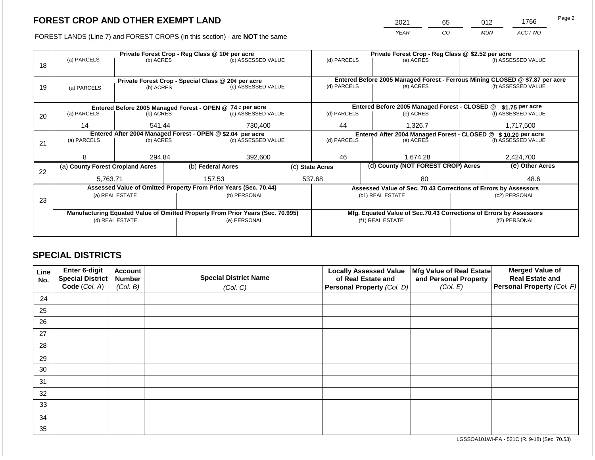2021 65 012 1766

FOREST LANDS (Line 7) and FOREST CROPS (in this section) - are **NOT** the same *YEAR CO MUN ACCT NO*

|    | Private Forest Crop - Reg Class @ 10¢ per acre |                                                                                |  |                                                    |  | Private Forest Crop - Reg Class @ \$2.52 per acre                            |  |                                                                    |               |                    |
|----|------------------------------------------------|--------------------------------------------------------------------------------|--|----------------------------------------------------|--|------------------------------------------------------------------------------|--|--------------------------------------------------------------------|---------------|--------------------|
| 18 | (a) PARCELS                                    | (b) ACRES                                                                      |  | (c) ASSESSED VALUE                                 |  | (d) PARCELS                                                                  |  | (e) ACRES                                                          |               | (f) ASSESSED VALUE |
|    |                                                |                                                                                |  |                                                    |  |                                                                              |  |                                                                    |               |                    |
|    |                                                |                                                                                |  | Private Forest Crop - Special Class @ 20¢ per acre |  | Entered Before 2005 Managed Forest - Ferrous Mining CLOSED @ \$7.87 per acre |  |                                                                    |               |                    |
| 19 | (a) PARCELS                                    | (b) ACRES                                                                      |  | (c) ASSESSED VALUE                                 |  | (d) PARCELS                                                                  |  | (e) ACRES                                                          |               | (f) ASSESSED VALUE |
|    |                                                |                                                                                |  |                                                    |  |                                                                              |  |                                                                    |               |                    |
|    |                                                |                                                                                |  |                                                    |  |                                                                              |  |                                                                    |               |                    |
|    |                                                | Entered Before 2005 Managed Forest - OPEN @ 74 ¢ per acre                      |  |                                                    |  |                                                                              |  | Entered Before 2005 Managed Forest - CLOSED @                      |               | $$1.75$ per acre   |
| 20 | (a) PARCELS                                    | (b) ACRES                                                                      |  | (c) ASSESSED VALUE                                 |  | (d) PARCELS                                                                  |  | (e) ACRES                                                          |               | (f) ASSESSED VALUE |
|    | 14                                             | 541.44                                                                         |  | 730,400                                            |  | 44                                                                           |  | 1,326.7                                                            |               | 1,717,500          |
|    |                                                | Entered After 2004 Managed Forest - OPEN @ \$2.04 per acre                     |  |                                                    |  | Entered After 2004 Managed Forest - CLOSED @ \$ 10.20 per acre               |  |                                                                    |               |                    |
| 21 | (a) PARCELS                                    | (b) ACRES                                                                      |  | (c) ASSESSED VALUE                                 |  | (d) PARCELS<br>(e) ACRES                                                     |  | (f) ASSESSED VALUE                                                 |               |                    |
|    |                                                |                                                                                |  |                                                    |  |                                                                              |  |                                                                    |               |                    |
|    | 8                                              | 294.84                                                                         |  | 392,600                                            |  | 46                                                                           |  | 1,674.28                                                           |               | 2,424,700          |
|    | (a) County Forest Cropland Acres               |                                                                                |  | (b) Federal Acres                                  |  | (c) State Acres                                                              |  | (d) County (NOT FOREST CROP) Acres                                 |               | (e) Other Acres    |
| 22 |                                                |                                                                                |  |                                                    |  |                                                                              |  |                                                                    |               |                    |
|    | 5.763.71                                       |                                                                                |  | 157.53                                             |  | 537.68                                                                       |  | 80                                                                 |               | 48.6               |
|    |                                                | Assessed Value of Omitted Property From Prior Years (Sec. 70.44)               |  |                                                    |  |                                                                              |  | Assessed Value of Sec. 70.43 Corrections of Errors by Assessors    |               |                    |
|    |                                                | (a) REAL ESTATE                                                                |  | (b) PERSONAL                                       |  |                                                                              |  | (c1) REAL ESTATE                                                   |               | (c2) PERSONAL      |
| 23 |                                                |                                                                                |  |                                                    |  |                                                                              |  |                                                                    |               |                    |
|    |                                                | Manufacturing Equated Value of Omitted Property From Prior Years (Sec. 70.995) |  |                                                    |  |                                                                              |  | Mfg. Equated Value of Sec.70.43 Corrections of Errors by Assessors |               |                    |
|    |                                                | (d) REAL ESTATE                                                                |  | (e) PERSONAL                                       |  |                                                                              |  | (f1) REAL ESTATE                                                   | (f2) PERSONAL |                    |
|    |                                                |                                                                                |  |                                                    |  |                                                                              |  |                                                                    |               |                    |
|    |                                                |                                                                                |  |                                                    |  |                                                                              |  |                                                                    |               |                    |

## **SPECIAL DISTRICTS**

| Line<br>No. | Enter 6-digit<br>Special District<br>Code (Col. A) | <b>Account</b><br><b>Number</b><br>(Col. B) | <b>Special District Name</b><br>(Col. C) | <b>Locally Assessed Value</b><br>of Real Estate and<br><b>Personal Property (Col. D)</b> | Mfg Value of Real Estate<br>and Personal Property<br>(Col. E) | <b>Merged Value of</b><br><b>Real Estate and</b><br>Personal Property (Col. F) |
|-------------|----------------------------------------------------|---------------------------------------------|------------------------------------------|------------------------------------------------------------------------------------------|---------------------------------------------------------------|--------------------------------------------------------------------------------|
| 24          |                                                    |                                             |                                          |                                                                                          |                                                               |                                                                                |
| 25          |                                                    |                                             |                                          |                                                                                          |                                                               |                                                                                |
| 26          |                                                    |                                             |                                          |                                                                                          |                                                               |                                                                                |
| 27          |                                                    |                                             |                                          |                                                                                          |                                                               |                                                                                |
| 28          |                                                    |                                             |                                          |                                                                                          |                                                               |                                                                                |
| 29          |                                                    |                                             |                                          |                                                                                          |                                                               |                                                                                |
| 30          |                                                    |                                             |                                          |                                                                                          |                                                               |                                                                                |
| 31          |                                                    |                                             |                                          |                                                                                          |                                                               |                                                                                |
| 32          |                                                    |                                             |                                          |                                                                                          |                                                               |                                                                                |
| 33          |                                                    |                                             |                                          |                                                                                          |                                                               |                                                                                |
| 34          |                                                    |                                             |                                          |                                                                                          |                                                               |                                                                                |
| 35          |                                                    |                                             |                                          |                                                                                          |                                                               |                                                                                |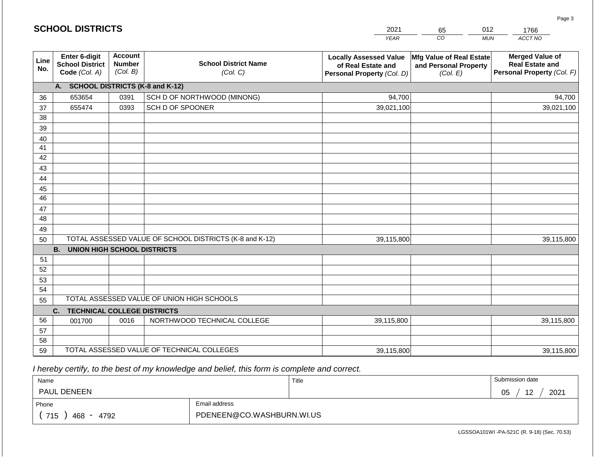| <b>SCHOOL DISTRICTS</b> |                                                          |                                             |                                                         | 2021                                                                              | 65                                                            | 012<br>1766                                                                    |
|-------------------------|----------------------------------------------------------|---------------------------------------------|---------------------------------------------------------|-----------------------------------------------------------------------------------|---------------------------------------------------------------|--------------------------------------------------------------------------------|
|                         |                                                          |                                             |                                                         | <b>YEAR</b>                                                                       | CO                                                            | ACCT NO<br><b>MUN</b>                                                          |
| Line<br>No.             | Enter 6-digit<br><b>School District</b><br>Code (Col. A) | <b>Account</b><br><b>Number</b><br>(Col. B) | <b>School District Name</b><br>(Col. C)                 | <b>Locally Assessed Value</b><br>of Real Estate and<br>Personal Property (Col. D) | Mfg Value of Real Estate<br>and Personal Property<br>(Col. E) | <b>Merged Value of</b><br><b>Real Estate and</b><br>Personal Property (Col. F) |
|                         | A. SCHOOL DISTRICTS (K-8 and K-12)                       |                                             |                                                         |                                                                                   |                                                               |                                                                                |
| 36                      | 653654                                                   | 0391                                        | SCH D OF NORTHWOOD (MINONG)                             | 94,700                                                                            |                                                               | 94,700                                                                         |
| 37                      | 655474                                                   | 0393                                        | SCH D OF SPOONER                                        | 39,021,100                                                                        |                                                               | 39,021,100                                                                     |
| 38                      |                                                          |                                             |                                                         |                                                                                   |                                                               |                                                                                |
| 39                      |                                                          |                                             |                                                         |                                                                                   |                                                               |                                                                                |
| 40                      |                                                          |                                             |                                                         |                                                                                   |                                                               |                                                                                |
| 41<br>42                |                                                          |                                             |                                                         |                                                                                   |                                                               |                                                                                |
| 43                      |                                                          |                                             |                                                         |                                                                                   |                                                               |                                                                                |
| 44                      |                                                          |                                             |                                                         |                                                                                   |                                                               |                                                                                |
| 45                      |                                                          |                                             |                                                         |                                                                                   |                                                               |                                                                                |
| 46                      |                                                          |                                             |                                                         |                                                                                   |                                                               |                                                                                |
| 47                      |                                                          |                                             |                                                         |                                                                                   |                                                               |                                                                                |
| 48                      |                                                          |                                             |                                                         |                                                                                   |                                                               |                                                                                |
| 49                      |                                                          |                                             |                                                         |                                                                                   |                                                               |                                                                                |
| 50                      |                                                          |                                             | TOTAL ASSESSED VALUE OF SCHOOL DISTRICTS (K-8 and K-12) | 39,115,800                                                                        |                                                               | 39,115,800                                                                     |
|                         | <b>B. UNION HIGH SCHOOL DISTRICTS</b>                    |                                             |                                                         |                                                                                   |                                                               |                                                                                |
| 51<br>52                |                                                          |                                             |                                                         |                                                                                   |                                                               |                                                                                |
| 53                      |                                                          |                                             |                                                         |                                                                                   |                                                               |                                                                                |
| 54                      |                                                          |                                             |                                                         |                                                                                   |                                                               |                                                                                |
| 55                      |                                                          |                                             | TOTAL ASSESSED VALUE OF UNION HIGH SCHOOLS              |                                                                                   |                                                               |                                                                                |
|                         | C.<br><b>TECHNICAL COLLEGE DISTRICTS</b>                 |                                             |                                                         |                                                                                   |                                                               |                                                                                |
| 56                      | 001700                                                   | 0016                                        | NORTHWOOD TECHNICAL COLLEGE                             | 39,115,800                                                                        |                                                               | 39,115,800                                                                     |
| 57                      |                                                          |                                             |                                                         |                                                                                   |                                                               |                                                                                |
| 58                      |                                                          |                                             |                                                         |                                                                                   |                                                               |                                                                                |
| 59                      |                                                          |                                             | TOTAL ASSESSED VALUE OF TECHNICAL COLLEGES              | 39,115,800                                                                        |                                                               | 39,115,800                                                                     |

 *I hereby certify, to the best of my knowledge and belief, this form is complete and correct.*

**SCHOOL DISTRICTS**

| Name               |                           | Title | Submission date                |
|--------------------|---------------------------|-------|--------------------------------|
| <b>PAUL DENEEN</b> |                           |       | 2021<br>12<br>05<br>. <u>.</u> |
| Phone              | Email address             |       |                                |
| 715<br>468<br>4792 | PDENEEN@CO.WASHBURN.WI.US |       |                                |

LGSSOA101WI -PA-521C (R. 9-18) (Sec. 70.53)

Page 3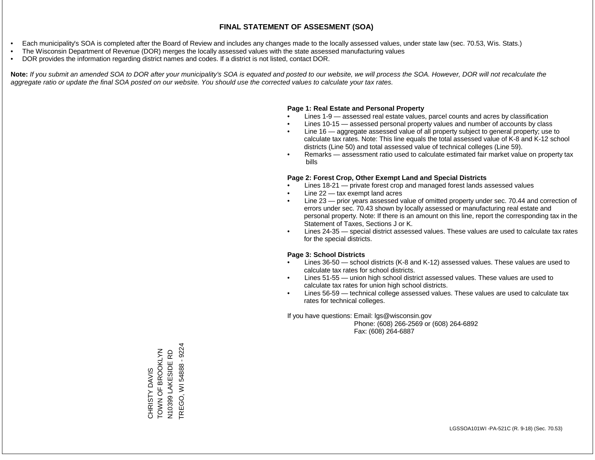- Each municipality's SOA is completed after the Board of Review and includes any changes made to the locally assessed values, under state law (sec. 70.53, Wis. Stats.)
- The Wisconsin Department of Revenue (DOR) merges the locally assessed values with the state assessed manufacturing values
- DOR provides the information regarding district names and codes. If a district is not listed, contact DOR.

Note: If you submit an amended SOA to DOR after your municipality's SOA is equated and posted to our website, we will process the SOA. However, DOR will not recalculate the *aggregate ratio or update the final SOA posted on our website. You should use the corrected values to calculate your tax rates.*

## **Page 1: Real Estate and Personal Property**

- Lines 1-9 assessed real estate values, parcel counts and acres by classification
- Lines 10-15 assessed personal property values and number of accounts by class
- Line 16 aggregate assessed value of all property subject to general property; use to calculate tax rates. Note: This line equals the total assessed value of K-8 and K-12 school districts (Line 50) and total assessed value of technical colleges (Line 59).
- Remarks assessment ratio used to calculate estimated fair market value on property tax bills

## **Page 2: Forest Crop, Other Exempt Land and Special Districts**

- Lines 18-21 private forest crop and managed forest lands assessed values
- Line  $22 -$  tax exempt land acres
- Line 23 prior years assessed value of omitted property under sec. 70.44 and correction of errors under sec. 70.43 shown by locally assessed or manufacturing real estate and personal property. Note: If there is an amount on this line, report the corresponding tax in the Statement of Taxes, Sections J or K.
- Lines 24-35 special district assessed values. These values are used to calculate tax rates for the special districts.

## **Page 3: School Districts**

- Lines 36-50 school districts (K-8 and K-12) assessed values. These values are used to calculate tax rates for school districts.
- Lines 51-55 union high school district assessed values. These values are used to calculate tax rates for union high school districts.
- Lines 56-59 technical college assessed values. These values are used to calculate tax rates for technical colleges.

If you have questions: Email: lgs@wisconsin.gov

 Phone: (608) 266-2569 or (608) 264-6892 Fax: (608) 264-6887

TREGO, WI 54888 - 9224TREGO, WI 54888 - 9224 TOWN OF BROOKLYN TOWN OF BROOKLYN N10399 LAKESIDE RD N10399 LAKESIDE RD CHRISTY DAVIS CHRISTY DAVIS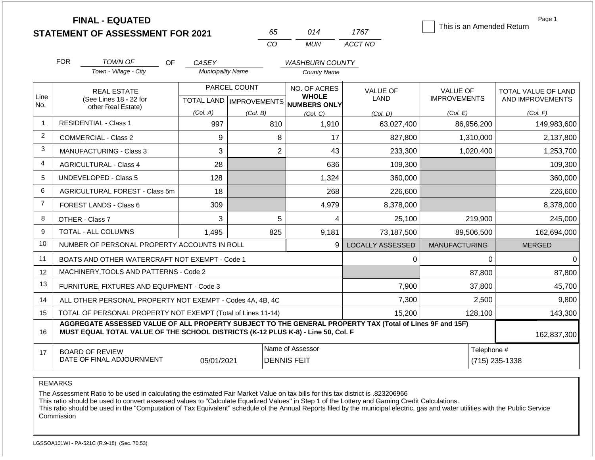**FINAL - EQUATED**

| nh. | በ14   | 1767    |
|-----|-------|---------|
| CO. | MI IN | ACCT NO |

This is an Amended Return

Page 1

|                | <b>FOR</b>                                   | <b>TOWN OF</b><br><b>OF</b>                                                                                                                                                                  | CASEY                    |                           | <b>WASHBURN COUNTY</b>              |                         |                      |                     |
|----------------|----------------------------------------------|----------------------------------------------------------------------------------------------------------------------------------------------------------------------------------------------|--------------------------|---------------------------|-------------------------------------|-------------------------|----------------------|---------------------|
|                |                                              | Town - Village - City                                                                                                                                                                        | <b>Municipality Name</b> |                           | <b>County Name</b>                  |                         |                      |                     |
|                |                                              | <b>REAL ESTATE</b>                                                                                                                                                                           |                          | PARCEL COUNT              | <b>NO. OF ACRES</b>                 | <b>VALUE OF</b>         | <b>VALUE OF</b>      | TOTAL VALUE OF LAND |
| Line<br>No.    | (See Lines 18 - 22 for<br>other Real Estate) |                                                                                                                                                                                              |                          | TOTAL LAND   IMPROVEMENTS | <b>WHOLE</b><br><b>NUMBERS ONLY</b> | <b>LAND</b>             | <b>IMPROVEMENTS</b>  | AND IMPROVEMENTS    |
|                |                                              |                                                                                                                                                                                              | (Col. A)                 | (Col. B)                  | (Col, C)                            | (Col, D)                | (Col. E)             | (Col. F)            |
| -1             |                                              | <b>RESIDENTIAL - Class 1</b>                                                                                                                                                                 | 997                      | 810                       | 1,910                               | 63,027,400              | 86,956,200           | 149,983,600         |
| 2              |                                              | <b>COMMERCIAL - Class 2</b>                                                                                                                                                                  | 9                        | 8                         | 17                                  | 827,800                 | 1,310,000            | 2,137,800           |
| 3              |                                              | <b>MANUFACTURING - Class 3</b>                                                                                                                                                               | 3                        | $\overline{2}$            | 43                                  | 233,300                 | 1,020,400            | 1,253,700           |
| $\overline{4}$ |                                              | <b>AGRICULTURAL - Class 4</b>                                                                                                                                                                | 28                       |                           | 636                                 | 109,300                 |                      | 109,300             |
| 5              |                                              | <b>UNDEVELOPED - Class 5</b>                                                                                                                                                                 | 128                      |                           | 1,324                               | 360,000                 |                      | 360,000             |
| 6              |                                              | AGRICULTURAL FOREST - Class 5m                                                                                                                                                               | 18                       |                           | 268                                 | 226,600                 |                      | 226,600             |
| $\overline{7}$ |                                              | FOREST LANDS - Class 6                                                                                                                                                                       | 309                      |                           | 4,979                               | 8,378,000               |                      | 8,378,000           |
| 8              |                                              | OTHER - Class 7                                                                                                                                                                              | 3                        | 5                         | 4                                   | 25,100                  | 219,900              | 245,000             |
| 9              |                                              | <b>TOTAL - ALL COLUMNS</b>                                                                                                                                                                   | 1,495                    | 825                       | 9,181                               | 73,187,500              | 89,506,500           | 162,694,000         |
| 10             |                                              | NUMBER OF PERSONAL PROPERTY ACCOUNTS IN ROLL                                                                                                                                                 |                          |                           | 9                                   | <b>LOCALLY ASSESSED</b> | <b>MANUFACTURING</b> | <b>MERGED</b>       |
| 11             |                                              | BOATS AND OTHER WATERCRAFT NOT EXEMPT - Code 1                                                                                                                                               |                          |                           |                                     | $\Omega$                | $\Omega$             | 0                   |
| 12             |                                              | MACHINERY, TOOLS AND PATTERNS - Code 2                                                                                                                                                       |                          |                           |                                     |                         | 87,800               | 87,800              |
| 13             |                                              | FURNITURE, FIXTURES AND EQUIPMENT - Code 3                                                                                                                                                   |                          |                           |                                     | 7,900                   | 37,800               | 45,700              |
| 14             |                                              | ALL OTHER PERSONAL PROPERTY NOT EXEMPT - Codes 4A, 4B, 4C                                                                                                                                    |                          |                           |                                     | 7,300                   | 2,500                | 9,800               |
| 15             |                                              | TOTAL OF PERSONAL PROPERTY NOT EXEMPT (Total of Lines 11-14)                                                                                                                                 |                          |                           |                                     | 15,200                  | 128,100              | 143,300             |
| 16             |                                              | AGGREGATE ASSESSED VALUE OF ALL PROPERTY SUBJECT TO THE GENERAL PROPERTY TAX (Total of Lines 9F and 15F)<br>MUST EQUAL TOTAL VALUE OF THE SCHOOL DISTRICTS (K-12 PLUS K-8) - Line 50, Col. F |                          |                           |                                     |                         |                      | 162,837,300         |
| 17             |                                              | <b>BOARD OF REVIEW</b>                                                                                                                                                                       |                          |                           | Name of Assessor                    | Telephone #             |                      |                     |
|                |                                              | DATE OF FINAL ADJOURNMENT                                                                                                                                                                    | 05/01/2021               |                           | <b>DENNIS FEIT</b>                  |                         |                      | (715) 235-1338      |

REMARKS

The Assessment Ratio to be used in calculating the estimated Fair Market Value on tax bills for this tax district is .823206966

This ratio should be used to convert assessed values to "Calculate Equalized Values" in Step 1 of the Lottery and Gaming Credit Calculations.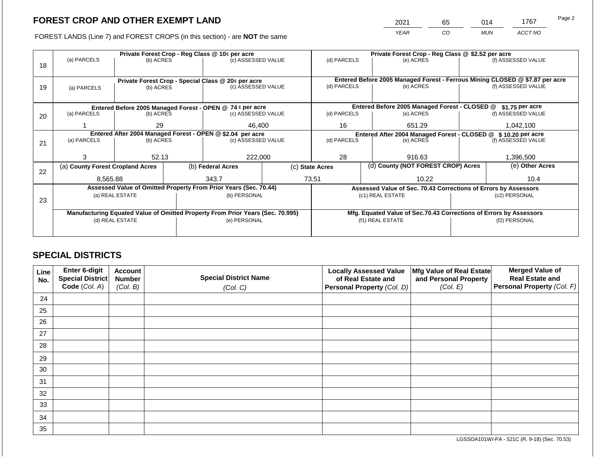2021 65 014 1767

FOREST LANDS (Line 7) and FOREST CROPS (in this section) - are **NOT** the same *YEAR CO MUN ACCT NO*

|    |                                                                                | Private Forest Crop - Reg Class @ 10¢ per acre |  |                                                                          |                                                                    |                 | Private Forest Crop - Reg Class @ \$2.52 per acre |                                                                              |               |                    |  |
|----|--------------------------------------------------------------------------------|------------------------------------------------|--|--------------------------------------------------------------------------|--------------------------------------------------------------------|-----------------|---------------------------------------------------|------------------------------------------------------------------------------|---------------|--------------------|--|
|    | (a) PARCELS                                                                    | (b) ACRES                                      |  | (c) ASSESSED VALUE                                                       |                                                                    | (d) PARCELS     |                                                   | (e) ACRES                                                                    |               | (f) ASSESSED VALUE |  |
| 18 |                                                                                |                                                |  |                                                                          |                                                                    |                 |                                                   |                                                                              |               |                    |  |
|    |                                                                                |                                                |  |                                                                          |                                                                    |                 |                                                   | Entered Before 2005 Managed Forest - Ferrous Mining CLOSED @ \$7.87 per acre |               |                    |  |
| 19 | (a) PARCELS                                                                    | (b) ACRES                                      |  | Private Forest Crop - Special Class @ 20¢ per acre<br>(c) ASSESSED VALUE |                                                                    | (d) PARCELS     |                                                   | (e) ACRES                                                                    |               | (f) ASSESSED VALUE |  |
|    |                                                                                |                                                |  |                                                                          |                                                                    |                 |                                                   |                                                                              |               |                    |  |
|    |                                                                                |                                                |  |                                                                          |                                                                    |                 |                                                   |                                                                              |               |                    |  |
|    |                                                                                |                                                |  | Entered Before 2005 Managed Forest - OPEN @ 74 ¢ per acre                |                                                                    |                 |                                                   | Entered Before 2005 Managed Forest - CLOSED @                                |               | $$1.75$ per acre   |  |
| 20 | (a) PARCELS                                                                    | (b) ACRES                                      |  | (c) ASSESSED VALUE                                                       |                                                                    | (d) PARCELS     |                                                   | (e) ACRES                                                                    |               | (f) ASSESSED VALUE |  |
|    |                                                                                | 29                                             |  | 46,400                                                                   | 16                                                                 |                 | 651.29                                            |                                                                              | 1,042,100     |                    |  |
|    |                                                                                |                                                |  |                                                                          |                                                                    |                 |                                                   |                                                                              |               |                    |  |
|    | Entered After 2004 Managed Forest - OPEN @ \$2.04 per acre<br>(a) PARCELS      |                                                |  |                                                                          |                                                                    | (d) PARCELS     |                                                   | Entered After 2004 Managed Forest - CLOSED @ \$10.20 per acre                |               | (f) ASSESSED VALUE |  |
| 21 |                                                                                | (b) ACRES                                      |  | (c) ASSESSED VALUE                                                       |                                                                    |                 |                                                   | (e) ACRES                                                                    |               |                    |  |
|    |                                                                                |                                                |  |                                                                          |                                                                    |                 |                                                   |                                                                              |               |                    |  |
|    | з                                                                              | 52.13                                          |  | 222,000                                                                  |                                                                    | 28              |                                                   | 916.63                                                                       |               | 1,396,500          |  |
|    | (a) County Forest Cropland Acres                                               |                                                |  | (b) Federal Acres                                                        |                                                                    | (c) State Acres |                                                   | (d) County (NOT FOREST CROP) Acres                                           |               | (e) Other Acres    |  |
| 22 |                                                                                |                                                |  |                                                                          |                                                                    |                 |                                                   |                                                                              |               |                    |  |
|    | 8.565.88                                                                       |                                                |  | 343.7                                                                    |                                                                    | 73.51           |                                                   | 10.22                                                                        |               | 10.4               |  |
|    |                                                                                |                                                |  | Assessed Value of Omitted Property From Prior Years (Sec. 70.44)         |                                                                    |                 |                                                   | Assessed Value of Sec. 70.43 Corrections of Errors by Assessors              |               |                    |  |
|    |                                                                                | (a) REAL ESTATE                                |  | (b) PERSONAL                                                             |                                                                    |                 |                                                   | (c1) REAL ESTATE                                                             |               | (c2) PERSONAL      |  |
| 23 |                                                                                |                                                |  |                                                                          |                                                                    |                 |                                                   |                                                                              |               |                    |  |
|    | Manufacturing Equated Value of Omitted Property From Prior Years (Sec. 70.995) |                                                |  |                                                                          | Mfg. Equated Value of Sec.70.43 Corrections of Errors by Assessors |                 |                                                   |                                                                              |               |                    |  |
|    |                                                                                | (d) REAL ESTATE                                |  | (e) PERSONAL                                                             |                                                                    |                 |                                                   | (f1) REAL ESTATE                                                             | (f2) PERSONAL |                    |  |
|    |                                                                                |                                                |  |                                                                          |                                                                    |                 |                                                   |                                                                              |               |                    |  |
|    |                                                                                |                                                |  |                                                                          |                                                                    |                 |                                                   |                                                                              |               |                    |  |

## **SPECIAL DISTRICTS**

| Line<br>No. | Enter 6-digit<br>Special District<br>Code (Col. A) | <b>Account</b><br><b>Number</b><br>(Col. B) | <b>Special District Name</b><br>(Col. C) | <b>Locally Assessed Value</b><br>of Real Estate and<br><b>Personal Property (Col. D)</b> | Mfg Value of Real Estate<br>and Personal Property<br>(Col. E) | <b>Merged Value of</b><br><b>Real Estate and</b><br>Personal Property (Col. F) |
|-------------|----------------------------------------------------|---------------------------------------------|------------------------------------------|------------------------------------------------------------------------------------------|---------------------------------------------------------------|--------------------------------------------------------------------------------|
| 24          |                                                    |                                             |                                          |                                                                                          |                                                               |                                                                                |
| 25          |                                                    |                                             |                                          |                                                                                          |                                                               |                                                                                |
| 26          |                                                    |                                             |                                          |                                                                                          |                                                               |                                                                                |
| 27          |                                                    |                                             |                                          |                                                                                          |                                                               |                                                                                |
| 28          |                                                    |                                             |                                          |                                                                                          |                                                               |                                                                                |
| 29          |                                                    |                                             |                                          |                                                                                          |                                                               |                                                                                |
| 30          |                                                    |                                             |                                          |                                                                                          |                                                               |                                                                                |
| 31          |                                                    |                                             |                                          |                                                                                          |                                                               |                                                                                |
| 32          |                                                    |                                             |                                          |                                                                                          |                                                               |                                                                                |
| 33          |                                                    |                                             |                                          |                                                                                          |                                                               |                                                                                |
| 34          |                                                    |                                             |                                          |                                                                                          |                                                               |                                                                                |
| 35          |                                                    |                                             |                                          |                                                                                          |                                                               |                                                                                |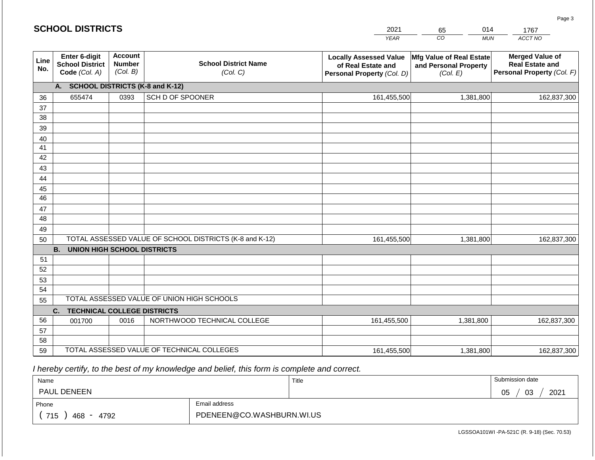#### *YEAR*   $\overline{co}$ *MUN ACCT NO*  1767 **Line No. Enter 6-digit School District Code** *(Col. A)* **Account Number** *(Col. B)* **School District Name** *(Col. C)* **Locally Assessed Value of Real Estate and Personal Property** *(Col. D)* **Mfg Value of Real Estate and Personal Property** *(Col. E)* **Merged Value of Real Estate and Personal Property** *(Col. F)* **A. SCHOOL DISTRICTS (K-8 and K-12)** 36 37 38 39 40 41 42 43 44 45 46 47 48 49 50 TOTAL ASSESSED VALUE OF SCHOOL DISTRICTS (K-8 and K-12) **B. UNION HIGH SCHOOL DISTRICTS** 51 52 53 54 55 **C. TECHNICAL COLLEGE DISTRICTS** 56 57 58 59 TOTAL ASSESSED VALUE OF TECHNICAL COLLEGES TOTAL ASSESSED VALUE OF UNION HIGH SCHOOLS 655474 0393 SCH D OF SPOONER 161,455,500 161,455,500 001700 | 0016 | NORTHWOOD TECHNICAL COLLEGE 161,455,500 1,381,800 162,837,300 1,381,800 162,837,300 1,381,800 162,837,300 161,455,500 1,381,800 1,381,800 162,837,300

 *I hereby certify, to the best of my knowledge and belief, this form is complete and correct.*

| Name                   |                           | Title | Submission date  |
|------------------------|---------------------------|-------|------------------|
| <b>PAUL DENEEN</b>     |                           |       | 03<br>2021<br>05 |
| Email address<br>Phone |                           |       |                  |
| 715<br>4792<br>468     | PDENEEN@CO.WASHBURN.WI.US |       |                  |

LGSSOA101WI -PA-521C (R. 9-18) (Sec. 70.53)

Page 3

2021 65 014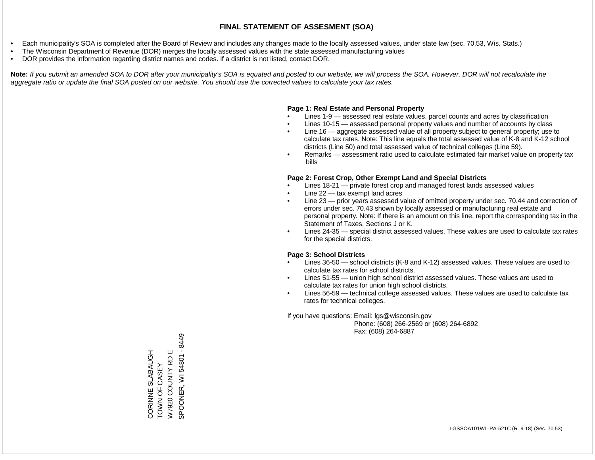- Each municipality's SOA is completed after the Board of Review and includes any changes made to the locally assessed values, under state law (sec. 70.53, Wis. Stats.)
- The Wisconsin Department of Revenue (DOR) merges the locally assessed values with the state assessed manufacturing values
- DOR provides the information regarding district names and codes. If a district is not listed, contact DOR.

Note: If you submit an amended SOA to DOR after your municipality's SOA is equated and posted to our website, we will process the SOA. However, DOR will not recalculate the *aggregate ratio or update the final SOA posted on our website. You should use the corrected values to calculate your tax rates.*

#### **Page 1: Real Estate and Personal Property**

- Lines 1-9 assessed real estate values, parcel counts and acres by classification
- Lines 10-15 assessed personal property values and number of accounts by class
- Line 16 aggregate assessed value of all property subject to general property; use to calculate tax rates. Note: This line equals the total assessed value of K-8 and K-12 school districts (Line 50) and total assessed value of technical colleges (Line 59).
- Remarks assessment ratio used to calculate estimated fair market value on property tax bills

#### **Page 2: Forest Crop, Other Exempt Land and Special Districts**

- Lines 18-21 private forest crop and managed forest lands assessed values
- Line  $22 -$  tax exempt land acres
- Line 23 prior years assessed value of omitted property under sec. 70.44 and correction of errors under sec. 70.43 shown by locally assessed or manufacturing real estate and personal property. Note: If there is an amount on this line, report the corresponding tax in the Statement of Taxes, Sections J or K.
- Lines 24-35 special district assessed values. These values are used to calculate tax rates for the special districts.

#### **Page 3: School Districts**

- Lines 36-50 school districts (K-8 and K-12) assessed values. These values are used to calculate tax rates for school districts.
- Lines 51-55 union high school district assessed values. These values are used to calculate tax rates for union high school districts.
- Lines 56-59 technical college assessed values. These values are used to calculate tax rates for technical colleges.

If you have questions: Email: lgs@wisconsin.gov

 Phone: (608) 266-2569 or (608) 264-6892 Fax: (608) 264-6887

SPOONER, WI 54801 - 8449 SPOONER, WI 54801 - 8449Щ CORINNE SLABAUGH<br>TOWN OF CASEY W7920 COUNTY RD E CORINNE SLABAUGH RD<sub>I</sub> TOWN OF CASEY W7920 COUNTY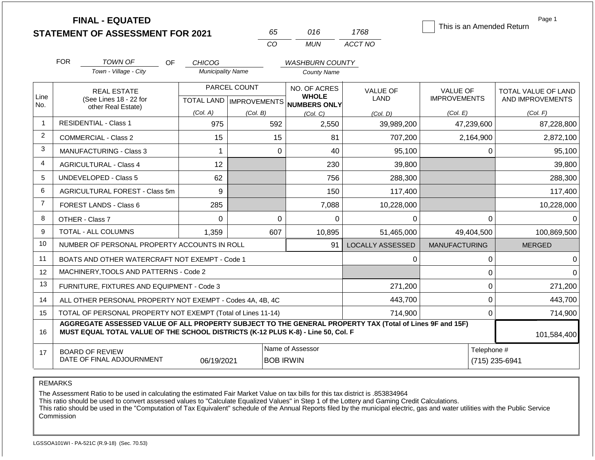|                |                                              | <b>FINAL - EQUATED</b>                                                                                                                                                                       |                          |                           |                              |                                | This is an Amended Return              | Page 1                                  |  |
|----------------|----------------------------------------------|----------------------------------------------------------------------------------------------------------------------------------------------------------------------------------------------|--------------------------|---------------------------|------------------------------|--------------------------------|----------------------------------------|-----------------------------------------|--|
|                |                                              | <b>STATEMENT OF ASSESSMENT FOR 2021</b>                                                                                                                                                      |                          | 65                        | 016                          | 1768                           |                                        |                                         |  |
|                |                                              |                                                                                                                                                                                              |                          | CO                        | <b>MUN</b>                   | ACCT NO                        |                                        |                                         |  |
|                | <b>FOR</b>                                   | <b>TOWN OF</b><br>OF.                                                                                                                                                                        | <b>CHICOG</b>            |                           | <b>WASHBURN COUNTY</b>       |                                |                                        |                                         |  |
|                |                                              | Town - Village - City                                                                                                                                                                        | <b>Municipality Name</b> |                           | <b>County Name</b>           |                                |                                        |                                         |  |
| Line           | <b>REAL ESTATE</b><br>(See Lines 18 - 22 for |                                                                                                                                                                                              |                          | PARCEL COUNT              | NO. OF ACRES<br><b>WHOLE</b> | <b>VALUE OF</b><br><b>LAND</b> | <b>VALUE OF</b><br><b>IMPROVEMENTS</b> | TOTAL VALUE OF LAND<br>AND IMPROVEMENTS |  |
| No.            |                                              | other Real Estate)                                                                                                                                                                           | (Col. A)                 | TOTAL LAND   IMPROVEMENTS | <b>NUMBERS ONLY</b>          |                                |                                        |                                         |  |
| $\mathbf 1$    |                                              | <b>RESIDENTIAL - Class 1</b>                                                                                                                                                                 | 975                      | (Col. B)<br>592           | (Col, C)<br>2,550            | (Col. D)<br>39,989,200         | (Col. E)<br>47,239,600                 | (Col. F)<br>87,228,800                  |  |
| 2              |                                              | <b>COMMERCIAL - Class 2</b>                                                                                                                                                                  | 15                       | 15                        | 81                           | 707,200                        | 2,164,900                              | 2,872,100                               |  |
| 3              |                                              | <b>MANUFACTURING - Class 3</b>                                                                                                                                                               | 1                        |                           | 40<br>$\mathbf 0$            | 95,100                         | 0                                      | 95,100                                  |  |
| 4              |                                              | <b>AGRICULTURAL - Class 4</b>                                                                                                                                                                | 12                       |                           | 230                          | 39,800                         |                                        | 39,800                                  |  |
| 5              |                                              | <b>UNDEVELOPED - Class 5</b>                                                                                                                                                                 | 62                       |                           | 756                          |                                |                                        |                                         |  |
| 6              |                                              |                                                                                                                                                                                              |                          |                           |                              | 288,300                        |                                        | 288,300                                 |  |
| $\overline{7}$ |                                              | AGRICULTURAL FOREST - Class 5m                                                                                                                                                               | 9                        |                           | 150                          | 117,400                        |                                        | 117,400                                 |  |
|                |                                              | FOREST LANDS - Class 6                                                                                                                                                                       | 285                      |                           | 7,088                        | 10,228,000                     |                                        | 10,228,000                              |  |
| 8              |                                              | OTHER - Class 7                                                                                                                                                                              | $\Omega$                 |                           | $\mathbf 0$<br>$\Omega$      | 0                              | $\Omega$                               | $\Omega$                                |  |
| 9              |                                              | TOTAL - ALL COLUMNS                                                                                                                                                                          | 1,359                    | 607                       | 10,895                       | 51,465,000                     | 49,404,500                             | 100,869,500                             |  |
| 10             |                                              | NUMBER OF PERSONAL PROPERTY ACCOUNTS IN ROLL                                                                                                                                                 |                          |                           | 91                           | <b>LOCALLY ASSESSED</b>        | <b>MANUFACTURING</b>                   | <b>MERGED</b>                           |  |
| 11             |                                              | BOATS AND OTHER WATERCRAFT NOT EXEMPT - Code 1                                                                                                                                               |                          |                           |                              | 0                              | 0                                      | $\Omega$                                |  |
| 12             |                                              | MACHINERY, TOOLS AND PATTERNS - Code 2                                                                                                                                                       |                          |                           |                              |                                | 0                                      | $\Omega$                                |  |
| 13             |                                              | FURNITURE, FIXTURES AND EQUIPMENT - Code 3                                                                                                                                                   |                          |                           |                              | 271,200                        | $\mathbf 0$                            | 271,200                                 |  |
| 14             |                                              | ALL OTHER PERSONAL PROPERTY NOT EXEMPT - Codes 4A, 4B, 4C                                                                                                                                    |                          |                           |                              | 443,700                        | 0                                      | 443,700                                 |  |
| 15             |                                              | TOTAL OF PERSONAL PROPERTY NOT EXEMPT (Total of Lines 11-14)                                                                                                                                 |                          |                           |                              | 714,900                        | 0                                      | 714,900                                 |  |
| 16             |                                              | AGGREGATE ASSESSED VALUE OF ALL PROPERTY SUBJECT TO THE GENERAL PROPERTY TAX (Total of Lines 9F and 15F)<br>MUST EQUAL TOTAL VALUE OF THE SCHOOL DISTRICTS (K-12 PLUS K-8) - Line 50, Col. F |                          |                           |                              |                                |                                        | 101,584,400                             |  |
| 17             |                                              | <b>BOARD OF REVIEW</b>                                                                                                                                                                       |                          |                           | Name of Assessor             |                                | Telephone #                            |                                         |  |
|                |                                              | DATE OF FINAL ADJOURNMENT                                                                                                                                                                    | 06/19/2021               |                           | <b>BOB IRWIN</b>             |                                |                                        | (715) 235-6941                          |  |

REMARKS

The Assessment Ratio to be used in calculating the estimated Fair Market Value on tax bills for this tax district is .853834964

This ratio should be used to convert assessed values to "Calculate Equalized Values" in Step 1 of the Lottery and Gaming Credit Calculations.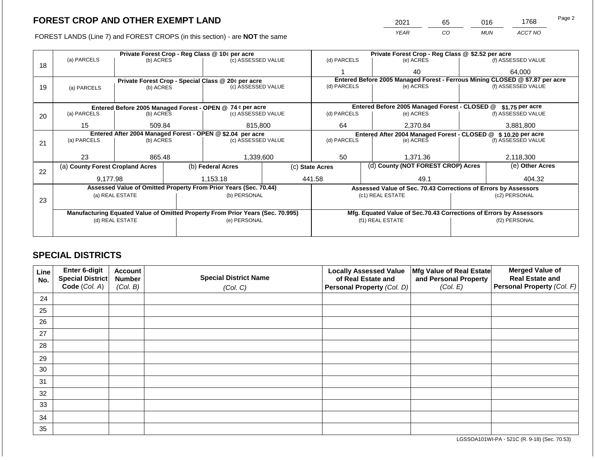2021 65 016 1768

FOREST LANDS (Line 7) and FOREST CROPS (in this section) - are **NOT** the same *YEAR CO MUN ACCT NO*

|    |                                                                                |                 |  | Private Forest Crop - Reg Class @ 10¢ per acre                   |                                                                              | Private Forest Crop - Reg Class @ \$2.52 per acre                |                                                               |                                                                    |               |                    |
|----|--------------------------------------------------------------------------------|-----------------|--|------------------------------------------------------------------|------------------------------------------------------------------------------|------------------------------------------------------------------|---------------------------------------------------------------|--------------------------------------------------------------------|---------------|--------------------|
|    | (a) PARCELS                                                                    | (b) ACRES       |  | (c) ASSESSED VALUE                                               |                                                                              | (d) PARCELS                                                      |                                                               | (e) ACRES                                                          |               | (f) ASSESSED VALUE |
| 18 |                                                                                |                 |  |                                                                  |                                                                              |                                                                  |                                                               | 40                                                                 |               | 64.000             |
|    |                                                                                |                 |  | Private Forest Crop - Special Class @ 20¢ per acre               | Entered Before 2005 Managed Forest - Ferrous Mining CLOSED @ \$7.87 per acre |                                                                  |                                                               |                                                                    |               |                    |
| 19 | (a) PARCELS                                                                    | (b) ACRES       |  | (c) ASSESSED VALUE                                               |                                                                              | (d) PARCELS                                                      |                                                               | (e) ACRES                                                          |               | (f) ASSESSED VALUE |
|    |                                                                                |                 |  |                                                                  |                                                                              |                                                                  |                                                               |                                                                    |               |                    |
|    |                                                                                |                 |  | Entered Before 2005 Managed Forest - OPEN @ 74 ¢ per acre        |                                                                              | Entered Before 2005 Managed Forest - CLOSED @<br>\$1.75 per acre |                                                               |                                                                    |               |                    |
| 20 | (a) PARCELS                                                                    | (b) ACRES       |  | (c) ASSESSED VALUE                                               |                                                                              | (d) PARCELS                                                      |                                                               | (e) ACRES                                                          |               | (f) ASSESSED VALUE |
|    |                                                                                |                 |  |                                                                  |                                                                              |                                                                  |                                                               |                                                                    |               |                    |
|    | 15                                                                             | 509.84          |  | 815,800                                                          |                                                                              | 64                                                               | 2,370.84                                                      |                                                                    | 3,881,800     |                    |
|    |                                                                                |                 |  | Entered After 2004 Managed Forest - OPEN @ \$2.04 per acre       |                                                                              |                                                                  | Entered After 2004 Managed Forest - CLOSED @ \$10.20 per acre |                                                                    |               |                    |
| 21 | (a) PARCELS                                                                    | (b) ACRES       |  | (c) ASSESSED VALUE                                               |                                                                              | (d) PARCELS                                                      |                                                               | (e) ACRES                                                          |               | (f) ASSESSED VALUE |
|    |                                                                                |                 |  |                                                                  |                                                                              |                                                                  |                                                               |                                                                    |               |                    |
|    | 23                                                                             | 865.48          |  | 1,339,600                                                        |                                                                              | 50                                                               |                                                               | 1,371.36                                                           |               | 2,118,300          |
|    | (a) County Forest Cropland Acres                                               |                 |  | (b) Federal Acres                                                |                                                                              | (c) State Acres                                                  |                                                               | (d) County (NOT FOREST CROP) Acres                                 |               | (e) Other Acres    |
| 22 |                                                                                |                 |  |                                                                  |                                                                              |                                                                  |                                                               |                                                                    |               |                    |
|    | 9,177.98                                                                       |                 |  | 1,153.18                                                         |                                                                              | 441.58                                                           |                                                               | 49.1                                                               |               | 404.32             |
|    |                                                                                |                 |  | Assessed Value of Omitted Property From Prior Years (Sec. 70.44) |                                                                              |                                                                  |                                                               | Assessed Value of Sec. 70.43 Corrections of Errors by Assessors    |               |                    |
| 23 |                                                                                | (a) REAL ESTATE |  | (b) PERSONAL                                                     |                                                                              |                                                                  |                                                               | (c1) REAL ESTATE                                                   |               | (c2) PERSONAL      |
|    |                                                                                |                 |  |                                                                  |                                                                              |                                                                  |                                                               |                                                                    |               |                    |
|    | Manufacturing Equated Value of Omitted Property From Prior Years (Sec. 70.995) |                 |  |                                                                  |                                                                              |                                                                  |                                                               | Mfg. Equated Value of Sec.70.43 Corrections of Errors by Assessors |               |                    |
|    |                                                                                | (d) REAL ESTATE |  | (e) PERSONAL                                                     |                                                                              |                                                                  |                                                               | (f1) REAL ESTATE                                                   | (f2) PERSONAL |                    |
|    |                                                                                |                 |  |                                                                  |                                                                              |                                                                  |                                                               |                                                                    |               |                    |
|    |                                                                                |                 |  |                                                                  |                                                                              |                                                                  |                                                               |                                                                    |               |                    |

## **SPECIAL DISTRICTS**

| Line<br>No. | <b>Enter 6-digit</b><br>Special District | <b>Account</b><br><b>Number</b> | <b>Special District Name</b> | <b>Locally Assessed Value</b><br>of Real Estate and | Mfg Value of Real Estate<br>and Personal Property | <b>Merged Value of</b><br><b>Real Estate and</b> |
|-------------|------------------------------------------|---------------------------------|------------------------------|-----------------------------------------------------|---------------------------------------------------|--------------------------------------------------|
|             | Code (Col. A)                            | (Col. B)                        | (Col. C)                     | Personal Property (Col. D)                          | (Col. E)                                          | Personal Property (Col. F)                       |
| 24          |                                          |                                 |                              |                                                     |                                                   |                                                  |
| 25          |                                          |                                 |                              |                                                     |                                                   |                                                  |
| 26          |                                          |                                 |                              |                                                     |                                                   |                                                  |
| 27          |                                          |                                 |                              |                                                     |                                                   |                                                  |
| 28          |                                          |                                 |                              |                                                     |                                                   |                                                  |
| 29          |                                          |                                 |                              |                                                     |                                                   |                                                  |
| 30          |                                          |                                 |                              |                                                     |                                                   |                                                  |
| 31          |                                          |                                 |                              |                                                     |                                                   |                                                  |
| 32          |                                          |                                 |                              |                                                     |                                                   |                                                  |
| 33          |                                          |                                 |                              |                                                     |                                                   |                                                  |
| 34          |                                          |                                 |                              |                                                     |                                                   |                                                  |
| 35          |                                          |                                 |                              |                                                     |                                                   |                                                  |

LGSSOA101WI-PA - 521C (R. 9-18) (Sec. 70.53)

Page 2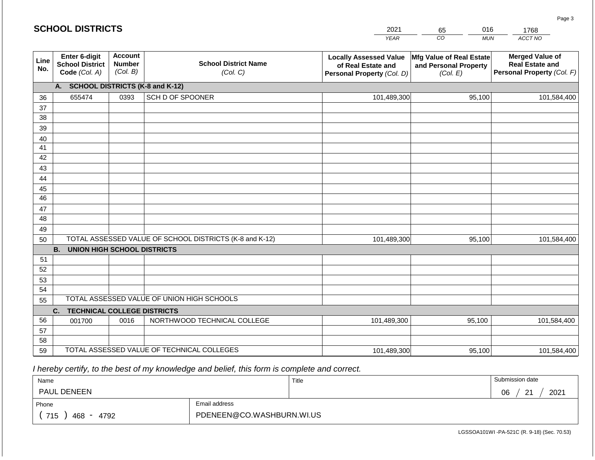#### *YEAR*  2021  $\overline{co}$ 65 *MUN*  016 *ACCT NO*  1768 **SCHOOL DISTRICTS Line No. Enter 6-digit School District Code** *(Col. A)* **Account Number** *(Col. B)* **School District Name** *(Col. C)* **Locally Assessed Value of Real Estate and Personal Property** *(Col. D)* **Mfg Value of Real Estate and Personal Property** *(Col. E)* **Merged Value of Real Estate and Personal Property** *(Col. F)* **A. SCHOOL DISTRICTS (K-8 and K-12)** 36 37 38 39 40 41 42 43 44 45 46 47 48 49 50 TOTAL ASSESSED VALUE OF SCHOOL DISTRICTS (K-8 and K-12) **B. UNION HIGH SCHOOL DISTRICTS** 51 52 53 54 55 **C. TECHNICAL COLLEGE DISTRICTS** 56 57 58 59 TOTAL ASSESSED VALUE OF TECHNICAL COLLEGES TOTAL ASSESSED VALUE OF UNION HIGH SCHOOLS 655474 0393 SCH D OF SPOONER 101,489,300 101,489,300 001700 | 0016 | NORTHWOOD TECHNICAL COLLEGE 101,489,300 95,100 101,584,400 95,100 101,584,400 95,100 101,584,400 101,489,300 95,100 95,100 101,584,400

 *I hereby certify, to the best of my knowledge and belief, this form is complete and correct.*

| Name                   |                           | Title | Submission date                    |
|------------------------|---------------------------|-------|------------------------------------|
| <b>PAUL DENEEN</b>     |                           |       | $\Omega$<br>2021<br>06<br><u>_</u> |
| Email address<br>Phone |                           |       |                                    |
| 715<br>4792<br>468 -   | PDENEEN@CO.WASHBURN.WI.US |       |                                    |

LGSSOA101WI -PA-521C (R. 9-18) (Sec. 70.53)

Page 3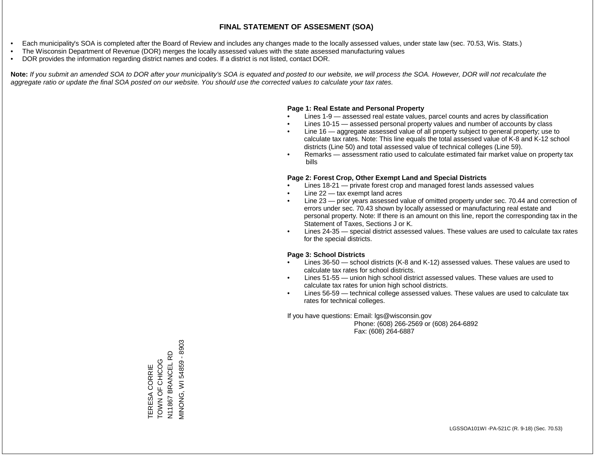- Each municipality's SOA is completed after the Board of Review and includes any changes made to the locally assessed values, under state law (sec. 70.53, Wis. Stats.)
- The Wisconsin Department of Revenue (DOR) merges the locally assessed values with the state assessed manufacturing values
- DOR provides the information regarding district names and codes. If a district is not listed, contact DOR.

Note: If you submit an amended SOA to DOR after your municipality's SOA is equated and posted to our website, we will process the SOA. However, DOR will not recalculate the *aggregate ratio or update the final SOA posted on our website. You should use the corrected values to calculate your tax rates.*

#### **Page 1: Real Estate and Personal Property**

- Lines 1-9 assessed real estate values, parcel counts and acres by classification
- Lines 10-15 assessed personal property values and number of accounts by class
- Line 16 aggregate assessed value of all property subject to general property; use to calculate tax rates. Note: This line equals the total assessed value of K-8 and K-12 school districts (Line 50) and total assessed value of technical colleges (Line 59).
- Remarks assessment ratio used to calculate estimated fair market value on property tax bills

#### **Page 2: Forest Crop, Other Exempt Land and Special Districts**

- Lines 18-21 private forest crop and managed forest lands assessed values
- Line  $22 -$  tax exempt land acres
- Line 23 prior years assessed value of omitted property under sec. 70.44 and correction of errors under sec. 70.43 shown by locally assessed or manufacturing real estate and personal property. Note: If there is an amount on this line, report the corresponding tax in the Statement of Taxes, Sections J or K.
- Lines 24-35 special district assessed values. These values are used to calculate tax rates for the special districts.

#### **Page 3: School Districts**

- Lines 36-50 school districts (K-8 and K-12) assessed values. These values are used to calculate tax rates for school districts.
- Lines 51-55 union high school district assessed values. These values are used to calculate tax rates for union high school districts.
- Lines 56-59 technical college assessed values. These values are used to calculate tax rates for technical colleges.

If you have questions: Email: lgs@wisconsin.gov

 Phone: (608) 266-2569 or (608) 264-6892 Fax: (608) 264-6887

VIINONG, WI 54859 - 8903 MINONG, WI 5459 - 8902 N11867 BRANCEL RD N11867 BRANCEL RD TERESA CORRIE<br>TOWN OF CHICOG **OODHO LO NNOL** TERESA CORRIE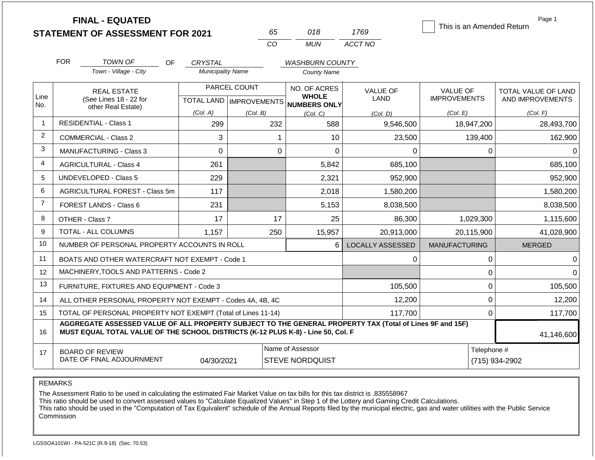|                 | <b>FINAL - EQUATED</b><br><b>STATEMENT OF ASSESSMENT FOR 2021</b>                                                                                                                            |                                            | 65                        | 018                                          | 1769                           | This is an Amended Return              | Page 1                                  |  |
|-----------------|----------------------------------------------------------------------------------------------------------------------------------------------------------------------------------------------|--------------------------------------------|---------------------------|----------------------------------------------|--------------------------------|----------------------------------------|-----------------------------------------|--|
|                 |                                                                                                                                                                                              |                                            | CO                        | <b>MUN</b>                                   | ACCT NO                        |                                        |                                         |  |
|                 | <b>FOR</b>                                                                                                                                                                                   |                                            |                           |                                              |                                |                                        |                                         |  |
|                 | <b>TOWN OF</b><br><b>OF</b><br>Town - Village - City                                                                                                                                         | <b>CRYSTAL</b><br><b>Municipality Name</b> |                           | <b>WASHBURN COUNTY</b><br><b>County Name</b> |                                |                                        |                                         |  |
|                 |                                                                                                                                                                                              |                                            |                           |                                              |                                |                                        |                                         |  |
| Line            | <b>REAL ESTATE</b>                                                                                                                                                                           |                                            | PARCEL COUNT              | NO. OF ACRES<br><b>WHOLE</b>                 | <b>VALUE OF</b><br><b>LAND</b> | <b>VALUE OF</b><br><b>IMPROVEMENTS</b> | TOTAL VALUE OF LAND<br>AND IMPROVEMENTS |  |
| No.             | (See Lines 18 - 22 for<br>other Real Estate)                                                                                                                                                 |                                            | TOTAL LAND   IMPROVEMENTS | <b>NUMBERS ONLY</b>                          |                                |                                        |                                         |  |
|                 |                                                                                                                                                                                              | (Col. A)                                   | (Col. B)                  | (Col. C)                                     | (Col. D)                       | (Col. E)                               | (Col. F)                                |  |
| $\overline{1}$  | <b>RESIDENTIAL - Class 1</b>                                                                                                                                                                 | 299                                        | 232                       | 588                                          | 9,546,500                      | 18,947,200                             | 28,493,700                              |  |
| 2               | <b>COMMERCIAL - Class 2</b>                                                                                                                                                                  | 3                                          |                           | 10                                           | 23,500                         | 139,400                                | 162,900                                 |  |
| 3               | <b>MANUFACTURING - Class 3</b>                                                                                                                                                               | $\mathbf 0$                                | $\mathbf 0$               | $\mathbf 0$                                  | 0                              | 0                                      | $\Omega$                                |  |
| 4               | <b>AGRICULTURAL - Class 4</b>                                                                                                                                                                | 261                                        |                           | 5,842                                        | 685,100                        |                                        | 685,100                                 |  |
| 5               | <b>UNDEVELOPED - Class 5</b>                                                                                                                                                                 | 229                                        |                           | 2,321                                        | 952,900                        |                                        | 952,900                                 |  |
| 6               | AGRICULTURAL FOREST - Class 5m                                                                                                                                                               | 117                                        |                           | 2,018                                        | 1,580,200                      |                                        | 1,580,200                               |  |
| $\overline{7}$  | FOREST LANDS - Class 6                                                                                                                                                                       | 231                                        |                           | 5,153                                        | 8,038,500                      |                                        | 8,038,500                               |  |
| 8               | OTHER - Class 7                                                                                                                                                                              | 17                                         | 17                        | 25                                           | 86,300                         | 1,029,300                              | 1,115,600                               |  |
| 9               | TOTAL - ALL COLUMNS                                                                                                                                                                          | 1,157                                      | 250                       | 15,957                                       | 20,913,000                     | 20,115,900                             | 41,028,900                              |  |
| 10              | NUMBER OF PERSONAL PROPERTY ACCOUNTS IN ROLL                                                                                                                                                 |                                            |                           | 6                                            | <b>LOCALLY ASSESSED</b>        | <b>MANUFACTURING</b>                   | <b>MERGED</b>                           |  |
| 11              | BOATS AND OTHER WATERCRAFT NOT EXEMPT - Code 1                                                                                                                                               |                                            |                           |                                              | 0                              | 0                                      | $\Omega$                                |  |
| 12 <sup>2</sup> | MACHINERY, TOOLS AND PATTERNS - Code 2                                                                                                                                                       |                                            |                           |                                              |                                | 0                                      | $\Omega$                                |  |
| 13              | FURNITURE, FIXTURES AND EQUIPMENT - Code 3                                                                                                                                                   |                                            |                           |                                              | 105,500                        | $\boldsymbol{0}$                       | 105,500                                 |  |
| 14              | ALL OTHER PERSONAL PROPERTY NOT EXEMPT - Codes 4A, 4B, 4C                                                                                                                                    |                                            |                           |                                              | 12,200                         | 0                                      | 12,200                                  |  |
| 15              | TOTAL OF PERSONAL PROPERTY NOT EXEMPT (Total of Lines 11-14)                                                                                                                                 |                                            |                           |                                              | 117,700                        | $\mathbf 0$                            | 117,700                                 |  |
| 16              | AGGREGATE ASSESSED VALUE OF ALL PROPERTY SUBJECT TO THE GENERAL PROPERTY TAX (Total of Lines 9F and 15F)<br>MUST EQUAL TOTAL VALUE OF THE SCHOOL DISTRICTS (K-12 PLUS K-8) - Line 50, Col. F |                                            | 41,146,600                |                                              |                                |                                        |                                         |  |
| 17              | <b>BOARD OF REVIEW</b>                                                                                                                                                                       |                                            |                           | Name of Assessor                             |                                | Telephone #                            |                                         |  |
|                 | DATE OF FINAL ADJOURNMENT                                                                                                                                                                    | 04/30/2021                                 |                           | <b>STEVE NORDQUIST</b>                       |                                | (715) 934-2902                         |                                         |  |

REMARKS

The Assessment Ratio to be used in calculating the estimated Fair Market Value on tax bills for this tax district is .835558967

This ratio should be used to convert assessed values to "Calculate Equalized Values" in Step 1 of the Lottery and Gaming Credit Calculations.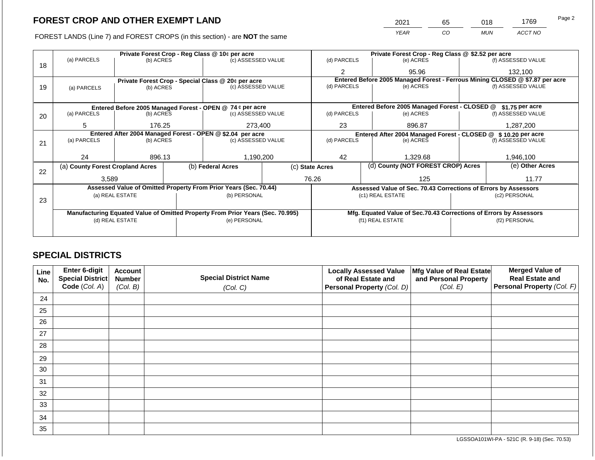FOREST LANDS (Line 7) and FOREST CROPS (in this section) - are NOT the same

| 2021 | 65 | 018        | 1769    | Page 2 |  |
|------|----|------------|---------|--------|--|
| YEAR | CO | <b>MUN</b> | ACCT NO |        |  |

|    |                                  |                 |  | Private Forest Crop - Reg Class @ 10¢ per acre                                 |                    |                                                                              | Private Forest Crop - Reg Class @ \$2.52 per acre             |               |                    |  |  |
|----|----------------------------------|-----------------|--|--------------------------------------------------------------------------------|--------------------|------------------------------------------------------------------------------|---------------------------------------------------------------|---------------|--------------------|--|--|
|    | (a) PARCELS                      | (b) ACRES       |  | (c) ASSESSED VALUE                                                             |                    | (d) PARCELS                                                                  | (e) ACRES                                                     |               | (f) ASSESSED VALUE |  |  |
| 18 |                                  |                 |  |                                                                                |                    | $\overline{2}$                                                               | 95.96                                                         |               | 132,100            |  |  |
|    |                                  |                 |  | Private Forest Crop - Special Class @ 20¢ per acre                             |                    | Entered Before 2005 Managed Forest - Ferrous Mining CLOSED @ \$7.87 per acre |                                                               |               |                    |  |  |
| 19 | (a) PARCELS                      | (b) ACRES       |  | (c) ASSESSED VALUE                                                             |                    | (d) PARCELS                                                                  | (e) ACRES                                                     |               | (f) ASSESSED VALUE |  |  |
|    |                                  |                 |  |                                                                                |                    |                                                                              |                                                               |               |                    |  |  |
|    |                                  |                 |  | Entered Before 2005 Managed Forest - OPEN @ 74 ¢ per acre                      |                    | Entered Before 2005 Managed Forest - CLOSED @<br>\$1.75 per acre             |                                                               |               |                    |  |  |
| 20 | (a) PARCELS                      | (b) ACRES       |  | (c) ASSESSED VALUE                                                             |                    | (d) PARCELS                                                                  | (e) ACRES                                                     |               | (f) ASSESSED VALUE |  |  |
|    |                                  |                 |  |                                                                                |                    |                                                                              |                                                               |               |                    |  |  |
|    | 5                                | 176.25          |  | 273,400                                                                        |                    | 23                                                                           | 896.87                                                        |               | 1,287,200          |  |  |
|    |                                  |                 |  | Entered After 2004 Managed Forest - OPEN @ \$2.04 per acre                     |                    | (d) PARCELS                                                                  | Entered After 2004 Managed Forest - CLOSED @ \$10.20 per acre |               |                    |  |  |
| 21 | (a) PARCELS                      | (b) ACRES       |  |                                                                                | (c) ASSESSED VALUE |                                                                              | (e) ACRES                                                     |               | (f) ASSESSED VALUE |  |  |
|    |                                  |                 |  |                                                                                |                    |                                                                              |                                                               |               |                    |  |  |
|    | 24                               | 896.13          |  |                                                                                | 1,190,200          |                                                                              | 42<br>1,329.68                                                |               | 1,946,100          |  |  |
|    | (a) County Forest Cropland Acres |                 |  | (b) Federal Acres                                                              |                    | (d) County (NOT FOREST CROP) Acres<br>(c) State Acres                        |                                                               |               | (e) Other Acres    |  |  |
| 22 |                                  |                 |  |                                                                                |                    |                                                                              |                                                               |               |                    |  |  |
|    | 3,589                            |                 |  |                                                                                |                    | 76.26                                                                        | 125                                                           |               | 11.77              |  |  |
|    |                                  |                 |  | Assessed Value of Omitted Property From Prior Years (Sec. 70.44)               |                    | Assessed Value of Sec. 70.43 Corrections of Errors by Assessors              |                                                               |               |                    |  |  |
|    |                                  | (a) REAL ESTATE |  | (b) PERSONAL                                                                   |                    |                                                                              | (c1) REAL ESTATE                                              |               | (c2) PERSONAL      |  |  |
| 23 |                                  |                 |  |                                                                                |                    |                                                                              |                                                               |               |                    |  |  |
|    |                                  |                 |  | Manufacturing Equated Value of Omitted Property From Prior Years (Sec. 70.995) |                    |                                                                              |                                                               |               |                    |  |  |
|    |                                  |                 |  |                                                                                |                    | Mfg. Equated Value of Sec.70.43 Corrections of Errors by Assessors           |                                                               |               |                    |  |  |
|    |                                  | (d) REAL ESTATE |  | (e) PERSONAL                                                                   |                    |                                                                              | (f1) REAL ESTATE                                              | (f2) PERSONAL |                    |  |  |
|    |                                  |                 |  |                                                                                |                    |                                                                              |                                                               |               |                    |  |  |
|    |                                  |                 |  |                                                                                |                    |                                                                              |                                                               |               |                    |  |  |

## **SPECIAL DISTRICTS**

| Line<br>No. | <b>Enter 6-digit</b><br>Special District<br>Code (Col. A) | <b>Account</b><br><b>Number</b><br>(Col. B) | <b>Special District Name</b><br>(Col. C) | <b>Locally Assessed Value</b><br>of Real Estate and<br>Personal Property (Col. D) | Mfg Value of Real Estate<br>and Personal Property<br>(Col. E) | <b>Merged Value of</b><br><b>Real Estate and</b><br>Personal Property (Col. F) |
|-------------|-----------------------------------------------------------|---------------------------------------------|------------------------------------------|-----------------------------------------------------------------------------------|---------------------------------------------------------------|--------------------------------------------------------------------------------|
|             |                                                           |                                             |                                          |                                                                                   |                                                               |                                                                                |
| 24          |                                                           |                                             |                                          |                                                                                   |                                                               |                                                                                |
| 25          |                                                           |                                             |                                          |                                                                                   |                                                               |                                                                                |
| 26          |                                                           |                                             |                                          |                                                                                   |                                                               |                                                                                |
| 27          |                                                           |                                             |                                          |                                                                                   |                                                               |                                                                                |
| 28          |                                                           |                                             |                                          |                                                                                   |                                                               |                                                                                |
| 29          |                                                           |                                             |                                          |                                                                                   |                                                               |                                                                                |
| 30          |                                                           |                                             |                                          |                                                                                   |                                                               |                                                                                |
| 31          |                                                           |                                             |                                          |                                                                                   |                                                               |                                                                                |
| 32          |                                                           |                                             |                                          |                                                                                   |                                                               |                                                                                |
| 33          |                                                           |                                             |                                          |                                                                                   |                                                               |                                                                                |
| 34          |                                                           |                                             |                                          |                                                                                   |                                                               |                                                                                |
| 35          |                                                           |                                             |                                          |                                                                                   |                                                               |                                                                                |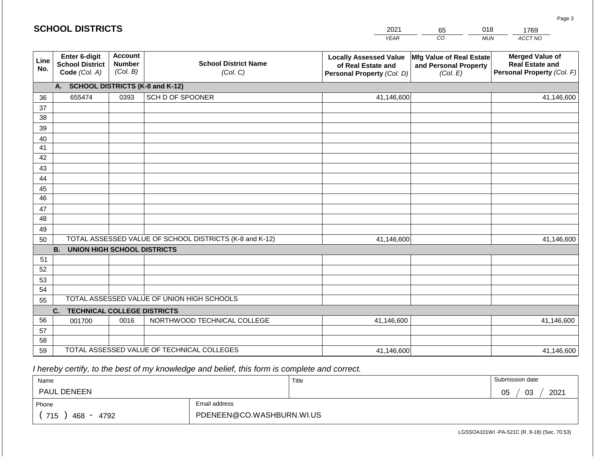|             | <b>SCHOOL DISTRICTS</b>                                  |                                             |                                            | 2021                                                                              | 65                                                            | 018<br>1769                                                                    |  |  |
|-------------|----------------------------------------------------------|---------------------------------------------|--------------------------------------------|-----------------------------------------------------------------------------------|---------------------------------------------------------------|--------------------------------------------------------------------------------|--|--|
|             |                                                          |                                             |                                            | <b>YEAR</b>                                                                       | CO                                                            | ACCT NO<br><b>MUN</b>                                                          |  |  |
| Line<br>No. | Enter 6-digit<br><b>School District</b><br>Code (Col. A) | <b>Account</b><br><b>Number</b><br>(Col. B) | <b>School District Name</b><br>(Col. C)    | <b>Locally Assessed Value</b><br>of Real Estate and<br>Personal Property (Col. D) | Mfg Value of Real Estate<br>and Personal Property<br>(Col. E) | <b>Merged Value of</b><br><b>Real Estate and</b><br>Personal Property (Col. F) |  |  |
|             | A. SCHOOL DISTRICTS (K-8 and K-12)                       |                                             |                                            |                                                                                   |                                                               |                                                                                |  |  |
| 36          | 655474                                                   | 0393                                        | SCH D OF SPOONER                           | 41,146,600                                                                        |                                                               | 41,146,600                                                                     |  |  |
| 37          |                                                          |                                             |                                            |                                                                                   |                                                               |                                                                                |  |  |
| 38          |                                                          |                                             |                                            |                                                                                   |                                                               |                                                                                |  |  |
| 39          |                                                          |                                             |                                            |                                                                                   |                                                               |                                                                                |  |  |
| 40          |                                                          |                                             |                                            |                                                                                   |                                                               |                                                                                |  |  |
| 41          |                                                          |                                             |                                            |                                                                                   |                                                               |                                                                                |  |  |
| 42<br>43    |                                                          |                                             |                                            |                                                                                   |                                                               |                                                                                |  |  |
| 44          |                                                          |                                             |                                            |                                                                                   |                                                               |                                                                                |  |  |
| 45          |                                                          |                                             |                                            |                                                                                   |                                                               |                                                                                |  |  |
| 46          |                                                          |                                             |                                            |                                                                                   |                                                               |                                                                                |  |  |
| 47          |                                                          |                                             |                                            |                                                                                   |                                                               |                                                                                |  |  |
| 48          |                                                          |                                             |                                            |                                                                                   |                                                               |                                                                                |  |  |
| 49          |                                                          |                                             |                                            |                                                                                   |                                                               |                                                                                |  |  |
| 50          | TOTAL ASSESSED VALUE OF SCHOOL DISTRICTS (K-8 and K-12)  |                                             | 41,146,600                                 |                                                                                   | 41,146,600                                                    |                                                                                |  |  |
|             | <b>B.</b><br><b>UNION HIGH SCHOOL DISTRICTS</b>          |                                             |                                            |                                                                                   |                                                               |                                                                                |  |  |
| 51          |                                                          |                                             |                                            |                                                                                   |                                                               |                                                                                |  |  |
| 52          |                                                          |                                             |                                            |                                                                                   |                                                               |                                                                                |  |  |
| 53          |                                                          |                                             |                                            |                                                                                   |                                                               |                                                                                |  |  |
| 54          |                                                          |                                             |                                            |                                                                                   |                                                               |                                                                                |  |  |
| 55          | TOTAL ASSESSED VALUE OF UNION HIGH SCHOOLS               |                                             |                                            |                                                                                   |                                                               |                                                                                |  |  |
|             | <b>TECHNICAL COLLEGE DISTRICTS</b><br>C.                 |                                             |                                            |                                                                                   |                                                               |                                                                                |  |  |
| 56          | 001700                                                   | 0016                                        | NORTHWOOD TECHNICAL COLLEGE                | 41,146,600                                                                        |                                                               | 41,146,600                                                                     |  |  |
| 57<br>58    |                                                          |                                             |                                            |                                                                                   |                                                               |                                                                                |  |  |
| 59          |                                                          |                                             | TOTAL ASSESSED VALUE OF TECHNICAL COLLEGES | 41,146,600                                                                        |                                                               | 41,146,600                                                                     |  |  |
|             |                                                          |                                             |                                            |                                                                                   |                                                               |                                                                                |  |  |

 *I hereby certify, to the best of my knowledge and belief, this form is complete and correct.*

| Name                   |                           | Title | Submission date       |
|------------------------|---------------------------|-------|-----------------------|
| <b>PAUL DENEEN</b>     |                           |       | 2021<br>03<br>∩ҕ<br>◡ |
| Email address<br>Phone |                           |       |                       |
| 715<br>4792<br>468     | PDENEEN@CO.WASHBURN.WI.US |       |                       |

Page 3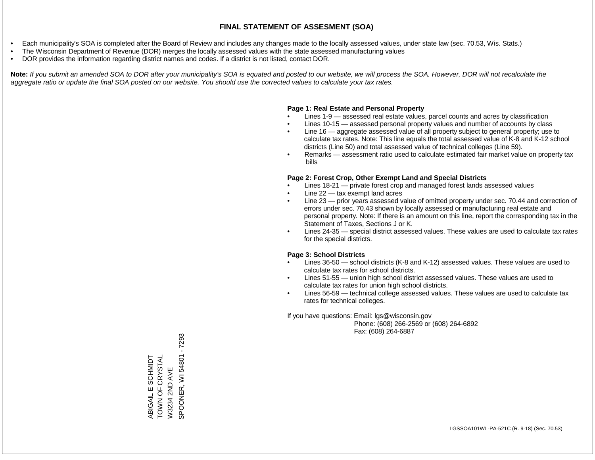- Each municipality's SOA is completed after the Board of Review and includes any changes made to the locally assessed values, under state law (sec. 70.53, Wis. Stats.)
- The Wisconsin Department of Revenue (DOR) merges the locally assessed values with the state assessed manufacturing values
- DOR provides the information regarding district names and codes. If a district is not listed, contact DOR.

Note: If you submit an amended SOA to DOR after your municipality's SOA is equated and posted to our website, we will process the SOA. However, DOR will not recalculate the *aggregate ratio or update the final SOA posted on our website. You should use the corrected values to calculate your tax rates.*

#### **Page 1: Real Estate and Personal Property**

- Lines 1-9 assessed real estate values, parcel counts and acres by classification
- Lines 10-15 assessed personal property values and number of accounts by class
- Line 16 aggregate assessed value of all property subject to general property; use to calculate tax rates. Note: This line equals the total assessed value of K-8 and K-12 school districts (Line 50) and total assessed value of technical colleges (Line 59).
- Remarks assessment ratio used to calculate estimated fair market value on property tax bills

#### **Page 2: Forest Crop, Other Exempt Land and Special Districts**

- Lines 18-21 private forest crop and managed forest lands assessed values
- Line  $22 -$  tax exempt land acres
- Line 23 prior years assessed value of omitted property under sec. 70.44 and correction of errors under sec. 70.43 shown by locally assessed or manufacturing real estate and personal property. Note: If there is an amount on this line, report the corresponding tax in the Statement of Taxes, Sections J or K.
- Lines 24-35 special district assessed values. These values are used to calculate tax rates for the special districts.

#### **Page 3: School Districts**

- Lines 36-50 school districts (K-8 and K-12) assessed values. These values are used to calculate tax rates for school districts.
- Lines 51-55 union high school district assessed values. These values are used to calculate tax rates for union high school districts.
- Lines 56-59 technical college assessed values. These values are used to calculate tax rates for technical colleges.

If you have questions: Email: lgs@wisconsin.gov

 Phone: (608) 266-2569 or (608) 264-6892 Fax: (608) 264-6887

SPOONER, WI 54801 - 7293 SPOONER, WI 54801 - 7293TOWN OF CRYSTAL ABIGAIL E SCHMIDT<br>TOWN OF CRYSTAL ABIGAIL E SCHMIDT W3234 2ND AVE W3234 2ND AVE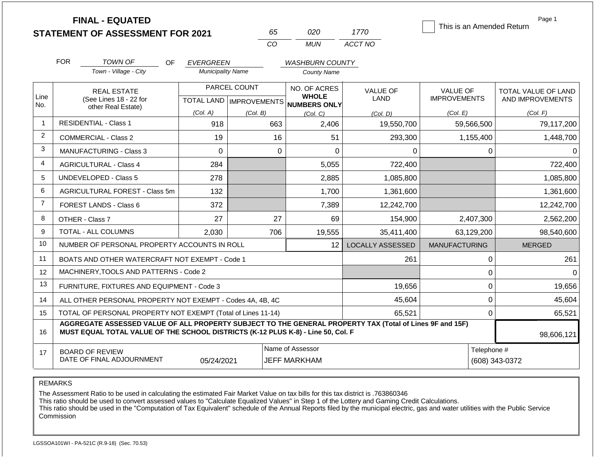**FINAL - EQUATED**

*TOWN OF* 

FOR **TOWN OF OF EVERGREEN** 

OF

| 65.         | 020 | 1770    |
|-------------|-----|---------|
| $($ . $($ ) | MUN | ACCT NO |

*WASHBURN COUNTY*

 $T<sub>bin</sub>$  is an Amended Return

Page 1

|             | This is an Amended Return              |                                         |
|-------------|----------------------------------------|-----------------------------------------|
| JE OF<br>۸D | <b>VALUE OF</b><br><b>IMPROVEMENTS</b> | TOTAL VALUE OF LAND<br>AND IMPROVEMENTS |
| ו. D)       | (Col. E)                               | (Col. F)                                |

|                | <b>REAL ESTATE</b>                                                                                                                                                                                         |            | PARCEL COUNT | NO. OF ACRES                                         | <b>VALUE OF</b>         | <b>VALUE OF</b>      | TOTAL VALUE OF LAND |  |  |
|----------------|------------------------------------------------------------------------------------------------------------------------------------------------------------------------------------------------------------|------------|--------------|------------------------------------------------------|-------------------------|----------------------|---------------------|--|--|
| Line<br>No.    | (See Lines 18 - 22 for<br>other Real Estate)                                                                                                                                                               |            |              | <b>WHOLE</b><br>TOTAL LAND IMPROVEMENTS NUMBERS ONLY | <b>LAND</b>             | <b>IMPROVEMENTS</b>  | AND IMPROVEMENTS    |  |  |
|                |                                                                                                                                                                                                            | (Col. A)   | (Col. B)     | (Col, C)                                             | (Col, D)                | (Col. E)             | (Col. F)            |  |  |
| -1             | <b>RESIDENTIAL - Class 1</b>                                                                                                                                                                               | 918        | 663          | 2,406                                                | 19,550,700              | 59,566,500           | 79,117,200          |  |  |
| 2              | <b>COMMERCIAL - Class 2</b>                                                                                                                                                                                | 19         | 16           | 51                                                   | 293,300                 | 1,155,400            | 1,448,700           |  |  |
| 3              | MANUFACTURING - Class 3                                                                                                                                                                                    | 0          | 0            | $\Omega$                                             | $\Omega$                | 0                    | 0                   |  |  |
| $\overline{4}$ | <b>AGRICULTURAL - Class 4</b>                                                                                                                                                                              | 284        |              | 5,055                                                | 722,400                 |                      | 722,400             |  |  |
| 5              | <b>UNDEVELOPED - Class 5</b>                                                                                                                                                                               | 278        |              | 2,885                                                | 1,085,800               |                      | 1,085,800           |  |  |
| 6              | AGRICULTURAL FOREST - Class 5m                                                                                                                                                                             | 132        |              | 1,700                                                | 1,361,600               |                      | 1,361,600           |  |  |
| $\overline{7}$ | FOREST LANDS - Class 6                                                                                                                                                                                     | 372        |              | 7,389                                                | 12,242,700              |                      | 12,242,700          |  |  |
| 8              | OTHER - Class 7                                                                                                                                                                                            | 27         | 27           | 69                                                   | 154,900                 | 2,407,300            | 2,562,200           |  |  |
| 9              | TOTAL - ALL COLUMNS                                                                                                                                                                                        | 2,030      | 706          | 19,555                                               | 35,411,400              | 63,129,200           | 98,540,600          |  |  |
| 10             | NUMBER OF PERSONAL PROPERTY ACCOUNTS IN ROLL                                                                                                                                                               |            |              | 12 <sup>2</sup>                                      | <b>LOCALLY ASSESSED</b> | <b>MANUFACTURING</b> | <b>MERGED</b>       |  |  |
| 11             | BOATS AND OTHER WATERCRAFT NOT EXEMPT - Code 1                                                                                                                                                             |            |              |                                                      | 261                     | 0                    | 261                 |  |  |
| 12             | MACHINERY, TOOLS AND PATTERNS - Code 2                                                                                                                                                                     |            |              |                                                      |                         | 0                    | 0                   |  |  |
| 13             | FURNITURE, FIXTURES AND EQUIPMENT - Code 3                                                                                                                                                                 |            |              |                                                      | 19,656                  | 0                    | 19,656              |  |  |
| 14             | ALL OTHER PERSONAL PROPERTY NOT EXEMPT - Codes 4A, 4B, 4C                                                                                                                                                  |            |              |                                                      | 45,604                  | 0                    | 45,604              |  |  |
| 15             | TOTAL OF PERSONAL PROPERTY NOT EXEMPT (Total of Lines 11-14)                                                                                                                                               |            |              |                                                      | 65,521                  | 0                    | 65,521              |  |  |
| 16             | AGGREGATE ASSESSED VALUE OF ALL PROPERTY SUBJECT TO THE GENERAL PROPERTY TAX (Total of Lines 9F and 15F)<br>MUST EQUAL TOTAL VALUE OF THE SCHOOL DISTRICTS (K-12 PLUS K-8) - Line 50, Col. F<br>98,606,121 |            |              |                                                      |                         |                      |                     |  |  |
| 17             | <b>BOARD OF REVIEW</b>                                                                                                                                                                                     |            |              | Name of Assessor                                     |                         | Telephone #          |                     |  |  |
|                | DATE OF FINAL ADJOURNMENT                                                                                                                                                                                  | 05/24/2021 |              | JEFF MARKHAM                                         |                         |                      | (608) 343-0372      |  |  |

REMARKS

The Assessment Ratio to be used in calculating the estimated Fair Market Value on tax bills for this tax district is .763860346

*Town - Village - City Municipality Name County Name*

This ratio should be used to convert assessed values to "Calculate Equalized Values" in Step 1 of the Lottery and Gaming Credit Calculations.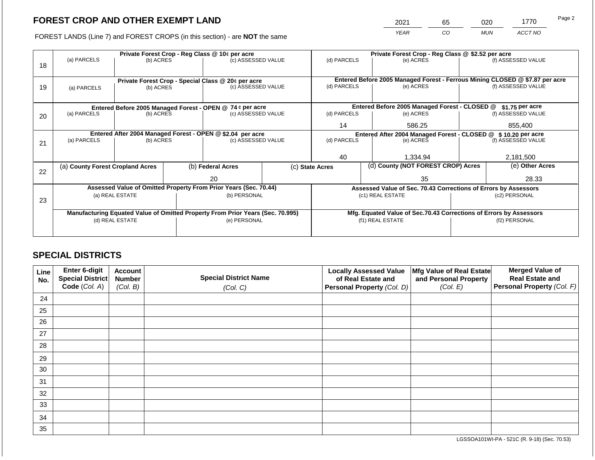2021 65 020 1770

FOREST LANDS (Line 7) and FOREST CROPS (in this section) - are **NOT** the same *YEAR CO MUN ACCT NO*

|    | Private Forest Crop - Reg Class @ 10¢ per acre |                 |  |                                                                                |  |                                                                 | Private Forest Crop - Reg Class @ \$2.52 per acre |                                                                    |               |                                                                              |
|----|------------------------------------------------|-----------------|--|--------------------------------------------------------------------------------|--|-----------------------------------------------------------------|---------------------------------------------------|--------------------------------------------------------------------|---------------|------------------------------------------------------------------------------|
|    | (a) PARCELS                                    | (b) ACRES       |  | (c) ASSESSED VALUE                                                             |  | (d) PARCELS                                                     |                                                   | (e) ACRES                                                          |               | (f) ASSESSED VALUE                                                           |
| 18 |                                                |                 |  |                                                                                |  |                                                                 |                                                   |                                                                    |               |                                                                              |
|    |                                                |                 |  |                                                                                |  |                                                                 |                                                   |                                                                    |               |                                                                              |
|    |                                                |                 |  | Private Forest Crop - Special Class @ 20¢ per acre                             |  |                                                                 |                                                   |                                                                    |               | Entered Before 2005 Managed Forest - Ferrous Mining CLOSED @ \$7.87 per acre |
| 19 | (a) PARCELS                                    | (b) ACRES       |  | (c) ASSESSED VALUE                                                             |  | (d) PARCELS                                                     |                                                   | (e) ACRES                                                          |               | (f) ASSESSED VALUE                                                           |
|    |                                                |                 |  |                                                                                |  |                                                                 |                                                   |                                                                    |               |                                                                              |
|    |                                                |                 |  | Entered Before 2005 Managed Forest - OPEN @ 74 ¢ per acre                      |  |                                                                 |                                                   | Entered Before 2005 Managed Forest - CLOSED @                      |               | \$1.75 per acre                                                              |
| 20 | (a) PARCELS                                    | (b) ACRES       |  | (c) ASSESSED VALUE                                                             |  | (d) PARCELS                                                     |                                                   | (e) ACRES                                                          |               | (f) ASSESSED VALUE                                                           |
|    |                                                |                 |  |                                                                                |  |                                                                 |                                                   |                                                                    |               |                                                                              |
|    |                                                |                 |  |                                                                                |  | 14                                                              |                                                   | 586.25                                                             |               | 855,400                                                                      |
|    |                                                |                 |  | Entered After 2004 Managed Forest - OPEN @ \$2.04 per acre                     |  | Entered After 2004 Managed Forest - CLOSED @ \$10.20 per acre   |                                                   |                                                                    |               |                                                                              |
| 21 | (a) PARCELS                                    | (b) ACRES       |  | (c) ASSESSED VALUE                                                             |  | (d) PARCELS                                                     |                                                   | (e) ACRES                                                          |               | (f) ASSESSED VALUE                                                           |
|    |                                                |                 |  |                                                                                |  |                                                                 |                                                   |                                                                    |               |                                                                              |
|    |                                                |                 |  |                                                                                |  | 40                                                              |                                                   | 1,334.94                                                           |               | 2,181,500                                                                    |
|    | (a) County Forest Cropland Acres               |                 |  | (b) Federal Acres                                                              |  | (c) State Acres                                                 |                                                   | (d) County (NOT FOREST CROP) Acres                                 |               | (e) Other Acres                                                              |
| 22 |                                                |                 |  |                                                                                |  |                                                                 |                                                   |                                                                    |               |                                                                              |
|    |                                                |                 |  | 20                                                                             |  |                                                                 | 35                                                |                                                                    | 28.33         |                                                                              |
|    |                                                |                 |  | Assessed Value of Omitted Property From Prior Years (Sec. 70.44)               |  | Assessed Value of Sec. 70.43 Corrections of Errors by Assessors |                                                   |                                                                    |               |                                                                              |
|    |                                                | (a) REAL ESTATE |  | (b) PERSONAL                                                                   |  |                                                                 |                                                   | (c1) REAL ESTATE                                                   | (c2) PERSONAL |                                                                              |
| 23 |                                                |                 |  |                                                                                |  |                                                                 |                                                   |                                                                    |               |                                                                              |
|    |                                                |                 |  | Manufacturing Equated Value of Omitted Property From Prior Years (Sec. 70.995) |  |                                                                 |                                                   | Mfg. Equated Value of Sec.70.43 Corrections of Errors by Assessors |               |                                                                              |
|    | (d) REAL ESTATE                                |                 |  | (e) PERSONAL                                                                   |  |                                                                 |                                                   | (f1) REAL ESTATE                                                   | (f2) PERSONAL |                                                                              |
|    |                                                |                 |  |                                                                                |  |                                                                 |                                                   |                                                                    |               |                                                                              |
|    |                                                |                 |  |                                                                                |  |                                                                 |                                                   |                                                                    |               |                                                                              |

## **SPECIAL DISTRICTS**

| Line<br>No. | Enter 6-digit<br>Special District<br>Code (Col. A) | <b>Account</b><br><b>Number</b><br>(Col. B) | <b>Special District Name</b><br>(Col. C) | <b>Locally Assessed Value</b><br>of Real Estate and<br><b>Personal Property (Col. D)</b> | Mfg Value of Real Estate<br>and Personal Property<br>(Col. E) | <b>Merged Value of</b><br><b>Real Estate and</b><br>Personal Property (Col. F) |
|-------------|----------------------------------------------------|---------------------------------------------|------------------------------------------|------------------------------------------------------------------------------------------|---------------------------------------------------------------|--------------------------------------------------------------------------------|
| 24          |                                                    |                                             |                                          |                                                                                          |                                                               |                                                                                |
| 25          |                                                    |                                             |                                          |                                                                                          |                                                               |                                                                                |
| 26          |                                                    |                                             |                                          |                                                                                          |                                                               |                                                                                |
| 27          |                                                    |                                             |                                          |                                                                                          |                                                               |                                                                                |
| 28          |                                                    |                                             |                                          |                                                                                          |                                                               |                                                                                |
| 29          |                                                    |                                             |                                          |                                                                                          |                                                               |                                                                                |
| 30          |                                                    |                                             |                                          |                                                                                          |                                                               |                                                                                |
| 31          |                                                    |                                             |                                          |                                                                                          |                                                               |                                                                                |
| 32          |                                                    |                                             |                                          |                                                                                          |                                                               |                                                                                |
| 33          |                                                    |                                             |                                          |                                                                                          |                                                               |                                                                                |
| 34          |                                                    |                                             |                                          |                                                                                          |                                                               |                                                                                |
| 35          |                                                    |                                             |                                          |                                                                                          |                                                               |                                                                                |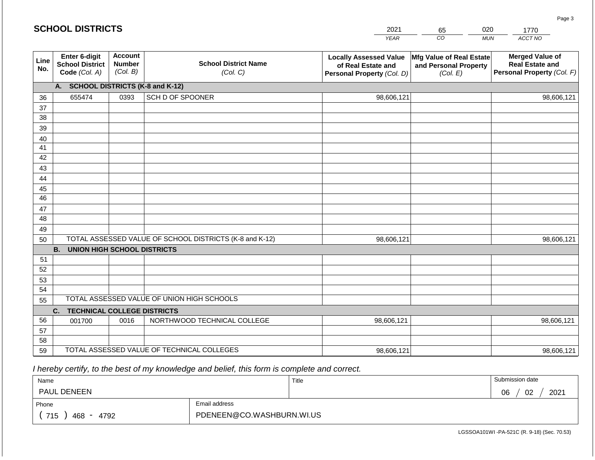|             | <b>SCHOOL DISTRICTS</b>                                  |                                             |                                                         | 2021                                                                              | 65                                                            | 020        | 1770                                                                           |
|-------------|----------------------------------------------------------|---------------------------------------------|---------------------------------------------------------|-----------------------------------------------------------------------------------|---------------------------------------------------------------|------------|--------------------------------------------------------------------------------|
|             |                                                          |                                             |                                                         | <b>YEAR</b>                                                                       | CO                                                            | <b>MUN</b> | ACCT NO                                                                        |
| Line<br>No. | Enter 6-digit<br><b>School District</b><br>Code (Col. A) | <b>Account</b><br><b>Number</b><br>(Col. B) | <b>School District Name</b><br>(Col. C)                 | <b>Locally Assessed Value</b><br>of Real Estate and<br>Personal Property (Col. D) | Mfg Value of Real Estate<br>and Personal Property<br>(Col. E) |            | <b>Merged Value of</b><br><b>Real Estate and</b><br>Personal Property (Col. F) |
|             | A. SCHOOL DISTRICTS (K-8 and K-12)                       |                                             |                                                         |                                                                                   |                                                               |            |                                                                                |
| 36          | 655474                                                   | 0393                                        | SCH D OF SPOONER                                        | 98,606,121                                                                        |                                                               |            | 98,606,121                                                                     |
| 37          |                                                          |                                             |                                                         |                                                                                   |                                                               |            |                                                                                |
| 38          |                                                          |                                             |                                                         |                                                                                   |                                                               |            |                                                                                |
| 39          |                                                          |                                             |                                                         |                                                                                   |                                                               |            |                                                                                |
| 40          |                                                          |                                             |                                                         |                                                                                   |                                                               |            |                                                                                |
| 41          |                                                          |                                             |                                                         |                                                                                   |                                                               |            |                                                                                |
| 42<br>43    |                                                          |                                             |                                                         |                                                                                   |                                                               |            |                                                                                |
| 44          |                                                          |                                             |                                                         |                                                                                   |                                                               |            |                                                                                |
| 45          |                                                          |                                             |                                                         |                                                                                   |                                                               |            |                                                                                |
| 46          |                                                          |                                             |                                                         |                                                                                   |                                                               |            |                                                                                |
| 47          |                                                          |                                             |                                                         |                                                                                   |                                                               |            |                                                                                |
| 48          |                                                          |                                             |                                                         |                                                                                   |                                                               |            |                                                                                |
| 49          |                                                          |                                             |                                                         |                                                                                   |                                                               |            |                                                                                |
| 50          |                                                          |                                             | TOTAL ASSESSED VALUE OF SCHOOL DISTRICTS (K-8 and K-12) | 98,606,121                                                                        |                                                               |            | 98,606,121                                                                     |
|             | <b>B. UNION HIGH SCHOOL DISTRICTS</b>                    |                                             |                                                         |                                                                                   |                                                               |            |                                                                                |
| 51          |                                                          |                                             |                                                         |                                                                                   |                                                               |            |                                                                                |
| 52          |                                                          |                                             |                                                         |                                                                                   |                                                               |            |                                                                                |
| 53          |                                                          |                                             |                                                         |                                                                                   |                                                               |            |                                                                                |
| 54          |                                                          |                                             | TOTAL ASSESSED VALUE OF UNION HIGH SCHOOLS              |                                                                                   |                                                               |            |                                                                                |
| 55          |                                                          |                                             |                                                         |                                                                                   |                                                               |            |                                                                                |
|             | <b>TECHNICAL COLLEGE DISTRICTS</b><br>C.                 |                                             |                                                         |                                                                                   |                                                               |            |                                                                                |
| 56          | 001700                                                   | 0016                                        | NORTHWOOD TECHNICAL COLLEGE                             | 98,606,121                                                                        |                                                               |            | 98,606,121                                                                     |
| 57<br>58    |                                                          |                                             |                                                         |                                                                                   |                                                               |            |                                                                                |
| 59          |                                                          |                                             | TOTAL ASSESSED VALUE OF TECHNICAL COLLEGES              | 98,606,121                                                                        |                                                               |            | 98,606,121                                                                     |

| Name               |                           | Title | Submission date  |  |  |
|--------------------|---------------------------|-------|------------------|--|--|
| <b>PAUL DENEEN</b> |                           |       | 2021<br>02<br>06 |  |  |
| Phone              | Email address             |       |                  |  |  |
| 715<br>468<br>4792 | PDENEEN@CO.WASHBURN.WI.US |       |                  |  |  |

Page 3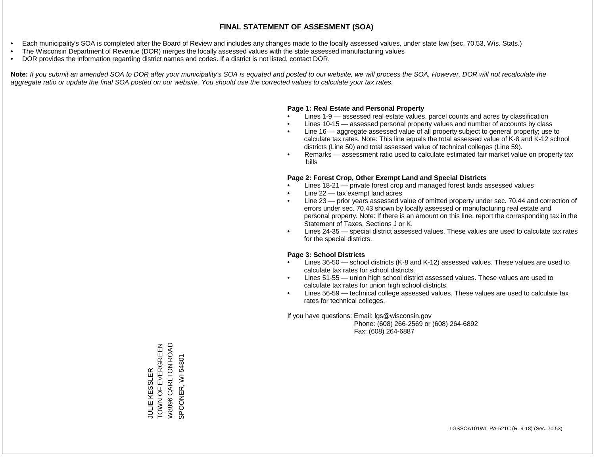- Each municipality's SOA is completed after the Board of Review and includes any changes made to the locally assessed values, under state law (sec. 70.53, Wis. Stats.)
- The Wisconsin Department of Revenue (DOR) merges the locally assessed values with the state assessed manufacturing values
- DOR provides the information regarding district names and codes. If a district is not listed, contact DOR.

Note: If you submit an amended SOA to DOR after your municipality's SOA is equated and posted to our website, we will process the SOA. However, DOR will not recalculate the *aggregate ratio or update the final SOA posted on our website. You should use the corrected values to calculate your tax rates.*

## **Page 1: Real Estate and Personal Property**

- Lines 1-9 assessed real estate values, parcel counts and acres by classification
- Lines 10-15 assessed personal property values and number of accounts by class
- Line 16 aggregate assessed value of all property subject to general property; use to calculate tax rates. Note: This line equals the total assessed value of K-8 and K-12 school districts (Line 50) and total assessed value of technical colleges (Line 59).
- Remarks assessment ratio used to calculate estimated fair market value on property tax bills

## **Page 2: Forest Crop, Other Exempt Land and Special Districts**

- Lines 18-21 private forest crop and managed forest lands assessed values
- Line  $22 -$  tax exempt land acres
- Line 23 prior years assessed value of omitted property under sec. 70.44 and correction of errors under sec. 70.43 shown by locally assessed or manufacturing real estate and personal property. Note: If there is an amount on this line, report the corresponding tax in the Statement of Taxes, Sections J or K.
- Lines 24-35 special district assessed values. These values are used to calculate tax rates for the special districts.

## **Page 3: School Districts**

- Lines 36-50 school districts (K-8 and K-12) assessed values. These values are used to calculate tax rates for school districts.
- Lines 51-55 union high school district assessed values. These values are used to calculate tax rates for union high school districts.
- Lines 56-59 technical college assessed values. These values are used to calculate tax rates for technical colleges.

If you have questions: Email: lgs@wisconsin.gov

 Phone: (608) 266-2569 or (608) 264-6892 Fax: (608) 264-6887

JULIE KESSLER<br>TOWN OF EVERGREEN<br>W8896 CARLTON ROAD TOWN OF EVERGREEN W8896 CARLTON ROAD 54801 SPOONER, WI 54801JULIE KESSLER SPOONER, WI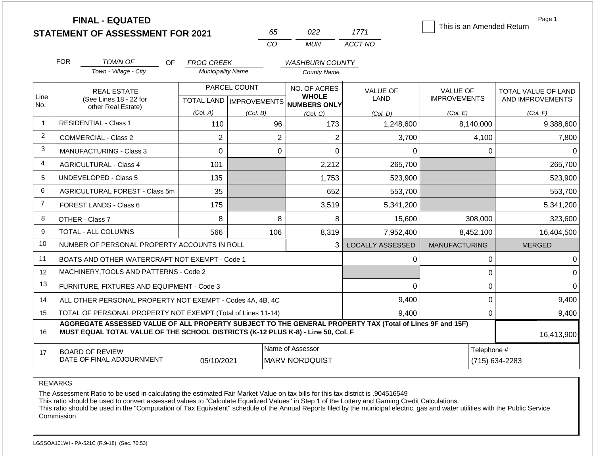**FINAL - EQUATED**

| n.       | 122   | 1771    |
|----------|-------|---------|
| $\cdots$ | MI IN | ACCT NO |

This is an Amended Return

Page 1

|                | <b>FOR</b>                                                                                                                                                                                                 | <b>TOWN OF</b><br><b>OF</b>                                  | <b>FROG CREEK</b>        |                                              | <b>WASHBURN COUNTY</b>                    |                         |                                        |                                         |  |
|----------------|------------------------------------------------------------------------------------------------------------------------------------------------------------------------------------------------------------|--------------------------------------------------------------|--------------------------|----------------------------------------------|-------------------------------------------|-------------------------|----------------------------------------|-----------------------------------------|--|
|                |                                                                                                                                                                                                            | Town - Village - City                                        | <b>Municipality Name</b> |                                              | <b>County Name</b>                        |                         |                                        |                                         |  |
| Line           |                                                                                                                                                                                                            | <b>REAL ESTATE</b><br>(See Lines 18 - 22 for                 |                          | PARCEL COUNT                                 | NO. OF ACRES<br><b>WHOLE</b>              | <b>VALUE OF</b><br>LAND | <b>VALUE OF</b><br><b>IMPROVEMENTS</b> | TOTAL VALUE OF LAND<br>AND IMPROVEMENTS |  |
| No.            |                                                                                                                                                                                                            | other Real Estate)                                           | (Col. A)                 | <b>TOTAL LAND   IMPROVEMENTS</b><br>(Col. B) | <b>NUMBERS ONLY</b><br>(Col, C)           | (Col, D)                | (Col. E)                               | (Col. F)                                |  |
|                |                                                                                                                                                                                                            | <b>RESIDENTIAL - Class 1</b>                                 | 110                      | 96                                           | 173                                       | 1,248,600               | 8,140,000                              | 9,388,600                               |  |
| $\overline{2}$ |                                                                                                                                                                                                            | <b>COMMERCIAL - Class 2</b>                                  | $\overline{2}$           | $\overline{2}$                               | $\overline{2}$                            | 3,700                   | 4,100                                  | 7,800                                   |  |
| 3              |                                                                                                                                                                                                            | <b>MANUFACTURING - Class 3</b>                               | 0                        | 0                                            | 0                                         | $\Omega$                | 0                                      | $\Omega$                                |  |
| $\overline{4}$ |                                                                                                                                                                                                            | <b>AGRICULTURAL - Class 4</b>                                | 101                      |                                              | 2,212                                     | 265,700                 |                                        | 265,700                                 |  |
| 5              |                                                                                                                                                                                                            | <b>UNDEVELOPED - Class 5</b>                                 | 135                      |                                              | 1,753                                     | 523,900                 |                                        | 523,900                                 |  |
| 6              |                                                                                                                                                                                                            | AGRICULTURAL FOREST - Class 5m                               | 35                       |                                              | 652                                       | 553,700                 |                                        | 553,700                                 |  |
| $\overline{7}$ |                                                                                                                                                                                                            | FOREST LANDS - Class 6                                       | 175                      |                                              | 3,519                                     | 5,341,200               |                                        | 5,341,200                               |  |
| 8              |                                                                                                                                                                                                            | OTHER - Class 7                                              | 8                        | 8                                            | 8                                         | 15,600                  | 308,000                                | 323,600                                 |  |
| 9              |                                                                                                                                                                                                            | TOTAL - ALL COLUMNS                                          | 566                      | 106                                          | 8,319                                     | 7,952,400               | 8,452,100                              | 16,404,500                              |  |
| 10             |                                                                                                                                                                                                            | NUMBER OF PERSONAL PROPERTY ACCOUNTS IN ROLL                 |                          |                                              | 3                                         | <b>LOCALLY ASSESSED</b> | <b>MANUFACTURING</b>                   | <b>MERGED</b>                           |  |
| 11             |                                                                                                                                                                                                            | BOATS AND OTHER WATERCRAFT NOT EXEMPT - Code 1               |                          |                                              |                                           | $\Omega$                | 0                                      | 0                                       |  |
| 12             |                                                                                                                                                                                                            | MACHINERY, TOOLS AND PATTERNS - Code 2                       |                          |                                              |                                           |                         | 0                                      | n                                       |  |
| 13             |                                                                                                                                                                                                            | FURNITURE, FIXTURES AND EQUIPMENT - Code 3                   |                          |                                              |                                           | $\Omega$                | 0                                      | ∩                                       |  |
| 14             |                                                                                                                                                                                                            | ALL OTHER PERSONAL PROPERTY NOT EXEMPT - Codes 4A, 4B, 4C    |                          |                                              |                                           | 9,400                   | 0                                      | 9,400                                   |  |
| 15             |                                                                                                                                                                                                            | TOTAL OF PERSONAL PROPERTY NOT EXEMPT (Total of Lines 11-14) |                          |                                              |                                           | 9,400                   | $\Omega$                               | 9,400                                   |  |
| 16             | AGGREGATE ASSESSED VALUE OF ALL PROPERTY SUBJECT TO THE GENERAL PROPERTY TAX (Total of Lines 9F and 15F)<br>MUST EQUAL TOTAL VALUE OF THE SCHOOL DISTRICTS (K-12 PLUS K-8) - Line 50, Col. F<br>16,413,900 |                                                              |                          |                                              |                                           |                         |                                        |                                         |  |
| 17             |                                                                                                                                                                                                            | <b>BOARD OF REVIEW</b><br>DATE OF FINAL ADJOURNMENT          | 05/10/2021               |                                              | Name of Assessor<br><b>MARV NORDQUIST</b> |                         | Telephone #                            | (715) 634-2283                          |  |
|                |                                                                                                                                                                                                            |                                                              |                          |                                              |                                           |                         |                                        |                                         |  |

REMARKS

The Assessment Ratio to be used in calculating the estimated Fair Market Value on tax bills for this tax district is .904516549

This ratio should be used to convert assessed values to "Calculate Equalized Values" in Step 1 of the Lottery and Gaming Credit Calculations.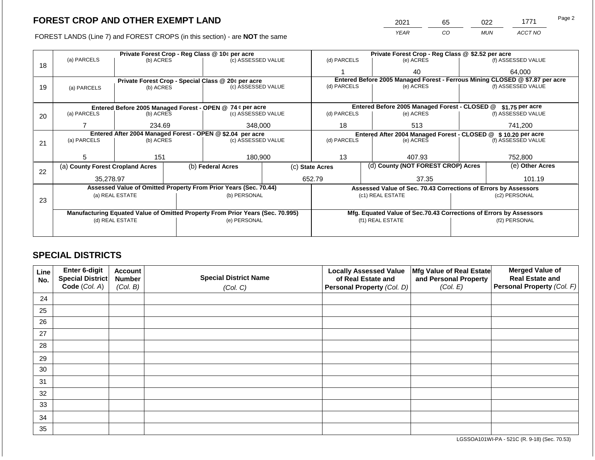2021 65 022 1771

FOREST LANDS (Line 7) and FOREST CROPS (in this section) - are **NOT** the same *YEAR CO MUN ACCT NO*

|    | Private Forest Crop - Reg Class @ 10¢ per acre                                 |                 |  |                                                                  |  |                                                                 | Private Forest Crop - Reg Class @ \$2.52 per acre |                                                                              |                                        |                    |
|----|--------------------------------------------------------------------------------|-----------------|--|------------------------------------------------------------------|--|-----------------------------------------------------------------|---------------------------------------------------|------------------------------------------------------------------------------|----------------------------------------|--------------------|
| 18 | (a) PARCELS                                                                    | (b) ACRES       |  | (c) ASSESSED VALUE                                               |  | (d) PARCELS                                                     |                                                   | (e) ACRES                                                                    |                                        | (f) ASSESSED VALUE |
|    |                                                                                |                 |  |                                                                  |  |                                                                 |                                                   | 40                                                                           |                                        | 64,000             |
|    |                                                                                |                 |  | Private Forest Crop - Special Class @ 20¢ per acre               |  |                                                                 |                                                   | Entered Before 2005 Managed Forest - Ferrous Mining CLOSED @ \$7.87 per acre |                                        |                    |
| 19 | (a) PARCELS                                                                    | (b) ACRES       |  | (c) ASSESSED VALUE                                               |  | (d) PARCELS                                                     |                                                   | (e) ACRES                                                                    |                                        | (f) ASSESSED VALUE |
|    |                                                                                |                 |  |                                                                  |  |                                                                 |                                                   |                                                                              |                                        |                    |
|    |                                                                                |                 |  | Entered Before 2005 Managed Forest - OPEN @ 74 ¢ per acre        |  |                                                                 |                                                   | Entered Before 2005 Managed Forest - CLOSED @                                |                                        | $$1.75$ per acre   |
| 20 | (a) PARCELS                                                                    | (b) ACRES       |  | (c) ASSESSED VALUE                                               |  | (d) PARCELS                                                     |                                                   | (e) ACRES                                                                    |                                        | (f) ASSESSED VALUE |
|    |                                                                                | 234.69          |  | 348,000                                                          |  | 18                                                              |                                                   | 513                                                                          |                                        | 741,200            |
|    |                                                                                |                 |  | Entered After 2004 Managed Forest - OPEN @ \$2.04 per acre       |  | Entered After 2004 Managed Forest - CLOSED @                    |                                                   |                                                                              |                                        |                    |
|    | (a) PARCELS                                                                    | (b) ACRES       |  | (c) ASSESSED VALUE                                               |  | (d) PARCELS                                                     |                                                   | (e) ACRES                                                                    | \$10.20 per acre<br>(f) ASSESSED VALUE |                    |
| 21 |                                                                                |                 |  |                                                                  |  |                                                                 |                                                   |                                                                              |                                        |                    |
|    | 5.                                                                             | 151             |  | 180,900                                                          |  | 13                                                              |                                                   | 407.93                                                                       |                                        | 752,800            |
|    |                                                                                |                 |  |                                                                  |  |                                                                 |                                                   |                                                                              |                                        |                    |
| 22 | (a) County Forest Cropland Acres                                               |                 |  | (b) Federal Acres                                                |  | (c) State Acres                                                 |                                                   | (d) County (NOT FOREST CROP) Acres                                           |                                        | (e) Other Acres    |
|    | 35.278.97                                                                      |                 |  |                                                                  |  | 652.79                                                          |                                                   | 37.35                                                                        |                                        | 101.19             |
|    |                                                                                |                 |  | Assessed Value of Omitted Property From Prior Years (Sec. 70.44) |  | Assessed Value of Sec. 70.43 Corrections of Errors by Assessors |                                                   |                                                                              |                                        |                    |
|    | (a) REAL ESTATE                                                                |                 |  | (b) PERSONAL                                                     |  |                                                                 |                                                   | (c1) REAL ESTATE                                                             | (c2) PERSONAL                          |                    |
| 23 |                                                                                |                 |  |                                                                  |  |                                                                 |                                                   |                                                                              |                                        |                    |
|    | Manufacturing Equated Value of Omitted Property From Prior Years (Sec. 70.995) |                 |  |                                                                  |  |                                                                 |                                                   | Mfg. Equated Value of Sec.70.43 Corrections of Errors by Assessors           |                                        |                    |
|    |                                                                                | (d) REAL ESTATE |  | (e) PERSONAL                                                     |  |                                                                 |                                                   | (f1) REAL ESTATE                                                             |                                        | (f2) PERSONAL      |
|    |                                                                                |                 |  |                                                                  |  |                                                                 |                                                   |                                                                              |                                        |                    |
|    |                                                                                |                 |  |                                                                  |  |                                                                 |                                                   |                                                                              |                                        |                    |

## **SPECIAL DISTRICTS**

| Line<br>No. | Enter 6-digit<br>Special District<br>Code (Col. A) | <b>Account</b><br><b>Number</b><br>(Col. B) | <b>Special District Name</b><br>(Col. C) | <b>Locally Assessed Value</b><br>of Real Estate and<br><b>Personal Property (Col. D)</b> | Mfg Value of Real Estate<br>and Personal Property<br>(Col. E) | <b>Merged Value of</b><br><b>Real Estate and</b><br>Personal Property (Col. F) |
|-------------|----------------------------------------------------|---------------------------------------------|------------------------------------------|------------------------------------------------------------------------------------------|---------------------------------------------------------------|--------------------------------------------------------------------------------|
| 24          |                                                    |                                             |                                          |                                                                                          |                                                               |                                                                                |
| 25          |                                                    |                                             |                                          |                                                                                          |                                                               |                                                                                |
| 26          |                                                    |                                             |                                          |                                                                                          |                                                               |                                                                                |
| 27          |                                                    |                                             |                                          |                                                                                          |                                                               |                                                                                |
| 28          |                                                    |                                             |                                          |                                                                                          |                                                               |                                                                                |
| 29          |                                                    |                                             |                                          |                                                                                          |                                                               |                                                                                |
| 30          |                                                    |                                             |                                          |                                                                                          |                                                               |                                                                                |
| 31          |                                                    |                                             |                                          |                                                                                          |                                                               |                                                                                |
| 32          |                                                    |                                             |                                          |                                                                                          |                                                               |                                                                                |
| 33          |                                                    |                                             |                                          |                                                                                          |                                                               |                                                                                |
| 34          |                                                    |                                             |                                          |                                                                                          |                                                               |                                                                                |
| 35          |                                                    |                                             |                                          |                                                                                          |                                                               |                                                                                |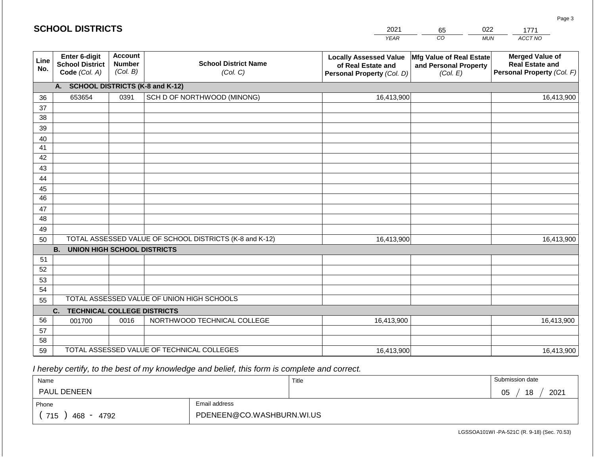|             | <b>SCHOOL DISTRICTS</b>                                         |                                             |                                                         | 2021                                                                              | 65                                                            | 022        | 1771                                                                           |
|-------------|-----------------------------------------------------------------|---------------------------------------------|---------------------------------------------------------|-----------------------------------------------------------------------------------|---------------------------------------------------------------|------------|--------------------------------------------------------------------------------|
|             |                                                                 |                                             |                                                         | <b>YEAR</b>                                                                       | CO                                                            | <b>MUN</b> | ACCT NO                                                                        |
| Line<br>No. | <b>Enter 6-digit</b><br><b>School District</b><br>Code (Col. A) | <b>Account</b><br><b>Number</b><br>(Col. B) | <b>School District Name</b><br>(Col. C)                 | <b>Locally Assessed Value</b><br>of Real Estate and<br>Personal Property (Col. D) | Mfg Value of Real Estate<br>and Personal Property<br>(Col. E) |            | <b>Merged Value of</b><br><b>Real Estate and</b><br>Personal Property (Col. F) |
|             | A.                                                              |                                             | <b>SCHOOL DISTRICTS (K-8 and K-12)</b>                  |                                                                                   |                                                               |            |                                                                                |
| 36          | 653654                                                          | 0391                                        | SCH D OF NORTHWOOD (MINONG)                             | 16,413,900                                                                        |                                                               |            | 16,413,900                                                                     |
| 37          |                                                                 |                                             |                                                         |                                                                                   |                                                               |            |                                                                                |
| 38          |                                                                 |                                             |                                                         |                                                                                   |                                                               |            |                                                                                |
| 39          |                                                                 |                                             |                                                         |                                                                                   |                                                               |            |                                                                                |
| 40          |                                                                 |                                             |                                                         |                                                                                   |                                                               |            |                                                                                |
| 41          |                                                                 |                                             |                                                         |                                                                                   |                                                               |            |                                                                                |
| 42          |                                                                 |                                             |                                                         |                                                                                   |                                                               |            |                                                                                |
| 43          |                                                                 |                                             |                                                         |                                                                                   |                                                               |            |                                                                                |
| 44<br>45    |                                                                 |                                             |                                                         |                                                                                   |                                                               |            |                                                                                |
| 46          |                                                                 |                                             |                                                         |                                                                                   |                                                               |            |                                                                                |
| 47          |                                                                 |                                             |                                                         |                                                                                   |                                                               |            |                                                                                |
| 48          |                                                                 |                                             |                                                         |                                                                                   |                                                               |            |                                                                                |
| 49          |                                                                 |                                             |                                                         |                                                                                   |                                                               |            |                                                                                |
| 50          |                                                                 |                                             | TOTAL ASSESSED VALUE OF SCHOOL DISTRICTS (K-8 and K-12) | 16,413,900                                                                        |                                                               |            | 16,413,900                                                                     |
|             | <b>B.</b><br><b>UNION HIGH SCHOOL DISTRICTS</b>                 |                                             |                                                         |                                                                                   |                                                               |            |                                                                                |
| 51          |                                                                 |                                             |                                                         |                                                                                   |                                                               |            |                                                                                |
| 52          |                                                                 |                                             |                                                         |                                                                                   |                                                               |            |                                                                                |
| 53          |                                                                 |                                             |                                                         |                                                                                   |                                                               |            |                                                                                |
| 54          |                                                                 |                                             |                                                         |                                                                                   |                                                               |            |                                                                                |
| 55          |                                                                 |                                             | TOTAL ASSESSED VALUE OF UNION HIGH SCHOOLS              |                                                                                   |                                                               |            |                                                                                |
|             | <b>TECHNICAL COLLEGE DISTRICTS</b><br>C.                        |                                             |                                                         |                                                                                   |                                                               |            |                                                                                |
| 56          | 001700                                                          | 0016                                        | NORTHWOOD TECHNICAL COLLEGE                             | 16,413,900                                                                        |                                                               |            | 16,413,900                                                                     |
| 57          |                                                                 |                                             |                                                         |                                                                                   |                                                               |            |                                                                                |
| 58<br>59    |                                                                 |                                             | TOTAL ASSESSED VALUE OF TECHNICAL COLLEGES              |                                                                                   |                                                               |            |                                                                                |
|             |                                                                 |                                             |                                                         | 16,413,900                                                                        |                                                               |            | 16,413,900                                                                     |

| Name                                           |                           | Title | Submission date  |
|------------------------------------------------|---------------------------|-------|------------------|
| <b>PAUL DENEEN</b>                             |                           |       | 18<br>2021<br>05 |
| Phone                                          | Email address             |       |                  |
| 715<br>4792<br>468<br>$\overline{\phantom{a}}$ | PDENEEN@CO.WASHBURN.WI.US |       |                  |

LGSSOA101WI -PA-521C (R. 9-18) (Sec. 70.53)

Page 3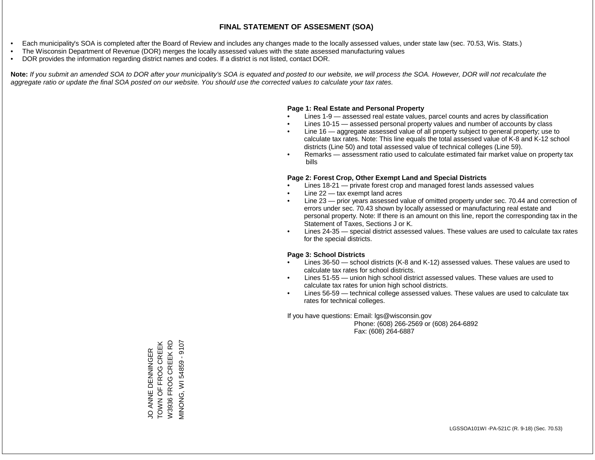- Each municipality's SOA is completed after the Board of Review and includes any changes made to the locally assessed values, under state law (sec. 70.53, Wis. Stats.)
- The Wisconsin Department of Revenue (DOR) merges the locally assessed values with the state assessed manufacturing values
- DOR provides the information regarding district names and codes. If a district is not listed, contact DOR.

Note: If you submit an amended SOA to DOR after your municipality's SOA is equated and posted to our website, we will process the SOA. However, DOR will not recalculate the *aggregate ratio or update the final SOA posted on our website. You should use the corrected values to calculate your tax rates.*

## **Page 1: Real Estate and Personal Property**

- Lines 1-9 assessed real estate values, parcel counts and acres by classification
- Lines 10-15 assessed personal property values and number of accounts by class
- Line 16 aggregate assessed value of all property subject to general property; use to calculate tax rates. Note: This line equals the total assessed value of K-8 and K-12 school districts (Line 50) and total assessed value of technical colleges (Line 59).
- Remarks assessment ratio used to calculate estimated fair market value on property tax bills

## **Page 2: Forest Crop, Other Exempt Land and Special Districts**

- Lines 18-21 private forest crop and managed forest lands assessed values
- Line  $22 -$  tax exempt land acres
- Line 23 prior years assessed value of omitted property under sec. 70.44 and correction of errors under sec. 70.43 shown by locally assessed or manufacturing real estate and personal property. Note: If there is an amount on this line, report the corresponding tax in the Statement of Taxes, Sections J or K.
- Lines 24-35 special district assessed values. These values are used to calculate tax rates for the special districts.

## **Page 3: School Districts**

- Lines 36-50 school districts (K-8 and K-12) assessed values. These values are used to calculate tax rates for school districts.
- Lines 51-55 union high school district assessed values. These values are used to calculate tax rates for union high school districts.
- Lines 56-59 technical college assessed values. These values are used to calculate tax rates for technical colleges.

If you have questions: Email: lgs@wisconsin.gov

 Phone: (608) 266-2569 or (608) 264-6892 Fax: (608) 264-6887

JO ANNE DENNINGER<br>TOWN OF FROG CREEK<br>W3936 FROG CREEK RD TOWN OF FROG CREEK VIINONG, WI 54859 - 9107 2016 - 95845 IN 'QNONIN W3936 FROG CREEK RD JO ANNE DENNINGER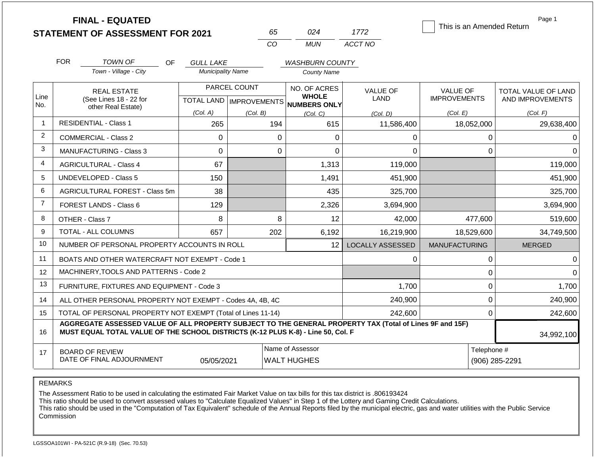|                |                                                                   | <b>FINAL - EQUATED</b>                                                                                                                                                                       |                          |                                           |                                        |                                 |                                | This is an Amended Return              |             | Page 1                                  |
|----------------|-------------------------------------------------------------------|----------------------------------------------------------------------------------------------------------------------------------------------------------------------------------------------|--------------------------|-------------------------------------------|----------------------------------------|---------------------------------|--------------------------------|----------------------------------------|-------------|-----------------------------------------|
|                |                                                                   | <b>STATEMENT OF ASSESSMENT FOR 2021</b>                                                                                                                                                      |                          |                                           | 65                                     | 024                             | 1772                           |                                        |             |                                         |
|                |                                                                   |                                                                                                                                                                                              |                          | CO                                        |                                        | <b>MUN</b>                      | ACCT NO                        |                                        |             |                                         |
|                | <b>FOR</b>                                                        | TOWN OF<br><b>OF</b>                                                                                                                                                                         | <b>GULL LAKE</b>         |                                           |                                        | <b>WASHBURN COUNTY</b>          |                                |                                        |             |                                         |
|                |                                                                   | Town - Village - City                                                                                                                                                                        | <b>Municipality Name</b> |                                           |                                        | <b>County Name</b>              |                                |                                        |             |                                         |
| Line           | <b>REAL ESTATE</b><br>(See Lines 18 - 22 for                      |                                                                                                                                                                                              |                          | PARCEL COUNT<br>TOTAL LAND   IMPROVEMENTS |                                        | NO. OF ACRES<br><b>WHOLE</b>    | <b>VALUE OF</b><br><b>LAND</b> | <b>VALUE OF</b><br><b>IMPROVEMENTS</b> |             | TOTAL VALUE OF LAND<br>AND IMPROVEMENTS |
| No.            |                                                                   | other Real Estate)                                                                                                                                                                           | (Col. A)                 | (Col. B)                                  |                                        | <b>NUMBERS ONLY</b><br>(Col. C) | (Col. D)                       | (Col. E)                               |             | (Col. F)                                |
| $\mathbf 1$    |                                                                   | <b>RESIDENTIAL - Class 1</b>                                                                                                                                                                 | 265                      |                                           | 194                                    | 615                             | 11,586,400                     | 18,052,000                             |             | 29,638,400                              |
| 2              |                                                                   | <b>COMMERCIAL - Class 2</b>                                                                                                                                                                  | $\mathbf 0$              |                                           | $\Omega$                               | 0                               | 0                              |                                        | 0           |                                         |
| 3              |                                                                   | <b>MANUFACTURING - Class 3</b>                                                                                                                                                               | $\overline{0}$           |                                           | $\mathbf 0$                            | 0                               | 0                              |                                        | 0           | $\Omega$                                |
| 4              |                                                                   | <b>AGRICULTURAL - Class 4</b>                                                                                                                                                                | 67                       |                                           |                                        | 1,313                           | 119,000                        |                                        |             | 119,000                                 |
| 5              |                                                                   | <b>UNDEVELOPED - Class 5</b>                                                                                                                                                                 | 150                      |                                           |                                        | 1,491                           | 451,900                        |                                        |             | 451,900                                 |
| 6              |                                                                   | AGRICULTURAL FOREST - Class 5m                                                                                                                                                               | 38                       |                                           |                                        | 435                             | 325,700                        |                                        |             | 325,700                                 |
| $\overline{7}$ |                                                                   | FOREST LANDS - Class 6                                                                                                                                                                       | 129                      |                                           |                                        | 2,326                           | 3,694,900                      |                                        |             | 3,694,900                               |
| 8              |                                                                   | OTHER - Class 7                                                                                                                                                                              | 8                        |                                           | 8                                      | 12                              | 42,000                         |                                        | 477,600     | 519,600                                 |
| 9              |                                                                   | TOTAL - ALL COLUMNS                                                                                                                                                                          | 657                      |                                           | 202                                    | 6,192                           | 16,219,900                     | 18,529,600                             |             | 34,749,500                              |
| 10             |                                                                   | NUMBER OF PERSONAL PROPERTY ACCOUNTS IN ROLL                                                                                                                                                 |                          |                                           |                                        | 12 <sup>2</sup>                 | <b>LOCALLY ASSESSED</b>        | <b>MANUFACTURING</b>                   |             | <b>MERGED</b>                           |
| 11             |                                                                   | BOATS AND OTHER WATERCRAFT NOT EXEMPT - Code 1                                                                                                                                               |                          |                                           |                                        |                                 | 0                              |                                        | 0           | $\Omega$                                |
| 12             |                                                                   | MACHINERY, TOOLS AND PATTERNS - Code 2                                                                                                                                                       |                          |                                           |                                        |                                 |                                |                                        | 0           | $\Omega$                                |
| 13             |                                                                   | FURNITURE, FIXTURES AND EQUIPMENT - Code 3                                                                                                                                                   |                          |                                           |                                        |                                 | 1,700                          |                                        | 0           | 1,700                                   |
| 14             |                                                                   | ALL OTHER PERSONAL PROPERTY NOT EXEMPT - Codes 4A, 4B, 4C                                                                                                                                    |                          |                                           |                                        |                                 | 240,900                        |                                        | 0           | 240,900                                 |
| 15             |                                                                   | TOTAL OF PERSONAL PROPERTY NOT EXEMPT (Total of Lines 11-14)                                                                                                                                 |                          |                                           |                                        |                                 | 242,600                        |                                        | 0           | 242,600                                 |
| 16             |                                                                   | AGGREGATE ASSESSED VALUE OF ALL PROPERTY SUBJECT TO THE GENERAL PROPERTY TAX (Total of Lines 9F and 15F)<br>MUST EQUAL TOTAL VALUE OF THE SCHOOL DISTRICTS (K-12 PLUS K-8) - Line 50, Col. F |                          |                                           |                                        |                                 |                                |                                        |             | 34,992,100                              |
| 17             | <b>BOARD OF REVIEW</b><br>DATE OF FINAL ADJOURNMENT<br>05/05/2021 |                                                                                                                                                                                              |                          |                                           | Name of Assessor<br><b>WALT HUGHES</b> |                                 |                                |                                        | Telephone # | (906) 285-2291                          |

REMARKS

The Assessment Ratio to be used in calculating the estimated Fair Market Value on tax bills for this tax district is .806193424

This ratio should be used to convert assessed values to "Calculate Equalized Values" in Step 1 of the Lottery and Gaming Credit Calculations.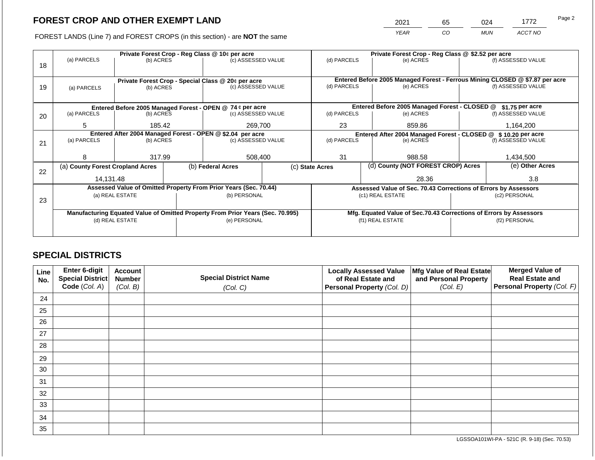2021 65 024 1772

FOREST LANDS (Line 7) and FOREST CROPS (in this section) - are **NOT** the same *YEAR CO MUN ACCT NO*

|    |                                                                                |                 |                                                           | Private Forest Crop - Reg Class @ 10¢ per acre                           |                                                                  | Private Forest Crop - Reg Class @ \$2.52 per acre                                           |                  |                                                                    |                    |                    |  |
|----|--------------------------------------------------------------------------------|-----------------|-----------------------------------------------------------|--------------------------------------------------------------------------|------------------------------------------------------------------|---------------------------------------------------------------------------------------------|------------------|--------------------------------------------------------------------|--------------------|--------------------|--|
|    | (a) PARCELS                                                                    | (b) ACRES       |                                                           | (c) ASSESSED VALUE                                                       |                                                                  | (d) PARCELS                                                                                 |                  | (e) ACRES                                                          |                    | (f) ASSESSED VALUE |  |
| 18 |                                                                                |                 |                                                           |                                                                          |                                                                  |                                                                                             |                  |                                                                    |                    |                    |  |
|    |                                                                                |                 |                                                           |                                                                          |                                                                  |                                                                                             |                  |                                                                    |                    |                    |  |
|    |                                                                                |                 |                                                           | Private Forest Crop - Special Class @ 20¢ per acre<br>(c) ASSESSED VALUE |                                                                  | Entered Before 2005 Managed Forest - Ferrous Mining CLOSED @ \$7.87 per acre<br>(d) PARCELS |                  | (e) ACRES                                                          | (f) ASSESSED VALUE |                    |  |
| 19 | (a) PARCELS                                                                    | (b) ACRES       |                                                           |                                                                          |                                                                  |                                                                                             |                  |                                                                    |                    |                    |  |
|    |                                                                                |                 |                                                           |                                                                          |                                                                  |                                                                                             |                  |                                                                    |                    |                    |  |
|    |                                                                                |                 | Entered Before 2005 Managed Forest - OPEN @ 74 ¢ per acre |                                                                          | Entered Before 2005 Managed Forest - CLOSED @<br>\$1.75 per acre |                                                                                             |                  |                                                                    |                    |                    |  |
| 20 | (a) PARCELS                                                                    | (b) ACRES       |                                                           | (c) ASSESSED VALUE                                                       |                                                                  | (d) PARCELS                                                                                 |                  | (e) ACRES                                                          |                    | (f) ASSESSED VALUE |  |
|    |                                                                                |                 |                                                           |                                                                          |                                                                  |                                                                                             |                  |                                                                    |                    |                    |  |
|    | 5                                                                              | 185.42          |                                                           | 269,700                                                                  |                                                                  | 23                                                                                          |                  | 859.86                                                             |                    | 1,164,200          |  |
|    |                                                                                |                 |                                                           | Entered After 2004 Managed Forest - OPEN @ \$2.04 per acre               |                                                                  |                                                                                             |                  | Entered After 2004 Managed Forest - CLOSED @ \$10.20 per acre      |                    |                    |  |
| 21 | (a) PARCELS                                                                    | (b) ACRES       |                                                           | (c) ASSESSED VALUE                                                       |                                                                  | (d) PARCELS                                                                                 |                  | (e) ACRES                                                          |                    | (f) ASSESSED VALUE |  |
|    |                                                                                |                 |                                                           |                                                                          |                                                                  |                                                                                             |                  |                                                                    |                    |                    |  |
|    | 8                                                                              | 317.99          |                                                           | 508,400                                                                  |                                                                  | 31                                                                                          |                  | 988.58                                                             |                    | 1,434,500          |  |
|    | (a) County Forest Cropland Acres                                               |                 |                                                           | (b) Federal Acres                                                        |                                                                  | (d) County (NOT FOREST CROP) Acres<br>(c) State Acres                                       |                  |                                                                    |                    | (e) Other Acres    |  |
| 22 |                                                                                |                 |                                                           |                                                                          |                                                                  |                                                                                             |                  |                                                                    |                    |                    |  |
|    | 14,131.48                                                                      |                 |                                                           |                                                                          |                                                                  |                                                                                             | 28.36            |                                                                    |                    | 3.8                |  |
|    |                                                                                |                 |                                                           | Assessed Value of Omitted Property From Prior Years (Sec. 70.44)         |                                                                  |                                                                                             |                  | Assessed Value of Sec. 70.43 Corrections of Errors by Assessors    |                    |                    |  |
|    |                                                                                | (a) REAL ESTATE |                                                           | (b) PERSONAL                                                             |                                                                  |                                                                                             |                  | (c1) REAL ESTATE                                                   |                    | (c2) PERSONAL      |  |
| 23 |                                                                                |                 |                                                           |                                                                          |                                                                  |                                                                                             |                  |                                                                    |                    |                    |  |
|    | Manufacturing Equated Value of Omitted Property From Prior Years (Sec. 70.995) |                 |                                                           |                                                                          |                                                                  |                                                                                             |                  | Mfg. Equated Value of Sec.70.43 Corrections of Errors by Assessors |                    |                    |  |
|    |                                                                                | (d) REAL ESTATE |                                                           | (e) PERSONAL                                                             |                                                                  |                                                                                             | (f1) REAL ESTATE |                                                                    |                    | (f2) PERSONAL      |  |
|    |                                                                                |                 |                                                           |                                                                          |                                                                  |                                                                                             |                  |                                                                    |                    |                    |  |
|    |                                                                                |                 |                                                           |                                                                          |                                                                  |                                                                                             |                  |                                                                    |                    |                    |  |

## **SPECIAL DISTRICTS**

| Line<br>No. | <b>Enter 6-digit</b><br>Special District | <b>Account</b><br><b>Number</b> | <b>Special District Name</b> | <b>Locally Assessed Value</b><br>of Real Estate and | Mfg Value of Real Estate<br>and Personal Property | <b>Merged Value of</b><br><b>Real Estate and</b> |
|-------------|------------------------------------------|---------------------------------|------------------------------|-----------------------------------------------------|---------------------------------------------------|--------------------------------------------------|
|             | Code (Col. A)                            | (Col. B)                        | (Col. C)                     | Personal Property (Col. D)                          | (Col. E)                                          | <b>Personal Property (Col. F)</b>                |
| 24          |                                          |                                 |                              |                                                     |                                                   |                                                  |
| 25          |                                          |                                 |                              |                                                     |                                                   |                                                  |
| 26          |                                          |                                 |                              |                                                     |                                                   |                                                  |
| 27          |                                          |                                 |                              |                                                     |                                                   |                                                  |
| 28          |                                          |                                 |                              |                                                     |                                                   |                                                  |
| 29          |                                          |                                 |                              |                                                     |                                                   |                                                  |
| 30          |                                          |                                 |                              |                                                     |                                                   |                                                  |
| 31          |                                          |                                 |                              |                                                     |                                                   |                                                  |
| 32          |                                          |                                 |                              |                                                     |                                                   |                                                  |
| 33          |                                          |                                 |                              |                                                     |                                                   |                                                  |
| 34          |                                          |                                 |                              |                                                     |                                                   |                                                  |
| 35          |                                          |                                 |                              |                                                     |                                                   |                                                  |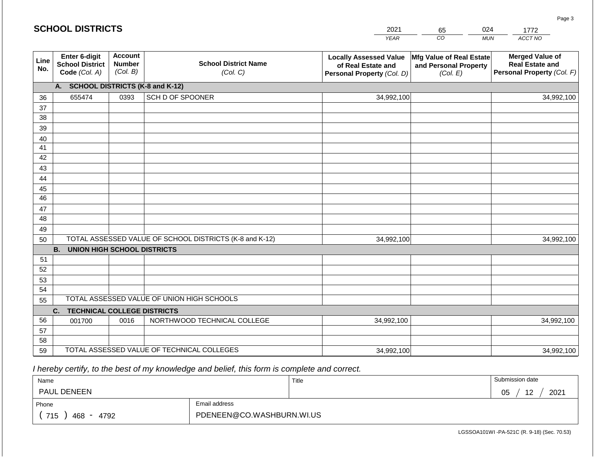|             | <b>SCHOOL DISTRICTS</b>                                  |                                             |                                                         | 2021                                                                              | 65                                                            | 024<br>1772                                                                    |
|-------------|----------------------------------------------------------|---------------------------------------------|---------------------------------------------------------|-----------------------------------------------------------------------------------|---------------------------------------------------------------|--------------------------------------------------------------------------------|
|             |                                                          |                                             |                                                         | <b>YEAR</b>                                                                       | CO                                                            | ACCT NO<br><b>MUN</b>                                                          |
| Line<br>No. | Enter 6-digit<br><b>School District</b><br>Code (Col. A) | <b>Account</b><br><b>Number</b><br>(Col. B) | <b>School District Name</b><br>(Col. C)                 | <b>Locally Assessed Value</b><br>of Real Estate and<br>Personal Property (Col. D) | Mfg Value of Real Estate<br>and Personal Property<br>(Col. E) | <b>Merged Value of</b><br><b>Real Estate and</b><br>Personal Property (Col. F) |
|             | A. SCHOOL DISTRICTS (K-8 and K-12)                       |                                             |                                                         |                                                                                   |                                                               |                                                                                |
| 36          | 655474                                                   | 0393                                        | SCH D OF SPOONER                                        | 34,992,100                                                                        |                                                               | 34,992,100                                                                     |
| 37          |                                                          |                                             |                                                         |                                                                                   |                                                               |                                                                                |
| 38          |                                                          |                                             |                                                         |                                                                                   |                                                               |                                                                                |
| 39          |                                                          |                                             |                                                         |                                                                                   |                                                               |                                                                                |
| 40          |                                                          |                                             |                                                         |                                                                                   |                                                               |                                                                                |
| 41<br>42    |                                                          |                                             |                                                         |                                                                                   |                                                               |                                                                                |
| 43          |                                                          |                                             |                                                         |                                                                                   |                                                               |                                                                                |
| 44          |                                                          |                                             |                                                         |                                                                                   |                                                               |                                                                                |
| 45          |                                                          |                                             |                                                         |                                                                                   |                                                               |                                                                                |
| 46          |                                                          |                                             |                                                         |                                                                                   |                                                               |                                                                                |
| 47          |                                                          |                                             |                                                         |                                                                                   |                                                               |                                                                                |
| 48          |                                                          |                                             |                                                         |                                                                                   |                                                               |                                                                                |
| 49          |                                                          |                                             |                                                         |                                                                                   |                                                               |                                                                                |
| 50          |                                                          |                                             | TOTAL ASSESSED VALUE OF SCHOOL DISTRICTS (K-8 and K-12) | 34,992,100                                                                        |                                                               | 34,992,100                                                                     |
|             | <b>B.</b><br><b>UNION HIGH SCHOOL DISTRICTS</b>          |                                             |                                                         |                                                                                   |                                                               |                                                                                |
| 51          |                                                          |                                             |                                                         |                                                                                   |                                                               |                                                                                |
| 52          |                                                          |                                             |                                                         |                                                                                   |                                                               |                                                                                |
| 53          |                                                          |                                             |                                                         |                                                                                   |                                                               |                                                                                |
| 54          |                                                          |                                             | TOTAL ASSESSED VALUE OF UNION HIGH SCHOOLS              |                                                                                   |                                                               |                                                                                |
| 55          |                                                          |                                             |                                                         |                                                                                   |                                                               |                                                                                |
| 56          | C.<br><b>TECHNICAL COLLEGE DISTRICTS</b><br>001700       | 0016                                        | NORTHWOOD TECHNICAL COLLEGE                             | 34,992,100                                                                        |                                                               | 34,992,100                                                                     |
| 57          |                                                          |                                             |                                                         |                                                                                   |                                                               |                                                                                |
| 58          |                                                          |                                             |                                                         |                                                                                   |                                                               |                                                                                |
| 59          |                                                          |                                             | TOTAL ASSESSED VALUE OF TECHNICAL COLLEGES              | 34,992,100                                                                        |                                                               | 34,992,100                                                                     |

| Name                         |                           | Title | Submission date        |
|------------------------------|---------------------------|-------|------------------------|
| <b>PAUL DENEEN</b>           |                           |       | 2021<br>12<br>∩Ϝ<br>◡◡ |
| Phone                        | Email address             |       |                        |
| 715<br>468<br>4792<br>$\sim$ | PDENEEN@CO.WASHBURN.WI.US |       |                        |

LGSSOA101WI -PA-521C (R. 9-18) (Sec. 70.53)

Page 3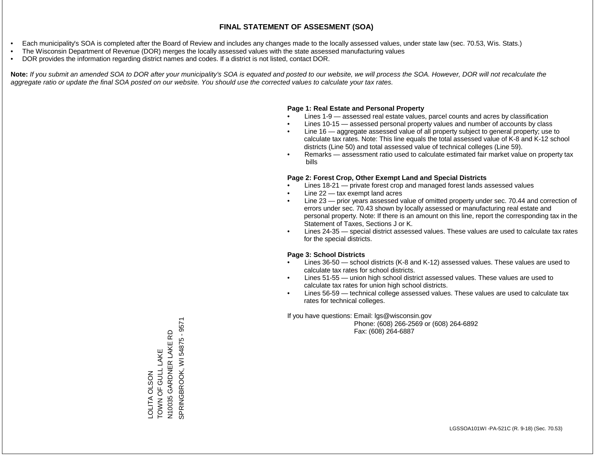- Each municipality's SOA is completed after the Board of Review and includes any changes made to the locally assessed values, under state law (sec. 70.53, Wis. Stats.)
- The Wisconsin Department of Revenue (DOR) merges the locally assessed values with the state assessed manufacturing values
- DOR provides the information regarding district names and codes. If a district is not listed, contact DOR.

Note: If you submit an amended SOA to DOR after your municipality's SOA is equated and posted to our website, we will process the SOA. However, DOR will not recalculate the *aggregate ratio or update the final SOA posted on our website. You should use the corrected values to calculate your tax rates.*

### **Page 1: Real Estate and Personal Property**

- Lines 1-9 assessed real estate values, parcel counts and acres by classification
- Lines 10-15 assessed personal property values and number of accounts by class
- Line 16 aggregate assessed value of all property subject to general property; use to calculate tax rates. Note: This line equals the total assessed value of K-8 and K-12 school districts (Line 50) and total assessed value of technical colleges (Line 59).
- Remarks assessment ratio used to calculate estimated fair market value on property tax bills

### **Page 2: Forest Crop, Other Exempt Land and Special Districts**

- Lines 18-21 private forest crop and managed forest lands assessed values
- Line  $22 -$  tax exempt land acres
- Line 23 prior years assessed value of omitted property under sec. 70.44 and correction of errors under sec. 70.43 shown by locally assessed or manufacturing real estate and personal property. Note: If there is an amount on this line, report the corresponding tax in the Statement of Taxes, Sections J or K.
- Lines 24-35 special district assessed values. These values are used to calculate tax rates for the special districts.

### **Page 3: School Districts**

- Lines 36-50 school districts (K-8 and K-12) assessed values. These values are used to calculate tax rates for school districts.
- Lines 51-55 union high school district assessed values. These values are used to calculate tax rates for union high school districts.
- Lines 56-59 technical college assessed values. These values are used to calculate tax rates for technical colleges.

If you have questions: Email: lgs@wisconsin.gov

 Phone: (608) 266-2569 or (608) 264-6892 Fax: (608) 264-6887

N10035 GARDNER LAKE RD<br>SPRINGBROOK, WI 54875 - 9571 SPRINGBROOK, WI 54875 - 9571N10035 GARDNER LAKE RD TOWN OF GULL LAKE LOLITA OLSON<br>TOWN OF GULL LAKE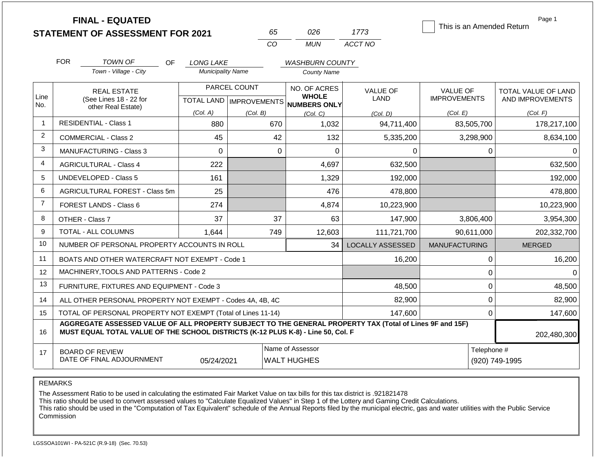|                | <b>FINAL - EQUATED</b><br><b>STATEMENT OF ASSESSMENT FOR 2021</b>                                                                                                                            |                                              | 65                        | 026                                          | 1773                    | This is an Amended Return | Page 1                     |  |  |
|----------------|----------------------------------------------------------------------------------------------------------------------------------------------------------------------------------------------|----------------------------------------------|---------------------------|----------------------------------------------|-------------------------|---------------------------|----------------------------|--|--|
|                |                                                                                                                                                                                              |                                              | CO                        | <b>MUN</b>                                   | ACCT NO                 |                           |                            |  |  |
|                |                                                                                                                                                                                              |                                              |                           |                                              |                         |                           |                            |  |  |
|                | <b>FOR</b><br>TOWN OF<br>OF.<br>Town - Village - City                                                                                                                                        | <b>LONG LAKE</b><br><b>Municipality Name</b> |                           | <b>WASHBURN COUNTY</b><br><b>County Name</b> |                         |                           |                            |  |  |
|                |                                                                                                                                                                                              |                                              |                           |                                              |                         |                           |                            |  |  |
| Line           | <b>REAL ESTATE</b>                                                                                                                                                                           |                                              | PARCEL COUNT              | NO. OF ACRES<br><b>WHOLE</b>                 | <b>VALUE OF</b>         | <b>VALUE OF</b>           | <b>TOTAL VALUE OF LAND</b> |  |  |
| No.            | (See Lines 18 - 22 for<br>other Real Estate)                                                                                                                                                 |                                              | TOTAL LAND   IMPROVEMENTS | <b>NUMBERS ONLY</b>                          | LAND                    | <b>IMPROVEMENTS</b>       | AND IMPROVEMENTS           |  |  |
|                |                                                                                                                                                                                              | (Col. A)                                     | (Col. B)                  | (Col. C)                                     | (Col. D)                | (Col. E)                  | (Col. F)                   |  |  |
|                | <b>RESIDENTIAL - Class 1</b>                                                                                                                                                                 | 880                                          | 670                       | 1,032                                        | 94,711,400              | 83,505,700                | 178,217,100                |  |  |
| 2              | <b>COMMERCIAL - Class 2</b>                                                                                                                                                                  | 45                                           | 42                        | 132                                          | 5,335,200               | 3,298,900                 | 8,634,100                  |  |  |
| 3              | <b>MANUFACTURING - Class 3</b>                                                                                                                                                               | $\Omega$                                     | $\mathbf 0$               | $\overline{0}$                               | 0                       | 0                         | $\Omega$                   |  |  |
| 4              | <b>AGRICULTURAL - Class 4</b>                                                                                                                                                                | 222                                          |                           | 4,697                                        | 632,500                 |                           | 632,500                    |  |  |
| 5              | <b>UNDEVELOPED - Class 5</b>                                                                                                                                                                 | 161                                          |                           | 1,329                                        | 192,000                 |                           | 192,000                    |  |  |
| 6              | <b>AGRICULTURAL FOREST - Class 5m</b>                                                                                                                                                        | 25                                           |                           | 476                                          | 478,800                 |                           | 478,800                    |  |  |
| $\overline{7}$ | FOREST LANDS - Class 6                                                                                                                                                                       | 274                                          |                           | 4,874                                        | 10,223,900              |                           | 10,223,900                 |  |  |
| 8              | OTHER - Class 7                                                                                                                                                                              | 37                                           | 37                        | 63                                           | 147,900                 | 3,806,400                 | 3,954,300                  |  |  |
| 9              | TOTAL - ALL COLUMNS                                                                                                                                                                          | 1,644                                        | 749                       | 12,603                                       | 111,721,700             | 90,611,000                | 202,332,700                |  |  |
| 10             | NUMBER OF PERSONAL PROPERTY ACCOUNTS IN ROLL                                                                                                                                                 |                                              |                           | 34                                           | <b>LOCALLY ASSESSED</b> | <b>MANUFACTURING</b>      | <b>MERGED</b>              |  |  |
| 11             | BOATS AND OTHER WATERCRAFT NOT EXEMPT - Code 1                                                                                                                                               |                                              |                           |                                              | 16,200                  | $\Omega$                  | 16,200                     |  |  |
| 12             | MACHINERY, TOOLS AND PATTERNS - Code 2                                                                                                                                                       |                                              |                           |                                              |                         | 0                         | $\Omega$                   |  |  |
| 13             | FURNITURE, FIXTURES AND EQUIPMENT - Code 3                                                                                                                                                   |                                              |                           |                                              | 48,500                  | 0                         | 48,500                     |  |  |
| 14             | ALL OTHER PERSONAL PROPERTY NOT EXEMPT - Codes 4A, 4B, 4C                                                                                                                                    |                                              |                           |                                              | 82,900                  | 0                         | 82,900                     |  |  |
| 15             | TOTAL OF PERSONAL PROPERTY NOT EXEMPT (Total of Lines 11-14)                                                                                                                                 |                                              |                           |                                              | 147,600                 | $\mathbf 0$               | 147,600                    |  |  |
| 16             | AGGREGATE ASSESSED VALUE OF ALL PROPERTY SUBJECT TO THE GENERAL PROPERTY TAX (Total of Lines 9F and 15F)<br>MUST EQUAL TOTAL VALUE OF THE SCHOOL DISTRICTS (K-12 PLUS K-8) - Line 50, Col. F |                                              |                           |                                              |                         |                           |                            |  |  |
| 17             | <b>BOARD OF REVIEW</b><br>DATE OF FINAL ADJOURNMENT                                                                                                                                          | 05/24/2021                                   |                           | Name of Assessor<br><b>WALT HUGHES</b>       |                         | Telephone #               | (920) 749-1995             |  |  |

REMARKS

The Assessment Ratio to be used in calculating the estimated Fair Market Value on tax bills for this tax district is .921821478

This ratio should be used to convert assessed values to "Calculate Equalized Values" in Step 1 of the Lottery and Gaming Credit Calculations.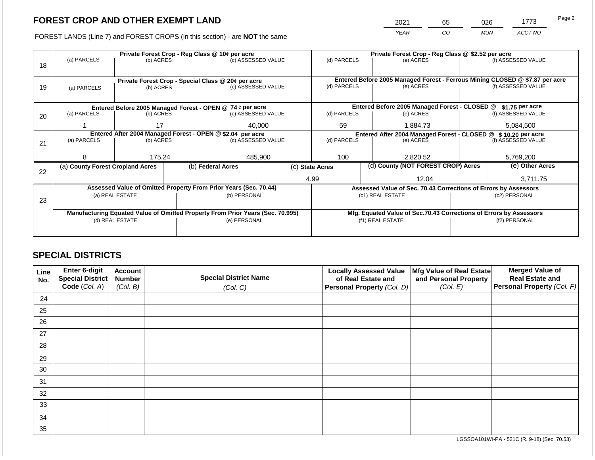2021 65 026 1773

FOREST LANDS (Line 7) and FOREST CROPS (in this section) - are **NOT** the same *YEAR CO MUN ACCT NO*

|    |                                                                                |                                                            |  | Private Forest Crop - Reg Class @ 10¢ per acre                           |                                                                    | Private Forest Crop - Reg Class @ \$2.52 per acre                |  |                                                                 |                                                                              |                    |  |
|----|--------------------------------------------------------------------------------|------------------------------------------------------------|--|--------------------------------------------------------------------------|--------------------------------------------------------------------|------------------------------------------------------------------|--|-----------------------------------------------------------------|------------------------------------------------------------------------------|--------------------|--|
|    | (a) PARCELS                                                                    | (b) ACRES                                                  |  | (c) ASSESSED VALUE                                                       |                                                                    | (d) PARCELS                                                      |  | (e) ACRES                                                       |                                                                              | (f) ASSESSED VALUE |  |
| 18 |                                                                                |                                                            |  |                                                                          |                                                                    |                                                                  |  |                                                                 |                                                                              |                    |  |
|    |                                                                                |                                                            |  |                                                                          |                                                                    |                                                                  |  |                                                                 | Entered Before 2005 Managed Forest - Ferrous Mining CLOSED @ \$7.87 per acre |                    |  |
|    |                                                                                |                                                            |  | Private Forest Crop - Special Class @ 20¢ per acre<br>(c) ASSESSED VALUE |                                                                    | (d) PARCELS                                                      |  | (e) ACRES                                                       | (f) ASSESSED VALUE                                                           |                    |  |
| 19 | (a) PARCELS                                                                    | (b) ACRES                                                  |  |                                                                          |                                                                    |                                                                  |  |                                                                 |                                                                              |                    |  |
|    |                                                                                |                                                            |  |                                                                          |                                                                    |                                                                  |  |                                                                 |                                                                              |                    |  |
|    |                                                                                |                                                            |  | Entered Before 2005 Managed Forest - OPEN @ 74 ¢ per acre                |                                                                    | Entered Before 2005 Managed Forest - CLOSED @<br>\$1.75 per acre |  |                                                                 |                                                                              |                    |  |
| 20 | (a) PARCELS                                                                    | (b) ACRES                                                  |  | (c) ASSESSED VALUE                                                       |                                                                    | (d) PARCELS                                                      |  | (e) ACRES                                                       |                                                                              | (f) ASSESSED VALUE |  |
|    |                                                                                |                                                            |  |                                                                          |                                                                    |                                                                  |  |                                                                 |                                                                              |                    |  |
|    |                                                                                | 17                                                         |  | 40,000                                                                   |                                                                    | 59<br>1,884.73                                                   |  |                                                                 |                                                                              | 5,084,500          |  |
|    |                                                                                | Entered After 2004 Managed Forest - OPEN @ \$2.04 per acre |  |                                                                          |                                                                    |                                                                  |  | Entered After 2004 Managed Forest - CLOSED @ \$ 10.20 per acre  |                                                                              |                    |  |
| 21 | (a) PARCELS                                                                    | (b) ACRES                                                  |  | (c) ASSESSED VALUE                                                       |                                                                    | (d) PARCELS                                                      |  | (e) ACRES                                                       |                                                                              | (f) ASSESSED VALUE |  |
|    |                                                                                |                                                            |  |                                                                          |                                                                    |                                                                  |  |                                                                 |                                                                              |                    |  |
|    | 8                                                                              | 175.24                                                     |  | 485,900                                                                  |                                                                    | 100                                                              |  | 2,820.52                                                        |                                                                              | 5,769,200          |  |
|    | (a) County Forest Cropland Acres                                               |                                                            |  | (b) Federal Acres                                                        |                                                                    | (c) State Acres                                                  |  | (d) County (NOT FOREST CROP) Acres                              |                                                                              | (e) Other Acres    |  |
| 22 |                                                                                |                                                            |  |                                                                          |                                                                    |                                                                  |  |                                                                 |                                                                              |                    |  |
|    |                                                                                |                                                            |  |                                                                          |                                                                    | 4.99                                                             |  | 12.04                                                           |                                                                              | 3,711.75           |  |
|    |                                                                                |                                                            |  | Assessed Value of Omitted Property From Prior Years (Sec. 70.44)         |                                                                    |                                                                  |  | Assessed Value of Sec. 70.43 Corrections of Errors by Assessors |                                                                              |                    |  |
|    |                                                                                | (a) REAL ESTATE                                            |  | (b) PERSONAL                                                             |                                                                    |                                                                  |  | (c1) REAL ESTATE                                                |                                                                              | (c2) PERSONAL      |  |
| 23 |                                                                                |                                                            |  |                                                                          |                                                                    |                                                                  |  |                                                                 |                                                                              |                    |  |
|    | Manufacturing Equated Value of Omitted Property From Prior Years (Sec. 70.995) |                                                            |  |                                                                          | Mfg. Equated Value of Sec.70.43 Corrections of Errors by Assessors |                                                                  |  |                                                                 |                                                                              |                    |  |
|    |                                                                                | (d) REAL ESTATE                                            |  | (e) PERSONAL                                                             |                                                                    |                                                                  |  | (f1) REAL ESTATE                                                | (f2) PERSONAL                                                                |                    |  |
|    |                                                                                |                                                            |  |                                                                          |                                                                    |                                                                  |  |                                                                 |                                                                              |                    |  |
|    |                                                                                |                                                            |  |                                                                          |                                                                    |                                                                  |  |                                                                 |                                                                              |                    |  |

## **SPECIAL DISTRICTS**

| Line<br>No. | <b>Enter 6-digit</b><br>Special District | <b>Account</b><br><b>Number</b> | <b>Special District Name</b> | <b>Locally Assessed Value</b><br>of Real Estate and | Mfg Value of Real Estate<br>and Personal Property | <b>Merged Value of</b><br><b>Real Estate and</b> |
|-------------|------------------------------------------|---------------------------------|------------------------------|-----------------------------------------------------|---------------------------------------------------|--------------------------------------------------|
|             | Code (Col. A)                            | (Col. B)                        | (Col. C)                     | Personal Property (Col. D)                          | (Col. E)                                          | Personal Property (Col. F)                       |
| 24          |                                          |                                 |                              |                                                     |                                                   |                                                  |
| 25          |                                          |                                 |                              |                                                     |                                                   |                                                  |
| 26          |                                          |                                 |                              |                                                     |                                                   |                                                  |
| 27          |                                          |                                 |                              |                                                     |                                                   |                                                  |
| 28          |                                          |                                 |                              |                                                     |                                                   |                                                  |
| 29          |                                          |                                 |                              |                                                     |                                                   |                                                  |
| 30          |                                          |                                 |                              |                                                     |                                                   |                                                  |
| 31          |                                          |                                 |                              |                                                     |                                                   |                                                  |
| 32          |                                          |                                 |                              |                                                     |                                                   |                                                  |
| 33          |                                          |                                 |                              |                                                     |                                                   |                                                  |
| 34          |                                          |                                 |                              |                                                     |                                                   |                                                  |
| 35          |                                          |                                 |                              |                                                     |                                                   |                                                  |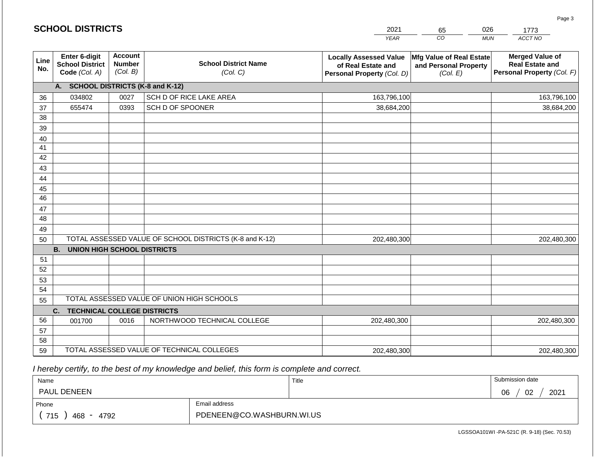|                       | <b>SCHOOL DISTRICTS</b>                                  |                                             |                                                         | 2021                                                                              | 65                                                            | 026<br>1773                                                                    |
|-----------------------|----------------------------------------------------------|---------------------------------------------|---------------------------------------------------------|-----------------------------------------------------------------------------------|---------------------------------------------------------------|--------------------------------------------------------------------------------|
|                       |                                                          |                                             |                                                         | <b>YEAR</b>                                                                       | CO                                                            | ACCT NO<br><b>MUN</b>                                                          |
| Line<br>No.           | Enter 6-digit<br><b>School District</b><br>Code (Col. A) | <b>Account</b><br><b>Number</b><br>(Col. B) | <b>School District Name</b><br>(Col. C)                 | <b>Locally Assessed Value</b><br>of Real Estate and<br>Personal Property (Col. D) | Mfg Value of Real Estate<br>and Personal Property<br>(Col. E) | <b>Merged Value of</b><br><b>Real Estate and</b><br>Personal Property (Col. F) |
|                       | A. SCHOOL DISTRICTS (K-8 and K-12)                       |                                             |                                                         |                                                                                   |                                                               |                                                                                |
| 36                    | 034802                                                   | 0027                                        | SCH D OF RICE LAKE AREA                                 | 163,796,100                                                                       |                                                               | 163,796,100                                                                    |
| 37                    | 655474                                                   | 0393                                        | SCH D OF SPOONER                                        | 38,684,200                                                                        |                                                               | 38,684,200                                                                     |
| 38                    |                                                          |                                             |                                                         |                                                                                   |                                                               |                                                                                |
| 39                    |                                                          |                                             |                                                         |                                                                                   |                                                               |                                                                                |
| 40                    |                                                          |                                             |                                                         |                                                                                   |                                                               |                                                                                |
| 41                    |                                                          |                                             |                                                         |                                                                                   |                                                               |                                                                                |
| 42                    |                                                          |                                             |                                                         |                                                                                   |                                                               |                                                                                |
| 43                    |                                                          |                                             |                                                         |                                                                                   |                                                               |                                                                                |
| 44                    |                                                          |                                             |                                                         |                                                                                   |                                                               |                                                                                |
| 45<br>$\overline{46}$ |                                                          |                                             |                                                         |                                                                                   |                                                               |                                                                                |
| 47                    |                                                          |                                             |                                                         |                                                                                   |                                                               |                                                                                |
| 48                    |                                                          |                                             |                                                         |                                                                                   |                                                               |                                                                                |
| 49                    |                                                          |                                             |                                                         |                                                                                   |                                                               |                                                                                |
| 50                    |                                                          |                                             | TOTAL ASSESSED VALUE OF SCHOOL DISTRICTS (K-8 and K-12) | 202,480,300                                                                       |                                                               | 202,480,300                                                                    |
|                       | <b>B.</b><br><b>UNION HIGH SCHOOL DISTRICTS</b>          |                                             |                                                         |                                                                                   |                                                               |                                                                                |
| 51                    |                                                          |                                             |                                                         |                                                                                   |                                                               |                                                                                |
| 52                    |                                                          |                                             |                                                         |                                                                                   |                                                               |                                                                                |
| 53                    |                                                          |                                             |                                                         |                                                                                   |                                                               |                                                                                |
| 54                    |                                                          |                                             |                                                         |                                                                                   |                                                               |                                                                                |
| 55                    |                                                          |                                             | TOTAL ASSESSED VALUE OF UNION HIGH SCHOOLS              |                                                                                   |                                                               |                                                                                |
|                       | C.<br><b>TECHNICAL COLLEGE DISTRICTS</b>                 |                                             |                                                         |                                                                                   |                                                               |                                                                                |
| 56                    | 001700                                                   | 0016                                        | NORTHWOOD TECHNICAL COLLEGE                             | 202,480,300                                                                       |                                                               | 202,480,300                                                                    |
| 57                    |                                                          |                                             |                                                         |                                                                                   |                                                               |                                                                                |
| 58                    |                                                          |                                             |                                                         |                                                                                   |                                                               |                                                                                |
| 59                    |                                                          |                                             | TOTAL ASSESSED VALUE OF TECHNICAL COLLEGES              | 202,480,300                                                                       |                                                               | 202,480,300                                                                    |

**SCHOOL DISTRICTS**

| Name                 |                           | Title | Submission date  |  |  |
|----------------------|---------------------------|-------|------------------|--|--|
| PAUL DENEEN          |                           |       | 2021<br>02<br>06 |  |  |
| Phone                | Email address             |       |                  |  |  |
| 715<br>4792<br>468 - | PDENEEN@CO.WASHBURN.WI.US |       |                  |  |  |

Page 3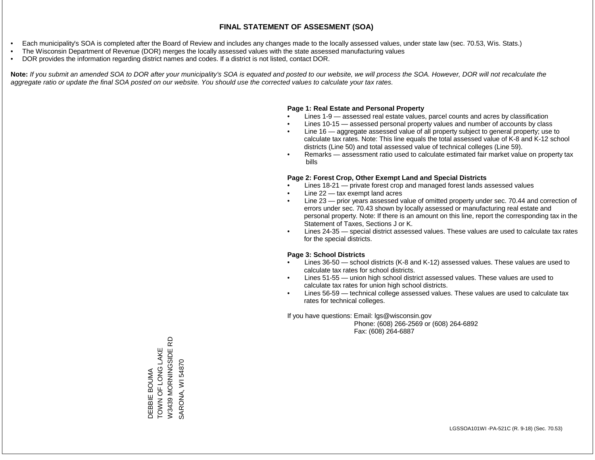- Each municipality's SOA is completed after the Board of Review and includes any changes made to the locally assessed values, under state law (sec. 70.53, Wis. Stats.)
- The Wisconsin Department of Revenue (DOR) merges the locally assessed values with the state assessed manufacturing values
- DOR provides the information regarding district names and codes. If a district is not listed, contact DOR.

Note: If you submit an amended SOA to DOR after your municipality's SOA is equated and posted to our website, we will process the SOA. However, DOR will not recalculate the *aggregate ratio or update the final SOA posted on our website. You should use the corrected values to calculate your tax rates.*

## **Page 1: Real Estate and Personal Property**

- Lines 1-9 assessed real estate values, parcel counts and acres by classification
- Lines 10-15 assessed personal property values and number of accounts by class
- Line 16 aggregate assessed value of all property subject to general property; use to calculate tax rates. Note: This line equals the total assessed value of K-8 and K-12 school districts (Line 50) and total assessed value of technical colleges (Line 59).
- Remarks assessment ratio used to calculate estimated fair market value on property tax bills

## **Page 2: Forest Crop, Other Exempt Land and Special Districts**

- Lines 18-21 private forest crop and managed forest lands assessed values
- Line  $22 -$  tax exempt land acres
- Line 23 prior years assessed value of omitted property under sec. 70.44 and correction of errors under sec. 70.43 shown by locally assessed or manufacturing real estate and personal property. Note: If there is an amount on this line, report the corresponding tax in the Statement of Taxes, Sections J or K.
- Lines 24-35 special district assessed values. These values are used to calculate tax rates for the special districts.

## **Page 3: School Districts**

- Lines 36-50 school districts (K-8 and K-12) assessed values. These values are used to calculate tax rates for school districts.
- Lines 51-55 union high school district assessed values. These values are used to calculate tax rates for union high school districts.
- Lines 56-59 technical college assessed values. These values are used to calculate tax rates for technical colleges.

If you have questions: Email: lgs@wisconsin.gov

 Phone: (608) 266-2569 or (608) 264-6892 Fax: (608) 264-6887

윤 W3439 MORNINGSIDE RD DEBBIE BOUMA<br>TOWN OF LONG LAKE<br>W3439 MORNINGSIDE R TOWN OF LONG LAKE SARONA, WI 54870 SARONA, WI 54870DEBBIE BOUMA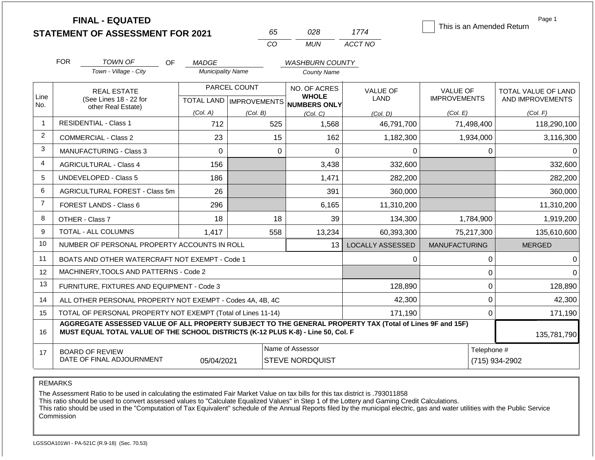**FINAL - EQUATED**

| nh.      | N28. | 1774    |
|----------|------|---------|
| $\cdots$ | MUN  | ACCT NO |

| This is an Amended Return |  |
|---------------------------|--|
|                           |  |
|                           |  |
|                           |  |
|                           |  |

Page 1

|                | <b>FOR</b>                                                                                                                                                                                   | <b>TOWN OF</b><br><b>OF</b>                                        | <b>MADGE</b>             |                                           | <b>WASHBURN COUNTY</b>                              |                                |                                        |                                         |
|----------------|----------------------------------------------------------------------------------------------------------------------------------------------------------------------------------------------|--------------------------------------------------------------------|--------------------------|-------------------------------------------|-----------------------------------------------------|--------------------------------|----------------------------------------|-----------------------------------------|
|                |                                                                                                                                                                                              | Town - Village - City                                              | <b>Municipality Name</b> |                                           | <b>County Name</b>                                  |                                |                                        |                                         |
| Line<br>No.    |                                                                                                                                                                                              | <b>REAL ESTATE</b><br>(See Lines 18 - 22 for<br>other Real Estate) |                          | PARCEL COUNT<br>TOTAL LAND   IMPROVEMENTS | NO. OF ACRES<br><b>WHOLE</b><br><b>NUMBERS ONLY</b> | <b>VALUE OF</b><br><b>LAND</b> | <b>VALUE OF</b><br><b>IMPROVEMENTS</b> | TOTAL VALUE OF LAND<br>AND IMPROVEMENTS |
|                |                                                                                                                                                                                              |                                                                    | (Col. A)                 | (Col. B)                                  | (Col, C)                                            | (Col, D)                       | (Col. E)                               | (Col. F)                                |
| -1             |                                                                                                                                                                                              | <b>RESIDENTIAL - Class 1</b>                                       | 712                      | 525                                       | 1,568                                               | 46,791,700                     | 71,498,400                             | 118,290,100                             |
| $\overline{2}$ |                                                                                                                                                                                              | <b>COMMERCIAL - Class 2</b>                                        | 23                       | 15                                        | 162                                                 | 1,182,300                      | 1,934,000                              | 3,116,300                               |
| 3              |                                                                                                                                                                                              | <b>MANUFACTURING - Class 3</b>                                     | $\mathbf 0$              | $\mathbf 0$                               | $\Omega$                                            | 0                              | 0                                      | 0                                       |
| 4              |                                                                                                                                                                                              | <b>AGRICULTURAL - Class 4</b>                                      | 156                      |                                           | 3,438                                               | 332,600                        |                                        | 332,600                                 |
| 5              |                                                                                                                                                                                              | <b>UNDEVELOPED - Class 5</b>                                       | 186                      |                                           | 1,471                                               | 282,200                        |                                        | 282,200                                 |
| 6              |                                                                                                                                                                                              | AGRICULTURAL FOREST - Class 5m                                     | 26                       |                                           | 391                                                 | 360,000                        |                                        | 360,000                                 |
| $\overline{7}$ |                                                                                                                                                                                              | FOREST LANDS - Class 6                                             | 296                      |                                           | 6,165                                               | 11,310,200                     |                                        | 11,310,200                              |
| 8              |                                                                                                                                                                                              | OTHER - Class 7                                                    | 18                       | 18                                        | 39                                                  | 134,300                        | 1,784,900                              | 1,919,200                               |
| 9              |                                                                                                                                                                                              | TOTAL - ALL COLUMNS                                                | 1,417                    | 558                                       | 13,234                                              | 60,393,300                     | 75,217,300                             | 135,610,600                             |
| 10             |                                                                                                                                                                                              | NUMBER OF PERSONAL PROPERTY ACCOUNTS IN ROLL                       |                          |                                           | 13                                                  | <b>LOCALLY ASSESSED</b>        | <b>MANUFACTURING</b>                   | <b>MERGED</b>                           |
| 11             |                                                                                                                                                                                              | BOATS AND OTHER WATERCRAFT NOT EXEMPT - Code 1                     |                          |                                           |                                                     | 0                              | 0                                      | 0                                       |
| 12             |                                                                                                                                                                                              | MACHINERY, TOOLS AND PATTERNS - Code 2                             |                          |                                           |                                                     |                                | 0                                      | $\Omega$                                |
| 13             |                                                                                                                                                                                              | FURNITURE, FIXTURES AND EQUIPMENT - Code 3                         |                          |                                           |                                                     | 128,890                        | 0                                      | 128,890                                 |
| 14             | 42,300<br>ALL OTHER PERSONAL PROPERTY NOT EXEMPT - Codes 4A, 4B, 4C                                                                                                                          |                                                                    |                          |                                           |                                                     |                                |                                        | 42,300                                  |
| 15             | TOTAL OF PERSONAL PROPERTY NOT EXEMPT (Total of Lines 11-14)<br>0<br>171,190                                                                                                                 |                                                                    |                          |                                           |                                                     |                                |                                        | 171,190                                 |
| 16             | AGGREGATE ASSESSED VALUE OF ALL PROPERTY SUBJECT TO THE GENERAL PROPERTY TAX (Total of Lines 9F and 15F)<br>MUST EQUAL TOTAL VALUE OF THE SCHOOL DISTRICTS (K-12 PLUS K-8) - Line 50, Col. F |                                                                    |                          |                                           |                                                     |                                |                                        | 135,781,790                             |
| 17             | Name of Assessor<br><b>BOARD OF REVIEW</b><br>DATE OF FINAL ADJOURNMENT                                                                                                                      |                                                                    |                          |                                           |                                                     |                                | Telephone #                            | (715) 934-2902                          |
|                | 05/04/2021<br><b>STEVE NORDQUIST</b>                                                                                                                                                         |                                                                    |                          |                                           |                                                     |                                |                                        |                                         |

REMARKS

The Assessment Ratio to be used in calculating the estimated Fair Market Value on tax bills for this tax district is .793011858

This ratio should be used to convert assessed values to "Calculate Equalized Values" in Step 1 of the Lottery and Gaming Credit Calculations.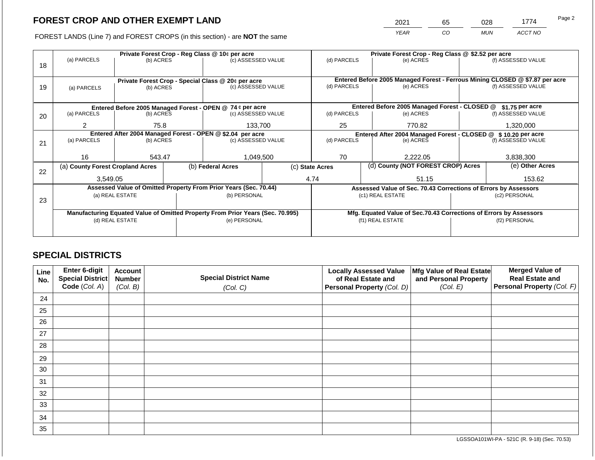2021 65 028 1774

FOREST LANDS (Line 7) and FOREST CROPS (in this section) - are **NOT** the same *YEAR CO MUN ACCT NO*

|    | Private Forest Crop - Reg Class @ 10¢ per acre                                 |                                                                 |  |                                                                  | Private Forest Crop - Reg Class @ \$2.52 per acre |                                                                    |  |                                                                              |                    |                    |  |
|----|--------------------------------------------------------------------------------|-----------------------------------------------------------------|--|------------------------------------------------------------------|---------------------------------------------------|--------------------------------------------------------------------|--|------------------------------------------------------------------------------|--------------------|--------------------|--|
|    | (a) PARCELS                                                                    | (b) ACRES                                                       |  | (c) ASSESSED VALUE                                               |                                                   | (d) PARCELS                                                        |  | (e) ACRES                                                                    |                    | (f) ASSESSED VALUE |  |
| 18 |                                                                                |                                                                 |  |                                                                  |                                                   |                                                                    |  |                                                                              |                    |                    |  |
|    |                                                                                |                                                                 |  |                                                                  |                                                   |                                                                    |  | Entered Before 2005 Managed Forest - Ferrous Mining CLOSED @ \$7.87 per acre |                    |                    |  |
|    |                                                                                | Private Forest Crop - Special Class @ 20¢ per acre<br>(b) ACRES |  | (c) ASSESSED VALUE                                               |                                                   | (d) PARCELS                                                        |  | (e) ACRES                                                                    |                    | (f) ASSESSED VALUE |  |
| 19 | (a) PARCELS                                                                    |                                                                 |  |                                                                  |                                                   |                                                                    |  |                                                                              |                    |                    |  |
|    |                                                                                |                                                                 |  |                                                                  |                                                   |                                                                    |  |                                                                              |                    |                    |  |
|    |                                                                                |                                                                 |  | Entered Before 2005 Managed Forest - OPEN @ 74 ¢ per acre        |                                                   |                                                                    |  | Entered Before 2005 Managed Forest - CLOSED @                                |                    | \$1.75 per acre    |  |
| 20 | (a) PARCELS                                                                    | (b) ACRES                                                       |  | (c) ASSESSED VALUE                                               |                                                   | (d) PARCELS                                                        |  | (e) ACRES                                                                    |                    | (f) ASSESSED VALUE |  |
|    |                                                                                |                                                                 |  |                                                                  |                                                   |                                                                    |  |                                                                              |                    |                    |  |
|    | $\overline{2}$                                                                 | 75.8                                                            |  | 133,700                                                          |                                                   | 25<br>770.82                                                       |  |                                                                              |                    | 1,320,000          |  |
|    |                                                                                |                                                                 |  | Entered After 2004 Managed Forest - OPEN @ \$2.04 per acre       |                                                   | Entered After 2004 Managed Forest - CLOSED @ \$10.20 per acre      |  |                                                                              |                    |                    |  |
| 21 | (a) PARCELS                                                                    | (b) ACRES                                                       |  | (c) ASSESSED VALUE                                               |                                                   | (d) PARCELS<br>(e) ACRES                                           |  |                                                                              | (f) ASSESSED VALUE |                    |  |
|    |                                                                                |                                                                 |  |                                                                  |                                                   |                                                                    |  |                                                                              |                    |                    |  |
|    | 16                                                                             | 543.47                                                          |  | 1,049,500                                                        |                                                   | 70                                                                 |  | 2,222.05                                                                     |                    | 3,838,300          |  |
|    | (a) County Forest Cropland Acres                                               |                                                                 |  | (b) Federal Acres                                                |                                                   | (d) County (NOT FOREST CROP) Acres<br>(c) State Acres              |  |                                                                              | (e) Other Acres    |                    |  |
| 22 |                                                                                |                                                                 |  |                                                                  |                                                   |                                                                    |  |                                                                              |                    |                    |  |
|    | 3,549.05                                                                       |                                                                 |  |                                                                  |                                                   | 4.74                                                               |  | 51.15                                                                        |                    | 153.62             |  |
|    |                                                                                |                                                                 |  | Assessed Value of Omitted Property From Prior Years (Sec. 70.44) |                                                   |                                                                    |  | Assessed Value of Sec. 70.43 Corrections of Errors by Assessors              |                    |                    |  |
|    |                                                                                | (a) REAL ESTATE<br>(b) PERSONAL                                 |  |                                                                  |                                                   |                                                                    |  | (c1) REAL ESTATE                                                             |                    | (c2) PERSONAL      |  |
| 23 |                                                                                |                                                                 |  |                                                                  |                                                   |                                                                    |  |                                                                              |                    |                    |  |
|    | Manufacturing Equated Value of Omitted Property From Prior Years (Sec. 70.995) |                                                                 |  |                                                                  |                                                   | Mfg. Equated Value of Sec.70.43 Corrections of Errors by Assessors |  |                                                                              |                    |                    |  |
|    | (d) REAL ESTATE                                                                |                                                                 |  | (e) PERSONAL                                                     |                                                   |                                                                    |  | (f1) REAL ESTATE                                                             | (f2) PERSONAL      |                    |  |
|    |                                                                                |                                                                 |  |                                                                  |                                                   |                                                                    |  |                                                                              |                    |                    |  |
|    |                                                                                |                                                                 |  |                                                                  |                                                   |                                                                    |  |                                                                              |                    |                    |  |

## **SPECIAL DISTRICTS**

| Line<br>No. | <b>Enter 6-digit</b><br>Special District | <b>Account</b><br><b>Number</b> | <b>Special District Name</b> | <b>Locally Assessed Value</b><br>of Real Estate and | Mfg Value of Real Estate<br>and Personal Property | <b>Merged Value of</b><br><b>Real Estate and</b> |
|-------------|------------------------------------------|---------------------------------|------------------------------|-----------------------------------------------------|---------------------------------------------------|--------------------------------------------------|
|             | Code (Col. A)                            | (Col. B)                        | (Col. C)                     | Personal Property (Col. D)                          | (Col. E)                                          | Personal Property (Col. F)                       |
| 24          |                                          |                                 |                              |                                                     |                                                   |                                                  |
| 25          |                                          |                                 |                              |                                                     |                                                   |                                                  |
| 26          |                                          |                                 |                              |                                                     |                                                   |                                                  |
| 27          |                                          |                                 |                              |                                                     |                                                   |                                                  |
| 28          |                                          |                                 |                              |                                                     |                                                   |                                                  |
| 29          |                                          |                                 |                              |                                                     |                                                   |                                                  |
| 30          |                                          |                                 |                              |                                                     |                                                   |                                                  |
| 31          |                                          |                                 |                              |                                                     |                                                   |                                                  |
| 32          |                                          |                                 |                              |                                                     |                                                   |                                                  |
| 33          |                                          |                                 |                              |                                                     |                                                   |                                                  |
| 34          |                                          |                                 |                              |                                                     |                                                   |                                                  |
| 35          |                                          |                                 |                              |                                                     |                                                   |                                                  |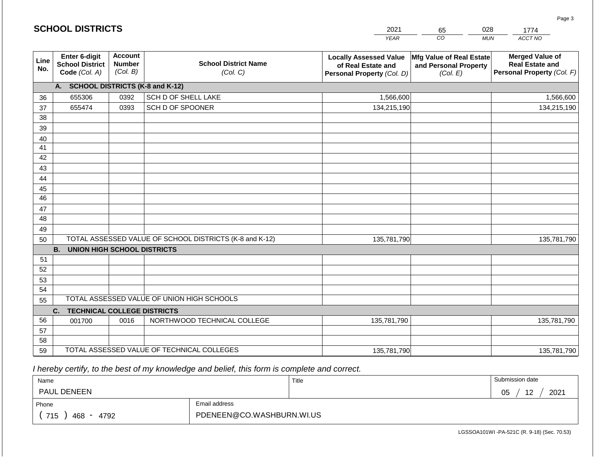|             |                                                          |                                             |                                                         | <b>YEAR</b>                                                                       | CO<br><b>MUN</b>                                              | ACCT NO                                                                        |
|-------------|----------------------------------------------------------|---------------------------------------------|---------------------------------------------------------|-----------------------------------------------------------------------------------|---------------------------------------------------------------|--------------------------------------------------------------------------------|
| Line<br>No. | Enter 6-digit<br><b>School District</b><br>Code (Col. A) | <b>Account</b><br><b>Number</b><br>(Col. B) | <b>School District Name</b><br>(Col. C)                 | <b>Locally Assessed Value</b><br>of Real Estate and<br>Personal Property (Col. D) | Mfg Value of Real Estate<br>and Personal Property<br>(Col. E) | <b>Merged Value of</b><br><b>Real Estate and</b><br>Personal Property (Col. F) |
|             | A. SCHOOL DISTRICTS (K-8 and K-12)                       |                                             |                                                         |                                                                                   |                                                               |                                                                                |
| 36          | 655306                                                   | 0392                                        | SCH D OF SHELL LAKE                                     | 1,566,600                                                                         |                                                               | 1,566,600                                                                      |
| 37          | 655474                                                   | 0393                                        | SCH D OF SPOONER                                        | 134,215,190                                                                       |                                                               | 134,215,190                                                                    |
| 38          |                                                          |                                             |                                                         |                                                                                   |                                                               |                                                                                |
| 39          |                                                          |                                             |                                                         |                                                                                   |                                                               |                                                                                |
| 40          |                                                          |                                             |                                                         |                                                                                   |                                                               |                                                                                |
| 41          |                                                          |                                             |                                                         |                                                                                   |                                                               |                                                                                |
| 42          |                                                          |                                             |                                                         |                                                                                   |                                                               |                                                                                |
| 43          |                                                          |                                             |                                                         |                                                                                   |                                                               |                                                                                |
| 44          |                                                          |                                             |                                                         |                                                                                   |                                                               |                                                                                |
| 45<br>46    |                                                          |                                             |                                                         |                                                                                   |                                                               |                                                                                |
|             |                                                          |                                             |                                                         |                                                                                   |                                                               |                                                                                |
| 47<br>48    |                                                          |                                             |                                                         |                                                                                   |                                                               |                                                                                |
| 49          |                                                          |                                             |                                                         |                                                                                   |                                                               |                                                                                |
| 50          |                                                          |                                             | TOTAL ASSESSED VALUE OF SCHOOL DISTRICTS (K-8 and K-12) | 135,781,790                                                                       |                                                               | 135,781,790                                                                    |
|             | <b>UNION HIGH SCHOOL DISTRICTS</b><br><b>B.</b>          |                                             |                                                         |                                                                                   |                                                               |                                                                                |
| 51          |                                                          |                                             |                                                         |                                                                                   |                                                               |                                                                                |
| 52          |                                                          |                                             |                                                         |                                                                                   |                                                               |                                                                                |
| 53          |                                                          |                                             |                                                         |                                                                                   |                                                               |                                                                                |
| 54          |                                                          |                                             |                                                         |                                                                                   |                                                               |                                                                                |
| 55          |                                                          |                                             | TOTAL ASSESSED VALUE OF UNION HIGH SCHOOLS              |                                                                                   |                                                               |                                                                                |
|             | C.<br><b>TECHNICAL COLLEGE DISTRICTS</b>                 |                                             |                                                         |                                                                                   |                                                               |                                                                                |
| 56          | 001700                                                   | 0016                                        | NORTHWOOD TECHNICAL COLLEGE                             | 135,781,790                                                                       |                                                               | 135,781,790                                                                    |
| 57          |                                                          |                                             |                                                         |                                                                                   |                                                               |                                                                                |
| 58          |                                                          |                                             |                                                         |                                                                                   |                                                               |                                                                                |
| 59          |                                                          |                                             | TOTAL ASSESSED VALUE OF TECHNICAL COLLEGES              | 135,781,790                                                                       |                                                               | 135,781,790                                                                    |

2021

65

028

 *I hereby certify, to the best of my knowledge and belief, this form is complete and correct.*

**SCHOOL DISTRICTS**

| Name                 |                           | Title | Submission date        |  |
|----------------------|---------------------------|-------|------------------------|--|
| PAUL DENEEN          |                           |       | 2021<br>12<br>በნ<br>◡◡ |  |
| Phone                | Email address             |       |                        |  |
| 715<br>4792<br>468 - | PDENEEN@CO.WASHBURN.WI.US |       |                        |  |

Page 3

1774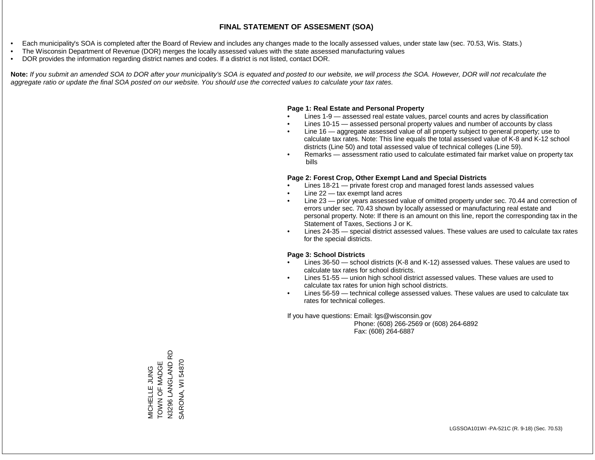- Each municipality's SOA is completed after the Board of Review and includes any changes made to the locally assessed values, under state law (sec. 70.53, Wis. Stats.)
- The Wisconsin Department of Revenue (DOR) merges the locally assessed values with the state assessed manufacturing values
- DOR provides the information regarding district names and codes. If a district is not listed, contact DOR.

Note: If you submit an amended SOA to DOR after your municipality's SOA is equated and posted to our website, we will process the SOA. However, DOR will not recalculate the *aggregate ratio or update the final SOA posted on our website. You should use the corrected values to calculate your tax rates.*

### **Page 1: Real Estate and Personal Property**

- Lines 1-9 assessed real estate values, parcel counts and acres by classification
- Lines 10-15 assessed personal property values and number of accounts by class
- Line 16 aggregate assessed value of all property subject to general property; use to calculate tax rates. Note: This line equals the total assessed value of K-8 and K-12 school districts (Line 50) and total assessed value of technical colleges (Line 59).
- Remarks assessment ratio used to calculate estimated fair market value on property tax bills

### **Page 2: Forest Crop, Other Exempt Land and Special Districts**

- Lines 18-21 private forest crop and managed forest lands assessed values
- Line  $22 -$  tax exempt land acres
- Line 23 prior years assessed value of omitted property under sec. 70.44 and correction of errors under sec. 70.43 shown by locally assessed or manufacturing real estate and personal property. Note: If there is an amount on this line, report the corresponding tax in the Statement of Taxes, Sections J or K.
- Lines 24-35 special district assessed values. These values are used to calculate tax rates for the special districts.

### **Page 3: School Districts**

- Lines 36-50 school districts (K-8 and K-12) assessed values. These values are used to calculate tax rates for school districts.
- Lines 51-55 union high school district assessed values. These values are used to calculate tax rates for union high school districts.
- Lines 56-59 technical college assessed values. These values are used to calculate tax rates for technical colleges.

If you have questions: Email: lgs@wisconsin.gov

 Phone: (608) 266-2569 or (608) 264-6892 Fax: (608) 264-6887

6 N3296 LANGLAND RD MICHELLE JUNG<br>TOWN OF MADGE<br>N3296 LANGLAND R SARONA, WI 54870 TOWN OF MADGE SARONA, WI 54870MICHELLE JUNG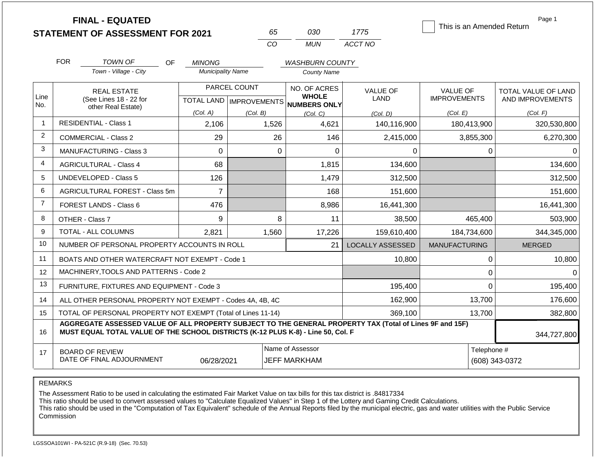| <b>STATEMENT OF ASSESSMENT FOR 2021</b> |  |
|-----------------------------------------|--|
|                                         |  |

**FINAL - EQUATED**

| n.  | റദറ   | 17/5    |  |  |
|-----|-------|---------|--|--|
| 7∷O | MI IN | ACCT NO |  |  |

This is an Amended Return

Page 1

|                | <b>FOR</b>                                                                                                                                                                                   | <b>TOWN OF</b><br><b>OF</b>                               | <b>MINONG</b>            |              | <b>WASHBURN COUNTY</b>                   |                         |                      |                     |
|----------------|----------------------------------------------------------------------------------------------------------------------------------------------------------------------------------------------|-----------------------------------------------------------|--------------------------|--------------|------------------------------------------|-------------------------|----------------------|---------------------|
|                |                                                                                                                                                                                              | Town - Village - City                                     | <b>Municipality Name</b> |              | County Name                              |                         |                      |                     |
| Line           |                                                                                                                                                                                              | <b>REAL ESTATE</b>                                        |                          | PARCEL COUNT | NO. OF ACRES<br><b>WHOLE</b>             | VALUE OF                | <b>VALUE OF</b>      | TOTAL VALUE OF LAND |
| No.            |                                                                                                                                                                                              | (See Lines 18 - 22 for<br>other Real Estate)              |                          |              | TOTAL LAND   IMPROVEMENTS   NUMBERS ONLY | LAND                    | <b>IMPROVEMENTS</b>  | AND IMPROVEMENTS    |
|                |                                                                                                                                                                                              |                                                           | (Col. A)                 | (Col. B)     | (Col, C)                                 | (Col. D)                | (Col. E)             | (Col. F)            |
| $\overline{1}$ |                                                                                                                                                                                              | <b>RESIDENTIAL - Class 1</b>                              | 2,106                    | 1,526        | 4,621                                    | 140,116,900             | 180,413,900          | 320,530,800         |
| 2              |                                                                                                                                                                                              | <b>COMMERCIAL - Class 2</b>                               | 29                       | 26           | 146                                      | 2,415,000               | 3,855,300            | 6,270,300           |
| 3              |                                                                                                                                                                                              | <b>MANUFACTURING - Class 3</b>                            | 0                        | $\Omega$     | $\Omega$                                 | 0                       | 0                    |                     |
| $\overline{4}$ |                                                                                                                                                                                              | <b>AGRICULTURAL - Class 4</b>                             | 68                       |              | 1,815                                    | 134,600                 |                      | 134,600             |
| 5              |                                                                                                                                                                                              | <b>UNDEVELOPED - Class 5</b>                              | 126                      |              | 1,479                                    | 312,500                 |                      | 312,500             |
| 6              |                                                                                                                                                                                              | AGRICULTURAL FOREST - Class 5m                            | $\overline{7}$           |              | 168                                      | 151,600                 |                      | 151,600             |
| $\overline{7}$ |                                                                                                                                                                                              | FOREST LANDS - Class 6                                    | 476                      |              | 8,986                                    | 16,441,300              |                      | 16,441,300          |
| 8              |                                                                                                                                                                                              | OTHER - Class 7                                           | 9                        | 8            | 11                                       | 38,500                  | 465,400              | 503,900             |
| 9              |                                                                                                                                                                                              | TOTAL - ALL COLUMNS                                       | 2,821                    | 1,560        | 17,226                                   | 159,610,400             | 184,734,600          | 344,345,000         |
| 10             |                                                                                                                                                                                              | NUMBER OF PERSONAL PROPERTY ACCOUNTS IN ROLL              |                          |              | 21                                       | <b>LOCALLY ASSESSED</b> | <b>MANUFACTURING</b> | <b>MERGED</b>       |
| 11             |                                                                                                                                                                                              | BOATS AND OTHER WATERCRAFT NOT EXEMPT - Code 1            |                          |              |                                          | 10,800                  | $\Omega$             | 10,800              |
| 12             |                                                                                                                                                                                              | MACHINERY, TOOLS AND PATTERNS - Code 2                    |                          |              |                                          |                         | $\Omega$             |                     |
| 13             |                                                                                                                                                                                              | FURNITURE, FIXTURES AND EQUIPMENT - Code 3                |                          |              |                                          | 195,400                 | $\mathbf 0$          | 195,400             |
| 14             |                                                                                                                                                                                              | ALL OTHER PERSONAL PROPERTY NOT EXEMPT - Codes 4A, 4B, 4C |                          |              | 162,900                                  | 13,700                  | 176,600              |                     |
| 15             | TOTAL OF PERSONAL PROPERTY NOT EXEMPT (Total of Lines 11-14)<br>369,100<br>13,700                                                                                                            |                                                           |                          |              |                                          |                         |                      | 382,800             |
| 16             | AGGREGATE ASSESSED VALUE OF ALL PROPERTY SUBJECT TO THE GENERAL PROPERTY TAX (Total of Lines 9F and 15F)<br>MUST EQUAL TOTAL VALUE OF THE SCHOOL DISTRICTS (K-12 PLUS K-8) - Line 50, Col. F |                                                           |                          |              |                                          |                         |                      | 344,727,800         |
| 17             | Name of Assessor<br><b>BOARD OF REVIEW</b><br>DATE OF FINAL ADJOURNMENT<br>06/28/2021<br><b>JEFF MARKHAM</b>                                                                                 |                                                           |                          |              |                                          |                         | Telephone #          | (608) 343-0372      |

REMARKS

The Assessment Ratio to be used in calculating the estimated Fair Market Value on tax bills for this tax district is .84817334

This ratio should be used to convert assessed values to "Calculate Equalized Values" in Step 1 of the Lottery and Gaming Credit Calculations.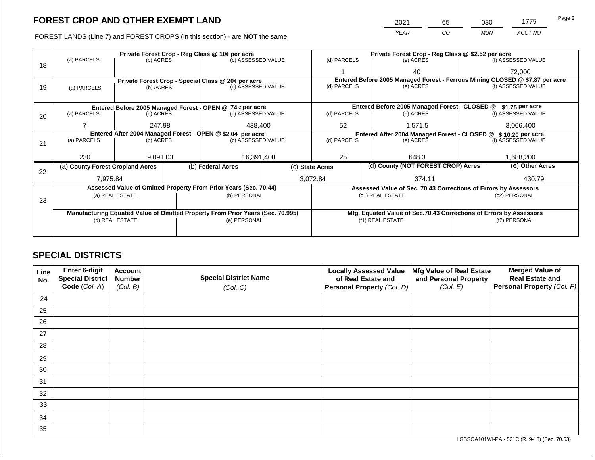FOREST LANDS (Line 7) and FOREST CROPS (in this section) - are NOT the same

| 2021 | 65 | ን30 | 1775    | Page 2 |
|------|----|-----|---------|--------|
| YFAR | CО | MUN | ACCT NO |        |

|    | Private Forest Crop - Reg Class @ 10¢ per acre                                 |                                                            |  |                                                                  |  | Private Forest Crop - Reg Class @ \$2.52 per acre |                    |                                                                  |                                                                              |                                                                    |  |
|----|--------------------------------------------------------------------------------|------------------------------------------------------------|--|------------------------------------------------------------------|--|---------------------------------------------------|--------------------|------------------------------------------------------------------|------------------------------------------------------------------------------|--------------------------------------------------------------------|--|
| 18 | (a) PARCELS                                                                    | (b) ACRES                                                  |  | (c) ASSESSED VALUE                                               |  | (d) PARCELS                                       |                    | (e) ACRES                                                        |                                                                              | (f) ASSESSED VALUE                                                 |  |
|    |                                                                                |                                                            |  |                                                                  |  |                                                   |                    | 40                                                               |                                                                              | 72,000                                                             |  |
|    |                                                                                | Private Forest Crop - Special Class @ 20¢ per acre         |  |                                                                  |  |                                                   |                    |                                                                  | Entered Before 2005 Managed Forest - Ferrous Mining CLOSED @ \$7.87 per acre |                                                                    |  |
| 19 | (a) PARCELS                                                                    | (b) ACRES                                                  |  | (c) ASSESSED VALUE                                               |  | (d) PARCELS                                       |                    | (e) ACRES                                                        |                                                                              | (f) ASSESSED VALUE                                                 |  |
|    |                                                                                |                                                            |  |                                                                  |  |                                                   |                    |                                                                  |                                                                              |                                                                    |  |
|    |                                                                                |                                                            |  | Entered Before 2005 Managed Forest - OPEN @ 74 ¢ per acre        |  |                                                   |                    | Entered Before 2005 Managed Forest - CLOSED @<br>\$1.75 per acre |                                                                              |                                                                    |  |
| 20 | (a) PARCELS                                                                    | (b) ACRES                                                  |  | (c) ASSESSED VALUE                                               |  | (d) PARCELS                                       |                    | (e) ACRES                                                        |                                                                              | (f) ASSESSED VALUE                                                 |  |
|    |                                                                                |                                                            |  |                                                                  |  |                                                   |                    |                                                                  |                                                                              |                                                                    |  |
|    |                                                                                | 247.98                                                     |  | 438,400                                                          |  | 52                                                |                    | 1,571.5                                                          |                                                                              | 3,066,400                                                          |  |
|    |                                                                                | Entered After 2004 Managed Forest - OPEN @ \$2.04 per acre |  |                                                                  |  |                                                   |                    |                                                                  |                                                                              | Entered After 2004 Managed Forest - CLOSED @ \$10.20 per acre      |  |
| 21 | (a) PARCELS                                                                    | (b) ACRES                                                  |  | (c) ASSESSED VALUE                                               |  | (d) PARCELS                                       |                    | (e) ACRES                                                        |                                                                              | (f) ASSESSED VALUE                                                 |  |
|    |                                                                                |                                                            |  |                                                                  |  |                                                   |                    |                                                                  |                                                                              |                                                                    |  |
|    | 230                                                                            | 9,091.03                                                   |  | 16,391,400                                                       |  | 25                                                | 648.3<br>1,688,200 |                                                                  |                                                                              |                                                                    |  |
| 22 | (a) County Forest Cropland Acres                                               |                                                            |  | (b) Federal Acres                                                |  | (c) State Acres                                   |                    | (d) County (NOT FOREST CROP) Acres                               |                                                                              | (e) Other Acres                                                    |  |
|    | 7,975.84                                                                       |                                                            |  |                                                                  |  | 3,072.84<br>374.11                                |                    | 430.79                                                           |                                                                              |                                                                    |  |
|    |                                                                                |                                                            |  | Assessed Value of Omitted Property From Prior Years (Sec. 70.44) |  |                                                   |                    |                                                                  |                                                                              | Assessed Value of Sec. 70.43 Corrections of Errors by Assessors    |  |
|    |                                                                                | (a) REAL ESTATE                                            |  | (b) PERSONAL                                                     |  |                                                   | (c1) REAL ESTATE   |                                                                  |                                                                              | (c2) PERSONAL                                                      |  |
| 23 |                                                                                |                                                            |  |                                                                  |  |                                                   |                    |                                                                  |                                                                              |                                                                    |  |
|    | Manufacturing Equated Value of Omitted Property From Prior Years (Sec. 70.995) |                                                            |  |                                                                  |  |                                                   |                    |                                                                  |                                                                              | Mfg. Equated Value of Sec.70.43 Corrections of Errors by Assessors |  |
|    | (d) REAL ESTATE                                                                |                                                            |  | (e) PERSONAL                                                     |  |                                                   | (f1) REAL ESTATE   |                                                                  |                                                                              | (f2) PERSONAL                                                      |  |
|    |                                                                                |                                                            |  |                                                                  |  |                                                   |                    |                                                                  |                                                                              |                                                                    |  |
|    |                                                                                |                                                            |  |                                                                  |  |                                                   |                    |                                                                  |                                                                              |                                                                    |  |

## **SPECIAL DISTRICTS**

| <b>Line</b><br>No. | Enter 6-digit<br>Special District | <b>Account</b><br><b>Number</b> | <b>Special District Name</b> | <b>Locally Assessed Value</b><br>of Real Estate and | Mfg Value of Real Estate<br>and Personal Property | <b>Merged Value of</b><br><b>Real Estate and</b> |
|--------------------|-----------------------------------|---------------------------------|------------------------------|-----------------------------------------------------|---------------------------------------------------|--------------------------------------------------|
|                    | Code (Col. A)                     | (Col. B)                        | (Col. C)                     | <b>Personal Property (Col. D)</b>                   | (Col. E)                                          | Personal Property (Col. F)                       |
| 24                 |                                   |                                 |                              |                                                     |                                                   |                                                  |
| 25                 |                                   |                                 |                              |                                                     |                                                   |                                                  |
| 26                 |                                   |                                 |                              |                                                     |                                                   |                                                  |
| 27                 |                                   |                                 |                              |                                                     |                                                   |                                                  |
| 28                 |                                   |                                 |                              |                                                     |                                                   |                                                  |
| 29                 |                                   |                                 |                              |                                                     |                                                   |                                                  |
| 30                 |                                   |                                 |                              |                                                     |                                                   |                                                  |
| 31                 |                                   |                                 |                              |                                                     |                                                   |                                                  |
| 32                 |                                   |                                 |                              |                                                     |                                                   |                                                  |
| 33                 |                                   |                                 |                              |                                                     |                                                   |                                                  |
| 34                 |                                   |                                 |                              |                                                     |                                                   |                                                  |
| 35                 |                                   |                                 |                              |                                                     |                                                   |                                                  |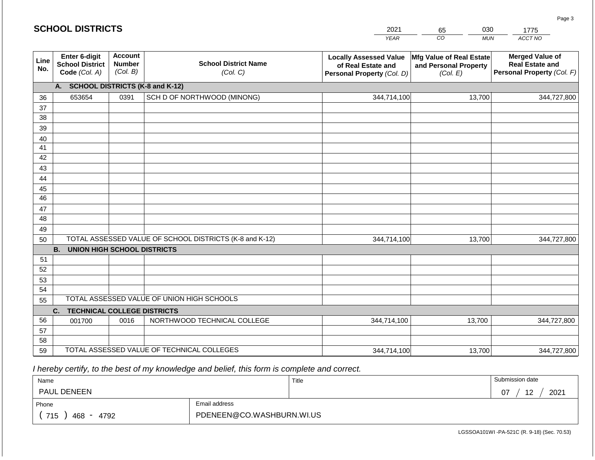|                 | <b>SCHOOL DISTRICTS</b>                                  |                                             |                                                         | 2021                                                                              | 030<br>65                                                     | 1775                                                                           |  |
|-----------------|----------------------------------------------------------|---------------------------------------------|---------------------------------------------------------|-----------------------------------------------------------------------------------|---------------------------------------------------------------|--------------------------------------------------------------------------------|--|
|                 |                                                          |                                             |                                                         | <b>YEAR</b>                                                                       | CO<br><b>MUN</b>                                              | ACCT NO                                                                        |  |
| Line<br>No.     | Enter 6-digit<br><b>School District</b><br>Code (Col. A) | <b>Account</b><br><b>Number</b><br>(Col. B) | <b>School District Name</b><br>(Col. C)                 | <b>Locally Assessed Value</b><br>of Real Estate and<br>Personal Property (Col. D) | Mfg Value of Real Estate<br>and Personal Property<br>(Col. E) | <b>Merged Value of</b><br><b>Real Estate and</b><br>Personal Property (Col. F) |  |
|                 | <b>SCHOOL DISTRICTS (K-8 and K-12)</b><br>A.             |                                             |                                                         |                                                                                   |                                                               |                                                                                |  |
| 36              | 653654                                                   | 0391                                        | SCH D OF NORTHWOOD (MINONG)                             | 344,714,100                                                                       | 13,700                                                        | 344,727,800                                                                    |  |
| 37              |                                                          |                                             |                                                         |                                                                                   |                                                               |                                                                                |  |
| 38              |                                                          |                                             |                                                         |                                                                                   |                                                               |                                                                                |  |
| 39              |                                                          |                                             |                                                         |                                                                                   |                                                               |                                                                                |  |
| 40              |                                                          |                                             |                                                         |                                                                                   |                                                               |                                                                                |  |
| 41<br>42        |                                                          |                                             |                                                         |                                                                                   |                                                               |                                                                                |  |
| 43              |                                                          |                                             |                                                         |                                                                                   |                                                               |                                                                                |  |
| 44              |                                                          |                                             |                                                         |                                                                                   |                                                               |                                                                                |  |
| 45              |                                                          |                                             |                                                         |                                                                                   |                                                               |                                                                                |  |
| $\overline{46}$ |                                                          |                                             |                                                         |                                                                                   |                                                               |                                                                                |  |
| 47              |                                                          |                                             |                                                         |                                                                                   |                                                               |                                                                                |  |
| 48              |                                                          |                                             |                                                         |                                                                                   |                                                               |                                                                                |  |
| 49              |                                                          |                                             |                                                         |                                                                                   |                                                               |                                                                                |  |
| 50              |                                                          |                                             | TOTAL ASSESSED VALUE OF SCHOOL DISTRICTS (K-8 and K-12) | 344,714,100                                                                       | 13,700                                                        | 344,727,800                                                                    |  |
|                 | <b>B.</b><br><b>UNION HIGH SCHOOL DISTRICTS</b>          |                                             |                                                         |                                                                                   |                                                               |                                                                                |  |
| 51              |                                                          |                                             |                                                         |                                                                                   |                                                               |                                                                                |  |
| 52              |                                                          |                                             |                                                         |                                                                                   |                                                               |                                                                                |  |
| 53              |                                                          |                                             |                                                         |                                                                                   |                                                               |                                                                                |  |
| 54              |                                                          |                                             |                                                         |                                                                                   |                                                               |                                                                                |  |
|                 | TOTAL ASSESSED VALUE OF UNION HIGH SCHOOLS<br>55         |                                             |                                                         |                                                                                   |                                                               |                                                                                |  |
|                 | <b>TECHNICAL COLLEGE DISTRICTS</b><br>C.                 |                                             |                                                         |                                                                                   |                                                               |                                                                                |  |
| 56              | 001700                                                   | 0016                                        | NORTHWOOD TECHNICAL COLLEGE                             | 344,714,100                                                                       | 13,700                                                        | 344,727,800                                                                    |  |
| 57<br>58        |                                                          |                                             |                                                         |                                                                                   |                                                               |                                                                                |  |
| 59              |                                                          |                                             | TOTAL ASSESSED VALUE OF TECHNICAL COLLEGES              | 344,714,100                                                                       | 13,700                                                        | 344,727,800                                                                    |  |

| Name                                           |                           | Title | Submission date  |
|------------------------------------------------|---------------------------|-------|------------------|
| <b>PAUL DENEEN</b>                             |                           |       | 2021<br>1つ<br>07 |
| Phone                                          | Email address             |       |                  |
| 715<br>468<br>4792<br>$\overline{\phantom{0}}$ | PDENEEN@CO.WASHBURN.WI.US |       |                  |

LGSSOA101WI -PA-521C (R. 9-18) (Sec. 70.53)

Page 3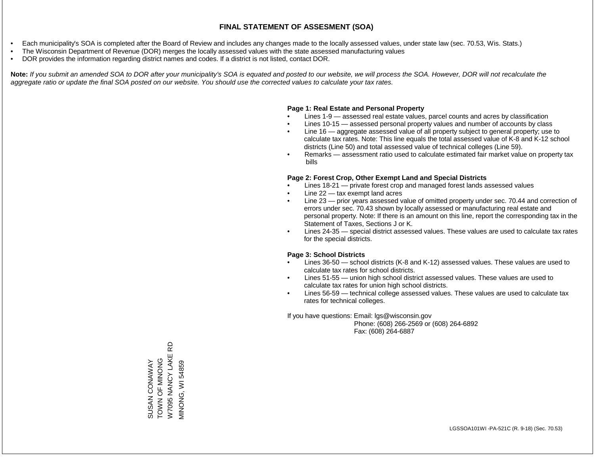- Each municipality's SOA is completed after the Board of Review and includes any changes made to the locally assessed values, under state law (sec. 70.53, Wis. Stats.)
- The Wisconsin Department of Revenue (DOR) merges the locally assessed values with the state assessed manufacturing values
- DOR provides the information regarding district names and codes. If a district is not listed, contact DOR.

Note: If you submit an amended SOA to DOR after your municipality's SOA is equated and posted to our website, we will process the SOA. However, DOR will not recalculate the *aggregate ratio or update the final SOA posted on our website. You should use the corrected values to calculate your tax rates.*

### **Page 1: Real Estate and Personal Property**

- Lines 1-9 assessed real estate values, parcel counts and acres by classification
- Lines 10-15 assessed personal property values and number of accounts by class
- Line 16 aggregate assessed value of all property subject to general property; use to calculate tax rates. Note: This line equals the total assessed value of K-8 and K-12 school districts (Line 50) and total assessed value of technical colleges (Line 59).
- Remarks assessment ratio used to calculate estimated fair market value on property tax bills

### **Page 2: Forest Crop, Other Exempt Land and Special Districts**

- Lines 18-21 private forest crop and managed forest lands assessed values
- Line  $22 -$  tax exempt land acres
- Line 23 prior years assessed value of omitted property under sec. 70.44 and correction of errors under sec. 70.43 shown by locally assessed or manufacturing real estate and personal property. Note: If there is an amount on this line, report the corresponding tax in the Statement of Taxes, Sections J or K.
- Lines 24-35 special district assessed values. These values are used to calculate tax rates for the special districts.

### **Page 3: School Districts**

- Lines 36-50 school districts (K-8 and K-12) assessed values. These values are used to calculate tax rates for school districts.
- Lines 51-55 union high school district assessed values. These values are used to calculate tax rates for union high school districts.
- Lines 56-59 technical college assessed values. These values are used to calculate tax rates for technical colleges.

If you have questions: Email: lgs@wisconsin.gov

 Phone: (608) 266-2569 or (608) 264-6892 Fax: (608) 264-6887

6D W7095 NANCY LAKE RD SUSAN CONAWAY<br>TOWN OF MINONG<br>W7095 NANCY LAKE F ONONIM LO NNON **VIINONG, WI 54859** SUSAN CONAWAY MINONG, WI 54859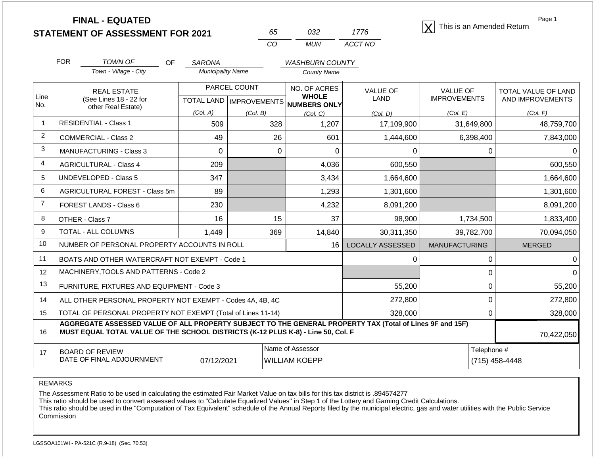**STATEMENT OF ASSESSMENT FOR 2021**

| 65. | ハマン   | 17/6    |
|-----|-------|---------|
| CO. | MI IN | ACCT NO |

**FINAL - EQUATED**<br>  $\overline{X}$  This is an Amended Return

Page 1

|                | <b>FOR</b>                                   | <b>TOWN OF</b><br>OF                                                                                                                                                                         | <b>SARONA</b>                                        |          | <b>WASHBURN COUNTY</b>       |                                |                                        |             |                                         |
|----------------|----------------------------------------------|----------------------------------------------------------------------------------------------------------------------------------------------------------------------------------------------|------------------------------------------------------|----------|------------------------------|--------------------------------|----------------------------------------|-------------|-----------------------------------------|
|                |                                              | Town - Village - City                                                                                                                                                                        | <b>Municipality Name</b>                             |          | <b>County Name</b>           |                                |                                        |             |                                         |
| Line           | <b>REAL ESTATE</b><br>(See Lines 18 - 22 for |                                                                                                                                                                                              | PARCEL COUNT<br>TOTAL LAND MPROVEMENTS NUMBERS ONLY  |          | NO. OF ACRES<br><b>WHOLE</b> | <b>VALUE OF</b><br><b>LAND</b> | <b>VALUE OF</b><br><b>IMPROVEMENTS</b> |             | TOTAL VALUE OF LAND<br>AND IMPROVEMENTS |
| No.            |                                              | other Real Estate)                                                                                                                                                                           |                                                      |          |                              |                                |                                        |             |                                         |
| $\mathbf{1}$   |                                              | <b>RESIDENTIAL - Class 1</b>                                                                                                                                                                 | (Col. A)                                             | (Col. B) | (Col, C)                     | (Col. D)                       | (Col. E)                               |             | (Col. F)                                |
|                |                                              |                                                                                                                                                                                              | 509                                                  | 328      | 1,207                        | 17,109,900                     |                                        | 31,649,800  | 48,759,700                              |
| $\overline{2}$ |                                              | <b>COMMERCIAL - Class 2</b>                                                                                                                                                                  | 49                                                   | 26       | 601                          | 1,444,600                      |                                        | 6,398,400   | 7,843,000                               |
| 3              |                                              | <b>MANUFACTURING - Class 3</b>                                                                                                                                                               | 0                                                    | $\Omega$ | $\Omega$                     | $\Omega$                       |                                        | 0           |                                         |
| 4              |                                              | <b>AGRICULTURAL - Class 4</b>                                                                                                                                                                | 209                                                  |          | 4,036                        | 600,550                        |                                        |             | 600,550                                 |
| 5              |                                              | <b>UNDEVELOPED - Class 5</b>                                                                                                                                                                 | 347                                                  |          | 3,434                        | 1,664,600                      |                                        |             | 1,664,600                               |
| 6              |                                              | AGRICULTURAL FOREST - Class 5m                                                                                                                                                               | 89                                                   |          | 1,293                        | 1,301,600                      |                                        |             | 1,301,600                               |
| $\overline{7}$ |                                              | FOREST LANDS - Class 6                                                                                                                                                                       | 230                                                  |          | 4,232                        | 8,091,200                      |                                        |             | 8,091,200                               |
| 8              |                                              | OTHER - Class 7                                                                                                                                                                              | 16                                                   | 15       | 37                           | 98,900                         |                                        | 1,734,500   | 1,833,400                               |
| 9              |                                              | TOTAL - ALL COLUMNS                                                                                                                                                                          | 1,449                                                | 369      | 14,840                       | 30,311,350                     |                                        | 39,782,700  | 70,094,050                              |
| 10             |                                              | NUMBER OF PERSONAL PROPERTY ACCOUNTS IN ROLL                                                                                                                                                 |                                                      |          | 16 <sup>1</sup>              | <b>LOCALLY ASSESSED</b>        | <b>MANUFACTURING</b>                   |             | <b>MERGED</b>                           |
| 11             |                                              | BOATS AND OTHER WATERCRAFT NOT EXEMPT - Code 1                                                                                                                                               |                                                      |          |                              | $\Omega$                       |                                        | 0           |                                         |
| 12             |                                              | MACHINERY, TOOLS AND PATTERNS - Code 2                                                                                                                                                       |                                                      |          |                              |                                |                                        | 0           |                                         |
| 13             |                                              | FURNITURE, FIXTURES AND EQUIPMENT - Code 3                                                                                                                                                   |                                                      |          |                              | 55,200                         |                                        | 0           | 55,200                                  |
| 14             |                                              | ALL OTHER PERSONAL PROPERTY NOT EXEMPT - Codes 4A, 4B, 4C                                                                                                                                    |                                                      | 272,800  |                              | $\mathbf 0$                    | 272,800                                |             |                                         |
| 15             |                                              | TOTAL OF PERSONAL PROPERTY NOT EXEMPT (Total of Lines 11-14)                                                                                                                                 |                                                      | 328,000  |                              | $\Omega$                       | 328,000                                |             |                                         |
| 16             |                                              | AGGREGATE ASSESSED VALUE OF ALL PROPERTY SUBJECT TO THE GENERAL PROPERTY TAX (Total of Lines 9F and 15F)<br>MUST EQUAL TOTAL VALUE OF THE SCHOOL DISTRICTS (K-12 PLUS K-8) - Line 50, Col. F |                                                      |          |                              | 70,422,050                     |                                        |             |                                         |
| 17             |                                              | <b>BOARD OF REVIEW</b>                                                                                                                                                                       |                                                      |          | Name of Assessor             |                                |                                        | Telephone # |                                         |
|                |                                              | DATE OF FINAL ADJOURNMENT                                                                                                                                                                    | 07/12/2021<br><b>WILLIAM KOEPP</b><br>(715) 458-4448 |          |                              |                                |                                        |             |                                         |

REMARKS

The Assessment Ratio to be used in calculating the estimated Fair Market Value on tax bills for this tax district is .894574277

This ratio should be used to convert assessed values to "Calculate Equalized Values" in Step 1 of the Lottery and Gaming Credit Calculations.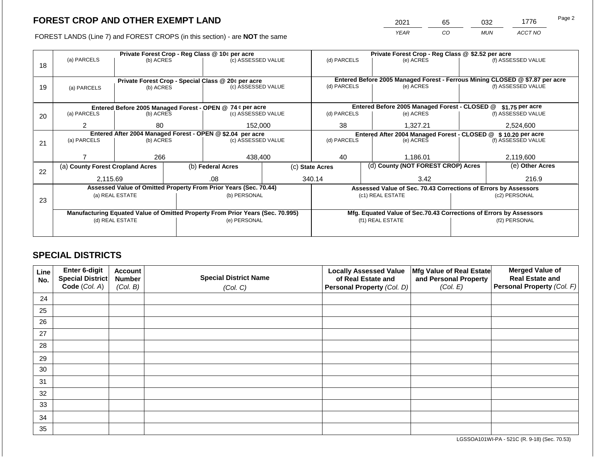2021 65 032 1776

FOREST LANDS (Line 7) and FOREST CROPS (in this section) - are **NOT** the same *YEAR CO MUN ACCT NO*

|    |                                                                                |                                                             | Private Forest Crop - Reg Class @ \$2.52 per acre |                                                                  |  |                                                                |                                                                  |                                                                                           |  |                    |
|----|--------------------------------------------------------------------------------|-------------------------------------------------------------|---------------------------------------------------|------------------------------------------------------------------|--|----------------------------------------------------------------|------------------------------------------------------------------|-------------------------------------------------------------------------------------------|--|--------------------|
|    | (a) PARCELS                                                                    | Private Forest Crop - Reg Class @ 10¢ per acre<br>(b) ACRES |                                                   | (c) ASSESSED VALUE                                               |  | (d) PARCELS                                                    |                                                                  | (e) ACRES                                                                                 |  | (f) ASSESSED VALUE |
| 18 |                                                                                |                                                             |                                                   |                                                                  |  |                                                                |                                                                  |                                                                                           |  |                    |
|    |                                                                                |                                                             |                                                   |                                                                  |  |                                                                |                                                                  |                                                                                           |  |                    |
|    |                                                                                |                                                             |                                                   | Private Forest Crop - Special Class @ 20¢ per acre               |  | (d) PARCELS                                                    |                                                                  | Entered Before 2005 Managed Forest - Ferrous Mining CLOSED @ \$7.87 per acre<br>(e) ACRES |  | (f) ASSESSED VALUE |
| 19 | (a) PARCELS                                                                    | (b) ACRES                                                   |                                                   | (c) ASSESSED VALUE                                               |  |                                                                |                                                                  |                                                                                           |  |                    |
|    |                                                                                |                                                             |                                                   |                                                                  |  |                                                                |                                                                  |                                                                                           |  |                    |
|    |                                                                                |                                                             |                                                   | Entered Before 2005 Managed Forest - OPEN @ 74 ¢ per acre        |  |                                                                | Entered Before 2005 Managed Forest - CLOSED @<br>\$1.75 per acre |                                                                                           |  |                    |
| 20 | (a) PARCELS                                                                    | (b) ACRES                                                   |                                                   | (c) ASSESSED VALUE                                               |  | (d) PARCELS                                                    |                                                                  | (e) ACRES                                                                                 |  | (f) ASSESSED VALUE |
|    |                                                                                |                                                             |                                                   |                                                                  |  |                                                                |                                                                  |                                                                                           |  |                    |
|    | $\overline{2}$                                                                 | 80                                                          |                                                   | 152,000                                                          |  | 38                                                             |                                                                  | 1,327.21                                                                                  |  | 2,524,600          |
|    | Entered After 2004 Managed Forest - OPEN @ \$2.04 per acre                     |                                                             |                                                   |                                                                  |  | Entered After 2004 Managed Forest - CLOSED @ \$ 10.20 per acre |                                                                  |                                                                                           |  |                    |
| 21 | (a) PARCELS                                                                    | (b) ACRES                                                   |                                                   | (c) ASSESSED VALUE                                               |  | (d) PARCELS                                                    | (e) ACRES                                                        |                                                                                           |  | (f) ASSESSED VALUE |
|    |                                                                                |                                                             |                                                   |                                                                  |  |                                                                |                                                                  |                                                                                           |  |                    |
|    |                                                                                | 266                                                         |                                                   | 438,400                                                          |  | 40                                                             |                                                                  | 1,186.01                                                                                  |  | 2,119,600          |
|    | (a) County Forest Cropland Acres                                               |                                                             |                                                   | (b) Federal Acres                                                |  | (c) State Acres                                                | (d) County (NOT FOREST CROP) Acres                               |                                                                                           |  | (e) Other Acres    |
| 22 |                                                                                |                                                             |                                                   |                                                                  |  |                                                                |                                                                  |                                                                                           |  |                    |
|    | 2,115.69                                                                       |                                                             |                                                   | .08                                                              |  | 340.14                                                         |                                                                  | 3.42                                                                                      |  | 216.9              |
|    |                                                                                |                                                             |                                                   | Assessed Value of Omitted Property From Prior Years (Sec. 70.44) |  |                                                                |                                                                  | Assessed Value of Sec. 70.43 Corrections of Errors by Assessors                           |  |                    |
|    |                                                                                | (a) REAL ESTATE                                             |                                                   | (b) PERSONAL                                                     |  |                                                                |                                                                  | (c1) REAL ESTATE                                                                          |  | (c2) PERSONAL      |
| 23 |                                                                                |                                                             |                                                   |                                                                  |  |                                                                |                                                                  |                                                                                           |  |                    |
|    | Manufacturing Equated Value of Omitted Property From Prior Years (Sec. 70.995) |                                                             |                                                   |                                                                  |  |                                                                |                                                                  | Mfg. Equated Value of Sec.70.43 Corrections of Errors by Assessors                        |  |                    |
|    | (d) REAL ESTATE                                                                |                                                             |                                                   | (e) PERSONAL                                                     |  |                                                                |                                                                  | (f1) REAL ESTATE                                                                          |  | (f2) PERSONAL      |
|    |                                                                                |                                                             |                                                   |                                                                  |  |                                                                |                                                                  |                                                                                           |  |                    |
|    |                                                                                |                                                             |                                                   |                                                                  |  |                                                                |                                                                  |                                                                                           |  |                    |

## **SPECIAL DISTRICTS**

| Line<br>No. | Enter 6-digit<br>Special District<br>Code (Col. A) | <b>Account</b><br><b>Number</b><br>(Col. B) | <b>Special District Name</b><br>(Col. C) | <b>Locally Assessed Value</b><br>of Real Estate and<br><b>Personal Property (Col. D)</b> | Mfg Value of Real Estate<br>and Personal Property<br>(Col. E) | <b>Merged Value of</b><br><b>Real Estate and</b><br>Personal Property (Col. F) |
|-------------|----------------------------------------------------|---------------------------------------------|------------------------------------------|------------------------------------------------------------------------------------------|---------------------------------------------------------------|--------------------------------------------------------------------------------|
| 24          |                                                    |                                             |                                          |                                                                                          |                                                               |                                                                                |
| 25          |                                                    |                                             |                                          |                                                                                          |                                                               |                                                                                |
| 26          |                                                    |                                             |                                          |                                                                                          |                                                               |                                                                                |
| 27          |                                                    |                                             |                                          |                                                                                          |                                                               |                                                                                |
| 28          |                                                    |                                             |                                          |                                                                                          |                                                               |                                                                                |
| 29          |                                                    |                                             |                                          |                                                                                          |                                                               |                                                                                |
| 30          |                                                    |                                             |                                          |                                                                                          |                                                               |                                                                                |
| 31          |                                                    |                                             |                                          |                                                                                          |                                                               |                                                                                |
| 32          |                                                    |                                             |                                          |                                                                                          |                                                               |                                                                                |
| 33          |                                                    |                                             |                                          |                                                                                          |                                                               |                                                                                |
| 34          |                                                    |                                             |                                          |                                                                                          |                                                               |                                                                                |
| 35          |                                                    |                                             |                                          |                                                                                          |                                                               |                                                                                |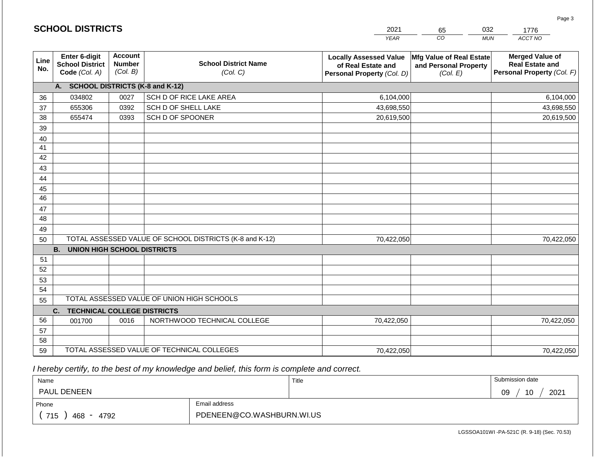|             | <b>SCHOOL DISTRICTS</b>                                  |                                             |                                                         | 2021                                                                              | 65                                                            | 032<br>1776                                                                    |
|-------------|----------------------------------------------------------|---------------------------------------------|---------------------------------------------------------|-----------------------------------------------------------------------------------|---------------------------------------------------------------|--------------------------------------------------------------------------------|
|             |                                                          |                                             |                                                         | <b>YEAR</b>                                                                       | CO                                                            | <b>MUN</b><br>ACCT NO                                                          |
| Line<br>No. | Enter 6-digit<br><b>School District</b><br>Code (Col. A) | <b>Account</b><br><b>Number</b><br>(Col. B) | <b>School District Name</b><br>(Col. C)                 | <b>Locally Assessed Value</b><br>of Real Estate and<br>Personal Property (Col. D) | Mfg Value of Real Estate<br>and Personal Property<br>(Col. E) | <b>Merged Value of</b><br><b>Real Estate and</b><br>Personal Property (Col. F) |
|             | A. SCHOOL DISTRICTS (K-8 and K-12)                       |                                             |                                                         |                                                                                   |                                                               |                                                                                |
| 36          | 034802                                                   | 0027                                        | SCH D OF RICE LAKE AREA                                 | 6,104,000                                                                         |                                                               | 6,104,000                                                                      |
| 37          | 655306                                                   | 0392                                        | SCH D OF SHELL LAKE                                     | 43,698,550                                                                        |                                                               | 43,698,550                                                                     |
| 38          | 655474                                                   | 0393                                        | SCH D OF SPOONER                                        | 20,619,500                                                                        |                                                               | 20,619,500                                                                     |
| 39          |                                                          |                                             |                                                         |                                                                                   |                                                               |                                                                                |
| 40          |                                                          |                                             |                                                         |                                                                                   |                                                               |                                                                                |
| 41          |                                                          |                                             |                                                         |                                                                                   |                                                               |                                                                                |
| 42          |                                                          |                                             |                                                         |                                                                                   |                                                               |                                                                                |
| 43          |                                                          |                                             |                                                         |                                                                                   |                                                               |                                                                                |
| 44          |                                                          |                                             |                                                         |                                                                                   |                                                               |                                                                                |
| 45<br>46    |                                                          |                                             |                                                         |                                                                                   |                                                               |                                                                                |
|             |                                                          |                                             |                                                         |                                                                                   |                                                               |                                                                                |
| 47<br>48    |                                                          |                                             |                                                         |                                                                                   |                                                               |                                                                                |
| 49          |                                                          |                                             |                                                         |                                                                                   |                                                               |                                                                                |
| 50          |                                                          |                                             | TOTAL ASSESSED VALUE OF SCHOOL DISTRICTS (K-8 and K-12) | 70,422,050                                                                        |                                                               | 70,422,050                                                                     |
|             | <b>B. UNION HIGH SCHOOL DISTRICTS</b>                    |                                             |                                                         |                                                                                   |                                                               |                                                                                |
| 51          |                                                          |                                             |                                                         |                                                                                   |                                                               |                                                                                |
| 52          |                                                          |                                             |                                                         |                                                                                   |                                                               |                                                                                |
| 53          |                                                          |                                             |                                                         |                                                                                   |                                                               |                                                                                |
| 54          |                                                          |                                             |                                                         |                                                                                   |                                                               |                                                                                |
| 55          |                                                          |                                             | TOTAL ASSESSED VALUE OF UNION HIGH SCHOOLS              |                                                                                   |                                                               |                                                                                |
|             | C.<br><b>TECHNICAL COLLEGE DISTRICTS</b>                 |                                             |                                                         |                                                                                   |                                                               |                                                                                |
| 56          | 001700                                                   | 0016                                        | NORTHWOOD TECHNICAL COLLEGE                             | 70,422,050                                                                        |                                                               | 70,422,050                                                                     |
| 57          |                                                          |                                             |                                                         |                                                                                   |                                                               |                                                                                |
| 58          |                                                          |                                             |                                                         |                                                                                   |                                                               |                                                                                |
| 59          |                                                          |                                             | TOTAL ASSESSED VALUE OF TECHNICAL COLLEGES              | 70,422,050                                                                        |                                                               | 70,422,050                                                                     |

**SCHOOL DISTRICTS**

| Name                       |                           | Title | Submission date  |
|----------------------------|---------------------------|-------|------------------|
| <b>PAUL DENEEN</b>         |                           |       | 2021<br>10<br>09 |
| Phone                      | Email address             |       |                  |
| 715<br>468<br>4792<br>$ -$ | PDENEEN@CO.WASHBURN.WI.US |       |                  |

Page 3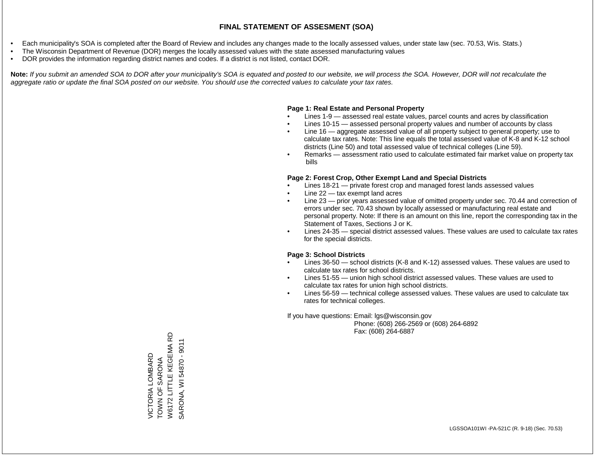- Each municipality's SOA is completed after the Board of Review and includes any changes made to the locally assessed values, under state law (sec. 70.53, Wis. Stats.)
- The Wisconsin Department of Revenue (DOR) merges the locally assessed values with the state assessed manufacturing values
- DOR provides the information regarding district names and codes. If a district is not listed, contact DOR.

Note: If you submit an amended SOA to DOR after your municipality's SOA is equated and posted to our website, we will process the SOA. However, DOR will not recalculate the *aggregate ratio or update the final SOA posted on our website. You should use the corrected values to calculate your tax rates.*

### **Page 1: Real Estate and Personal Property**

- Lines 1-9 assessed real estate values, parcel counts and acres by classification
- Lines 10-15 assessed personal property values and number of accounts by class
- Line 16 aggregate assessed value of all property subject to general property; use to calculate tax rates. Note: This line equals the total assessed value of K-8 and K-12 school districts (Line 50) and total assessed value of technical colleges (Line 59).
- Remarks assessment ratio used to calculate estimated fair market value on property tax bills

### **Page 2: Forest Crop, Other Exempt Land and Special Districts**

- Lines 18-21 private forest crop and managed forest lands assessed values
- Line  $22 -$  tax exempt land acres
- Line 23 prior years assessed value of omitted property under sec. 70.44 and correction of errors under sec. 70.43 shown by locally assessed or manufacturing real estate and personal property. Note: If there is an amount on this line, report the corresponding tax in the Statement of Taxes, Sections J or K.
- Lines 24-35 special district assessed values. These values are used to calculate tax rates for the special districts.

### **Page 3: School Districts**

- Lines 36-50 school districts (K-8 and K-12) assessed values. These values are used to calculate tax rates for school districts.
- Lines 51-55 union high school district assessed values. These values are used to calculate tax rates for union high school districts.
- Lines 56-59 technical college assessed values. These values are used to calculate tax rates for technical colleges.

If you have questions: Email: lgs@wisconsin.gov

 Phone: (608) 266-2569 or (608) 264-6892 Fax: (608) 264-6887

**Q** W6172 LITTLE KEGEMA RD SARONA, WI 54870 - 9011 SARONA, WI 54870 - 9011W6172 LITTLE KEGEMA VICTORIA LOMBARD<br>TOWN OF SARONA VICTORIA LOMBARD TOWN OF SARONA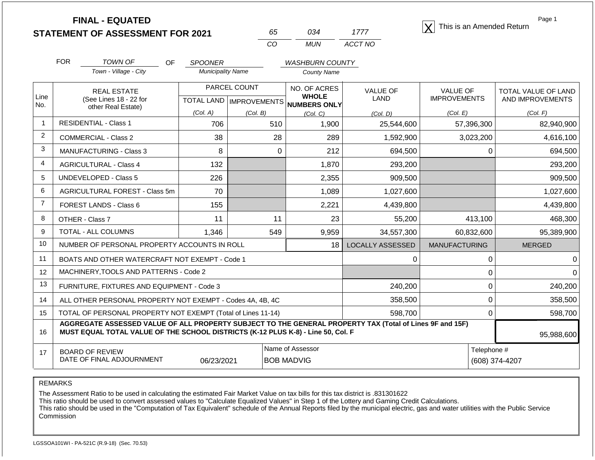**STATEMENT OF ASSESSMENT FOR 2021**

| 65 | กว⊿ | 1111    |
|----|-----|---------|
| Γn | MUN | ACCT NO |

**FINAL - EQUATED**<br>  $\overline{X}$  This is an Amended Return

Page 1

|                  | <b>FOR</b>                   | <b>TOWN OF</b><br>OF                                                                                                                                                                         | <b>SPOONER</b>           |                 | <b>WASHBURN COUNTY</b>                |                                |                                        |                                         |
|------------------|------------------------------|----------------------------------------------------------------------------------------------------------------------------------------------------------------------------------------------|--------------------------|-----------------|---------------------------------------|--------------------------------|----------------------------------------|-----------------------------------------|
|                  |                              | Town - Village - City                                                                                                                                                                        | <b>Municipality Name</b> |                 | <b>County Name</b>                    |                                |                                        |                                         |
| Line             |                              | <b>REAL ESTATE</b><br>(See Lines 18 - 22 for                                                                                                                                                 |                          | PARCEL COUNT    | NO. OF ACRES<br><b>WHOLE</b>          | <b>VALUE OF</b><br><b>LAND</b> | <b>VALUE OF</b><br><b>IMPROVEMENTS</b> | TOTAL VALUE OF LAND<br>AND IMPROVEMENTS |
| No.              | other Real Estate)           |                                                                                                                                                                                              | (Col. A)                 |                 | TOTAL LAND MPROVEMENTS NUMBERS ONLY   |                                | (Col. E)                               | (Col. F)                                |
| $\mathbf{1}$     | <b>RESIDENTIAL - Class 1</b> |                                                                                                                                                                                              | 706                      | (Col. B)<br>510 | (Col. C)<br>1,900                     | (Col. D)<br>25,544,600         | 57,396,300                             | 82,940,900                              |
| $\overline{2}$   |                              | <b>COMMERCIAL - Class 2</b>                                                                                                                                                                  | 38                       | 28              | 289                                   | 1,592,900                      | 3,023,200                              | 4,616,100                               |
| 3                |                              | <b>MANUFACTURING - Class 3</b>                                                                                                                                                               | 8                        | $\Omega$        | 212                                   | 694,500                        |                                        | 0<br>694,500                            |
| $\overline{4}$   |                              | <b>AGRICULTURAL - Class 4</b>                                                                                                                                                                | 132                      |                 | 1,870                                 | 293,200                        |                                        | 293,200                                 |
| 5                |                              | <b>UNDEVELOPED - Class 5</b>                                                                                                                                                                 | 226                      |                 | 2,355                                 | 909,500                        |                                        | 909,500                                 |
| 6                |                              | AGRICULTURAL FOREST - Class 5m                                                                                                                                                               | 70                       |                 | 1,089                                 | 1,027,600                      |                                        | 1,027,600                               |
| $\overline{7}$   |                              | FOREST LANDS - Class 6                                                                                                                                                                       | 155                      |                 | 2,221                                 | 4,439,800                      |                                        | 4,439,800                               |
| 8                |                              | OTHER - Class 7                                                                                                                                                                              | 11                       | 11              | 23                                    | 55,200                         | 413,100                                | 468,300                                 |
| 9                |                              | TOTAL - ALL COLUMNS                                                                                                                                                                          | 1,346                    | 549             | 9,959                                 | 34,557,300                     | 60,832,600                             | 95,389,900                              |
| 10 <sup>10</sup> |                              | NUMBER OF PERSONAL PROPERTY ACCOUNTS IN ROLL                                                                                                                                                 |                          |                 | 18                                    | <b>LOCALLY ASSESSED</b>        | <b>MANUFACTURING</b>                   | <b>MERGED</b>                           |
| 11               |                              | BOATS AND OTHER WATERCRAFT NOT EXEMPT - Code 1                                                                                                                                               |                          |                 |                                       | $\Omega$                       |                                        | $\Omega$                                |
| 12               |                              | MACHINERY, TOOLS AND PATTERNS - Code 2                                                                                                                                                       |                          |                 |                                       |                                |                                        | 0                                       |
| 13               |                              | FURNITURE, FIXTURES AND EQUIPMENT - Code 3                                                                                                                                                   |                          |                 |                                       | 240,200                        |                                        | 0<br>240,200                            |
| 14               |                              | ALL OTHER PERSONAL PROPERTY NOT EXEMPT - Codes 4A, 4B, 4C                                                                                                                                    |                          |                 |                                       | 358,500                        |                                        | 0<br>358,500                            |
| 15               |                              | TOTAL OF PERSONAL PROPERTY NOT EXEMPT (Total of Lines 11-14)                                                                                                                                 |                          |                 |                                       | 598,700                        |                                        | 598,700<br>0                            |
| 16               |                              | AGGREGATE ASSESSED VALUE OF ALL PROPERTY SUBJECT TO THE GENERAL PROPERTY TAX (Total of Lines 9F and 15F)<br>MUST EQUAL TOTAL VALUE OF THE SCHOOL DISTRICTS (K-12 PLUS K-8) - Line 50, Col. F |                          |                 |                                       |                                |                                        | 95,988,600                              |
| 17               |                              | <b>BOARD OF REVIEW</b><br>DATE OF FINAL ADJOURNMENT                                                                                                                                          | 06/23/2021               |                 | Name of Assessor<br><b>BOB MADVIG</b> |                                | Telephone #<br>(608) 374-4207          |                                         |

REMARKS

The Assessment Ratio to be used in calculating the estimated Fair Market Value on tax bills for this tax district is .831301622

This ratio should be used to convert assessed values to "Calculate Equalized Values" in Step 1 of the Lottery and Gaming Credit Calculations.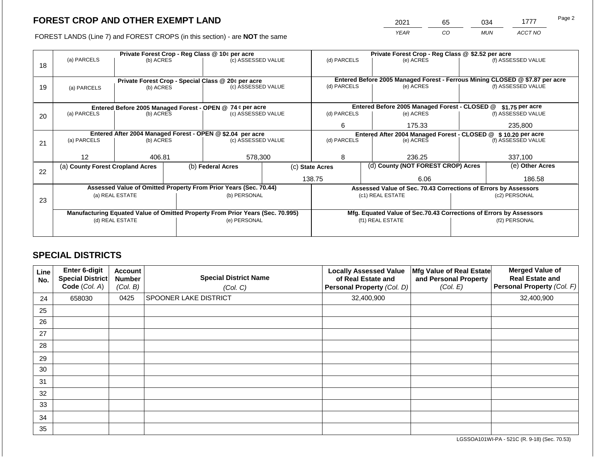2021 65 034 1777 Page 2

FOREST LANDS (Line 7) and FOREST CROPS (in this section) - are **NOT** the same *YEAR CO MUN ACCT NO*

|    |                                                                                                             |                 | Private Forest Crop - Reg Class @ \$2.52 per acre |                                                                                |                                               |                                                       |                 |                                                                    |                    |                                                                              |
|----|-------------------------------------------------------------------------------------------------------------|-----------------|---------------------------------------------------|--------------------------------------------------------------------------------|-----------------------------------------------|-------------------------------------------------------|-----------------|--------------------------------------------------------------------|--------------------|------------------------------------------------------------------------------|
|    | (a) PARCELS                                                                                                 | (b) ACRES       |                                                   | Private Forest Crop - Reg Class @ 10¢ per acre<br>(c) ASSESSED VALUE           |                                               | (d) PARCELS                                           |                 | (e) ACRES                                                          |                    | (f) ASSESSED VALUE                                                           |
| 18 |                                                                                                             |                 |                                                   |                                                                                |                                               |                                                       |                 |                                                                    |                    |                                                                              |
|    |                                                                                                             |                 |                                                   |                                                                                |                                               |                                                       |                 |                                                                    |                    |                                                                              |
|    |                                                                                                             |                 |                                                   | Private Forest Crop - Special Class @ 20¢ per acre                             |                                               |                                                       |                 |                                                                    |                    | Entered Before 2005 Managed Forest - Ferrous Mining CLOSED @ \$7.87 per acre |
| 19 | (b) ACRES<br>(a) PARCELS                                                                                    |                 | (c) ASSESSED VALUE                                |                                                                                | (d) PARCELS                                   |                                                       | (e) ACRES       |                                                                    | (f) ASSESSED VALUE |                                                                              |
|    |                                                                                                             |                 |                                                   |                                                                                |                                               |                                                       |                 |                                                                    |                    |                                                                              |
|    |                                                                                                             |                 |                                                   |                                                                                | Entered Before 2005 Managed Forest - CLOSED @ |                                                       | \$1.75 per acre |                                                                    |                    |                                                                              |
| 20 | Entered Before 2005 Managed Forest - OPEN @ 74 ¢ per acre<br>(a) PARCELS<br>(b) ACRES<br>(c) ASSESSED VALUE |                 |                                                   | (d) PARCELS                                                                    |                                               | (e) ACRES                                             |                 | (f) ASSESSED VALUE                                                 |                    |                                                                              |
|    |                                                                                                             |                 |                                                   |                                                                                |                                               |                                                       |                 |                                                                    |                    |                                                                              |
|    |                                                                                                             |                 |                                                   |                                                                                |                                               |                                                       | 6<br>175.33     |                                                                    |                    | 235,800                                                                      |
|    | Entered After 2004 Managed Forest - OPEN @ \$2.04 per acre                                                  |                 |                                                   |                                                                                |                                               |                                                       |                 | Entered After 2004 Managed Forest - CLOSED @ \$10.20 per acre      |                    |                                                                              |
| 21 | (a) PARCELS                                                                                                 | (b) ACRES       |                                                   | (c) ASSESSED VALUE                                                             |                                               | (d) PARCELS                                           |                 | (e) ACRES                                                          |                    | (f) ASSESSED VALUE                                                           |
|    |                                                                                                             |                 |                                                   |                                                                                |                                               |                                                       |                 |                                                                    |                    |                                                                              |
|    | 12                                                                                                          | 406.81          |                                                   | 578,300                                                                        |                                               | 8                                                     |                 | 236.25                                                             |                    | 337,100                                                                      |
|    | (a) County Forest Cropland Acres                                                                            |                 |                                                   | (b) Federal Acres                                                              |                                               | (d) County (NOT FOREST CROP) Acres<br>(c) State Acres |                 |                                                                    |                    | (e) Other Acres                                                              |
| 22 |                                                                                                             |                 |                                                   |                                                                                |                                               |                                                       |                 |                                                                    |                    |                                                                              |
|    |                                                                                                             |                 |                                                   |                                                                                |                                               | 138.75                                                |                 | 6.06                                                               |                    | 186.58                                                                       |
|    |                                                                                                             |                 |                                                   | Assessed Value of Omitted Property From Prior Years (Sec. 70.44)               |                                               |                                                       |                 | Assessed Value of Sec. 70.43 Corrections of Errors by Assessors    |                    |                                                                              |
|    |                                                                                                             | (a) REAL ESTATE |                                                   | (b) PERSONAL                                                                   |                                               |                                                       |                 | (c1) REAL ESTATE                                                   |                    | (c2) PERSONAL                                                                |
| 23 |                                                                                                             |                 |                                                   |                                                                                |                                               |                                                       |                 |                                                                    |                    |                                                                              |
|    |                                                                                                             |                 |                                                   | Manufacturing Equated Value of Omitted Property From Prior Years (Sec. 70.995) |                                               |                                                       |                 | Mfg. Equated Value of Sec.70.43 Corrections of Errors by Assessors |                    |                                                                              |
|    |                                                                                                             | (d) REAL ESTATE |                                                   | (e) PERSONAL                                                                   |                                               |                                                       |                 | (f1) REAL ESTATE                                                   | (f2) PERSONAL      |                                                                              |
|    |                                                                                                             |                 |                                                   |                                                                                |                                               |                                                       |                 |                                                                    |                    |                                                                              |
|    |                                                                                                             |                 |                                                   |                                                                                |                                               |                                                       |                 |                                                                    |                    |                                                                              |

## **SPECIAL DISTRICTS**

| Line<br>No. | <b>Enter 6-digit</b><br>Special District<br>Code (Col. A) | <b>Account</b><br><b>Number</b><br>(Col. B) | <b>Special District Name</b><br>(Col. C) | <b>Locally Assessed Value</b><br>of Real Estate and<br>Personal Property (Col. D) | Mfg Value of Real Estate<br>and Personal Property<br>(Col. E) | <b>Merged Value of</b><br><b>Real Estate and</b><br>Personal Property (Col. F) |
|-------------|-----------------------------------------------------------|---------------------------------------------|------------------------------------------|-----------------------------------------------------------------------------------|---------------------------------------------------------------|--------------------------------------------------------------------------------|
| 24          | 658030                                                    | 0425                                        | <b>SPOONER LAKE DISTRICT</b>             | 32,400,900                                                                        |                                                               | 32,400,900                                                                     |
| 25          |                                                           |                                             |                                          |                                                                                   |                                                               |                                                                                |
| 26          |                                                           |                                             |                                          |                                                                                   |                                                               |                                                                                |
| 27          |                                                           |                                             |                                          |                                                                                   |                                                               |                                                                                |
| 28          |                                                           |                                             |                                          |                                                                                   |                                                               |                                                                                |
| 29          |                                                           |                                             |                                          |                                                                                   |                                                               |                                                                                |
| 30          |                                                           |                                             |                                          |                                                                                   |                                                               |                                                                                |
| 31          |                                                           |                                             |                                          |                                                                                   |                                                               |                                                                                |
| 32          |                                                           |                                             |                                          |                                                                                   |                                                               |                                                                                |
| 33          |                                                           |                                             |                                          |                                                                                   |                                                               |                                                                                |
| 34          |                                                           |                                             |                                          |                                                                                   |                                                               |                                                                                |
| 35          |                                                           |                                             |                                          |                                                                                   |                                                               |                                                                                |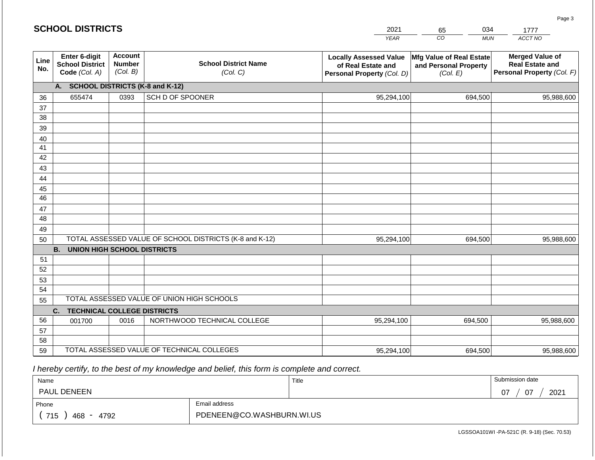|             | <b>SCHOOL DISTRICTS</b>                                  |                                             | 2021<br>034<br>65<br>1777                               |                                                                                   |                                                               |                                                                                |  |
|-------------|----------------------------------------------------------|---------------------------------------------|---------------------------------------------------------|-----------------------------------------------------------------------------------|---------------------------------------------------------------|--------------------------------------------------------------------------------|--|
|             |                                                          |                                             |                                                         | <b>YEAR</b>                                                                       | $\overline{CO}$<br><b>MUN</b>                                 | ACCT NO                                                                        |  |
| Line<br>No. | Enter 6-digit<br><b>School District</b><br>Code (Col. A) | <b>Account</b><br><b>Number</b><br>(Col. B) | <b>School District Name</b><br>(Col. C)                 | <b>Locally Assessed Value</b><br>of Real Estate and<br>Personal Property (Col. D) | Mfg Value of Real Estate<br>and Personal Property<br>(Col. E) | <b>Merged Value of</b><br><b>Real Estate and</b><br>Personal Property (Col. F) |  |
|             | А.                                                       |                                             | <b>SCHOOL DISTRICTS (K-8 and K-12)</b>                  |                                                                                   |                                                               |                                                                                |  |
| 36          | 655474                                                   | 0393                                        | SCH D OF SPOONER                                        | 95,294,100                                                                        | 694,500                                                       | 95,988,600                                                                     |  |
| 37          |                                                          |                                             |                                                         |                                                                                   |                                                               |                                                                                |  |
| 38          |                                                          |                                             |                                                         |                                                                                   |                                                               |                                                                                |  |
| 39          |                                                          |                                             |                                                         |                                                                                   |                                                               |                                                                                |  |
| 40          |                                                          |                                             |                                                         |                                                                                   |                                                               |                                                                                |  |
| 41          |                                                          |                                             |                                                         |                                                                                   |                                                               |                                                                                |  |
| 42          |                                                          |                                             |                                                         |                                                                                   |                                                               |                                                                                |  |
| 43          |                                                          |                                             |                                                         |                                                                                   |                                                               |                                                                                |  |
| 44          |                                                          |                                             |                                                         |                                                                                   |                                                               |                                                                                |  |
| 45<br>46    |                                                          |                                             |                                                         |                                                                                   |                                                               |                                                                                |  |
| 47          |                                                          |                                             |                                                         |                                                                                   |                                                               |                                                                                |  |
| 48          |                                                          |                                             |                                                         |                                                                                   |                                                               |                                                                                |  |
| 49          |                                                          |                                             |                                                         |                                                                                   |                                                               |                                                                                |  |
| 50          |                                                          |                                             | TOTAL ASSESSED VALUE OF SCHOOL DISTRICTS (K-8 and K-12) | 95,294,100                                                                        | 694,500                                                       | 95,988,600                                                                     |  |
|             | <b>UNION HIGH SCHOOL DISTRICTS</b><br><b>B.</b>          |                                             |                                                         |                                                                                   |                                                               |                                                                                |  |
| 51          |                                                          |                                             |                                                         |                                                                                   |                                                               |                                                                                |  |
| 52          |                                                          |                                             |                                                         |                                                                                   |                                                               |                                                                                |  |
| 53          |                                                          |                                             |                                                         |                                                                                   |                                                               |                                                                                |  |
| 54          |                                                          |                                             |                                                         |                                                                                   |                                                               |                                                                                |  |
| 55          |                                                          |                                             | TOTAL ASSESSED VALUE OF UNION HIGH SCHOOLS              |                                                                                   |                                                               |                                                                                |  |
|             | <b>TECHNICAL COLLEGE DISTRICTS</b><br>C.                 |                                             |                                                         |                                                                                   |                                                               |                                                                                |  |
| 56          | 001700                                                   | 0016                                        | NORTHWOOD TECHNICAL COLLEGE                             | 95,294,100                                                                        | 694,500                                                       | 95,988,600                                                                     |  |
| 57          |                                                          |                                             |                                                         |                                                                                   |                                                               |                                                                                |  |
| 58          |                                                          |                                             |                                                         |                                                                                   |                                                               |                                                                                |  |
| 59          |                                                          |                                             | TOTAL ASSESSED VALUE OF TECHNICAL COLLEGES              | 95,294,100                                                                        | 694,500                                                       | 95,988,600                                                                     |  |

| Name               |                           | Title | Submission date              |
|--------------------|---------------------------|-------|------------------------------|
| <b>PAUL DENEEN</b> |                           |       | $\overline{0}$<br>2021<br>07 |
| Phone              | Email address             |       |                              |
| 715<br>468<br>4792 | PDENEEN@CO.WASHBURN.WI.US |       |                              |

LGSSOA101WI -PA-521C (R. 9-18) (Sec. 70.53)

Page 3

| <b>SCHOOL DISTRICTS</b> |  |
|-------------------------|--|
|-------------------------|--|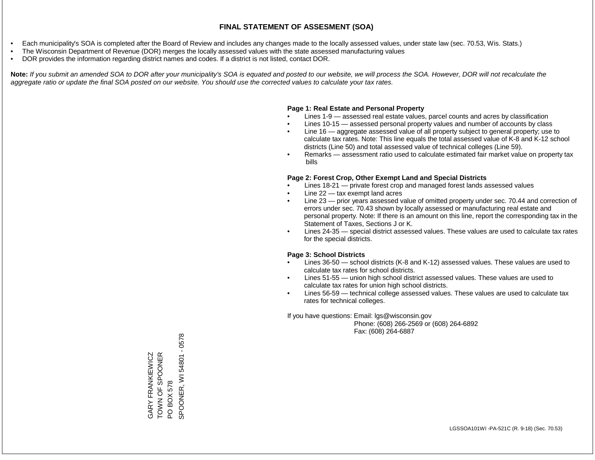- Each municipality's SOA is completed after the Board of Review and includes any changes made to the locally assessed values, under state law (sec. 70.53, Wis. Stats.)
- The Wisconsin Department of Revenue (DOR) merges the locally assessed values with the state assessed manufacturing values
- DOR provides the information regarding district names and codes. If a district is not listed, contact DOR.

Note: If you submit an amended SOA to DOR after your municipality's SOA is equated and posted to our website, we will process the SOA. However, DOR will not recalculate the *aggregate ratio or update the final SOA posted on our website. You should use the corrected values to calculate your tax rates.*

### **Page 1: Real Estate and Personal Property**

- Lines 1-9 assessed real estate values, parcel counts and acres by classification
- Lines 10-15 assessed personal property values and number of accounts by class
- Line 16 aggregate assessed value of all property subject to general property; use to calculate tax rates. Note: This line equals the total assessed value of K-8 and K-12 school districts (Line 50) and total assessed value of technical colleges (Line 59).
- Remarks assessment ratio used to calculate estimated fair market value on property tax bills

### **Page 2: Forest Crop, Other Exempt Land and Special Districts**

- Lines 18-21 private forest crop and managed forest lands assessed values
- Line  $22 -$  tax exempt land acres
- Line 23 prior years assessed value of omitted property under sec. 70.44 and correction of errors under sec. 70.43 shown by locally assessed or manufacturing real estate and personal property. Note: If there is an amount on this line, report the corresponding tax in the Statement of Taxes, Sections J or K.
- Lines 24-35 special district assessed values. These values are used to calculate tax rates for the special districts.

### **Page 3: School Districts**

- Lines 36-50 school districts (K-8 and K-12) assessed values. These values are used to calculate tax rates for school districts.
- Lines 51-55 union high school district assessed values. These values are used to calculate tax rates for union high school districts.
- Lines 56-59 technical college assessed values. These values are used to calculate tax rates for technical colleges.

If you have questions: Email: lgs@wisconsin.gov

 Phone: (608) 266-2569 or (608) 264-6892 Fax: (608) 264-6887

PO BOX 578<br>SPOONER, WI 54801 - 0578 SPOONER, WI 54801 - 0578TOWN OF SPONER GARY FRANKIEWICZ<br>TOWN OF SPOONER GARY FRANKIEWICZ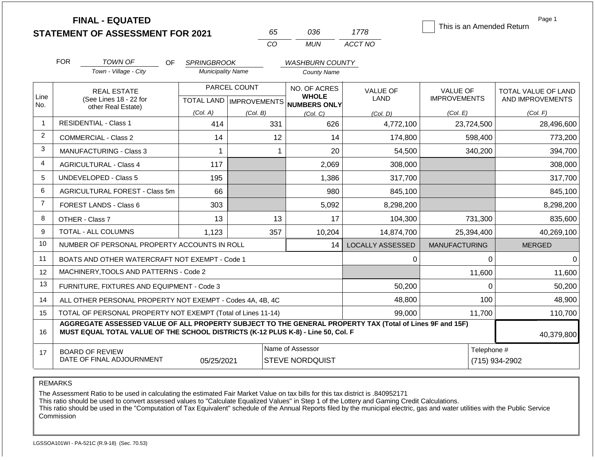|                |                                | <b>FINAL - EQUATED</b><br><b>STATEMENT OF ASSESSMENT FOR 2021</b>                                        |                                                | 65<br>CO                                                      | 036<br><b>MUN</b>                                   | 1778<br>ACCT NO                | Page 1<br>This is an Amended Return    |                                         |
|----------------|--------------------------------|----------------------------------------------------------------------------------------------------------|------------------------------------------------|---------------------------------------------------------------|-----------------------------------------------------|--------------------------------|----------------------------------------|-----------------------------------------|
|                | <b>FOR</b>                     | TOWN OF<br><b>OF</b><br>Town - Village - City                                                            | <b>SPRINGBROOK</b><br><b>Municipality Name</b> |                                                               | <b>WASHBURN COUNTY</b><br><b>County Name</b>        |                                |                                        |                                         |
| Line<br>No.    |                                | <b>REAL ESTATE</b><br>(See Lines 18 - 22 for<br>other Real Estate)                                       |                                                | PARCEL COUNT<br>TOTAL LAND   IMPROVEMENTS                     | NO. OF ACRES<br><b>WHOLE</b><br><b>NUMBERS ONLY</b> | <b>VALUE OF</b><br><b>LAND</b> | <b>VALUE OF</b><br><b>IMPROVEMENTS</b> | TOTAL VALUE OF LAND<br>AND IMPROVEMENTS |
|                |                                |                                                                                                          | (Col. A)                                       | (Col. B)                                                      | (Col. C)                                            | (Col. D)                       | (Col. E)                               | (Col. F)                                |
| $\mathbf{1}$   |                                | <b>RESIDENTIAL - Class 1</b>                                                                             | 414                                            | 331                                                           | 626                                                 | 4,772,100                      | 23,724,500                             | 28,496,600                              |
| $\overline{c}$ |                                | <b>COMMERCIAL - Class 2</b>                                                                              | 14                                             | 12                                                            | 14                                                  | 174,800                        | 598,400                                | 773,200                                 |
| 3              | <b>MANUFACTURING - Class 3</b> |                                                                                                          |                                                |                                                               | 20                                                  | 54,500                         | 340,200                                | 394,700                                 |
| 4              |                                | <b>AGRICULTURAL - Class 4</b>                                                                            | 117                                            |                                                               | 2,069                                               | 308,000                        |                                        | 308,000                                 |
| 5              |                                | <b>UNDEVELOPED - Class 5</b>                                                                             | 195                                            |                                                               | 1,386                                               | 317,700                        |                                        | 317,700                                 |
| 6              |                                | AGRICULTURAL FOREST - Class 5m                                                                           | 66                                             |                                                               | 980                                                 | 845,100                        |                                        | 845,100                                 |
| $\overline{7}$ |                                | FOREST LANDS - Class 6                                                                                   | 303                                            |                                                               | 5,092                                               | 8,298,200                      |                                        | 8,298,200                               |
| 8              |                                | OTHER - Class 7                                                                                          | 13                                             | 13                                                            | 17                                                  | 104,300                        | 731,300                                | 835,600                                 |
| 9              |                                | TOTAL - ALL COLUMNS                                                                                      | 1,123                                          | 357                                                           | 10,204                                              | 14,874,700                     | 25,394,400                             | 40,269,100                              |
| 10             |                                | NUMBER OF PERSONAL PROPERTY ACCOUNTS IN ROLL                                                             |                                                |                                                               | 14                                                  | LOCALLY ASSESSED               | <b>MANUFACTURING</b>                   | <b>MERGED</b>                           |
| 11             |                                | BOATS AND OTHER WATERCRAFT NOT EXEMPT - Code 1                                                           |                                                |                                                               |                                                     | 0                              | 0                                      | 0                                       |
| 12             |                                | MACHINERY, TOOLS AND PATTERNS - Code 2                                                                   |                                                |                                                               |                                                     |                                | 11,600                                 | 11,600                                  |
| 13             |                                | FURNITURE, FIXTURES AND EQUIPMENT - Code 3                                                               |                                                |                                                               |                                                     | 50,200                         | 0                                      | 50,200                                  |
| 14             |                                | ALL OTHER PERSONAL PROPERTY NOT EXEMPT - Codes 4A, 4B, 4C                                                |                                                |                                                               |                                                     | 48,800                         | 100                                    | 48,900                                  |
| 15             |                                | TOTAL OF PERSONAL PROPERTY NOT EXEMPT (Total of Lines 11-14)                                             |                                                |                                                               |                                                     | 99,000                         | 11,700                                 | 110,700                                 |
|                |                                | AGGREGATE ASSESSED VALUE OF ALL PROPERTY SUBJECT TO THE GENERAL PROPERTY TAX (Total of Lines 9F and 15F) |                                                | LE OF THE COHOOL DIGTDIGTS $\overline{u}$ is a billion of the |                                                     |                                |                                        |                                         |

| 16 | MUST EQUAL TOTAL VALUE OF THE SCHOOL DISTRICTS (K-12 PLUS K-8) - Line 50, Col. F |            |                        |             | 40,379,800     |
|----|----------------------------------------------------------------------------------|------------|------------------------|-------------|----------------|
|    | BOARD OF REVIEW                                                                  |            | Name of Assessor       | Telephone # |                |
|    | DATE OF FINAL ADJOURNMENT                                                        | 05/25/2021 | <b>STEVE NORDQUIST</b> |             | (715) 934-2902 |

### REMARKS

The Assessment Ratio to be used in calculating the estimated Fair Market Value on tax bills for this tax district is .840952171

This ratio should be used to convert assessed values to "Calculate Equalized Values" in Step 1 of the Lottery and Gaming Credit Calculations.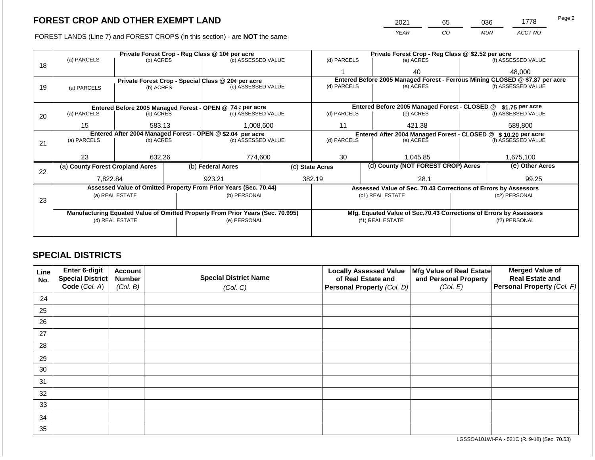2021 65 036 1778

FOREST LANDS (Line 7) and FOREST CROPS (in this section) - are **NOT** the same *YEAR CO MUN ACCT NO*

|    |                                                            |                          | Private Forest Crop - Reg Class @ \$2.52 per acre |                                                                                |                                               |                                                       |                 |                                                                            |               |                                                                              |  |
|----|------------------------------------------------------------|--------------------------|---------------------------------------------------|--------------------------------------------------------------------------------|-----------------------------------------------|-------------------------------------------------------|-----------------|----------------------------------------------------------------------------|---------------|------------------------------------------------------------------------------|--|
| 18 | (a) PARCELS                                                | (b) ACRES                |                                                   | (c) ASSESSED VALUE                                                             |                                               | (d) PARCELS                                           |                 | (e) ACRES                                                                  |               | (f) ASSESSED VALUE                                                           |  |
|    |                                                            |                          |                                                   |                                                                                |                                               |                                                       |                 | 40                                                                         |               | 48,000                                                                       |  |
|    | Private Forest Crop - Special Class @ 20¢ per acre         |                          |                                                   |                                                                                |                                               |                                                       |                 |                                                                            |               | Entered Before 2005 Managed Forest - Ferrous Mining CLOSED @ \$7.87 per acre |  |
| 19 | (a) PARCELS                                                | (b) ACRES                |                                                   | (c) ASSESSED VALUE                                                             |                                               | (d) PARCELS                                           |                 | (e) ACRES                                                                  |               | (f) ASSESSED VALUE                                                           |  |
|    |                                                            |                          |                                                   |                                                                                |                                               |                                                       |                 |                                                                            |               |                                                                              |  |
|    | Entered Before 2005 Managed Forest - OPEN @ 74 ¢ per acre  |                          |                                                   |                                                                                | Entered Before 2005 Managed Forest - CLOSED @ |                                                       | \$1.75 per acre |                                                                            |               |                                                                              |  |
| 20 | (a) PARCELS                                                | (b) ACRES                |                                                   | (c) ASSESSED VALUE                                                             |                                               | (d) PARCELS                                           |                 | (e) ACRES                                                                  |               | (f) ASSESSED VALUE                                                           |  |
|    | 15                                                         | 583.13                   |                                                   | 1,008,600                                                                      | 11                                            |                                                       | 421.38          |                                                                            | 589,800       |                                                                              |  |
|    |                                                            |                          |                                                   |                                                                                |                                               |                                                       |                 |                                                                            |               |                                                                              |  |
|    | Entered After 2004 Managed Forest - OPEN @ \$2.04 per acre |                          |                                                   | (c) ASSESSED VALUE                                                             |                                               | (d) PARCELS                                           |                 | Entered After 2004 Managed Forest - CLOSED @ \$10.20 per acre<br>(e) ACRES |               | (f) ASSESSED VALUE                                                           |  |
| 21 |                                                            | (a) PARCELS<br>(b) ACRES |                                                   |                                                                                |                                               |                                                       |                 |                                                                            |               |                                                                              |  |
|    |                                                            |                          |                                                   |                                                                                |                                               |                                                       |                 |                                                                            |               |                                                                              |  |
|    | 23                                                         | 632.26                   |                                                   | 774,600                                                                        |                                               | 30                                                    |                 | 1,045.85                                                                   |               | 1,675,100                                                                    |  |
|    | (a) County Forest Cropland Acres                           |                          |                                                   | (b) Federal Acres                                                              |                                               | (d) County (NOT FOREST CROP) Acres<br>(c) State Acres |                 |                                                                            |               | (e) Other Acres                                                              |  |
| 22 |                                                            |                          |                                                   |                                                                                |                                               |                                                       |                 |                                                                            |               |                                                                              |  |
|    | 7,822.84                                                   |                          |                                                   | 923.21                                                                         |                                               | 382.19                                                |                 | 28.1                                                                       |               | 99.25                                                                        |  |
|    |                                                            |                          |                                                   | Assessed Value of Omitted Property From Prior Years (Sec. 70.44)               |                                               |                                                       |                 | Assessed Value of Sec. 70.43 Corrections of Errors by Assessors            |               |                                                                              |  |
| 23 |                                                            | (a) REAL ESTATE          |                                                   | (b) PERSONAL                                                                   |                                               |                                                       |                 | (c1) REAL ESTATE                                                           |               | (c2) PERSONAL                                                                |  |
|    |                                                            |                          |                                                   |                                                                                |                                               |                                                       |                 |                                                                            |               |                                                                              |  |
|    |                                                            |                          |                                                   | Manufacturing Equated Value of Omitted Property From Prior Years (Sec. 70.995) |                                               |                                                       |                 | Mfg. Equated Value of Sec.70.43 Corrections of Errors by Assessors         |               |                                                                              |  |
|    |                                                            | (d) REAL ESTATE          |                                                   | (e) PERSONAL                                                                   |                                               | (f1) REAL ESTATE                                      |                 |                                                                            | (f2) PERSONAL |                                                                              |  |
|    |                                                            |                          |                                                   |                                                                                |                                               |                                                       |                 |                                                                            |               |                                                                              |  |
|    |                                                            |                          |                                                   |                                                                                |                                               |                                                       |                 |                                                                            |               |                                                                              |  |

## **SPECIAL DISTRICTS**

| Line<br>No. | <b>Enter 6-digit</b><br>Special District | <b>Account</b><br><b>Number</b> | <b>Special District Name</b> | <b>Locally Assessed Value</b><br>of Real Estate and | Mfg Value of Real Estate<br>and Personal Property | <b>Merged Value of</b><br><b>Real Estate and</b> |
|-------------|------------------------------------------|---------------------------------|------------------------------|-----------------------------------------------------|---------------------------------------------------|--------------------------------------------------|
|             | Code (Col. A)                            | (Col. B)                        | (Col. C)                     | Personal Property (Col. D)                          | (Col. E)                                          | Personal Property (Col. F)                       |
| 24          |                                          |                                 |                              |                                                     |                                                   |                                                  |
| 25          |                                          |                                 |                              |                                                     |                                                   |                                                  |
| 26          |                                          |                                 |                              |                                                     |                                                   |                                                  |
| 27          |                                          |                                 |                              |                                                     |                                                   |                                                  |
| 28          |                                          |                                 |                              |                                                     |                                                   |                                                  |
| 29          |                                          |                                 |                              |                                                     |                                                   |                                                  |
| 30          |                                          |                                 |                              |                                                     |                                                   |                                                  |
| 31          |                                          |                                 |                              |                                                     |                                                   |                                                  |
| 32          |                                          |                                 |                              |                                                     |                                                   |                                                  |
| 33          |                                          |                                 |                              |                                                     |                                                   |                                                  |
| 34          |                                          |                                 |                              |                                                     |                                                   |                                                  |
| 35          |                                          |                                 |                              |                                                     |                                                   |                                                  |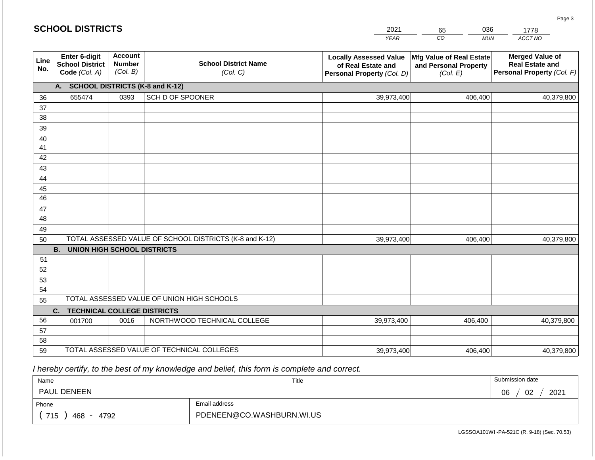|             | <b>SCHOOL DISTRICTS</b>                                  |                                             |                                                         | 2021                                                                              | 036<br>65                                                     | 1778                                                                           |  |  |  |  |  |
|-------------|----------------------------------------------------------|---------------------------------------------|---------------------------------------------------------|-----------------------------------------------------------------------------------|---------------------------------------------------------------|--------------------------------------------------------------------------------|--|--|--|--|--|
|             |                                                          |                                             |                                                         | <b>YEAR</b>                                                                       | CO<br><b>MUN</b>                                              | ACCT NO                                                                        |  |  |  |  |  |
| Line<br>No. | Enter 6-digit<br><b>School District</b><br>Code (Col. A) | <b>Account</b><br><b>Number</b><br>(Col. B) | <b>School District Name</b><br>(Col. C)                 | <b>Locally Assessed Value</b><br>of Real Estate and<br>Personal Property (Col. D) | Mfg Value of Real Estate<br>and Personal Property<br>(Col. E) | <b>Merged Value of</b><br><b>Real Estate and</b><br>Personal Property (Col. F) |  |  |  |  |  |
|             | <b>SCHOOL DISTRICTS (K-8 and K-12)</b><br>А.             |                                             |                                                         |                                                                                   |                                                               |                                                                                |  |  |  |  |  |
| 36          | 655474                                                   | 0393                                        | SCH D OF SPOONER                                        | 39,973,400                                                                        | 406,400                                                       | 40,379,800                                                                     |  |  |  |  |  |
| 37          |                                                          |                                             |                                                         |                                                                                   |                                                               |                                                                                |  |  |  |  |  |
| 38          |                                                          |                                             |                                                         |                                                                                   |                                                               |                                                                                |  |  |  |  |  |
| 39          |                                                          |                                             |                                                         |                                                                                   |                                                               |                                                                                |  |  |  |  |  |
| 40          |                                                          |                                             |                                                         |                                                                                   |                                                               |                                                                                |  |  |  |  |  |
| 41          |                                                          |                                             |                                                         |                                                                                   |                                                               |                                                                                |  |  |  |  |  |
| 42          |                                                          |                                             |                                                         |                                                                                   |                                                               |                                                                                |  |  |  |  |  |
| 43          |                                                          |                                             |                                                         |                                                                                   |                                                               |                                                                                |  |  |  |  |  |
| 44<br>45    |                                                          |                                             |                                                         |                                                                                   |                                                               |                                                                                |  |  |  |  |  |
| 46          |                                                          |                                             |                                                         |                                                                                   |                                                               |                                                                                |  |  |  |  |  |
| 47          |                                                          |                                             |                                                         |                                                                                   |                                                               |                                                                                |  |  |  |  |  |
| 48          |                                                          |                                             |                                                         |                                                                                   |                                                               |                                                                                |  |  |  |  |  |
| 49          |                                                          |                                             |                                                         |                                                                                   |                                                               |                                                                                |  |  |  |  |  |
| 50          |                                                          |                                             | TOTAL ASSESSED VALUE OF SCHOOL DISTRICTS (K-8 and K-12) | 39,973,400                                                                        | 406,400                                                       | 40,379,800                                                                     |  |  |  |  |  |
|             | <b>B.</b><br><b>UNION HIGH SCHOOL DISTRICTS</b>          |                                             |                                                         |                                                                                   |                                                               |                                                                                |  |  |  |  |  |
| 51          |                                                          |                                             |                                                         |                                                                                   |                                                               |                                                                                |  |  |  |  |  |
| 52          |                                                          |                                             |                                                         |                                                                                   |                                                               |                                                                                |  |  |  |  |  |
| 53          |                                                          |                                             |                                                         |                                                                                   |                                                               |                                                                                |  |  |  |  |  |
| 54          |                                                          |                                             |                                                         |                                                                                   |                                                               |                                                                                |  |  |  |  |  |
| 55          |                                                          |                                             | TOTAL ASSESSED VALUE OF UNION HIGH SCHOOLS              |                                                                                   |                                                               |                                                                                |  |  |  |  |  |
|             | <b>TECHNICAL COLLEGE DISTRICTS</b><br>C.                 |                                             |                                                         |                                                                                   |                                                               |                                                                                |  |  |  |  |  |
| 56          | 001700                                                   | 0016                                        | NORTHWOOD TECHNICAL COLLEGE                             | 39,973,400                                                                        | 406,400                                                       | 40,379,800                                                                     |  |  |  |  |  |
| 57          |                                                          |                                             |                                                         |                                                                                   |                                                               |                                                                                |  |  |  |  |  |
| 58          |                                                          |                                             | TOTAL ASSESSED VALUE OF TECHNICAL COLLEGES              |                                                                                   |                                                               |                                                                                |  |  |  |  |  |
| 59          |                                                          |                                             |                                                         | 39,973,400                                                                        | 406,400                                                       | 40,379,800                                                                     |  |  |  |  |  |

| Name               |                           | Title | Submission date  |
|--------------------|---------------------------|-------|------------------|
| <b>PAUL DENEEN</b> |                           |       | 2021<br>02<br>06 |
| Phone              | Email address             |       |                  |
| 715<br>468<br>4792 | PDENEEN@CO.WASHBURN.WI.US |       |                  |

LGSSOA101WI -PA-521C (R. 9-18) (Sec. 70.53)

Page 3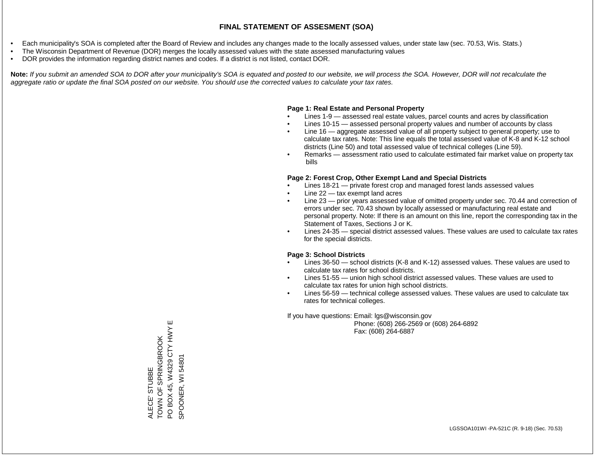- Each municipality's SOA is completed after the Board of Review and includes any changes made to the locally assessed values, under state law (sec. 70.53, Wis. Stats.)
- The Wisconsin Department of Revenue (DOR) merges the locally assessed values with the state assessed manufacturing values
- DOR provides the information regarding district names and codes. If a district is not listed, contact DOR.

Note: If you submit an amended SOA to DOR after your municipality's SOA is equated and posted to our website, we will process the SOA. However, DOR will not recalculate the *aggregate ratio or update the final SOA posted on our website. You should use the corrected values to calculate your tax rates.*

## **Page 1: Real Estate and Personal Property**

- Lines 1-9 assessed real estate values, parcel counts and acres by classification
- Lines 10-15 assessed personal property values and number of accounts by class
- Line 16 aggregate assessed value of all property subject to general property; use to calculate tax rates. Note: This line equals the total assessed value of K-8 and K-12 school districts (Line 50) and total assessed value of technical colleges (Line 59).
- Remarks assessment ratio used to calculate estimated fair market value on property tax bills

## **Page 2: Forest Crop, Other Exempt Land and Special Districts**

- Lines 18-21 private forest crop and managed forest lands assessed values
- Line  $22 -$  tax exempt land acres
- Line 23 prior years assessed value of omitted property under sec. 70.44 and correction of errors under sec. 70.43 shown by locally assessed or manufacturing real estate and personal property. Note: If there is an amount on this line, report the corresponding tax in the Statement of Taxes, Sections J or K.
- Lines 24-35 special district assessed values. These values are used to calculate tax rates for the special districts.

## **Page 3: School Districts**

- Lines 36-50 school districts (K-8 and K-12) assessed values. These values are used to calculate tax rates for school districts.
- Lines 51-55 union high school district assessed values. These values are used to calculate tax rates for union high school districts.
- Lines 56-59 technical college assessed values. These values are used to calculate tax rates for technical colleges.

If you have questions: Email: lgs@wisconsin.gov

 Phone: (608) 266-2569 or (608) 264-6892 Fax: (608) 264-6887

PO BOX 45, W4329 CTY HWY E PO BOX 45, W4329 CTY HWY ALECE' STUBBE<br>TOWN OF SPRINGBROOK TOWN OF SPRINGBROOK SPOONER, WI54801 SPOONER, WI 54801ALECE' STUBBE

Ш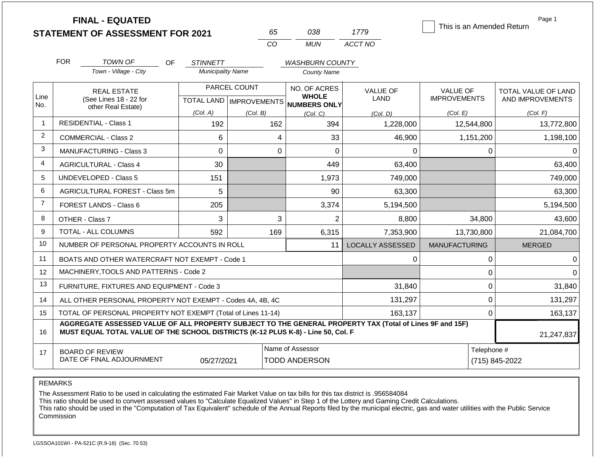|                |            | <b>FINAL - EQUATED</b>                                                                                                                                                                       |                          |                           |                              |                                |                                        | Page 1                                  |
|----------------|------------|----------------------------------------------------------------------------------------------------------------------------------------------------------------------------------------------|--------------------------|---------------------------|------------------------------|--------------------------------|----------------------------------------|-----------------------------------------|
|                |            | <b>STATEMENT OF ASSESSMENT FOR 2021</b>                                                                                                                                                      |                          | 65                        | 038                          | 1779                           | This is an Amended Return              |                                         |
|                |            |                                                                                                                                                                                              |                          | CO                        | <b>MUN</b>                   | ACCT NO                        |                                        |                                         |
|                | <b>FOR</b> | <b>TOWN OF</b><br>OF                                                                                                                                                                         | <b>STINNETT</b>          |                           | <b>WASHBURN COUNTY</b>       |                                |                                        |                                         |
|                |            | Town - Village - City                                                                                                                                                                        | <b>Municipality Name</b> |                           | <b>County Name</b>           |                                |                                        |                                         |
| Line           |            | <b>REAL ESTATE</b>                                                                                                                                                                           |                          | PARCEL COUNT              | NO. OF ACRES<br><b>WHOLE</b> | <b>VALUE OF</b><br><b>LAND</b> | <b>VALUE OF</b><br><b>IMPROVEMENTS</b> | TOTAL VALUE OF LAND<br>AND IMPROVEMENTS |
| No.            |            | (See Lines 18 - 22 for<br>other Real Estate)                                                                                                                                                 |                          | TOTAL LAND   IMPROVEMENTS | <b>NUMBERS ONLY</b>          |                                |                                        |                                         |
| $\mathbf 1$    |            | <b>RESIDENTIAL - Class 1</b>                                                                                                                                                                 | (Col. A)                 | (Col. B)                  | (Col, C)                     | (Col. D)                       | (Col. E)                               | (Col. F)                                |
|                |            |                                                                                                                                                                                              | 192                      | 162                       | 394                          | 1,228,000                      | 12,544,800                             | 13,772,800                              |
| 2              |            | <b>COMMERCIAL - Class 2</b>                                                                                                                                                                  | 6                        |                           | 33<br>4                      | 46,900                         | 1,151,200                              | 1,198,100                               |
| 3              |            | <b>MANUFACTURING - Class 3</b>                                                                                                                                                               | $\overline{0}$           |                           | $\mathbf 0$<br>0             | $\Omega$                       | 0                                      |                                         |
| 4              |            | <b>AGRICULTURAL - Class 4</b>                                                                                                                                                                | 30                       |                           | 449                          | 63,400                         |                                        | 63,400                                  |
| 5              |            | <b>UNDEVELOPED - Class 5</b>                                                                                                                                                                 | 151                      |                           | 1,973                        | 749,000                        |                                        | 749,000                                 |
| 6              |            | AGRICULTURAL FOREST - Class 5m                                                                                                                                                               | 5                        |                           | 90                           | 63,300                         |                                        | 63,300                                  |
| $\overline{7}$ |            | FOREST LANDS - Class 6                                                                                                                                                                       | 205                      |                           | 3,374                        | 5,194,500                      |                                        | 5,194,500                               |
| 8              |            | OTHER - Class 7                                                                                                                                                                              | 3                        |                           | $\overline{2}$<br>3          | 8,800                          | 34,800                                 | 43,600                                  |
| 9              |            | TOTAL - ALL COLUMNS                                                                                                                                                                          | 592                      | 169                       | 6,315                        | 7,353,900                      | 13,730,800                             | 21,084,700                              |
| 10             |            | NUMBER OF PERSONAL PROPERTY ACCOUNTS IN ROLL                                                                                                                                                 |                          |                           | 11                           | <b>LOCALLY ASSESSED</b>        | <b>MANUFACTURING</b>                   | <b>MERGED</b>                           |
| 11             |            | BOATS AND OTHER WATERCRAFT NOT EXEMPT - Code 1                                                                                                                                               |                          |                           |                              | 0                              | 0                                      |                                         |
| 12             |            | MACHINERY, TOOLS AND PATTERNS - Code 2                                                                                                                                                       |                          |                           |                              |                                | 0                                      |                                         |
| 13             |            | FURNITURE, FIXTURES AND EQUIPMENT - Code 3                                                                                                                                                   |                          |                           |                              | 31,840                         | $\mathbf 0$                            | 31,840                                  |
| 14             |            | ALL OTHER PERSONAL PROPERTY NOT EXEMPT - Codes 4A, 4B, 4C                                                                                                                                    |                          |                           | 131,297                      | 0                              | 131,297                                |                                         |
| 15             |            | TOTAL OF PERSONAL PROPERTY NOT EXEMPT (Total of Lines 11-14)                                                                                                                                 |                          |                           | 163,137                      | $\mathbf 0$                    | 163,137                                |                                         |
| 16             |            | AGGREGATE ASSESSED VALUE OF ALL PROPERTY SUBJECT TO THE GENERAL PROPERTY TAX (Total of Lines 9F and 15F)<br>MUST EQUAL TOTAL VALUE OF THE SCHOOL DISTRICTS (K-12 PLUS K-8) - Line 50, Col. F |                          |                           |                              |                                |                                        | 21,247,837                              |
| 17             |            | <b>BOARD OF REVIEW</b>                                                                                                                                                                       |                          |                           | Name of Assessor             |                                | Telephone #                            |                                         |
|                |            | DATE OF FINAL ADJOURNMENT                                                                                                                                                                    | 05/27/2021               |                           | <b>TODD ANDERSON</b>         |                                |                                        | (715) 845-2022                          |

REMARKS

The Assessment Ratio to be used in calculating the estimated Fair Market Value on tax bills for this tax district is .956584084

This ratio should be used to convert assessed values to "Calculate Equalized Values" in Step 1 of the Lottery and Gaming Credit Calculations.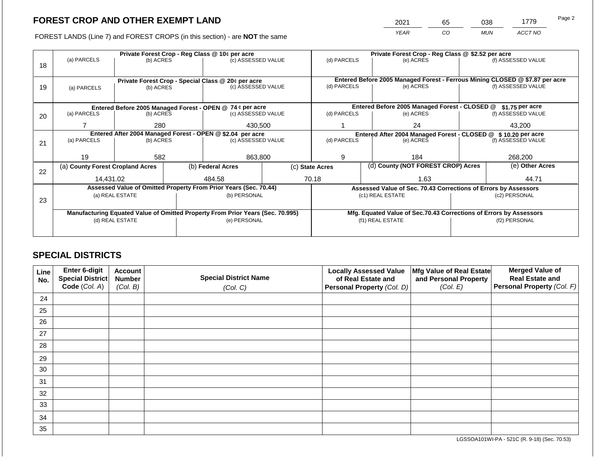2021 65 038 1779

FOREST LANDS (Line 7) and FOREST CROPS (in this section) - are **NOT** the same *YEAR CO MUN ACCT NO*

|    |                                                            |                 | Private Forest Crop - Reg Class @ \$2.52 per acre |                                                                                |  |                                                                              |                  |                                                                    |                 |                    |  |
|----|------------------------------------------------------------|-----------------|---------------------------------------------------|--------------------------------------------------------------------------------|--|------------------------------------------------------------------------------|------------------|--------------------------------------------------------------------|-----------------|--------------------|--|
|    | (a) PARCELS                                                | (b) ACRES       |                                                   | Private Forest Crop - Reg Class @ 10¢ per acre<br>(c) ASSESSED VALUE           |  | (d) PARCELS                                                                  |                  | (e) ACRES                                                          |                 | (f) ASSESSED VALUE |  |
| 18 |                                                            |                 |                                                   |                                                                                |  |                                                                              |                  |                                                                    |                 |                    |  |
|    |                                                            |                 |                                                   |                                                                                |  | Entered Before 2005 Managed Forest - Ferrous Mining CLOSED @ \$7.87 per acre |                  |                                                                    |                 |                    |  |
| 19 | (a) PARCELS                                                | (b) ACRES       |                                                   | Private Forest Crop - Special Class @ 20¢ per acre<br>(c) ASSESSED VALUE       |  | (d) PARCELS                                                                  |                  | (e) ACRES                                                          |                 | (f) ASSESSED VALUE |  |
|    |                                                            |                 |                                                   |                                                                                |  |                                                                              |                  |                                                                    |                 |                    |  |
|    |                                                            |                 |                                                   |                                                                                |  |                                                                              |                  |                                                                    |                 |                    |  |
|    |                                                            |                 |                                                   | Entered Before 2005 Managed Forest - OPEN @ 74 ¢ per acre                      |  |                                                                              |                  | Entered Before 2005 Managed Forest - CLOSED @                      |                 | \$1.75 per acre    |  |
| 20 | (a) PARCELS                                                | (b) ACRES       |                                                   | (c) ASSESSED VALUE                                                             |  | (d) PARCELS                                                                  |                  | (e) ACRES                                                          |                 | (f) ASSESSED VALUE |  |
|    |                                                            | 280             |                                                   | 430,500                                                                        |  |                                                                              |                  | 24                                                                 |                 | 43,200             |  |
|    |                                                            |                 |                                                   |                                                                                |  |                                                                              |                  |                                                                    |                 |                    |  |
|    | Entered After 2004 Managed Forest - OPEN @ \$2.04 per acre |                 |                                                   |                                                                                |  |                                                                              |                  | Entered After 2004 Managed Forest - CLOSED @ \$10.20 per acre      |                 |                    |  |
| 21 | (a) PARCELS                                                | (b) ACRES       |                                                   | (c) ASSESSED VALUE                                                             |  | (d) PARCELS<br>(e) ACRES                                                     |                  | (f) ASSESSED VALUE                                                 |                 |                    |  |
|    |                                                            |                 |                                                   |                                                                                |  |                                                                              |                  |                                                                    |                 |                    |  |
|    | 19                                                         | 582             |                                                   | 863,800                                                                        |  | 9                                                                            |                  | 184                                                                |                 | 268,200            |  |
|    | (a) County Forest Cropland Acres                           |                 |                                                   | (b) Federal Acres                                                              |  | (d) County (NOT FOREST CROP) Acres<br>(c) State Acres                        |                  |                                                                    | (e) Other Acres |                    |  |
| 22 |                                                            |                 |                                                   |                                                                                |  |                                                                              |                  |                                                                    |                 |                    |  |
|    | 14,431.02                                                  |                 |                                                   | 484.58                                                                         |  | 70.18                                                                        |                  | 1.63                                                               |                 | 44.71              |  |
|    |                                                            |                 |                                                   | Assessed Value of Omitted Property From Prior Years (Sec. 70.44)               |  |                                                                              |                  | Assessed Value of Sec. 70.43 Corrections of Errors by Assessors    |                 |                    |  |
|    |                                                            | (a) REAL ESTATE |                                                   | (b) PERSONAL                                                                   |  |                                                                              |                  | (c1) REAL ESTATE                                                   |                 | (c2) PERSONAL      |  |
| 23 |                                                            |                 |                                                   |                                                                                |  |                                                                              |                  |                                                                    |                 |                    |  |
|    |                                                            |                 |                                                   | Manufacturing Equated Value of Omitted Property From Prior Years (Sec. 70.995) |  |                                                                              |                  | Mfg. Equated Value of Sec.70.43 Corrections of Errors by Assessors |                 |                    |  |
|    |                                                            | (d) REAL ESTATE |                                                   | (e) PERSONAL                                                                   |  |                                                                              | (f1) REAL ESTATE |                                                                    | (f2) PERSONAL   |                    |  |
|    |                                                            |                 |                                                   |                                                                                |  |                                                                              |                  |                                                                    |                 |                    |  |
|    |                                                            |                 |                                                   |                                                                                |  |                                                                              |                  |                                                                    |                 |                    |  |

# **SPECIAL DISTRICTS**

| Line<br>No. | Enter 6-digit<br>Special District<br>Code (Col. A) | <b>Account</b><br><b>Number</b><br>(Col. B) | <b>Special District Name</b><br>(Col. C) | <b>Locally Assessed Value</b><br>of Real Estate and<br><b>Personal Property (Col. D)</b> | Mfg Value of Real Estate<br>and Personal Property<br>(Col. E) | <b>Merged Value of</b><br><b>Real Estate and</b><br>Personal Property (Col. F) |
|-------------|----------------------------------------------------|---------------------------------------------|------------------------------------------|------------------------------------------------------------------------------------------|---------------------------------------------------------------|--------------------------------------------------------------------------------|
| 24          |                                                    |                                             |                                          |                                                                                          |                                                               |                                                                                |
| 25          |                                                    |                                             |                                          |                                                                                          |                                                               |                                                                                |
| 26          |                                                    |                                             |                                          |                                                                                          |                                                               |                                                                                |
| 27          |                                                    |                                             |                                          |                                                                                          |                                                               |                                                                                |
| 28          |                                                    |                                             |                                          |                                                                                          |                                                               |                                                                                |
| 29          |                                                    |                                             |                                          |                                                                                          |                                                               |                                                                                |
| 30          |                                                    |                                             |                                          |                                                                                          |                                                               |                                                                                |
| 31          |                                                    |                                             |                                          |                                                                                          |                                                               |                                                                                |
| 32          |                                                    |                                             |                                          |                                                                                          |                                                               |                                                                                |
| 33          |                                                    |                                             |                                          |                                                                                          |                                                               |                                                                                |
| 34          |                                                    |                                             |                                          |                                                                                          |                                                               |                                                                                |
| 35          |                                                    |                                             |                                          |                                                                                          |                                                               |                                                                                |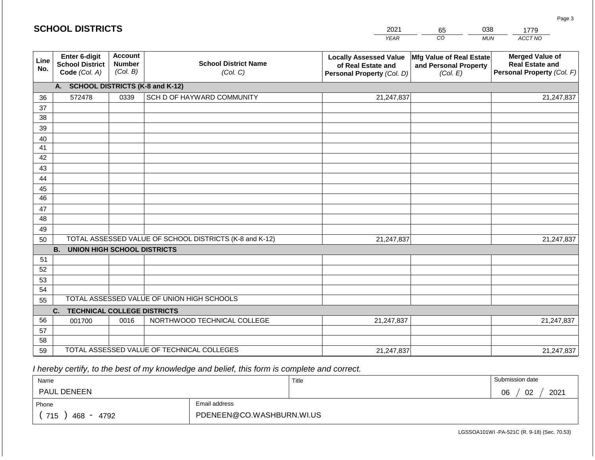|             | <b>SCHOOL DISTRICTS</b>                                  |                                             |                                                         | 2021                                                                              | 65                                                            | 038<br>1779                                                                    |
|-------------|----------------------------------------------------------|---------------------------------------------|---------------------------------------------------------|-----------------------------------------------------------------------------------|---------------------------------------------------------------|--------------------------------------------------------------------------------|
|             |                                                          |                                             |                                                         | <b>YEAR</b>                                                                       | CO                                                            | ACCT NO<br><b>MUN</b>                                                          |
| Line<br>No. | Enter 6-digit<br><b>School District</b><br>Code (Col. A) | <b>Account</b><br><b>Number</b><br>(Col. B) | <b>School District Name</b><br>(Col. C)                 | <b>Locally Assessed Value</b><br>of Real Estate and<br>Personal Property (Col. D) | Mfg Value of Real Estate<br>and Personal Property<br>(Col. E) | <b>Merged Value of</b><br><b>Real Estate and</b><br>Personal Property (Col. F) |
|             | A. SCHOOL DISTRICTS (K-8 and K-12)                       |                                             |                                                         |                                                                                   |                                                               |                                                                                |
| 36          | 572478                                                   | 0339                                        | SCH D OF HAYWARD COMMUNITY                              | 21,247,837                                                                        |                                                               | 21,247,837                                                                     |
| 37          |                                                          |                                             |                                                         |                                                                                   |                                                               |                                                                                |
| 38          |                                                          |                                             |                                                         |                                                                                   |                                                               |                                                                                |
| 39          |                                                          |                                             |                                                         |                                                                                   |                                                               |                                                                                |
| 40          |                                                          |                                             |                                                         |                                                                                   |                                                               |                                                                                |
| 41<br>42    |                                                          |                                             |                                                         |                                                                                   |                                                               |                                                                                |
| 43          |                                                          |                                             |                                                         |                                                                                   |                                                               |                                                                                |
| 44          |                                                          |                                             |                                                         |                                                                                   |                                                               |                                                                                |
| 45          |                                                          |                                             |                                                         |                                                                                   |                                                               |                                                                                |
| 46          |                                                          |                                             |                                                         |                                                                                   |                                                               |                                                                                |
| 47          |                                                          |                                             |                                                         |                                                                                   |                                                               |                                                                                |
| 48          |                                                          |                                             |                                                         |                                                                                   |                                                               |                                                                                |
| 49          |                                                          |                                             |                                                         |                                                                                   |                                                               |                                                                                |
| 50          |                                                          |                                             | TOTAL ASSESSED VALUE OF SCHOOL DISTRICTS (K-8 and K-12) | 21,247,837                                                                        |                                                               | 21,247,837                                                                     |
|             | <b>B. UNION HIGH SCHOOL DISTRICTS</b>                    |                                             |                                                         |                                                                                   |                                                               |                                                                                |
| 51          |                                                          |                                             |                                                         |                                                                                   |                                                               |                                                                                |
| 52          |                                                          |                                             |                                                         |                                                                                   |                                                               |                                                                                |
| 53          |                                                          |                                             |                                                         |                                                                                   |                                                               |                                                                                |
| 54          |                                                          |                                             | TOTAL ASSESSED VALUE OF UNION HIGH SCHOOLS              |                                                                                   |                                                               |                                                                                |
| 55          |                                                          |                                             |                                                         |                                                                                   |                                                               |                                                                                |
| 56          | C.<br><b>TECHNICAL COLLEGE DISTRICTS</b><br>001700       | 0016                                        | NORTHWOOD TECHNICAL COLLEGE                             | 21,247,837                                                                        |                                                               | 21,247,837                                                                     |
| 57          |                                                          |                                             |                                                         |                                                                                   |                                                               |                                                                                |
| 58          |                                                          |                                             |                                                         |                                                                                   |                                                               |                                                                                |
| 59          |                                                          |                                             | TOTAL ASSESSED VALUE OF TECHNICAL COLLEGES              | 21,247,837                                                                        |                                                               | 21,247,837                                                                     |

 *I hereby certify, to the best of my knowledge and belief, this form is complete and correct.*

| Name               |                           | Title | Submission date  |
|--------------------|---------------------------|-------|------------------|
| <b>PAUL DENEEN</b> |                           |       | 2021<br>02<br>06 |
| Phone              | Email address             |       |                  |
| 715<br>468<br>4792 | PDENEEN@CO.WASHBURN.WI.US |       |                  |

Page 3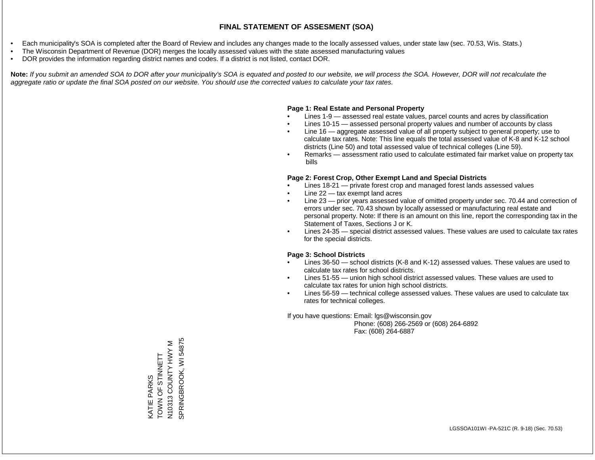- Each municipality's SOA is completed after the Board of Review and includes any changes made to the locally assessed values, under state law (sec. 70.53, Wis. Stats.)
- The Wisconsin Department of Revenue (DOR) merges the locally assessed values with the state assessed manufacturing values
- DOR provides the information regarding district names and codes. If a district is not listed, contact DOR.

Note: If you submit an amended SOA to DOR after your municipality's SOA is equated and posted to our website, we will process the SOA. However, DOR will not recalculate the *aggregate ratio or update the final SOA posted on our website. You should use the corrected values to calculate your tax rates.*

#### **Page 1: Real Estate and Personal Property**

- Lines 1-9 assessed real estate values, parcel counts and acres by classification
- Lines 10-15 assessed personal property values and number of accounts by class
- Line 16 aggregate assessed value of all property subject to general property; use to calculate tax rates. Note: This line equals the total assessed value of K-8 and K-12 school districts (Line 50) and total assessed value of technical colleges (Line 59).
- Remarks assessment ratio used to calculate estimated fair market value on property tax bills

#### **Page 2: Forest Crop, Other Exempt Land and Special Districts**

- Lines 18-21 private forest crop and managed forest lands assessed values
- Line  $22 -$  tax exempt land acres
- Line 23 prior years assessed value of omitted property under sec. 70.44 and correction of errors under sec. 70.43 shown by locally assessed or manufacturing real estate and personal property. Note: If there is an amount on this line, report the corresponding tax in the Statement of Taxes, Sections J or K.
- Lines 24-35 special district assessed values. These values are used to calculate tax rates for the special districts.

#### **Page 3: School Districts**

- Lines 36-50 school districts (K-8 and K-12) assessed values. These values are used to calculate tax rates for school districts.
- Lines 51-55 union high school district assessed values. These values are used to calculate tax rates for union high school districts.
- Lines 56-59 technical college assessed values. These values are used to calculate tax rates for technical colleges.

If you have questions: Email: lgs@wisconsin.gov

 Phone: (608) 266-2569 or (608) 264-6892 Fax: (608) 264-6887

N10313 COUNTY HWY M<br>SPRINGBROOK, WI 54875 SPRINGBROOK, WI 54875N10313 COUNTY HWY M THE STIME OF STRING KATIE PARKS<br>TOWN OF STINNETT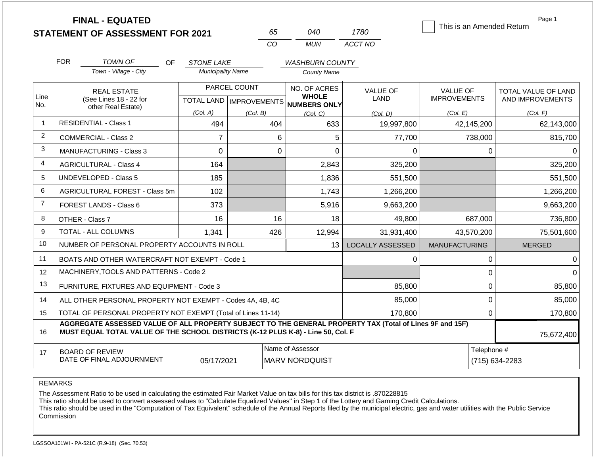|                | <b>FINAL - EQUATED</b><br><b>STATEMENT OF ASSESSMENT FOR 2021</b>                                                                                                                            |    |                                               | 65                               |                                           | 040                                   | 1780                    |                      |                               | Page 1<br>This is an Amended Return |  |
|----------------|----------------------------------------------------------------------------------------------------------------------------------------------------------------------------------------------|----|-----------------------------------------------|----------------------------------|-------------------------------------------|---------------------------------------|-------------------------|----------------------|-------------------------------|-------------------------------------|--|
|                |                                                                                                                                                                                              |    |                                               | CO                               |                                           | <b>MUN</b>                            | ACCT NO                 |                      |                               |                                     |  |
|                |                                                                                                                                                                                              |    |                                               |                                  |                                           |                                       |                         |                      |                               |                                     |  |
|                | <b>FOR</b><br>TOWN OF<br>Town - Village - City                                                                                                                                               | OF | <b>STONE LAKE</b><br><b>Municipality Name</b> |                                  |                                           | <b>WASHBURN COUNTY</b><br>County Name |                         |                      |                               |                                     |  |
|                |                                                                                                                                                                                              |    |                                               |                                  |                                           |                                       |                         |                      |                               |                                     |  |
| Line           | <b>REAL ESTATE</b>                                                                                                                                                                           |    |                                               | PARCEL COUNT                     |                                           | NO. OF ACRES<br><b>WHOLE</b>          | <b>VALUE OF</b>         | <b>VALUE OF</b>      |                               | TOTAL VALUE OF LAND                 |  |
| No.            | (See Lines 18 - 22 for<br>other Real Estate)                                                                                                                                                 |    |                                               | <b>TOTAL LAND   IMPROVEMENTS</b> |                                           | <b>NUMBERS ONLY</b>                   | LAND                    | <b>IMPROVEMENTS</b>  |                               | AND IMPROVEMENTS                    |  |
|                |                                                                                                                                                                                              |    | (Col. A)                                      | (Col. B)                         |                                           | (Col, C)                              | (Col. D)                | (Col. E)             |                               | (Col. F)                            |  |
| $\overline{1}$ | <b>RESIDENTIAL - Class 1</b>                                                                                                                                                                 |    | 494                                           |                                  | 404                                       | 633                                   | 19,997,800              |                      | 42,145,200                    | 62,143,000                          |  |
| 2              | <b>COMMERCIAL - Class 2</b>                                                                                                                                                                  |    | $\overline{7}$                                |                                  | 6                                         | 5                                     | 77,700                  |                      | 738,000                       | 815,700                             |  |
| 3              | MANUFACTURING - Class 3                                                                                                                                                                      |    | 0                                             |                                  | $\mathbf 0$                               | $\Omega$                              | 0                       |                      | 0                             | $\Omega$                            |  |
| $\overline{4}$ | <b>AGRICULTURAL - Class 4</b>                                                                                                                                                                |    | 164                                           |                                  |                                           | 2,843                                 | 325,200                 |                      |                               | 325,200                             |  |
| 5              | <b>UNDEVELOPED - Class 5</b>                                                                                                                                                                 |    | 185                                           |                                  |                                           | 1,836                                 | 551,500                 |                      |                               | 551,500                             |  |
| 6              | AGRICULTURAL FOREST - Class 5m                                                                                                                                                               |    | 102                                           |                                  |                                           | 1,743                                 | 1,266,200               |                      |                               | 1,266,200                           |  |
| $\overline{7}$ | FOREST LANDS - Class 6                                                                                                                                                                       |    | 373                                           |                                  |                                           | 5,916                                 | 9,663,200               |                      |                               | 9,663,200                           |  |
| 8              | OTHER - Class 7                                                                                                                                                                              |    | 16                                            |                                  | 16                                        | 18                                    | 49,800                  |                      | 687,000                       | 736,800                             |  |
| 9              | TOTAL - ALL COLUMNS                                                                                                                                                                          |    | 1,341                                         |                                  | 426                                       | 12,994                                | 31,931,400              |                      | 43,570,200                    | 75,501,600                          |  |
| 10             | NUMBER OF PERSONAL PROPERTY ACCOUNTS IN ROLL                                                                                                                                                 |    |                                               |                                  |                                           | 13                                    | <b>LOCALLY ASSESSED</b> | <b>MANUFACTURING</b> |                               | <b>MERGED</b>                       |  |
| 11             | BOATS AND OTHER WATERCRAFT NOT EXEMPT - Code 1                                                                                                                                               |    |                                               |                                  |                                           |                                       | 0                       |                      | 0                             | $\Omega$                            |  |
| 12             | MACHINERY, TOOLS AND PATTERNS - Code 2                                                                                                                                                       |    |                                               |                                  |                                           |                                       |                         |                      | 0                             | $\Omega$                            |  |
| 13             | FURNITURE, FIXTURES AND EQUIPMENT - Code 3                                                                                                                                                   |    |                                               |                                  |                                           |                                       | 85,800                  |                      | 0                             | 85,800                              |  |
| 14             | ALL OTHER PERSONAL PROPERTY NOT EXEMPT - Codes 4A, 4B, 4C                                                                                                                                    |    |                                               | 85,000                           |                                           | 0                                     | 85,000                  |                      |                               |                                     |  |
| 15             | TOTAL OF PERSONAL PROPERTY NOT EXEMPT (Total of Lines 11-14)                                                                                                                                 |    |                                               |                                  |                                           |                                       | 170,800                 |                      | 0                             | 170,800                             |  |
| 16             | AGGREGATE ASSESSED VALUE OF ALL PROPERTY SUBJECT TO THE GENERAL PROPERTY TAX (Total of Lines 9F and 15F)<br>MUST EQUAL TOTAL VALUE OF THE SCHOOL DISTRICTS (K-12 PLUS K-8) - Line 50, Col. F |    |                                               |                                  |                                           |                                       |                         |                      |                               | 75,672,400                          |  |
| 17             | <b>BOARD OF REVIEW</b><br>DATE OF FINAL ADJOURNMENT                                                                                                                                          |    | 05/17/2021                                    |                                  | Name of Assessor<br><b>MARV NORDQUIST</b> |                                       |                         |                      | Telephone #<br>(715) 634-2283 |                                     |  |

REMARKS

The Assessment Ratio to be used in calculating the estimated Fair Market Value on tax bills for this tax district is .870228815

This ratio should be used to convert assessed values to "Calculate Equalized Values" in Step 1 of the Lottery and Gaming Credit Calculations.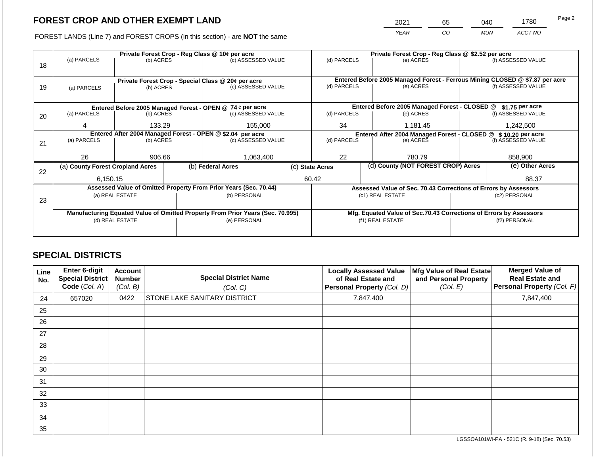2021 65 040 1780

FOREST LANDS (Line 7) and FOREST CROPS (in this section) - are **NOT** the same *YEAR CO MUN ACCT NO*

|    |                                  |                 | Private Forest Crop - Reg Class @ \$2.52 per acre |                                                                                |  |                                                                              |                |                                                                    |                    |                    |
|----|----------------------------------|-----------------|---------------------------------------------------|--------------------------------------------------------------------------------|--|------------------------------------------------------------------------------|----------------|--------------------------------------------------------------------|--------------------|--------------------|
|    | (a) PARCELS                      | (b) ACRES       |                                                   | (c) ASSESSED VALUE                                                             |  | (d) PARCELS                                                                  |                | (e) ACRES                                                          |                    | (f) ASSESSED VALUE |
| 18 |                                  |                 |                                                   |                                                                                |  |                                                                              |                |                                                                    |                    |                    |
|    |                                  |                 |                                                   |                                                                                |  | Entered Before 2005 Managed Forest - Ferrous Mining CLOSED @ \$7.87 per acre |                |                                                                    |                    |                    |
|    |                                  |                 |                                                   | Private Forest Crop - Special Class @ 20¢ per acre<br>(c) ASSESSED VALUE       |  | (d) PARCELS                                                                  |                | (e) ACRES                                                          |                    | (f) ASSESSED VALUE |
| 19 | (a) PARCELS                      | (b) ACRES       |                                                   |                                                                                |  |                                                                              |                |                                                                    |                    |                    |
|    |                                  |                 |                                                   |                                                                                |  |                                                                              |                |                                                                    |                    |                    |
|    |                                  |                 |                                                   | Entered Before 2005 Managed Forest - OPEN @ 74 ¢ per acre                      |  |                                                                              |                | Entered Before 2005 Managed Forest - CLOSED @                      |                    | \$1.75 per acre    |
| 20 | (a) PARCELS                      | (b) ACRES       |                                                   | (c) ASSESSED VALUE                                                             |  | (d) PARCELS                                                                  |                | (e) ACRES                                                          |                    | (f) ASSESSED VALUE |
|    |                                  |                 |                                                   |                                                                                |  |                                                                              |                |                                                                    |                    |                    |
|    | 4                                | 133.29          |                                                   | 155,000                                                                        |  |                                                                              | 34<br>1,181.45 |                                                                    | 1,242,500          |                    |
|    |                                  |                 |                                                   | Entered After 2004 Managed Forest - OPEN @ \$2.04 per acre                     |  |                                                                              |                | Entered After 2004 Managed Forest - CLOSED @ \$ 10.20 per acre     |                    |                    |
| 21 | (a) PARCELS                      | (b) ACRES       |                                                   | (c) ASSESSED VALUE                                                             |  | (d) PARCELS                                                                  | (e) ACRES      |                                                                    | (f) ASSESSED VALUE |                    |
|    |                                  |                 |                                                   |                                                                                |  |                                                                              |                |                                                                    |                    |                    |
|    | 26                               | 906.66          |                                                   | 1,063,400                                                                      |  | 22                                                                           |                | 780.79                                                             | 858,900            |                    |
|    | (a) County Forest Cropland Acres |                 |                                                   | (b) Federal Acres                                                              |  | (c) State Acres                                                              |                | (d) County (NOT FOREST CROP) Acres                                 |                    | (e) Other Acres    |
| 22 |                                  |                 |                                                   |                                                                                |  |                                                                              |                |                                                                    |                    |                    |
|    | 6,150.15                         |                 |                                                   |                                                                                |  | 60.42                                                                        |                |                                                                    |                    | 88.37              |
|    |                                  |                 |                                                   | Assessed Value of Omitted Property From Prior Years (Sec. 70.44)               |  |                                                                              |                | Assessed Value of Sec. 70.43 Corrections of Errors by Assessors    |                    |                    |
|    |                                  | (a) REAL ESTATE |                                                   | (b) PERSONAL                                                                   |  |                                                                              |                | (c1) REAL ESTATE                                                   |                    | (c2) PERSONAL      |
| 23 |                                  |                 |                                                   |                                                                                |  |                                                                              |                |                                                                    |                    |                    |
|    |                                  |                 |                                                   | Manufacturing Equated Value of Omitted Property From Prior Years (Sec. 70.995) |  |                                                                              |                | Mfg. Equated Value of Sec.70.43 Corrections of Errors by Assessors |                    |                    |
|    |                                  | (d) REAL ESTATE |                                                   | (e) PERSONAL                                                                   |  | (f1) REAL ESTATE                                                             |                |                                                                    | (f2) PERSONAL      |                    |
|    |                                  |                 |                                                   |                                                                                |  |                                                                              |                |                                                                    |                    |                    |
|    |                                  |                 |                                                   |                                                                                |  |                                                                              |                |                                                                    |                    |                    |

# **SPECIAL DISTRICTS**

| Line<br>No. | Enter 6-digit<br><b>Special District</b><br>Code (Col. A) | <b>Account</b><br><b>Number</b><br>(Col. B) | <b>Special District Name</b><br>(Col. C) | <b>Locally Assessed Value</b><br>of Real Estate and<br><b>Personal Property (Col. D)</b> | Mfg Value of Real Estate<br>and Personal Property<br>(Col. E) | <b>Merged Value of</b><br><b>Real Estate and</b><br><b>Personal Property (Col. F)</b> |
|-------------|-----------------------------------------------------------|---------------------------------------------|------------------------------------------|------------------------------------------------------------------------------------------|---------------------------------------------------------------|---------------------------------------------------------------------------------------|
| 24          | 657020                                                    | 0422                                        | <b>STONE LAKE SANITARY DISTRICT</b>      | 7,847,400                                                                                |                                                               | 7,847,400                                                                             |
| 25          |                                                           |                                             |                                          |                                                                                          |                                                               |                                                                                       |
| 26          |                                                           |                                             |                                          |                                                                                          |                                                               |                                                                                       |
| 27          |                                                           |                                             |                                          |                                                                                          |                                                               |                                                                                       |
| 28          |                                                           |                                             |                                          |                                                                                          |                                                               |                                                                                       |
| 29          |                                                           |                                             |                                          |                                                                                          |                                                               |                                                                                       |
| 30          |                                                           |                                             |                                          |                                                                                          |                                                               |                                                                                       |
| 31          |                                                           |                                             |                                          |                                                                                          |                                                               |                                                                                       |
| 32          |                                                           |                                             |                                          |                                                                                          |                                                               |                                                                                       |
| 33          |                                                           |                                             |                                          |                                                                                          |                                                               |                                                                                       |
| 34          |                                                           |                                             |                                          |                                                                                          |                                                               |                                                                                       |
| 35          |                                                           |                                             |                                          |                                                                                          |                                                               |                                                                                       |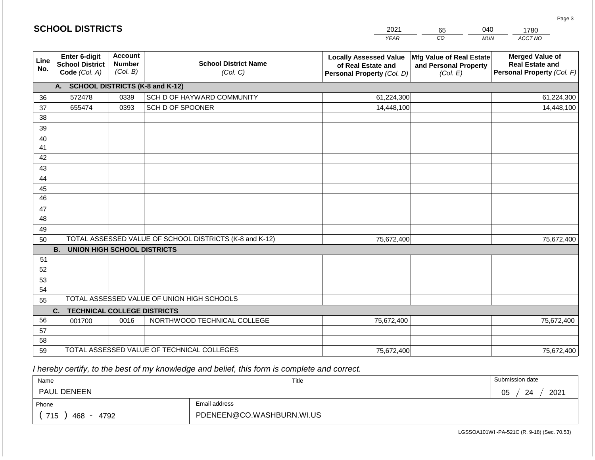|                       | <b>SCHOOL DISTRICTS</b>                                  |                                             |                                                         | 2021                                                                              | 65                                                            | 040<br>1780                                                                    |
|-----------------------|----------------------------------------------------------|---------------------------------------------|---------------------------------------------------------|-----------------------------------------------------------------------------------|---------------------------------------------------------------|--------------------------------------------------------------------------------|
|                       |                                                          |                                             |                                                         | <b>YEAR</b>                                                                       | CO                                                            | ACCT NO<br><b>MUN</b>                                                          |
| Line<br>No.           | Enter 6-digit<br><b>School District</b><br>Code (Col. A) | <b>Account</b><br><b>Number</b><br>(Col. B) | <b>School District Name</b><br>(Col. C)                 | <b>Locally Assessed Value</b><br>of Real Estate and<br>Personal Property (Col. D) | Mfg Value of Real Estate<br>and Personal Property<br>(Col. E) | <b>Merged Value of</b><br><b>Real Estate and</b><br>Personal Property (Col. F) |
|                       | A. SCHOOL DISTRICTS (K-8 and K-12)                       |                                             |                                                         |                                                                                   |                                                               |                                                                                |
| 36                    | 572478                                                   | 0339                                        | SCH D OF HAYWARD COMMUNITY                              | 61,224,300                                                                        |                                                               | 61,224,300                                                                     |
| 37                    | 655474                                                   | 0393                                        | SCH D OF SPOONER                                        | 14,448,100                                                                        |                                                               | 14,448,100                                                                     |
| 38                    |                                                          |                                             |                                                         |                                                                                   |                                                               |                                                                                |
| 39                    |                                                          |                                             |                                                         |                                                                                   |                                                               |                                                                                |
| 40                    |                                                          |                                             |                                                         |                                                                                   |                                                               |                                                                                |
| 41                    |                                                          |                                             |                                                         |                                                                                   |                                                               |                                                                                |
| 42                    |                                                          |                                             |                                                         |                                                                                   |                                                               |                                                                                |
| 43                    |                                                          |                                             |                                                         |                                                                                   |                                                               |                                                                                |
| 44                    |                                                          |                                             |                                                         |                                                                                   |                                                               |                                                                                |
| 45<br>$\overline{46}$ |                                                          |                                             |                                                         |                                                                                   |                                                               |                                                                                |
| 47                    |                                                          |                                             |                                                         |                                                                                   |                                                               |                                                                                |
| 48                    |                                                          |                                             |                                                         |                                                                                   |                                                               |                                                                                |
| 49                    |                                                          |                                             |                                                         |                                                                                   |                                                               |                                                                                |
| 50                    |                                                          |                                             | TOTAL ASSESSED VALUE OF SCHOOL DISTRICTS (K-8 and K-12) | 75,672,400                                                                        |                                                               | 75,672,400                                                                     |
|                       | <b>B. UNION HIGH SCHOOL DISTRICTS</b>                    |                                             |                                                         |                                                                                   |                                                               |                                                                                |
| 51                    |                                                          |                                             |                                                         |                                                                                   |                                                               |                                                                                |
| 52                    |                                                          |                                             |                                                         |                                                                                   |                                                               |                                                                                |
| 53                    |                                                          |                                             |                                                         |                                                                                   |                                                               |                                                                                |
| 54                    |                                                          |                                             |                                                         |                                                                                   |                                                               |                                                                                |
| 55                    |                                                          |                                             | TOTAL ASSESSED VALUE OF UNION HIGH SCHOOLS              |                                                                                   |                                                               |                                                                                |
|                       | C.<br><b>TECHNICAL COLLEGE DISTRICTS</b>                 |                                             |                                                         |                                                                                   |                                                               |                                                                                |
| 56                    | 001700                                                   | 0016                                        | NORTHWOOD TECHNICAL COLLEGE                             | 75,672,400                                                                        |                                                               | 75,672,400                                                                     |
| 57                    |                                                          |                                             |                                                         |                                                                                   |                                                               |                                                                                |
| 58                    |                                                          |                                             |                                                         |                                                                                   |                                                               |                                                                                |
| 59                    |                                                          |                                             | TOTAL ASSESSED VALUE OF TECHNICAL COLLEGES              | 75,672,400                                                                        |                                                               | 75,672,400                                                                     |

 *I hereby certify, to the best of my knowledge and belief, this form is complete and correct.*

**SCHOOL DISTRICTS**

| Name                 |                           | Title | Submission date        |
|----------------------|---------------------------|-------|------------------------|
| <b>PAUL DENEEN</b>   |                           |       | 2021<br>∩ҕ<br>24<br>◡◡ |
| Phone                | Email address             |       |                        |
| 715<br>4792<br>468 - | PDENEEN@CO.WASHBURN.WI.US |       |                        |

Page 3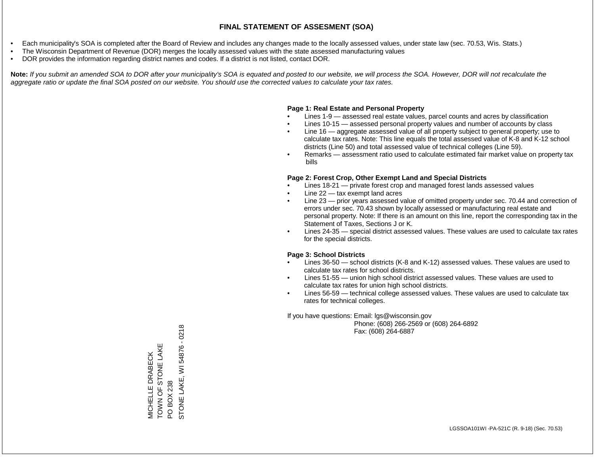- Each municipality's SOA is completed after the Board of Review and includes any changes made to the locally assessed values, under state law (sec. 70.53, Wis. Stats.)
- The Wisconsin Department of Revenue (DOR) merges the locally assessed values with the state assessed manufacturing values
- DOR provides the information regarding district names and codes. If a district is not listed, contact DOR.

Note: If you submit an amended SOA to DOR after your municipality's SOA is equated and posted to our website, we will process the SOA. However, DOR will not recalculate the *aggregate ratio or update the final SOA posted on our website. You should use the corrected values to calculate your tax rates.*

### **Page 1: Real Estate and Personal Property**

- Lines 1-9 assessed real estate values, parcel counts and acres by classification
- Lines 10-15 assessed personal property values and number of accounts by class
- Line 16 aggregate assessed value of all property subject to general property; use to calculate tax rates. Note: This line equals the total assessed value of K-8 and K-12 school districts (Line 50) and total assessed value of technical colleges (Line 59).
- Remarks assessment ratio used to calculate estimated fair market value on property tax bills

### **Page 2: Forest Crop, Other Exempt Land and Special Districts**

- Lines 18-21 private forest crop and managed forest lands assessed values
- Line  $22 -$  tax exempt land acres
- Line 23 prior years assessed value of omitted property under sec. 70.44 and correction of errors under sec. 70.43 shown by locally assessed or manufacturing real estate and personal property. Note: If there is an amount on this line, report the corresponding tax in the Statement of Taxes, Sections J or K.
- Lines 24-35 special district assessed values. These values are used to calculate tax rates for the special districts.

### **Page 3: School Districts**

- Lines 36-50 school districts (K-8 and K-12) assessed values. These values are used to calculate tax rates for school districts.
- Lines 51-55 union high school district assessed values. These values are used to calculate tax rates for union high school districts.
- Lines 56-59 technical college assessed values. These values are used to calculate tax rates for technical colleges.

If you have questions: Email: lgs@wisconsin.gov

 Phone: (608) 266-2569 or (608) 264-6892 Fax: (608) 264-6887

STONE LAKE, WI 54876 - 0218 STONE LAKE, WI 54876 - 0218TOWN OF STONE LAKE MICHELLE DRABECK<br>TOWN OF STONE LAKE MICHELLE DRABECK PO BOX 238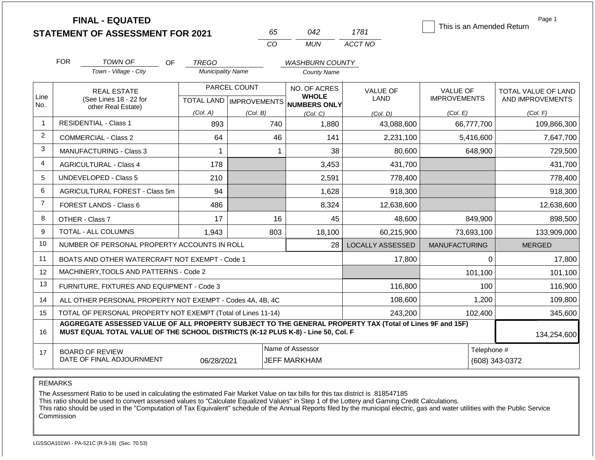**FINAL - EQUATED**

| n.       | 742   | 1781    |
|----------|-------|---------|
| $\Gamma$ | MI IN | ACCT NO |

This is an Amended Return

Page 1

|                | <b>FOR</b>                                                                                                                  | <b>TOWN OF</b><br>OF.                                                                                                                                                                        | <b>TREGO</b>             |                           | <b>WASHBURN COUNTY</b>              |                         |                      |                     |
|----------------|-----------------------------------------------------------------------------------------------------------------------------|----------------------------------------------------------------------------------------------------------------------------------------------------------------------------------------------|--------------------------|---------------------------|-------------------------------------|-------------------------|----------------------|---------------------|
|                |                                                                                                                             | Town - Village - City                                                                                                                                                                        | <b>Municipality Name</b> |                           | <b>County Name</b>                  |                         |                      |                     |
|                |                                                                                                                             | <b>REAL ESTATE</b>                                                                                                                                                                           |                          | PARCEL COUNT              | NO. OF ACRES                        | <b>VALUE OF</b>         | VALUE OF             | TOTAL VALUE OF LAND |
| Line<br>No.    |                                                                                                                             | (See Lines 18 - 22 for<br>other Real Estate)                                                                                                                                                 |                          | TOTAL LAND   IMPROVEMENTS | <b>WHOLE</b><br><b>NUMBERS ONLY</b> | LAND                    | <b>IMPROVEMENTS</b>  | AND IMPROVEMENTS    |
|                |                                                                                                                             |                                                                                                                                                                                              | (Col. A)                 | (Col. B)                  | (Col, C)                            | (Col. D)                | (Col. E)             | (Col. F)            |
| 1              |                                                                                                                             | <b>RESIDENTIAL - Class 1</b>                                                                                                                                                                 | 893                      | 740                       | 1,880                               | 43,088,600              | 66,777,700           | 109,866,300         |
| $\overline{2}$ |                                                                                                                             | <b>COMMERCIAL - Class 2</b>                                                                                                                                                                  | 64                       | 46                        | 141                                 | 2,231,100               | 5,416,600            | 7,647,700           |
| 3              |                                                                                                                             | <b>MANUFACTURING - Class 3</b>                                                                                                                                                               |                          | 1                         | 38                                  | 80,600                  | 648,900              | 729,500             |
| $\overline{4}$ |                                                                                                                             | <b>AGRICULTURAL - Class 4</b>                                                                                                                                                                | 178                      |                           | 3,453                               | 431,700                 |                      | 431,700             |
| 5              |                                                                                                                             | <b>UNDEVELOPED - Class 5</b>                                                                                                                                                                 | 210                      |                           | 2,591                               | 778,400                 |                      | 778,400             |
| 6              |                                                                                                                             | AGRICULTURAL FOREST - Class 5m                                                                                                                                                               | 94                       |                           | 1,628                               | 918,300                 |                      | 918,300             |
| $\overline{7}$ | FOREST LANDS - Class 6                                                                                                      |                                                                                                                                                                                              | 486                      |                           | 8,324                               | 12,638,600              |                      | 12,638,600          |
| 8              |                                                                                                                             | OTHER - Class 7                                                                                                                                                                              | 17                       | 16                        | 45                                  | 48,600                  | 849,900              | 898,500             |
| 9              |                                                                                                                             | TOTAL - ALL COLUMNS                                                                                                                                                                          | 1,943<br>803             |                           | 18,100                              | 60,215,900              | 73,693,100           | 133,909,000         |
| 10             |                                                                                                                             | NUMBER OF PERSONAL PROPERTY ACCOUNTS IN ROLL                                                                                                                                                 |                          |                           | 28                                  | <b>LOCALLY ASSESSED</b> | <b>MANUFACTURING</b> | <b>MERGED</b>       |
| 11             |                                                                                                                             | BOATS AND OTHER WATERCRAFT NOT EXEMPT - Code 1                                                                                                                                               |                          |                           |                                     | 17,800                  | $\Omega$             | 17,800              |
| 12             |                                                                                                                             | MACHINERY, TOOLS AND PATTERNS - Code 2                                                                                                                                                       |                          |                           |                                     |                         | 101,100              | 101,100             |
| 13             |                                                                                                                             | FURNITURE, FIXTURES AND EQUIPMENT - Code 3                                                                                                                                                   |                          |                           |                                     | 116,800                 | 100                  | 116,900             |
| 14             | 108,600<br>1,200<br>ALL OTHER PERSONAL PROPERTY NOT EXEMPT - Codes 4A, 4B, 4C                                               |                                                                                                                                                                                              |                          |                           |                                     |                         | 109,800              |                     |
| 15             | TOTAL OF PERSONAL PROPERTY NOT EXEMPT (Total of Lines 11-14)<br>243,200<br>102,400                                          |                                                                                                                                                                                              |                          |                           |                                     | 345,600                 |                      |                     |
| 16             |                                                                                                                             | AGGREGATE ASSESSED VALUE OF ALL PROPERTY SUBJECT TO THE GENERAL PROPERTY TAX (Total of Lines 9F and 15F)<br>MUST EQUAL TOTAL VALUE OF THE SCHOOL DISTRICTS (K-12 PLUS K-8) - Line 50, Col. F |                          |                           |                                     |                         |                      | 134,254,600         |
| 17             | Name of Assessor<br>Telephone #<br><b>BOARD OF REVIEW</b><br>DATE OF FINAL ADJOURNMENT<br>06/28/2021<br><b>JEFF MARKHAM</b> |                                                                                                                                                                                              |                          |                           |                                     | (608) 343-0372          |                      |                     |

REMARKS

The Assessment Ratio to be used in calculating the estimated Fair Market Value on tax bills for this tax district is .818547185

This ratio should be used to convert assessed values to "Calculate Equalized Values" in Step 1 of the Lottery and Gaming Credit Calculations.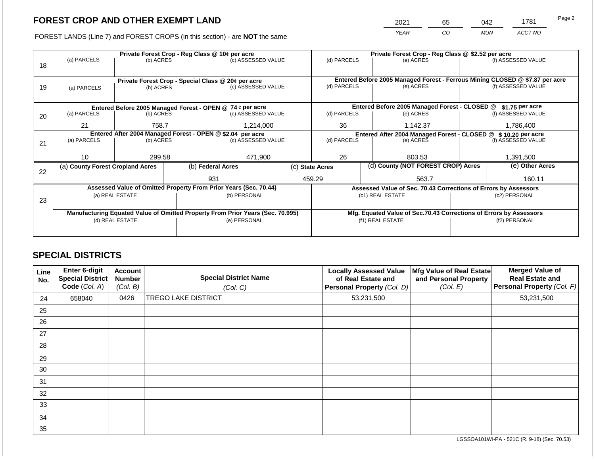2021 65 042 1781

FOREST LANDS (Line 7) and FOREST CROPS (in this section) - are **NOT** the same *YEAR CO MUN ACCT NO*

|    | Private Forest Crop - Reg Class @ 10¢ per acre |                 |  |                                                                                |  |                                                                 | Private Forest Crop - Reg Class @ \$2.52 per acre |                                                                    |  |                                                                                                    |
|----|------------------------------------------------|-----------------|--|--------------------------------------------------------------------------------|--|-----------------------------------------------------------------|---------------------------------------------------|--------------------------------------------------------------------|--|----------------------------------------------------------------------------------------------------|
|    | (a) PARCELS                                    | (b) ACRES       |  | (c) ASSESSED VALUE                                                             |  | (d) PARCELS                                                     |                                                   | (e) ACRES                                                          |  | (f) ASSESSED VALUE                                                                                 |
| 18 |                                                |                 |  |                                                                                |  |                                                                 |                                                   |                                                                    |  |                                                                                                    |
|    |                                                |                 |  |                                                                                |  |                                                                 |                                                   |                                                                    |  |                                                                                                    |
|    |                                                |                 |  | Private Forest Crop - Special Class @ 20¢ per acre                             |  | (d) PARCELS                                                     |                                                   | (e) ACRES                                                          |  | Entered Before 2005 Managed Forest - Ferrous Mining CLOSED @ \$7.87 per acre<br>(f) ASSESSED VALUE |
| 19 | (a) PARCELS                                    | (b) ACRES       |  | (c) ASSESSED VALUE                                                             |  |                                                                 |                                                   |                                                                    |  |                                                                                                    |
|    |                                                |                 |  |                                                                                |  |                                                                 |                                                   |                                                                    |  |                                                                                                    |
|    |                                                |                 |  | Entered Before 2005 Managed Forest - OPEN @ 74 ¢ per acre                      |  |                                                                 |                                                   | Entered Before 2005 Managed Forest - CLOSED @                      |  | $$1.75$ per acre                                                                                   |
| 20 | (a) PARCELS                                    | (b) ACRES       |  | (c) ASSESSED VALUE                                                             |  | (d) PARCELS                                                     |                                                   | (e) ACRES                                                          |  | (f) ASSESSED VALUE                                                                                 |
|    |                                                |                 |  |                                                                                |  |                                                                 |                                                   |                                                                    |  |                                                                                                    |
|    | 21                                             | 758.7           |  | 1,214,000                                                                      |  | 36                                                              |                                                   | 1,142.37                                                           |  | 1,786,400                                                                                          |
|    |                                                |                 |  | Entered After 2004 Managed Forest - OPEN @ \$2.04 per acre                     |  |                                                                 |                                                   | Entered After 2004 Managed Forest - CLOSED @<br>\$10.20 per acre   |  |                                                                                                    |
| 21 | (a) PARCELS                                    | (b) ACRES       |  | (c) ASSESSED VALUE                                                             |  | (d) PARCELS                                                     |                                                   | (e) ACRES                                                          |  | (f) ASSESSED VALUE                                                                                 |
|    |                                                |                 |  |                                                                                |  |                                                                 |                                                   |                                                                    |  |                                                                                                    |
|    | 10 <sup>1</sup>                                | 299.58          |  | 471,900                                                                        |  | 26                                                              |                                                   | 803.53                                                             |  | 1,391,500                                                                                          |
|    | (a) County Forest Cropland Acres               |                 |  | (b) Federal Acres                                                              |  | (c) State Acres                                                 |                                                   | (d) County (NOT FOREST CROP) Acres                                 |  | (e) Other Acres                                                                                    |
| 22 |                                                |                 |  |                                                                                |  |                                                                 |                                                   |                                                                    |  |                                                                                                    |
|    |                                                |                 |  | 931                                                                            |  | 459.29                                                          |                                                   | 563.7                                                              |  | 160.11                                                                                             |
|    |                                                |                 |  | Assessed Value of Omitted Property From Prior Years (Sec. 70.44)               |  | Assessed Value of Sec. 70.43 Corrections of Errors by Assessors |                                                   |                                                                    |  |                                                                                                    |
|    |                                                | (a) REAL ESTATE |  | (b) PERSONAL                                                                   |  |                                                                 |                                                   | (c1) REAL ESTATE                                                   |  | (c2) PERSONAL                                                                                      |
| 23 |                                                |                 |  |                                                                                |  |                                                                 |                                                   |                                                                    |  |                                                                                                    |
|    |                                                |                 |  | Manufacturing Equated Value of Omitted Property From Prior Years (Sec. 70.995) |  |                                                                 |                                                   | Mfg. Equated Value of Sec.70.43 Corrections of Errors by Assessors |  |                                                                                                    |
|    | (d) REAL ESTATE                                |                 |  | (e) PERSONAL                                                                   |  |                                                                 |                                                   | (f1) REAL ESTATE                                                   |  | (f2) PERSONAL                                                                                      |
|    |                                                |                 |  |                                                                                |  |                                                                 |                                                   |                                                                    |  |                                                                                                    |
|    |                                                |                 |  |                                                                                |  |                                                                 |                                                   |                                                                    |  |                                                                                                    |

# **SPECIAL DISTRICTS**

| Line<br>No. | <b>Enter 6-digit</b><br>Special District<br>Code (Col. A) | <b>Account</b><br><b>Number</b><br>(Col. B) | <b>Special District Name</b><br>(Col. C) | <b>Locally Assessed Value</b><br>of Real Estate and<br>Personal Property (Col. D) | Mfg Value of Real Estate<br>and Personal Property<br>(Col. E) | <b>Merged Value of</b><br><b>Real Estate and</b><br>Personal Property (Col. F) |
|-------------|-----------------------------------------------------------|---------------------------------------------|------------------------------------------|-----------------------------------------------------------------------------------|---------------------------------------------------------------|--------------------------------------------------------------------------------|
| 24          | 658040                                                    | 0426                                        | <b>TREGO LAKE DISTRICT</b>               | 53,231,500                                                                        |                                                               | 53,231,500                                                                     |
| 25          |                                                           |                                             |                                          |                                                                                   |                                                               |                                                                                |
| 26          |                                                           |                                             |                                          |                                                                                   |                                                               |                                                                                |
| 27          |                                                           |                                             |                                          |                                                                                   |                                                               |                                                                                |
| 28          |                                                           |                                             |                                          |                                                                                   |                                                               |                                                                                |
| 29          |                                                           |                                             |                                          |                                                                                   |                                                               |                                                                                |
| 30          |                                                           |                                             |                                          |                                                                                   |                                                               |                                                                                |
| 31          |                                                           |                                             |                                          |                                                                                   |                                                               |                                                                                |
| 32          |                                                           |                                             |                                          |                                                                                   |                                                               |                                                                                |
| 33          |                                                           |                                             |                                          |                                                                                   |                                                               |                                                                                |
| 34          |                                                           |                                             |                                          |                                                                                   |                                                               |                                                                                |
| 35          |                                                           |                                             |                                          |                                                                                   |                                                               |                                                                                |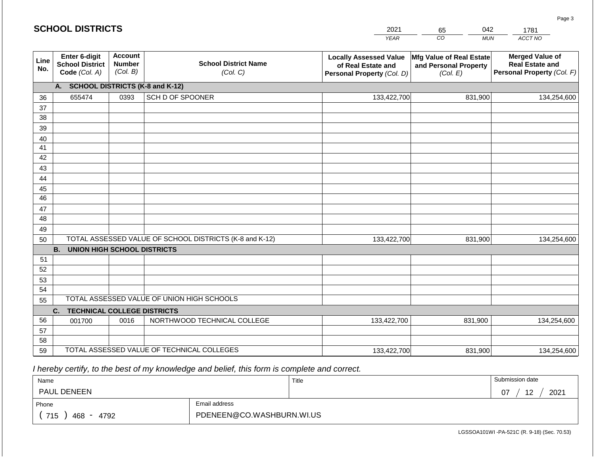#### *YEAR*  2021  $\overline{co}$ 65 *MUN ACCT NO*  1781 **Line No. Enter 6-digit School District Code** *(Col. A)* **Account Number** *(Col. B)* **School District Name** *(Col. C)* **Locally Assessed Value of Real Estate and Personal Property** *(Col. D)* **Mfg Value of Real Estate and Personal Property** *(Col. E)* **Merged Value of Real Estate and Personal Property** *(Col. F)* **A. SCHOOL DISTRICTS (K-8 and K-12)** 36 37 38 39 40 41 42 43 44 45 46 47 48 49 50 TOTAL ASSESSED VALUE OF SCHOOL DISTRICTS (K-8 and K-12) **B. UNION HIGH SCHOOL DISTRICTS** 51 52 53 54 55 **C. TECHNICAL COLLEGE DISTRICTS** 56 57 58 59 TOTAL ASSESSED VALUE OF TECHNICAL COLLEGES TOTAL ASSESSED VALUE OF UNION HIGH SCHOOLS 655474 0393 SCH D OF SPOONER 133,422,700 133,422,700 001700 | 0016 | NORTHWOOD TECHNICAL COLLEGE 133,422,700 831,900 134,254,600 831,900 134,254,600 831,900 134,254,600 133,422,700 831,900 831,900 134,254,600

 *I hereby certify, to the best of my knowledge and belief, this form is complete and correct.*

| Name                                           |                           | Title | Submission date         |
|------------------------------------------------|---------------------------|-------|-------------------------|
| PAUL DENEEN                                    |                           |       | 12<br>2021<br>07<br>. . |
| Phone                                          | Email address             |       |                         |
| 715<br>4792<br>468<br>$\overline{\phantom{a}}$ | PDENEEN@CO.WASHBURN.WI.US |       |                         |

LGSSOA101WI -PA-521C (R. 9-18) (Sec. 70.53)

Page 3

042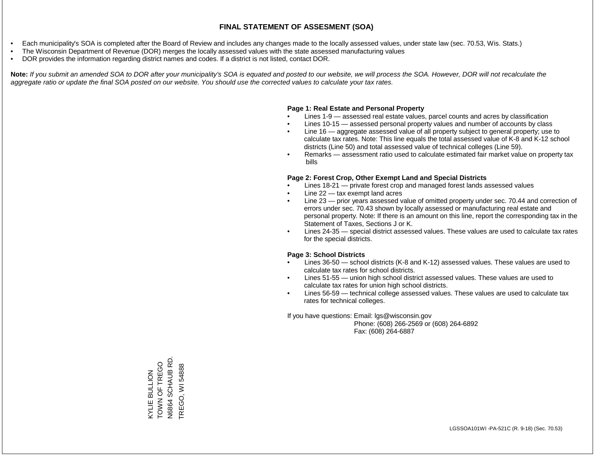- Each municipality's SOA is completed after the Board of Review and includes any changes made to the locally assessed values, under state law (sec. 70.53, Wis. Stats.)
- The Wisconsin Department of Revenue (DOR) merges the locally assessed values with the state assessed manufacturing values
- DOR provides the information regarding district names and codes. If a district is not listed, contact DOR.

Note: If you submit an amended SOA to DOR after your municipality's SOA is equated and posted to our website, we will process the SOA. However, DOR will not recalculate the *aggregate ratio or update the final SOA posted on our website. You should use the corrected values to calculate your tax rates.*

### **Page 1: Real Estate and Personal Property**

- Lines 1-9 assessed real estate values, parcel counts and acres by classification
- Lines 10-15 assessed personal property values and number of accounts by class
- Line 16 aggregate assessed value of all property subject to general property; use to calculate tax rates. Note: This line equals the total assessed value of K-8 and K-12 school districts (Line 50) and total assessed value of technical colleges (Line 59).
- Remarks assessment ratio used to calculate estimated fair market value on property tax bills

### **Page 2: Forest Crop, Other Exempt Land and Special Districts**

- Lines 18-21 private forest crop and managed forest lands assessed values
- Line  $22 -$  tax exempt land acres
- Line 23 prior years assessed value of omitted property under sec. 70.44 and correction of errors under sec. 70.43 shown by locally assessed or manufacturing real estate and personal property. Note: If there is an amount on this line, report the corresponding tax in the Statement of Taxes, Sections J or K.
- Lines 24-35 special district assessed values. These values are used to calculate tax rates for the special districts.

### **Page 3: School Districts**

- Lines 36-50 school districts (K-8 and K-12) assessed values. These values are used to calculate tax rates for school districts.
- Lines 51-55 union high school district assessed values. These values are used to calculate tax rates for union high school districts.
- Lines 56-59 technical college assessed values. These values are used to calculate tax rates for technical colleges.

If you have questions: Email: lgs@wisconsin.gov

 Phone: (608) 266-2569 or (608) 264-6892 Fax: (608) 264-6887

KYLIE BULLION<br>TOWN OF TREGO N6864 SCHAUB RD. N6864 SCHAUB RD TOWN OF TREGO TREGO, WI 54888 TREGO, WI 54888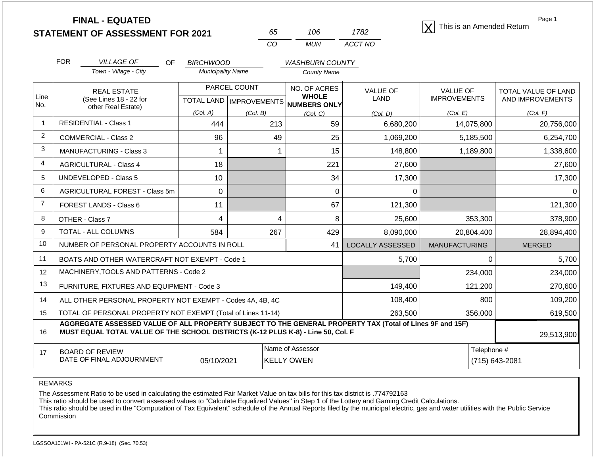**STATEMENT OF ASSESSMENT FOR 2021** 65 106 1782 **This is an Amended Return**<br> **STATEMENT OF ASSESSMENT FOR 2021** 65 106 1782

| 65. | 11)6. | 1782    |
|-----|-------|---------|
| CO. | MUN   | ACCT NO |

Page 1

|                | <b>FOR</b><br><b>VILLAGE OF</b>                                                  | OF                                  | <b>BIRCHWOOD</b>         |                                      | <b>WASHBURN COUNTY</b>       |                                                                                                          |                                        |                                                |
|----------------|----------------------------------------------------------------------------------|-------------------------------------|--------------------------|--------------------------------------|------------------------------|----------------------------------------------------------------------------------------------------------|----------------------------------------|------------------------------------------------|
|                | Town - Village - City                                                            |                                     | <b>Municipality Name</b> |                                      | <b>County Name</b>           |                                                                                                          |                                        |                                                |
| Line           | <b>REAL ESTATE</b><br>(See Lines 18 - 22 for                                     |                                     |                          | PARCEL COUNT                         | NO. OF ACRES<br><b>WHOLE</b> | <b>VALUE OF</b><br><b>LAND</b>                                                                           | <b>VALUE OF</b><br><b>IMPROVEMENTS</b> | <b>TOTAL VALUE OF LAND</b><br>AND IMPROVEMENTS |
| No.            | other Real Estate)                                                               |                                     |                          | TOTAL LAND IMPROVEMENTS NUMBERS ONLY |                              |                                                                                                          |                                        |                                                |
| $\overline{1}$ | <b>RESIDENTIAL - Class 1</b>                                                     |                                     | (Col. A)                 | (Col. B)                             | (Col. C)                     | (Col, D)                                                                                                 | (Col. E)                               | (Col. F)                                       |
|                |                                                                                  |                                     | 444                      | 213                                  | 59                           | 6,680,200                                                                                                | 14,075,800                             | 20,756,000                                     |
| $\overline{2}$ | <b>COMMERCIAL - Class 2</b>                                                      |                                     | 96                       | 49                                   | 25                           | 1,069,200                                                                                                | 5,185,500                              | 6,254,700                                      |
| 3              | <b>MANUFACTURING - Class 3</b>                                                   |                                     |                          |                                      | 15                           | 148,800                                                                                                  | 1,189,800                              | 1,338,600                                      |
| $\overline{4}$ | <b>AGRICULTURAL - Class 4</b>                                                    |                                     | 18                       |                                      | 221                          | 27,600                                                                                                   |                                        | 27,600                                         |
| 5              | <b>UNDEVELOPED - Class 5</b>                                                     |                                     | 10                       |                                      | 34                           | 17,300                                                                                                   |                                        | 17,300                                         |
| 6              |                                                                                  | AGRICULTURAL FOREST - Class 5m<br>0 |                          |                                      | $\Omega$                     | $\Omega$                                                                                                 |                                        |                                                |
| $\overline{7}$ | FOREST LANDS - Class 6                                                           |                                     | 11                       |                                      | 67                           | 121,300                                                                                                  |                                        | 121,300                                        |
| 8              | OTHER - Class 7                                                                  |                                     | 4                        | 4                                    | 8                            | 25,600                                                                                                   | 353,300                                | 378,900                                        |
| 9              | <b>TOTAL - ALL COLUMNS</b>                                                       |                                     | 584                      | 267                                  | 429                          | 8,090,000                                                                                                | 20,804,400                             | 28,894,400                                     |
| 10             | NUMBER OF PERSONAL PROPERTY ACCOUNTS IN ROLL                                     |                                     |                          |                                      | 41                           | <b>LOCALLY ASSESSED</b>                                                                                  | <b>MANUFACTURING</b>                   | <b>MERGED</b>                                  |
| 11             | BOATS AND OTHER WATERCRAFT NOT EXEMPT - Code 1                                   |                                     |                          |                                      |                              | 5,700                                                                                                    | $\Omega$                               | 5,700                                          |
| 12             | MACHINERY, TOOLS AND PATTERNS - Code 2                                           |                                     |                          |                                      |                              |                                                                                                          | 234,000                                | 234,000                                        |
| 13             | FURNITURE, FIXTURES AND EQUIPMENT - Code 3                                       |                                     |                          |                                      |                              | 149,400                                                                                                  | 121,200                                | 270,600                                        |
| 14             | ALL OTHER PERSONAL PROPERTY NOT EXEMPT - Codes 4A, 4B, 4C                        |                                     |                          |                                      |                              | 108,400                                                                                                  | 800                                    | 109,200                                        |
| 15             | TOTAL OF PERSONAL PROPERTY NOT EXEMPT (Total of Lines 11-14)                     |                                     |                          |                                      |                              | 263,500                                                                                                  | 356,000                                | 619,500                                        |
| 16             | MUST EQUAL TOTAL VALUE OF THE SCHOOL DISTRICTS (K-12 PLUS K-8) - Line 50, Col. F |                                     |                          |                                      |                              | AGGREGATE ASSESSED VALUE OF ALL PROPERTY SUBJECT TO THE GENERAL PROPERTY TAX (Total of Lines 9F and 15F) |                                        | 29,513,900                                     |
| 17             | <b>BOARD OF REVIEW</b>                                                           |                                     |                          |                                      | Name of Assessor             |                                                                                                          | Telephone #                            |                                                |
|                | DATE OF FINAL ADJOURNMENT                                                        |                                     | 05/10/2021               |                                      | <b>KELLY OWEN</b>            |                                                                                                          |                                        | (715) 643-2081                                 |

REMARKS

The Assessment Ratio to be used in calculating the estimated Fair Market Value on tax bills for this tax district is .774792163

This ratio should be used to convert assessed values to "Calculate Equalized Values" in Step 1 of the Lottery and Gaming Credit Calculations.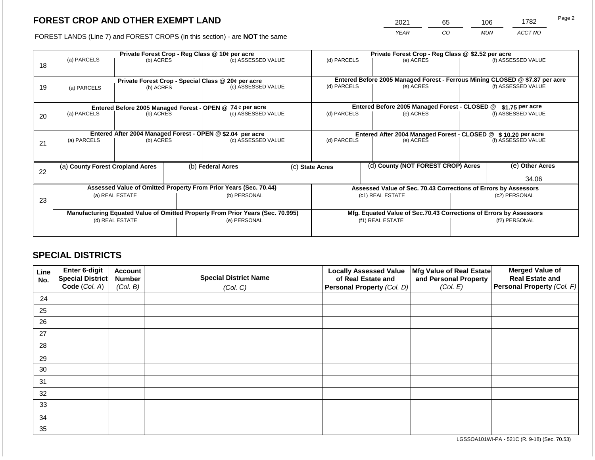2021 65 106 1782

FOREST LANDS (Line 7) and FOREST CROPS (in this section) - are **NOT** the same *YEAR CO MUN ACCT NO*

|    | Private Forest Crop - Reg Class @ 10¢ per acre                                 |                                                                                               |  |                                                                          |  |                                                                    | Private Forest Crop - Reg Class @ \$2.52 per acre |                                                                              |               |                    |
|----|--------------------------------------------------------------------------------|-----------------------------------------------------------------------------------------------|--|--------------------------------------------------------------------------|--|--------------------------------------------------------------------|---------------------------------------------------|------------------------------------------------------------------------------|---------------|--------------------|
| 18 | (a) PARCELS                                                                    | (b) ACRES                                                                                     |  | (c) ASSESSED VALUE                                                       |  | (d) PARCELS                                                        |                                                   | (e) ACRES                                                                    |               | (f) ASSESSED VALUE |
|    |                                                                                |                                                                                               |  |                                                                          |  |                                                                    |                                                   |                                                                              |               |                    |
|    |                                                                                |                                                                                               |  |                                                                          |  |                                                                    |                                                   | Entered Before 2005 Managed Forest - Ferrous Mining CLOSED @ \$7.87 per acre |               |                    |
| 19 | (a) PARCELS                                                                    | (b) ACRES                                                                                     |  | Private Forest Crop - Special Class @ 20¢ per acre<br>(c) ASSESSED VALUE |  | (d) PARCELS                                                        |                                                   | (e) ACRES                                                                    |               | (f) ASSESSED VALUE |
|    |                                                                                |                                                                                               |  |                                                                          |  |                                                                    |                                                   |                                                                              |               |                    |
|    |                                                                                |                                                                                               |  |                                                                          |  |                                                                    |                                                   |                                                                              |               |                    |
|    |                                                                                |                                                                                               |  | Entered Before 2005 Managed Forest - OPEN @ 74 ¢ per acre                |  |                                                                    |                                                   | Entered Before 2005 Managed Forest - CLOSED @                                |               | \$1.75 per acre    |
| 20 | (a) PARCELS                                                                    | (b) ACRES                                                                                     |  | (c) ASSESSED VALUE                                                       |  | (d) PARCELS                                                        |                                                   | (e) ACRES                                                                    |               | (f) ASSESSED VALUE |
|    |                                                                                |                                                                                               |  |                                                                          |  |                                                                    |                                                   |                                                                              |               |                    |
|    |                                                                                |                                                                                               |  |                                                                          |  | Entered After 2004 Managed Forest - CLOSED @ \$10.20 per acre      |                                                   |                                                                              |               |                    |
|    | (a) PARCELS                                                                    | Entered After 2004 Managed Forest - OPEN @ \$2.04 per acre<br>(c) ASSESSED VALUE<br>(b) ACRES |  | (d) PARCELS<br>(e) ACRES                                                 |  |                                                                    | (f) ASSESSED VALUE                                |                                                                              |               |                    |
| 21 |                                                                                |                                                                                               |  |                                                                          |  |                                                                    |                                                   |                                                                              |               |                    |
|    |                                                                                |                                                                                               |  |                                                                          |  |                                                                    |                                                   |                                                                              |               |                    |
|    | (a) County Forest Cropland Acres                                               |                                                                                               |  | (b) Federal Acres                                                        |  | (c) State Acres                                                    |                                                   | (d) County (NOT FOREST CROP) Acres                                           |               | (e) Other Acres    |
| 22 |                                                                                |                                                                                               |  |                                                                          |  |                                                                    |                                                   |                                                                              |               |                    |
|    |                                                                                |                                                                                               |  |                                                                          |  |                                                                    |                                                   |                                                                              |               | 34.06              |
|    | Assessed Value of Omitted Property From Prior Years (Sec. 70.44)               |                                                                                               |  |                                                                          |  | Assessed Value of Sec. 70.43 Corrections of Errors by Assessors    |                                                   |                                                                              |               |                    |
|    |                                                                                | (a) REAL ESTATE                                                                               |  | (b) PERSONAL                                                             |  |                                                                    |                                                   | (c1) REAL ESTATE                                                             | (c2) PERSONAL |                    |
| 23 |                                                                                |                                                                                               |  |                                                                          |  |                                                                    |                                                   |                                                                              |               |                    |
|    | Manufacturing Equated Value of Omitted Property From Prior Years (Sec. 70.995) |                                                                                               |  |                                                                          |  | Mfg. Equated Value of Sec.70.43 Corrections of Errors by Assessors |                                                   |                                                                              |               |                    |
|    | (d) REAL ESTATE                                                                |                                                                                               |  | (e) PERSONAL                                                             |  | (f1) REAL ESTATE                                                   |                                                   |                                                                              | (f2) PERSONAL |                    |
|    |                                                                                |                                                                                               |  |                                                                          |  |                                                                    |                                                   |                                                                              |               |                    |
|    |                                                                                |                                                                                               |  |                                                                          |  |                                                                    |                                                   |                                                                              |               |                    |

# **SPECIAL DISTRICTS**

| Line<br>No. | <b>Enter 6-digit</b><br>Special District | <b>Account</b><br><b>Number</b> | <b>Special District Name</b> | <b>Locally Assessed Value</b><br>of Real Estate and | Mfg Value of Real Estate<br>and Personal Property | <b>Merged Value of</b><br><b>Real Estate and</b> |
|-------------|------------------------------------------|---------------------------------|------------------------------|-----------------------------------------------------|---------------------------------------------------|--------------------------------------------------|
|             | Code (Col. A)                            | (Col. B)                        | (Col. C)                     | Personal Property (Col. D)                          | (Col. E)                                          | Personal Property (Col. F)                       |
| 24          |                                          |                                 |                              |                                                     |                                                   |                                                  |
| 25          |                                          |                                 |                              |                                                     |                                                   |                                                  |
| 26          |                                          |                                 |                              |                                                     |                                                   |                                                  |
| 27          |                                          |                                 |                              |                                                     |                                                   |                                                  |
| 28          |                                          |                                 |                              |                                                     |                                                   |                                                  |
| 29          |                                          |                                 |                              |                                                     |                                                   |                                                  |
| 30          |                                          |                                 |                              |                                                     |                                                   |                                                  |
| 31          |                                          |                                 |                              |                                                     |                                                   |                                                  |
| 32          |                                          |                                 |                              |                                                     |                                                   |                                                  |
| 33          |                                          |                                 |                              |                                                     |                                                   |                                                  |
| 34          |                                          |                                 |                              |                                                     |                                                   |                                                  |
| 35          |                                          |                                 |                              |                                                     |                                                   |                                                  |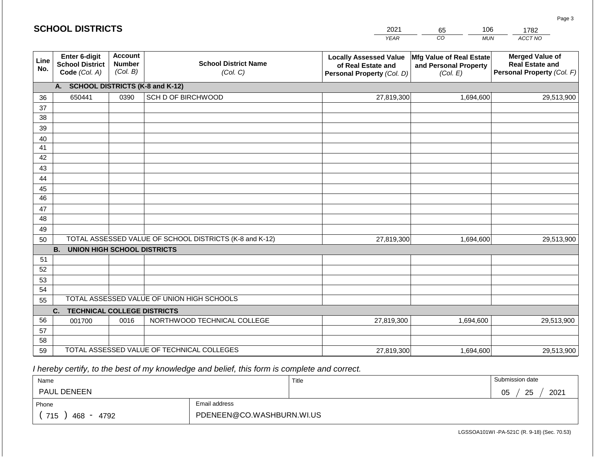|             | <b>SCHOOL DISTRICTS</b>                                  |                                             |                                                         | 2021                                                                              | 106<br>65                                                     | 1782                                                                           |
|-------------|----------------------------------------------------------|---------------------------------------------|---------------------------------------------------------|-----------------------------------------------------------------------------------|---------------------------------------------------------------|--------------------------------------------------------------------------------|
|             |                                                          |                                             |                                                         | <b>YEAR</b>                                                                       | CO<br><b>MUN</b>                                              | ACCT NO                                                                        |
| Line<br>No. | Enter 6-digit<br><b>School District</b><br>Code (Col. A) | <b>Account</b><br><b>Number</b><br>(Col. B) | <b>School District Name</b><br>(Col. C)                 | <b>Locally Assessed Value</b><br>of Real Estate and<br>Personal Property (Col. D) | Mfg Value of Real Estate<br>and Personal Property<br>(Col. E) | <b>Merged Value of</b><br><b>Real Estate and</b><br>Personal Property (Col. F) |
|             | A. SCHOOL DISTRICTS (K-8 and K-12)                       |                                             |                                                         |                                                                                   |                                                               |                                                                                |
| 36          | 650441                                                   | 0390                                        | SCH D OF BIRCHWOOD                                      | 27,819,300                                                                        | 1,694,600                                                     | 29,513,900                                                                     |
| 37          |                                                          |                                             |                                                         |                                                                                   |                                                               |                                                                                |
| 38          |                                                          |                                             |                                                         |                                                                                   |                                                               |                                                                                |
| 39          |                                                          |                                             |                                                         |                                                                                   |                                                               |                                                                                |
| 40          |                                                          |                                             |                                                         |                                                                                   |                                                               |                                                                                |
| 41<br>42    |                                                          |                                             |                                                         |                                                                                   |                                                               |                                                                                |
| 43          |                                                          |                                             |                                                         |                                                                                   |                                                               |                                                                                |
| 44          |                                                          |                                             |                                                         |                                                                                   |                                                               |                                                                                |
| 45          |                                                          |                                             |                                                         |                                                                                   |                                                               |                                                                                |
| 46          |                                                          |                                             |                                                         |                                                                                   |                                                               |                                                                                |
| 47          |                                                          |                                             |                                                         |                                                                                   |                                                               |                                                                                |
| 48          |                                                          |                                             |                                                         |                                                                                   |                                                               |                                                                                |
| 49          |                                                          |                                             |                                                         |                                                                                   |                                                               |                                                                                |
| 50          |                                                          |                                             | TOTAL ASSESSED VALUE OF SCHOOL DISTRICTS (K-8 and K-12) | 27,819,300                                                                        | 1,694,600                                                     | 29,513,900                                                                     |
|             | <b>B.</b><br><b>UNION HIGH SCHOOL DISTRICTS</b>          |                                             |                                                         |                                                                                   |                                                               |                                                                                |
| 51          |                                                          |                                             |                                                         |                                                                                   |                                                               |                                                                                |
| 52          |                                                          |                                             |                                                         |                                                                                   |                                                               |                                                                                |
| 53          |                                                          |                                             |                                                         |                                                                                   |                                                               |                                                                                |
| 54          |                                                          |                                             | TOTAL ASSESSED VALUE OF UNION HIGH SCHOOLS              |                                                                                   |                                                               |                                                                                |
| 55          |                                                          |                                             |                                                         |                                                                                   |                                                               |                                                                                |
| 56          | <b>TECHNICAL COLLEGE DISTRICTS</b><br>C.                 |                                             |                                                         |                                                                                   |                                                               |                                                                                |
| 57          | 001700                                                   | 0016                                        | NORTHWOOD TECHNICAL COLLEGE                             | 27,819,300                                                                        | 1,694,600                                                     | 29,513,900                                                                     |
| 58          |                                                          |                                             |                                                         |                                                                                   |                                                               |                                                                                |
| 59          |                                                          |                                             | TOTAL ASSESSED VALUE OF TECHNICAL COLLEGES              | 27,819,300                                                                        | 1,694,600                                                     | 29,513,900                                                                     |

 *I hereby certify, to the best of my knowledge and belief, this form is complete and correct.*

| Name                       |                           | Title | Submission date        |
|----------------------------|---------------------------|-------|------------------------|
| <b>PAUL DENEEN</b>         |                           |       | 2021<br>25<br>∩ҕ<br>◡◡ |
| Phone                      | Email address             |       |                        |
| 715<br>468<br>4792<br>$ -$ | PDENEEN@CO.WASHBURN.WI.US |       |                        |

LGSSOA101WI -PA-521C (R. 9-18) (Sec. 70.53)

Page 3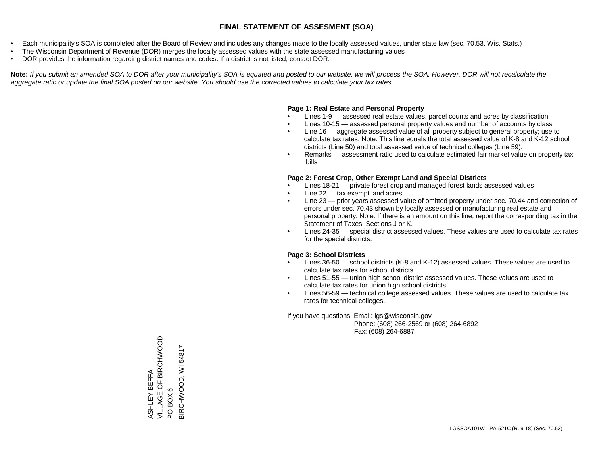- Each municipality's SOA is completed after the Board of Review and includes any changes made to the locally assessed values, under state law (sec. 70.53, Wis. Stats.)
- The Wisconsin Department of Revenue (DOR) merges the locally assessed values with the state assessed manufacturing values
- DOR provides the information regarding district names and codes. If a district is not listed, contact DOR.

Note: If you submit an amended SOA to DOR after your municipality's SOA is equated and posted to our website, we will process the SOA. However, DOR will not recalculate the *aggregate ratio or update the final SOA posted on our website. You should use the corrected values to calculate your tax rates.*

### **Page 1: Real Estate and Personal Property**

- Lines 1-9 assessed real estate values, parcel counts and acres by classification
- Lines 10-15 assessed personal property values and number of accounts by class
- Line 16 aggregate assessed value of all property subject to general property; use to calculate tax rates. Note: This line equals the total assessed value of K-8 and K-12 school districts (Line 50) and total assessed value of technical colleges (Line 59).
- Remarks assessment ratio used to calculate estimated fair market value on property tax bills

### **Page 2: Forest Crop, Other Exempt Land and Special Districts**

- Lines 18-21 private forest crop and managed forest lands assessed values
- Line  $22 -$  tax exempt land acres
- Line 23 prior years assessed value of omitted property under sec. 70.44 and correction of errors under sec. 70.43 shown by locally assessed or manufacturing real estate and personal property. Note: If there is an amount on this line, report the corresponding tax in the Statement of Taxes, Sections J or K.
- Lines 24-35 special district assessed values. These values are used to calculate tax rates for the special districts.

### **Page 3: School Districts**

- Lines 36-50 school districts (K-8 and K-12) assessed values. These values are used to calculate tax rates for school districts.
- Lines 51-55 union high school district assessed values. These values are used to calculate tax rates for union high school districts.
- Lines 56-59 technical college assessed values. These values are used to calculate tax rates for technical colleges.

If you have questions: Email: lgs@wisconsin.gov

 Phone: (608) 266-2569 or (608) 264-6892 Fax: (608) 264-6887

VILLAGE OF BIRCHWOOD ASHLEY BEFFA<br>VILLAGE OF BIRCHWOOD BIRCHWOOD, WI54817 BIRCHWOOD, WI 54817ASHLEY BEFFA PO BOX 6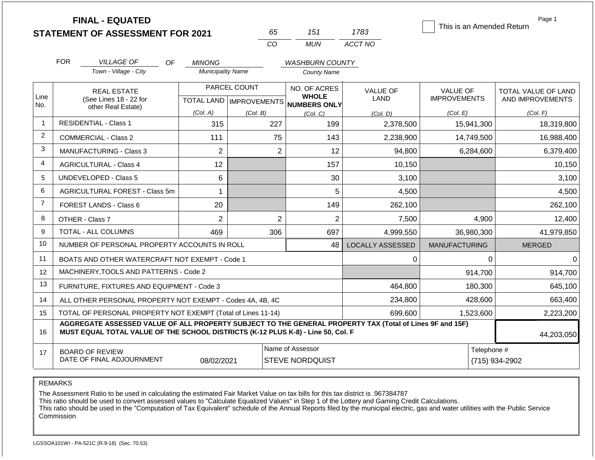| <b>STATEMENT OF ASSESSMENT FOR 2021</b> |  |
|-----------------------------------------|--|
|                                         |  |

**FINAL - EQUATED**

| nh. | 151 | 1783    |
|-----|-----|---------|
| CO. | MUN | ACCT NO |

This is an Amended Return

Page 1

|                | <b>FOR</b>                                                                                                                                                                                   | <b>VILLAGE OF</b><br><b>OF</b>                            | <b>MINONG</b>            |                                                  | <b>WASHBURN COUNTY</b>                              |                         |                                        |                                         |
|----------------|----------------------------------------------------------------------------------------------------------------------------------------------------------------------------------------------|-----------------------------------------------------------|--------------------------|--------------------------------------------------|-----------------------------------------------------|-------------------------|----------------------------------------|-----------------------------------------|
|                |                                                                                                                                                                                              | Town - Village - City                                     | <b>Municipality Name</b> |                                                  | <b>County Name</b>                                  |                         |                                        |                                         |
| Line<br>No.    |                                                                                                                                                                                              | <b>REAL ESTATE</b><br>(See Lines 18 - 22 for              |                          | PARCEL COUNT<br><b>TOTAL LAND   IMPROVEMENTS</b> | NO. OF ACRES<br><b>WHOLE</b><br><b>NUMBERS ONLY</b> | <b>VALUE OF</b><br>LAND | <b>VALUE OF</b><br><b>IMPROVEMENTS</b> | TOTAL VALUE OF LAND<br>AND IMPROVEMENTS |
|                |                                                                                                                                                                                              | other Real Estate)                                        | (Col. A)                 | (Col, B)                                         | (Col. C)                                            | (Col, D)                | (Col. E)                               | (Col. F)                                |
| $\overline{1}$ |                                                                                                                                                                                              | <b>RESIDENTIAL - Class 1</b>                              | 315                      | 227                                              | 199                                                 | 2,378,500               | 15,941,300                             | 18,319,800                              |
| $\overline{2}$ |                                                                                                                                                                                              | <b>COMMERCIAL - Class 2</b>                               | 111                      | 75                                               | 143                                                 | 2,238,900               | 14,749,500                             | 16,988,400                              |
| 3              |                                                                                                                                                                                              | <b>MANUFACTURING - Class 3</b>                            | $\overline{2}$           | $\overline{2}$                                   | 12                                                  | 94,800                  | 6,284,600                              | 6,379,400                               |
| $\overline{4}$ |                                                                                                                                                                                              | <b>AGRICULTURAL - Class 4</b>                             | 12                       |                                                  | 157                                                 | 10,150                  |                                        | 10,150                                  |
| 5              |                                                                                                                                                                                              | UNDEVELOPED - Class 5                                     | 6                        |                                                  | 30                                                  | 3,100                   |                                        | 3,100                                   |
| 6              |                                                                                                                                                                                              | AGRICULTURAL FOREST - Class 5m<br>1                       |                          |                                                  | 5                                                   | 4,500                   |                                        | 4,500                                   |
| $\overline{7}$ |                                                                                                                                                                                              | 20<br>FOREST LANDS - Class 6                              |                          |                                                  | 149                                                 | 262,100                 |                                        | 262,100                                 |
| 8              |                                                                                                                                                                                              | OTHER - Class 7                                           | $\overline{2}$           | $\overline{2}$                                   | $\overline{2}$                                      | 7,500                   | 4,900                                  | 12,400                                  |
| 9              |                                                                                                                                                                                              | TOTAL - ALL COLUMNS                                       | 469                      | 306                                              | 697                                                 | 4,999,550               | 36,980,300                             | 41,979,850                              |
| 10             |                                                                                                                                                                                              | NUMBER OF PERSONAL PROPERTY ACCOUNTS IN ROLL              |                          |                                                  | 48                                                  | <b>LOCALLY ASSESSED</b> | <b>MANUFACTURING</b>                   | <b>MERGED</b>                           |
| 11             |                                                                                                                                                                                              | BOATS AND OTHER WATERCRAFT NOT EXEMPT - Code 1            |                          |                                                  |                                                     | 0                       | $\Omega$                               |                                         |
| 12             |                                                                                                                                                                                              | MACHINERY, TOOLS AND PATTERNS - Code 2                    |                          |                                                  |                                                     |                         | 914,700                                | 914,700                                 |
| 13             |                                                                                                                                                                                              | FURNITURE, FIXTURES AND EQUIPMENT - Code 3                |                          |                                                  |                                                     | 464,800                 | 180,300                                | 645,100                                 |
| 14             |                                                                                                                                                                                              | ALL OTHER PERSONAL PROPERTY NOT EXEMPT - Codes 4A, 4B, 4C |                          |                                                  |                                                     | 234,800                 | 428,600                                | 663,400                                 |
| 15             | TOTAL OF PERSONAL PROPERTY NOT EXEMPT (Total of Lines 11-14)<br>699,600<br>1,523,600                                                                                                         |                                                           |                          |                                                  |                                                     |                         |                                        | 2,223,200                               |
| 16             | AGGREGATE ASSESSED VALUE OF ALL PROPERTY SUBJECT TO THE GENERAL PROPERTY TAX (Total of Lines 9F and 15F)<br>MUST EQUAL TOTAL VALUE OF THE SCHOOL DISTRICTS (K-12 PLUS K-8) - Line 50, Col. F |                                                           |                          |                                                  |                                                     |                         |                                        | 44,203,050                              |
| 17             |                                                                                                                                                                                              | <b>BOARD OF REVIEW</b><br>DATE OF FINAL ADJOURNMENT       | 08/02/2021               |                                                  | Name of Assessor<br><b>STEVE NORDQUIST</b>          |                         | Telephone #                            | (715) 934-2902                          |

REMARKS

The Assessment Ratio to be used in calculating the estimated Fair Market Value on tax bills for this tax district is .967384787

This ratio should be used to convert assessed values to "Calculate Equalized Values" in Step 1 of the Lottery and Gaming Credit Calculations.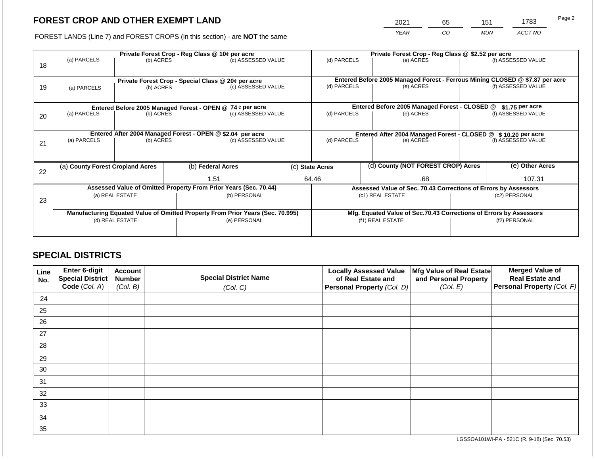2021 65 151 1783

FOREST LANDS (Line 7) and FOREST CROPS (in this section) - are **NOT** the same *YEAR CO MUN ACCT NO*

| 18 | (a) PARCELS                                                                                       | (b) ACRES                                                               |  | Private Forest Crop - Reg Class @ 10¢ per acre<br>(c) ASSESSED VALUE |  | (d) PARCELS                                                                                          |                                               | Private Forest Crop - Reg Class @ \$2.52 per acre<br>(e) ACRES                         |                  | (f) ASSESSED VALUE                                                                        |  |                    |
|----|---------------------------------------------------------------------------------------------------|-------------------------------------------------------------------------|--|----------------------------------------------------------------------|--|------------------------------------------------------------------------------------------------------|-----------------------------------------------|----------------------------------------------------------------------------------------|------------------|-------------------------------------------------------------------------------------------|--|--------------------|
| 19 | (a) PARCELS                                                                                       | (b) ACRES                                                               |  | Private Forest Crop - Special Class @ 20¢ per acre                   |  | (c) ASSESSED VALUE                                                                                   |                                               | (d) PARCELS                                                                            |                  | Entered Before 2005 Managed Forest - Ferrous Mining CLOSED @ \$7.87 per acre<br>(e) ACRES |  | (f) ASSESSED VALUE |
|    |                                                                                                   | Entered Before 2005 Managed Forest - OPEN @ 74 ¢ per acre               |  |                                                                      |  |                                                                                                      | Entered Before 2005 Managed Forest - CLOSED @ |                                                                                        | $$1.75$ per acre |                                                                                           |  |                    |
| 20 | (a) PARCELS                                                                                       | (b) ACRES                                                               |  | (c) ASSESSED VALUE                                                   |  | (d) PARCELS                                                                                          |                                               | (e) ACRES                                                                              |                  | (f) ASSESSED VALUE                                                                        |  |                    |
| 21 | (a) PARCELS                                                                                       | Entered After 2004 Managed Forest - OPEN @ \$2.04 per acre<br>(b) ACRES |  | (c) ASSESSED VALUE                                                   |  | (d) PARCELS                                                                                          |                                               | Entered After 2004 Managed Forest - CLOSED @ \$10.20 per acre<br>(e) ACRES             |                  | (f) ASSESSED VALUE                                                                        |  |                    |
| 22 | (a) County Forest Cropland Acres                                                                  |                                                                         |  | (b) Federal Acres                                                    |  | (c) State Acres                                                                                      |                                               | (d) County (NOT FOREST CROP) Acres                                                     |                  | (e) Other Acres                                                                           |  |                    |
|    |                                                                                                   |                                                                         |  | 1.51                                                                 |  | 64.46<br>.68                                                                                         |                                               |                                                                                        | 107.31           |                                                                                           |  |                    |
| 23 | Assessed Value of Omitted Property From Prior Years (Sec. 70.44)<br>(a) REAL ESTATE               |                                                                         |  | (b) PERSONAL                                                         |  | Assessed Value of Sec. 70.43 Corrections of Errors by Assessors<br>(c1) REAL ESTATE<br>(c2) PERSONAL |                                               |                                                                                        |                  |                                                                                           |  |                    |
|    | Manufacturing Equated Value of Omitted Property From Prior Years (Sec. 70.995)<br>(d) REAL ESTATE |                                                                         |  | (e) PERSONAL                                                         |  |                                                                                                      |                                               | Mfg. Equated Value of Sec.70.43 Corrections of Errors by Assessors<br>(f1) REAL ESTATE |                  | (f2) PERSONAL                                                                             |  |                    |

# **SPECIAL DISTRICTS**

| Line<br>No. | Enter 6-digit<br>Special District | <b>Account</b><br><b>Number</b> | <b>Special District Name</b> | <b>Locally Assessed Value</b><br>of Real Estate and | Mfg Value of Real Estate<br>and Personal Property | <b>Merged Value of</b><br><b>Real Estate and</b> |
|-------------|-----------------------------------|---------------------------------|------------------------------|-----------------------------------------------------|---------------------------------------------------|--------------------------------------------------|
|             | Code (Col. A)                     | (Col. B)                        | (Col. C)                     | Personal Property (Col. D)                          | (Col. E)                                          | Personal Property (Col. F)                       |
| 24          |                                   |                                 |                              |                                                     |                                                   |                                                  |
| 25          |                                   |                                 |                              |                                                     |                                                   |                                                  |
| 26          |                                   |                                 |                              |                                                     |                                                   |                                                  |
| 27          |                                   |                                 |                              |                                                     |                                                   |                                                  |
| 28          |                                   |                                 |                              |                                                     |                                                   |                                                  |
| 29          |                                   |                                 |                              |                                                     |                                                   |                                                  |
| 30          |                                   |                                 |                              |                                                     |                                                   |                                                  |
| 31          |                                   |                                 |                              |                                                     |                                                   |                                                  |
| 32          |                                   |                                 |                              |                                                     |                                                   |                                                  |
| 33          |                                   |                                 |                              |                                                     |                                                   |                                                  |
| 34          |                                   |                                 |                              |                                                     |                                                   |                                                  |
| 35          |                                   |                                 |                              |                                                     |                                                   |                                                  |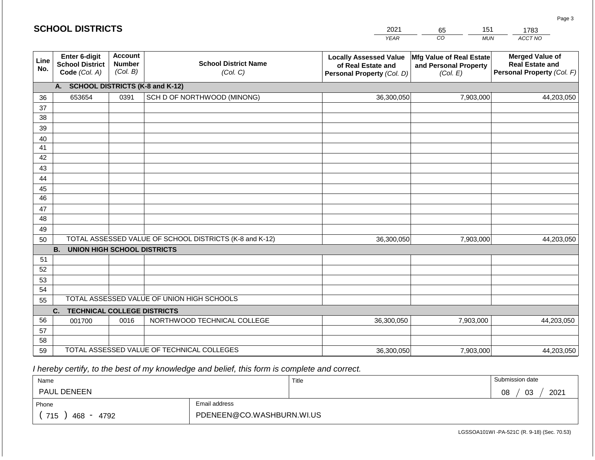|             | <b>SCHOOL DISTRICTS</b>                                         |                                             |                                                         | 2021                                                                              | 151<br>65                                                            | 1783                                                                           |
|-------------|-----------------------------------------------------------------|---------------------------------------------|---------------------------------------------------------|-----------------------------------------------------------------------------------|----------------------------------------------------------------------|--------------------------------------------------------------------------------|
|             |                                                                 |                                             |                                                         | <b>YEAR</b>                                                                       | CO<br><b>MUN</b>                                                     | ACCT NO                                                                        |
| Line<br>No. | <b>Enter 6-digit</b><br><b>School District</b><br>Code (Col. A) | <b>Account</b><br><b>Number</b><br>(Col. B) | <b>School District Name</b><br>(Col. C)                 | <b>Locally Assessed Value</b><br>of Real Estate and<br>Personal Property (Col. D) | <b>Mfg Value of Real Estate</b><br>and Personal Property<br>(Col. E) | <b>Merged Value of</b><br><b>Real Estate and</b><br>Personal Property (Col. F) |
|             | A.                                                              |                                             | <b>SCHOOL DISTRICTS (K-8 and K-12)</b>                  |                                                                                   |                                                                      |                                                                                |
| 36          | 653654                                                          | 0391                                        | SCH D OF NORTHWOOD (MINONG)                             | 36,300,050                                                                        | 7,903,000                                                            | 44,203,050                                                                     |
| 37          |                                                                 |                                             |                                                         |                                                                                   |                                                                      |                                                                                |
| 38          |                                                                 |                                             |                                                         |                                                                                   |                                                                      |                                                                                |
| 39          |                                                                 |                                             |                                                         |                                                                                   |                                                                      |                                                                                |
| 40          |                                                                 |                                             |                                                         |                                                                                   |                                                                      |                                                                                |
| 41          |                                                                 |                                             |                                                         |                                                                                   |                                                                      |                                                                                |
| 42          |                                                                 |                                             |                                                         |                                                                                   |                                                                      |                                                                                |
| 43          |                                                                 |                                             |                                                         |                                                                                   |                                                                      |                                                                                |
| 44          |                                                                 |                                             |                                                         |                                                                                   |                                                                      |                                                                                |
| 45          |                                                                 |                                             |                                                         |                                                                                   |                                                                      |                                                                                |
| 46          |                                                                 |                                             |                                                         |                                                                                   |                                                                      |                                                                                |
| 47<br>48    |                                                                 |                                             |                                                         |                                                                                   |                                                                      |                                                                                |
| 49          |                                                                 |                                             |                                                         |                                                                                   |                                                                      |                                                                                |
| 50          |                                                                 |                                             | TOTAL ASSESSED VALUE OF SCHOOL DISTRICTS (K-8 and K-12) | 36,300,050                                                                        | 7,903,000                                                            | 44,203,050                                                                     |
|             | <b>B.</b><br><b>UNION HIGH SCHOOL DISTRICTS</b>                 |                                             |                                                         |                                                                                   |                                                                      |                                                                                |
| 51          |                                                                 |                                             |                                                         |                                                                                   |                                                                      |                                                                                |
| 52          |                                                                 |                                             |                                                         |                                                                                   |                                                                      |                                                                                |
| 53          |                                                                 |                                             |                                                         |                                                                                   |                                                                      |                                                                                |
| 54          |                                                                 |                                             |                                                         |                                                                                   |                                                                      |                                                                                |
| 55          |                                                                 |                                             | TOTAL ASSESSED VALUE OF UNION HIGH SCHOOLS              |                                                                                   |                                                                      |                                                                                |
|             | C.<br><b>TECHNICAL COLLEGE DISTRICTS</b>                        |                                             |                                                         |                                                                                   |                                                                      |                                                                                |
| 56          | 001700                                                          | 0016                                        | NORTHWOOD TECHNICAL COLLEGE                             | 36,300,050                                                                        | 7,903,000                                                            | 44,203,050                                                                     |
| 57          |                                                                 |                                             |                                                         |                                                                                   |                                                                      |                                                                                |
| 58          |                                                                 |                                             |                                                         |                                                                                   |                                                                      |                                                                                |
| 59          |                                                                 |                                             | TOTAL ASSESSED VALUE OF TECHNICAL COLLEGES              | 36,300,050                                                                        | 7,903,000                                                            | 44,203,050                                                                     |

 *I hereby certify, to the best of my knowledge and belief, this form is complete and correct.*

| Name                                           |                           | Title | Submission date  |
|------------------------------------------------|---------------------------|-------|------------------|
| <b>PAUL DENEEN</b>                             |                           |       | 2021<br>03<br>08 |
| Phone                                          | Email address             |       |                  |
| 715<br>468<br>4792<br>$\overline{\phantom{0}}$ | PDENEEN@CO.WASHBURN.WI.US |       |                  |

LGSSOA101WI -PA-521C (R. 9-18) (Sec. 70.53)

Page 3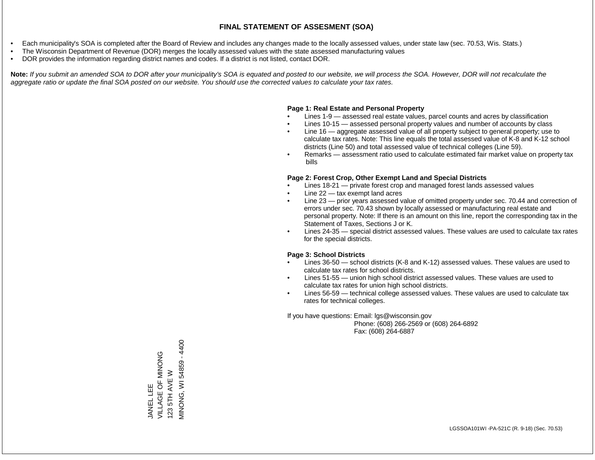- Each municipality's SOA is completed after the Board of Review and includes any changes made to the locally assessed values, under state law (sec. 70.53, Wis. Stats.)
- The Wisconsin Department of Revenue (DOR) merges the locally assessed values with the state assessed manufacturing values
- DOR provides the information regarding district names and codes. If a district is not listed, contact DOR.

Note: If you submit an amended SOA to DOR after your municipality's SOA is equated and posted to our website, we will process the SOA. However, DOR will not recalculate the *aggregate ratio or update the final SOA posted on our website. You should use the corrected values to calculate your tax rates.*

#### **Page 1: Real Estate and Personal Property**

- Lines 1-9 assessed real estate values, parcel counts and acres by classification
- Lines 10-15 assessed personal property values and number of accounts by class
- Line 16 aggregate assessed value of all property subject to general property; use to calculate tax rates. Note: This line equals the total assessed value of K-8 and K-12 school districts (Line 50) and total assessed value of technical colleges (Line 59).
- Remarks assessment ratio used to calculate estimated fair market value on property tax bills

#### **Page 2: Forest Crop, Other Exempt Land and Special Districts**

- Lines 18-21 private forest crop and managed forest lands assessed values
- Line  $22 -$  tax exempt land acres
- Line 23 prior years assessed value of omitted property under sec. 70.44 and correction of errors under sec. 70.43 shown by locally assessed or manufacturing real estate and personal property. Note: If there is an amount on this line, report the corresponding tax in the Statement of Taxes, Sections J or K.
- Lines 24-35 special district assessed values. These values are used to calculate tax rates for the special districts.

#### **Page 3: School Districts**

- Lines 36-50 school districts (K-8 and K-12) assessed values. These values are used to calculate tax rates for school districts.
- Lines 51-55 union high school district assessed values. These values are used to calculate tax rates for union high school districts.
- Lines 56-59 technical college assessed values. These values are used to calculate tax rates for technical colleges.

If you have questions: Email: lgs@wisconsin.gov

 Phone: (608) 266-2569 or (608) 264-6892 Fax: (608) 264-6887

JANEL LEE<br>VILLAGE OF MINONG VILLAGE OF MINONG 123 5TH AVE W MINONG, WAGENEER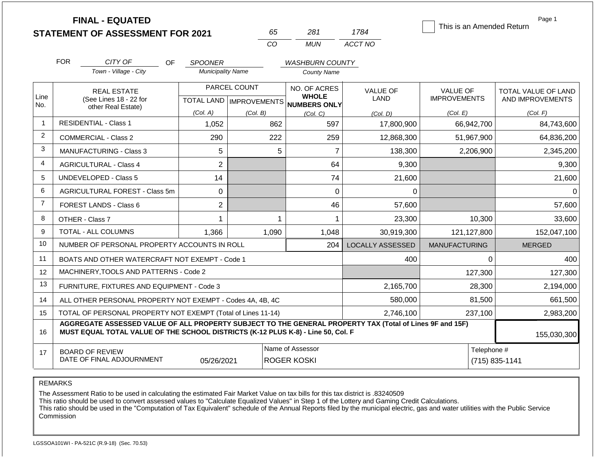|             | <b>FINAL - EQUATED</b>                                                                                                                                                                       |                             |                           |                                        |                         |                           | Page 1              |
|-------------|----------------------------------------------------------------------------------------------------------------------------------------------------------------------------------------------|-----------------------------|---------------------------|----------------------------------------|-------------------------|---------------------------|---------------------|
|             | <b>STATEMENT OF ASSESSMENT FOR 2021</b>                                                                                                                                                      |                             | 65                        | 281                                    | 1784                    | This is an Amended Return |                     |
|             |                                                                                                                                                                                              |                             | CO                        | <b>MUN</b>                             | ACCT NO                 |                           |                     |
|             | <b>FOR</b><br>CITY OF                                                                                                                                                                        | <b>OF</b><br><b>SPOONER</b> |                           | <b>WASHBURN COUNTY</b>                 |                         |                           |                     |
|             | Town - Village - City                                                                                                                                                                        | <b>Municipality Name</b>    |                           | <b>County Name</b>                     |                         |                           |                     |
|             | PARCEL COUNT<br><b>REAL ESTATE</b>                                                                                                                                                           |                             |                           | NO. OF ACRES<br><b>WHOLE</b>           | <b>VALUE OF</b>         | <b>VALUE OF</b>           | TOTAL VALUE OF LAND |
| Line<br>No. | (See Lines 18 - 22 for<br>other Real Estate)                                                                                                                                                 |                             | TOTAL LAND   IMPROVEMENTS | <b>NUMBERS ONLY</b>                    | <b>LAND</b>             | <b>IMPROVEMENTS</b>       | AND IMPROVEMENTS    |
|             |                                                                                                                                                                                              | (Col. A)                    | (Col. B)                  | (Col, C)                               | (Col. D)                | (Col. E)                  | (Col. F)            |
| -1          | <b>RESIDENTIAL - Class 1</b>                                                                                                                                                                 | 1,052                       | 862                       | 597                                    | 17,800,900              | 66,942,700                | 84,743,600          |
| 2           | <b>COMMERCIAL - Class 2</b>                                                                                                                                                                  | 290                         | 222                       | 259                                    | 12,868,300              | 51,967,900                | 64,836,200          |
| 3           | MANUFACTURING - Class 3                                                                                                                                                                      | 5                           | 5                         | $\overline{7}$                         | 138,300                 | 2,206,900                 | 2,345,200           |
| 4           | <b>AGRICULTURAL - Class 4</b>                                                                                                                                                                | $\overline{2}$              |                           | 64                                     | 9,300                   |                           | 9,300               |
| 5           | <b>UNDEVELOPED - Class 5</b>                                                                                                                                                                 | 14                          |                           | 74                                     | 21,600                  |                           | 21,600              |
| 6           | AGRICULTURAL FOREST - Class 5m                                                                                                                                                               | $\mathbf 0$                 |                           | $\mathbf 0$                            | 0                       |                           | 0                   |
| 7           | FOREST LANDS - Class 6                                                                                                                                                                       | $\overline{2}$              |                           | 46                                     | 57,600                  |                           | 57,600              |
| 8           | OTHER - Class 7                                                                                                                                                                              |                             |                           | 1                                      | 23,300                  | 10,300                    | 33,600              |
| 9           | <b>TOTAL - ALL COLUMNS</b>                                                                                                                                                                   | 1,366                       | 1,090                     | 1,048                                  | 30,919,300              | 121,127,800               | 152,047,100         |
| 10          | NUMBER OF PERSONAL PROPERTY ACCOUNTS IN ROLL                                                                                                                                                 |                             |                           | 204                                    | <b>LOCALLY ASSESSED</b> | <b>MANUFACTURING</b>      | <b>MERGED</b>       |
| 11          | BOATS AND OTHER WATERCRAFT NOT EXEMPT - Code 1                                                                                                                                               |                             |                           |                                        | 400                     | $\Omega$                  | 400                 |
| 12          | MACHINERY, TOOLS AND PATTERNS - Code 2                                                                                                                                                       |                             |                           |                                        |                         | 127,300                   | 127,300             |
| 13          | FURNITURE, FIXTURES AND EQUIPMENT - Code 3                                                                                                                                                   |                             | 2,165,700                 | 28,300                                 | 2,194,000               |                           |                     |
| 14          | ALL OTHER PERSONAL PROPERTY NOT EXEMPT - Codes 4A, 4B, 4C                                                                                                                                    |                             | 580,000                   | 81,500                                 | 661,500                 |                           |                     |
| 15          | TOTAL OF PERSONAL PROPERTY NOT EXEMPT (Total of Lines 11-14)                                                                                                                                 |                             |                           |                                        | 2,746,100               | 237,100                   | 2,983,200           |
| 16          | AGGREGATE ASSESSED VALUE OF ALL PROPERTY SUBJECT TO THE GENERAL PROPERTY TAX (Total of Lines 9F and 15F)<br>MUST EQUAL TOTAL VALUE OF THE SCHOOL DISTRICTS (K-12 PLUS K-8) - Line 50, Col. F |                             |                           |                                        |                         |                           | 155,030,300         |
| 17          | <b>BOARD OF REVIEW</b><br>DATE OF FINAL ADJOURNMENT                                                                                                                                          | 05/26/2021                  |                           | Name of Assessor<br><b>ROGER KOSKI</b> |                         | Telephone #               | (715) 835-1141      |

REMARKS

The Assessment Ratio to be used in calculating the estimated Fair Market Value on tax bills for this tax district is .83240509

This ratio should be used to convert assessed values to "Calculate Equalized Values" in Step 1 of the Lottery and Gaming Credit Calculations.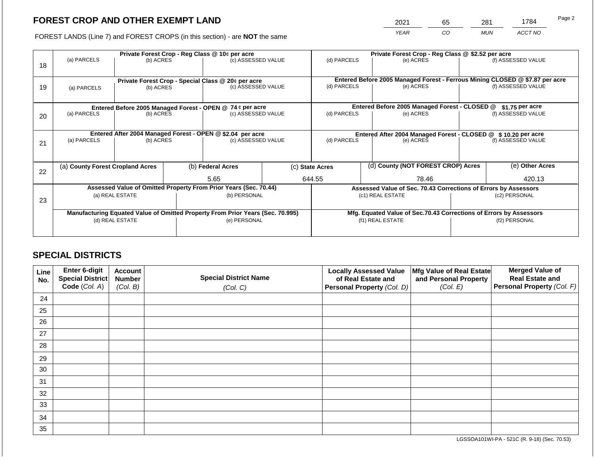2021 65 281 1784

FOREST LANDS (Line 7) and FOREST CROPS (in this section) - are **NOT** the same *YEAR CO MUN ACCT NO*

| 18 | (a) PARCELS                                                                    |                                                                 | Private Forest Crop - Reg Class @ 10¢ per acre<br>(c) ASSESSED VALUE<br>(b) ACRES |                                                           |                                                                 | (d) PARCELS     | Private Forest Crop - Reg Class @ \$2.52 per acre<br>(e) ACRES     |                                               |                 | (f) ASSESSED VALUE                                                                                 |
|----|--------------------------------------------------------------------------------|-----------------------------------------------------------------|-----------------------------------------------------------------------------------|-----------------------------------------------------------|-----------------------------------------------------------------|-----------------|--------------------------------------------------------------------|-----------------------------------------------|-----------------|----------------------------------------------------------------------------------------------------|
| 19 | (a) PARCELS                                                                    | Private Forest Crop - Special Class @ 20¢ per acre<br>(b) ACRES |                                                                                   | (c) ASSESSED VALUE                                        |                                                                 | (d) PARCELS     |                                                                    | (e) ACRES                                     |                 | Entered Before 2005 Managed Forest - Ferrous Mining CLOSED @ \$7.87 per acre<br>(f) ASSESSED VALUE |
|    |                                                                                |                                                                 |                                                                                   | Entered Before 2005 Managed Forest - OPEN @ 74 ¢ per acre |                                                                 |                 |                                                                    | Entered Before 2005 Managed Forest - CLOSED @ |                 | $$1.75$ per acre                                                                                   |
| 20 | (a) PARCELS                                                                    | (b) ACRES                                                       |                                                                                   | (c) ASSESSED VALUE                                        |                                                                 | (d) PARCELS     |                                                                    | (e) ACRES                                     |                 | (f) ASSESSED VALUE                                                                                 |
|    | Entered After 2004 Managed Forest - OPEN @ \$2.04 per acre                     |                                                                 |                                                                                   |                                                           | Entered After 2004 Managed Forest - CLOSED @ \$10.20 per acre   |                 |                                                                    |                                               |                 |                                                                                                    |
| 21 | (a) PARCELS                                                                    | (b) ACRES                                                       |                                                                                   | (c) ASSESSED VALUE                                        |                                                                 | (d) PARCELS     |                                                                    | (e) ACRES                                     |                 | (f) ASSESSED VALUE                                                                                 |
|    |                                                                                |                                                                 |                                                                                   |                                                           |                                                                 |                 |                                                                    |                                               |                 |                                                                                                    |
| 22 | (a) County Forest Cropland Acres                                               |                                                                 |                                                                                   | (b) Federal Acres                                         |                                                                 | (c) State Acres |                                                                    | (d) County (NOT FOREST CROP) Acres            | (e) Other Acres |                                                                                                    |
|    |                                                                                |                                                                 |                                                                                   | 5.65                                                      |                                                                 | 644.55<br>78.46 |                                                                    |                                               | 420.13          |                                                                                                    |
|    | Assessed Value of Omitted Property From Prior Years (Sec. 70.44)               |                                                                 |                                                                                   |                                                           | Assessed Value of Sec. 70.43 Corrections of Errors by Assessors |                 |                                                                    |                                               |                 |                                                                                                    |
| 23 | (a) REAL ESTATE<br>(b) PERSONAL                                                |                                                                 | (c1) REAL ESTATE<br>(c2) PERSONAL                                                 |                                                           |                                                                 |                 |                                                                    |                                               |                 |                                                                                                    |
|    | Manufacturing Equated Value of Omitted Property From Prior Years (Sec. 70.995) |                                                                 |                                                                                   |                                                           |                                                                 |                 | Mfg. Equated Value of Sec.70.43 Corrections of Errors by Assessors |                                               |                 |                                                                                                    |
|    |                                                                                | (d) REAL ESTATE                                                 |                                                                                   | (e) PERSONAL                                              |                                                                 |                 |                                                                    | (f1) REAL ESTATE                              | (f2) PERSONAL   |                                                                                                    |
|    |                                                                                |                                                                 |                                                                                   |                                                           |                                                                 |                 |                                                                    |                                               |                 |                                                                                                    |

# **SPECIAL DISTRICTS**

| Line<br>No. | <b>Enter 6-digit</b><br>Special District | <b>Account</b><br><b>Number</b> | <b>Special District Name</b> | <b>Locally Assessed Value</b><br>of Real Estate and | Mfg Value of Real Estate<br>and Personal Property | <b>Merged Value of</b><br><b>Real Estate and</b> |
|-------------|------------------------------------------|---------------------------------|------------------------------|-----------------------------------------------------|---------------------------------------------------|--------------------------------------------------|
|             | Code (Col. A)                            | (Col. B)                        | (Col. C)                     | Personal Property (Col. D)                          | (Col. E)                                          | Personal Property (Col. F)                       |
| 24          |                                          |                                 |                              |                                                     |                                                   |                                                  |
| 25          |                                          |                                 |                              |                                                     |                                                   |                                                  |
| 26          |                                          |                                 |                              |                                                     |                                                   |                                                  |
| 27          |                                          |                                 |                              |                                                     |                                                   |                                                  |
| 28          |                                          |                                 |                              |                                                     |                                                   |                                                  |
| 29          |                                          |                                 |                              |                                                     |                                                   |                                                  |
| 30          |                                          |                                 |                              |                                                     |                                                   |                                                  |
| 31          |                                          |                                 |                              |                                                     |                                                   |                                                  |
| 32          |                                          |                                 |                              |                                                     |                                                   |                                                  |
| 33          |                                          |                                 |                              |                                                     |                                                   |                                                  |
| 34          |                                          |                                 |                              |                                                     |                                                   |                                                  |
| 35          |                                          |                                 |                              |                                                     |                                                   |                                                  |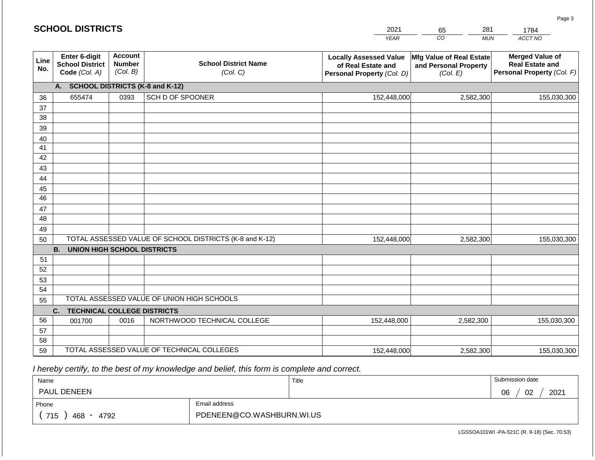#### *YEAR*  2021  $\overline{co}$ 65 *MUN ACCT NO*  1784 **Line No. Enter 6-digit School District Code** *(Col. A)* **Account Number** *(Col. B)* **School District Name** *(Col. C)* **Locally Assessed Value of Real Estate and Personal Property** *(Col. D)* **Mfg Value of Real Estate and Personal Property** *(Col. E)* **Merged Value of Real Estate and Personal Property** *(Col. F)* **A. SCHOOL DISTRICTS (K-8 and K-12)** 36 37 38 39 40 41 42 43 44 45 46 47 48 49 50 TOTAL ASSESSED VALUE OF SCHOOL DISTRICTS (K-8 and K-12) **B. UNION HIGH SCHOOL DISTRICTS** 51 52 53 54 55 **C. TECHNICAL COLLEGE DISTRICTS** 56 57 58 59 TOTAL ASSESSED VALUE OF TECHNICAL COLLEGES TOTAL ASSESSED VALUE OF UNION HIGH SCHOOLS 655474 0393 SCH D OF SPOONER 152,448,000 152,448,000 001700 | 0016 | NORTHWOOD TECHNICAL COLLEGE 152,448,000 2,582,300 155,030,300 2,582,300 155,030,300 2,582,300 155,030,300 152,448,000 2,582,300 155,030,300

 *I hereby certify, to the best of my knowledge and belief, this form is complete and correct.*

| Name                                           |                           | Title | Submission date  |
|------------------------------------------------|---------------------------|-------|------------------|
| <b>PAUL DENEEN</b>                             |                           |       | 02<br>2021<br>06 |
| Phone                                          | Email address             |       |                  |
| 715<br>4792<br>468<br>$\overline{\phantom{0}}$ | PDENEEN@CO.WASHBURN.WI.US |       |                  |

LGSSOA101WI -PA-521C (R. 9-18) (Sec. 70.53)

Page 3

| <b>SCHOOL DISTRICTS</b> |  |
|-------------------------|--|
|-------------------------|--|

281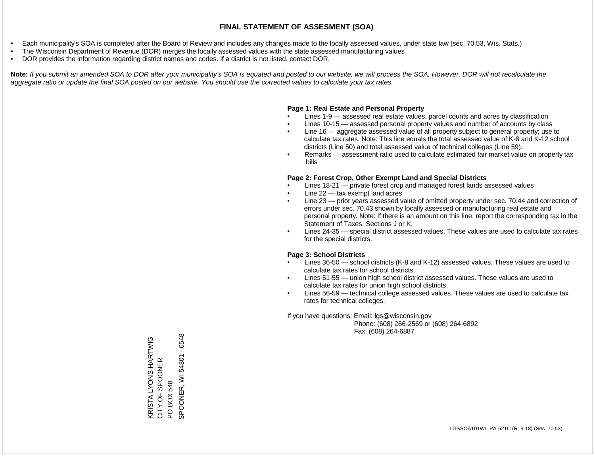- Each municipality's SOA is completed after the Board of Review and includes any changes made to the locally assessed values, under state law (sec. 70.53, Wis. Stats.)
- The Wisconsin Department of Revenue (DOR) merges the locally assessed values with the state assessed manufacturing values
- DOR provides the information regarding district names and codes. If a district is not listed, contact DOR.

Note: If you submit an amended SOA to DOR after your municipality's SOA is equated and posted to our website, we will process the SOA. However, DOR will not recalculate the *aggregate ratio or update the final SOA posted on our website. You should use the corrected values to calculate your tax rates.*

#### **Page 1: Real Estate and Personal Property**

- Lines 1-9 assessed real estate values, parcel counts and acres by classification
- Lines 10-15 assessed personal property values and number of accounts by class
- Line 16 aggregate assessed value of all property subject to general property; use to calculate tax rates. Note: This line equals the total assessed value of K-8 and K-12 school districts (Line 50) and total assessed value of technical colleges (Line 59).
- Remarks assessment ratio used to calculate estimated fair market value on property tax bills

#### **Page 2: Forest Crop, Other Exempt Land and Special Districts**

- Lines 18-21 private forest crop and managed forest lands assessed values
- Line  $22 -$  tax exempt land acres
- Line 23 prior years assessed value of omitted property under sec. 70.44 and correction of errors under sec. 70.43 shown by locally assessed or manufacturing real estate and personal property. Note: If there is an amount on this line, report the corresponding tax in the Statement of Taxes, Sections J or K.
- Lines 24-35 special district assessed values. These values are used to calculate tax rates for the special districts.

#### **Page 3: School Districts**

- Lines 36-50 school districts (K-8 and K-12) assessed values. These values are used to calculate tax rates for school districts.
- Lines 51-55 union high school district assessed values. These values are used to calculate tax rates for union high school districts.
- Lines 56-59 technical college assessed values. These values are used to calculate tax rates for technical colleges.

If you have questions: Email: lgs@wisconsin.gov

 Phone: (608) 266-2569 or (608) 264-6892 Fax: (608) 264-6887

KRISTA LYONS-HARTWIG CITY OF SPOONER KRISTA LYONS-HARTWIG<br>CITY OF SPOONER<br>PO BOX 548<br>SPOONER, WI 54801 - 0548 SPOONER, WI 54801 - 0548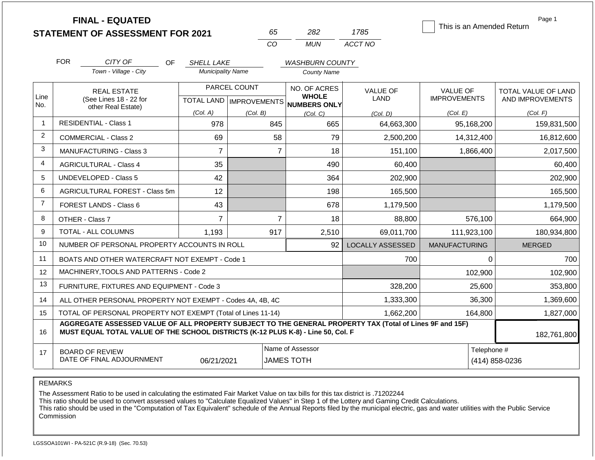|                |                                                                                                                                                                                              | <b>FINAL - EQUATED</b><br><b>STATEMENT OF ASSESSMENT FOR 2021</b> |                          | 65                                        | 282                                                 | 1785                           | This is an Amended Return              | Page 1                                  |
|----------------|----------------------------------------------------------------------------------------------------------------------------------------------------------------------------------------------|-------------------------------------------------------------------|--------------------------|-------------------------------------------|-----------------------------------------------------|--------------------------------|----------------------------------------|-----------------------------------------|
|                |                                                                                                                                                                                              |                                                                   |                          | CO                                        | <b>MUN</b>                                          | ACCT NO                        |                                        |                                         |
|                | <b>FOR</b>                                                                                                                                                                                   | CITY OF<br><b>OF</b>                                              | <b>SHELL LAKE</b>        |                                           | <b>WASHBURN COUNTY</b>                              |                                |                                        |                                         |
|                |                                                                                                                                                                                              | Town - Village - City                                             | <b>Municipality Name</b> |                                           | <b>County Name</b>                                  |                                |                                        |                                         |
| Line           |                                                                                                                                                                                              | <b>REAL ESTATE</b><br>(See Lines 18 - 22 for                      |                          | PARCEL COUNT<br>TOTAL LAND   IMPROVEMENTS | NO. OF ACRES<br><b>WHOLE</b><br><b>NUMBERS ONLY</b> | <b>VALUE OF</b><br><b>LAND</b> | <b>VALUE OF</b><br><b>IMPROVEMENTS</b> | TOTAL VALUE OF LAND<br>AND IMPROVEMENTS |
| No.            |                                                                                                                                                                                              | other Real Estate)                                                | (Col. A)                 | (Col. B)                                  | (Col, C)                                            | (Col. D)                       | (Col. E)                               | (Col. F)                                |
| $\mathbf 1$    | <b>RESIDENTIAL - Class 1</b>                                                                                                                                                                 |                                                                   | 978                      |                                           | 665<br>845                                          | 64,663,300                     | 95,168,200                             | 159,831,500                             |
| $\overline{2}$ |                                                                                                                                                                                              | <b>COMMERCIAL - Class 2</b>                                       | 69                       |                                           | 58<br>79                                            | 2,500,200                      | 14,312,400                             | 16,812,600                              |
| 3              |                                                                                                                                                                                              | <b>MANUFACTURING - Class 3</b>                                    | $\overline{7}$           |                                           | 18<br>$\overline{7}$                                | 151,100                        | 1,866,400                              | 2,017,500                               |
| $\overline{4}$ |                                                                                                                                                                                              | <b>AGRICULTURAL - Class 4</b>                                     | 35                       |                                           | 490                                                 | 60,400                         |                                        | 60,400                                  |
| 5              |                                                                                                                                                                                              | <b>UNDEVELOPED - Class 5</b>                                      | 42                       |                                           | 364                                                 | 202,900                        |                                        | 202,900                                 |
| 6              |                                                                                                                                                                                              | <b>AGRICULTURAL FOREST - Class 5m</b>                             | 12                       |                                           | 198                                                 | 165,500                        |                                        | 165,500                                 |
| $\overline{7}$ |                                                                                                                                                                                              | <b>FOREST LANDS - Class 6</b>                                     | 43                       |                                           | 678                                                 | 1,179,500                      |                                        | 1,179,500                               |
| 8              | OTHER - Class 7                                                                                                                                                                              |                                                                   | $\overline{7}$           |                                           | $\overline{7}$<br>18                                | 88,800                         | 576,100                                | 664,900                                 |
| 9              |                                                                                                                                                                                              | <b>TOTAL - ALL COLUMNS</b>                                        | 1,193                    | 917                                       | 2,510                                               | 69,011,700                     | 111,923,100                            | 180,934,800                             |
| 10             |                                                                                                                                                                                              | NUMBER OF PERSONAL PROPERTY ACCOUNTS IN ROLL                      |                          |                                           | 92                                                  | <b>LOCALLY ASSESSED</b>        | <b>MANUFACTURING</b>                   | <b>MERGED</b>                           |
| 11             |                                                                                                                                                                                              | BOATS AND OTHER WATERCRAFT NOT EXEMPT - Code 1                    |                          |                                           |                                                     | 700                            | 0                                      | 700                                     |
| 12             |                                                                                                                                                                                              | MACHINERY, TOOLS AND PATTERNS - Code 2                            |                          |                                           |                                                     |                                | 102,900                                | 102,900                                 |
| 13             |                                                                                                                                                                                              | FURNITURE, FIXTURES AND EQUIPMENT - Code 3                        |                          | 328,200                                   | 25,600                                              | 353,800                        |                                        |                                         |
| 14             |                                                                                                                                                                                              | ALL OTHER PERSONAL PROPERTY NOT EXEMPT - Codes 4A, 4B, 4C         |                          | 1,333,300                                 | 36,300                                              | 1,369,600                      |                                        |                                         |
| 15             |                                                                                                                                                                                              | TOTAL OF PERSONAL PROPERTY NOT EXEMPT (Total of Lines 11-14)      |                          |                                           | 1,662,200                                           | 164,800                        | 1,827,000                              |                                         |
| 16             | AGGREGATE ASSESSED VALUE OF ALL PROPERTY SUBJECT TO THE GENERAL PROPERTY TAX (Total of Lines 9F and 15F)<br>MUST EQUAL TOTAL VALUE OF THE SCHOOL DISTRICTS (K-12 PLUS K-8) - Line 50, Col. F |                                                                   |                          |                                           |                                                     |                                | 182,761,800                            |                                         |
| 17             | Name of Assessor<br><b>BOARD OF REVIEW</b><br>DATE OF FINAL ADJOURNMENT<br><b>JAMES TOTH</b><br>06/21/2021                                                                                   |                                                                   |                          |                                           |                                                     |                                | Telephone #                            | (414) 858-0236                          |

REMARKS

The Assessment Ratio to be used in calculating the estimated Fair Market Value on tax bills for this tax district is .71202244

This ratio should be used to convert assessed values to "Calculate Equalized Values" in Step 1 of the Lottery and Gaming Credit Calculations.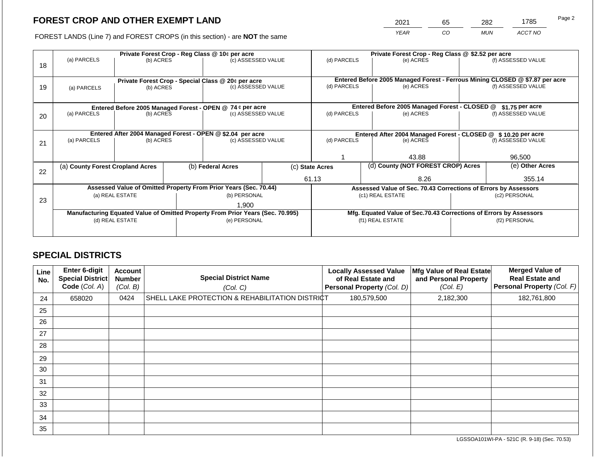2021 65 282 1785

FOREST LANDS (Line 7) and FOREST CROPS (in this section) - are **NOT** the same *YEAR CO MUN ACCT NO*

|    | Private Forest Crop - Reg Class @ 10¢ per acre             |                                                                                |  |                                                                    |                                                                              | Private Forest Crop - Reg Class @ \$2.52 per acre                            |  |                                               |        |                    |
|----|------------------------------------------------------------|--------------------------------------------------------------------------------|--|--------------------------------------------------------------------|------------------------------------------------------------------------------|------------------------------------------------------------------------------|--|-----------------------------------------------|--------|--------------------|
|    | (a) PARCELS                                                | (b) ACRES                                                                      |  | (c) ASSESSED VALUE                                                 |                                                                              | (d) PARCELS                                                                  |  | (e) ACRES                                     |        | (f) ASSESSED VALUE |
| 18 |                                                            |                                                                                |  |                                                                    |                                                                              |                                                                              |  |                                               |        |                    |
|    |                                                            |                                                                                |  |                                                                    |                                                                              |                                                                              |  |                                               |        |                    |
|    |                                                            |                                                                                |  | Private Forest Crop - Special Class @ 20¢ per acre                 |                                                                              | Entered Before 2005 Managed Forest - Ferrous Mining CLOSED @ \$7.87 per acre |  |                                               |        |                    |
| 19 | (b) ACRES<br>(a) PARCELS                                   |                                                                                |  | (c) ASSESSED VALUE                                                 |                                                                              | (d) PARCELS                                                                  |  | (e) ACRES                                     |        | (f) ASSESSED VALUE |
|    |                                                            |                                                                                |  |                                                                    |                                                                              |                                                                              |  |                                               |        |                    |
|    |                                                            |                                                                                |  | Entered Before 2005 Managed Forest - OPEN @ 74 ¢ per acre          |                                                                              |                                                                              |  | Entered Before 2005 Managed Forest - CLOSED @ |        | \$1.75 per acre    |
| 20 | (a) PARCELS                                                | (b) ACRES                                                                      |  | (c) ASSESSED VALUE                                                 |                                                                              | (d) PARCELS                                                                  |  | (e) ACRES                                     |        | (f) ASSESSED VALUE |
|    |                                                            |                                                                                |  |                                                                    |                                                                              |                                                                              |  |                                               |        |                    |
|    |                                                            |                                                                                |  |                                                                    |                                                                              |                                                                              |  |                                               |        |                    |
|    | Entered After 2004 Managed Forest - OPEN @ \$2.04 per acre |                                                                                |  |                                                                    | Entered After 2004 Managed Forest - CLOSED @ \$10.20 per acre<br>(d) PARCELS |                                                                              |  |                                               |        |                    |
| 21 | (a) PARCELS                                                | (b) ACRES                                                                      |  |                                                                    | (c) ASSESSED VALUE                                                           |                                                                              |  | (e) ACRES                                     |        | (f) ASSESSED VALUE |
|    |                                                            |                                                                                |  |                                                                    |                                                                              |                                                                              |  |                                               |        |                    |
|    |                                                            |                                                                                |  |                                                                    |                                                                              |                                                                              |  | 43.88                                         |        | 96,500             |
|    | (a) County Forest Cropland Acres                           |                                                                                |  | (b) Federal Acres<br>(c) State Acres                               |                                                                              |                                                                              |  | (d) County (NOT FOREST CROP) Acres            |        | (e) Other Acres    |
| 22 |                                                            |                                                                                |  |                                                                    |                                                                              |                                                                              |  |                                               |        |                    |
|    |                                                            |                                                                                |  |                                                                    |                                                                              | 61.13                                                                        |  | 8.26                                          | 355.14 |                    |
|    |                                                            |                                                                                |  | Assessed Value of Omitted Property From Prior Years (Sec. 70.44)   | Assessed Value of Sec. 70.43 Corrections of Errors by Assessors              |                                                                              |  |                                               |        |                    |
|    | (a) REAL ESTATE                                            |                                                                                |  | (b) PERSONAL                                                       |                                                                              | (c1) REAL ESTATE                                                             |  | (c2) PERSONAL                                 |        |                    |
| 23 |                                                            |                                                                                |  | 1,900                                                              |                                                                              |                                                                              |  |                                               |        |                    |
|    |                                                            | Manufacturing Equated Value of Omitted Property From Prior Years (Sec. 70.995) |  | Mfg. Equated Value of Sec.70.43 Corrections of Errors by Assessors |                                                                              |                                                                              |  |                                               |        |                    |
|    | (d) REAL ESTATE                                            |                                                                                |  | (e) PERSONAL                                                       |                                                                              | (f1) REAL ESTATE                                                             |  | (f2) PERSONAL                                 |        |                    |
|    |                                                            |                                                                                |  |                                                                    |                                                                              |                                                                              |  |                                               |        |                    |
|    |                                                            |                                                                                |  |                                                                    |                                                                              |                                                                              |  |                                               |        |                    |

# **SPECIAL DISTRICTS**

| Line<br>No. | <b>Enter 6-digit</b><br>Special District<br>Code (Col. A) | <b>Account</b><br><b>Number</b><br>(Col. B) | <b>Special District Name</b><br>(Col. C)        | <b>Locally Assessed Value</b><br>of Real Estate and<br><b>Personal Property (Col. D)</b> | Mfg Value of Real Estate<br>and Personal Property<br>(Col. E) | <b>Merged Value of</b><br><b>Real Estate and</b><br>Personal Property (Col. F) |
|-------------|-----------------------------------------------------------|---------------------------------------------|-------------------------------------------------|------------------------------------------------------------------------------------------|---------------------------------------------------------------|--------------------------------------------------------------------------------|
| 24          | 658020                                                    | 0424                                        | SHELL LAKE PROTECTION & REHABILITATION DISTRICT | 180,579,500                                                                              | 2,182,300                                                     | 182,761,800                                                                    |
| 25          |                                                           |                                             |                                                 |                                                                                          |                                                               |                                                                                |
| 26          |                                                           |                                             |                                                 |                                                                                          |                                                               |                                                                                |
| 27          |                                                           |                                             |                                                 |                                                                                          |                                                               |                                                                                |
| 28          |                                                           |                                             |                                                 |                                                                                          |                                                               |                                                                                |
| 29          |                                                           |                                             |                                                 |                                                                                          |                                                               |                                                                                |
| 30          |                                                           |                                             |                                                 |                                                                                          |                                                               |                                                                                |
| 31          |                                                           |                                             |                                                 |                                                                                          |                                                               |                                                                                |
| 32          |                                                           |                                             |                                                 |                                                                                          |                                                               |                                                                                |
| 33          |                                                           |                                             |                                                 |                                                                                          |                                                               |                                                                                |
| 34          |                                                           |                                             |                                                 |                                                                                          |                                                               |                                                                                |
| 35          |                                                           |                                             |                                                 |                                                                                          |                                                               |                                                                                |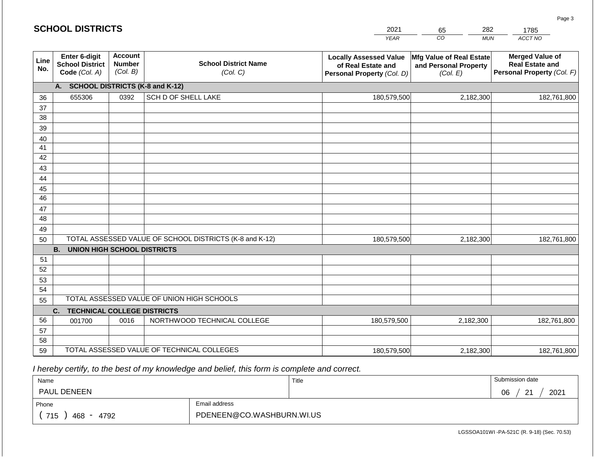|             | <b>SCHOOL DISTRICTS</b>                                  |                                             |                                                         | 2021                                                                              | 282<br>65                                                     | 1785                                                                           |
|-------------|----------------------------------------------------------|---------------------------------------------|---------------------------------------------------------|-----------------------------------------------------------------------------------|---------------------------------------------------------------|--------------------------------------------------------------------------------|
|             |                                                          |                                             |                                                         | <b>YEAR</b>                                                                       | $\overline{co}$<br><b>MUN</b>                                 | <b>ACCT NO</b>                                                                 |
| Line<br>No. | Enter 6-digit<br><b>School District</b><br>Code (Col. A) | <b>Account</b><br><b>Number</b><br>(Col. B) | <b>School District Name</b><br>(Col. C)                 | <b>Locally Assessed Value</b><br>of Real Estate and<br>Personal Property (Col. D) | Mfg Value of Real Estate<br>and Personal Property<br>(Col. E) | <b>Merged Value of</b><br><b>Real Estate and</b><br>Personal Property (Col. F) |
|             | А.                                                       |                                             | <b>SCHOOL DISTRICTS (K-8 and K-12)</b>                  |                                                                                   |                                                               |                                                                                |
| 36          | 655306                                                   | 0392                                        | SCH D OF SHELL LAKE                                     | 180,579,500                                                                       | 2,182,300                                                     | 182,761,800                                                                    |
| 37          |                                                          |                                             |                                                         |                                                                                   |                                                               |                                                                                |
| 38          |                                                          |                                             |                                                         |                                                                                   |                                                               |                                                                                |
| 39          |                                                          |                                             |                                                         |                                                                                   |                                                               |                                                                                |
| 40          |                                                          |                                             |                                                         |                                                                                   |                                                               |                                                                                |
| 41          |                                                          |                                             |                                                         |                                                                                   |                                                               |                                                                                |
| 42<br>43    |                                                          |                                             |                                                         |                                                                                   |                                                               |                                                                                |
| 44          |                                                          |                                             |                                                         |                                                                                   |                                                               |                                                                                |
| 45          |                                                          |                                             |                                                         |                                                                                   |                                                               |                                                                                |
| 46          |                                                          |                                             |                                                         |                                                                                   |                                                               |                                                                                |
| 47          |                                                          |                                             |                                                         |                                                                                   |                                                               |                                                                                |
| 48          |                                                          |                                             |                                                         |                                                                                   |                                                               |                                                                                |
| 49          |                                                          |                                             |                                                         |                                                                                   |                                                               |                                                                                |
| 50          |                                                          |                                             | TOTAL ASSESSED VALUE OF SCHOOL DISTRICTS (K-8 and K-12) | 180,579,500                                                                       | 2,182,300                                                     | 182,761,800                                                                    |
|             | <b>B.</b><br><b>UNION HIGH SCHOOL DISTRICTS</b>          |                                             |                                                         |                                                                                   |                                                               |                                                                                |
| 51          |                                                          |                                             |                                                         |                                                                                   |                                                               |                                                                                |
| 52          |                                                          |                                             |                                                         |                                                                                   |                                                               |                                                                                |
| 53          |                                                          |                                             |                                                         |                                                                                   |                                                               |                                                                                |
| 54          |                                                          |                                             |                                                         |                                                                                   |                                                               |                                                                                |
| 55          |                                                          |                                             | TOTAL ASSESSED VALUE OF UNION HIGH SCHOOLS              |                                                                                   |                                                               |                                                                                |
|             | <b>TECHNICAL COLLEGE DISTRICTS</b><br>C.                 |                                             |                                                         |                                                                                   |                                                               |                                                                                |
| 56          | 001700                                                   | 0016                                        | NORTHWOOD TECHNICAL COLLEGE                             | 180,579,500                                                                       | 2,182,300                                                     | 182,761,800                                                                    |
| 57<br>58    |                                                          |                                             |                                                         |                                                                                   |                                                               |                                                                                |
| 59          |                                                          |                                             | TOTAL ASSESSED VALUE OF TECHNICAL COLLEGES              | 180,579,500                                                                       | 2,182,300                                                     | 182,761,800                                                                    |
|             |                                                          |                                             |                                                         |                                                                                   |                                                               |                                                                                |

 *I hereby certify, to the best of my knowledge and belief, this form is complete and correct.*

| Name               |                           | Title | Submission date                     |
|--------------------|---------------------------|-------|-------------------------------------|
| <b>PAUL DENEEN</b> |                           |       | 2021<br>∩≧<br>ົດ⊿<br>vv<br><u>_</u> |
| Phone              | Email address             |       |                                     |
| 715<br>4792<br>468 | PDENEEN@CO.WASHBURN.WI.US |       |                                     |

Page 3

| <b>SCHOOL DISTRICTS</b> |  |
|-------------------------|--|
|-------------------------|--|

| 2021        | 65 | 282  | _ |
|-------------|----|------|---|
| <b>VEAD</b> | rη | MLIM |   |